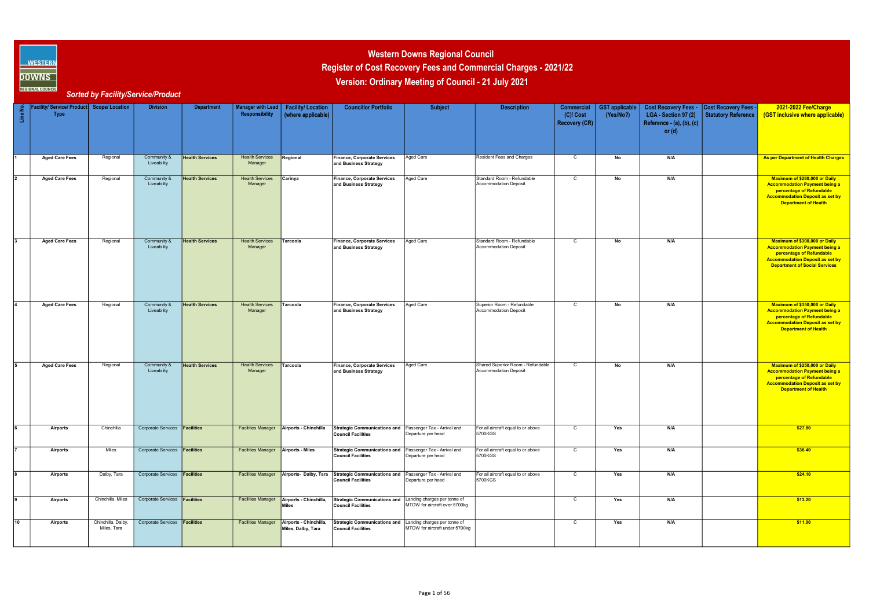| Line No.    | Facility/ Service/ Product Scope/ Location<br><b>Type</b> |                                   | <b>Division</b>                      | <b>Department</b>      | Manager with Lead<br>Responsibility        | <b>Facility/Location</b><br>(where applicable)              | <b>Councillor Portfolio</b>                                                            | <b>Subject</b>                                                 | <b>Description</b>                                                | Commercial<br>$(C)/$ Cost<br><b>Recovery (CR)</b> | <b>GST</b> applicable<br>(Yes/No?) | Cost Recovery Fees - Cost Recovery Fees -<br>LGA - Section 97 (2)<br>Reference - (a), (b), (c)<br>or $(d)$ | Statutory Reference | 2021-2022 Fee/Charge<br>(GST inclusive where applicable)                                                                                                                            |
|-------------|-----------------------------------------------------------|-----------------------------------|--------------------------------------|------------------------|--------------------------------------------|-------------------------------------------------------------|----------------------------------------------------------------------------------------|----------------------------------------------------------------|-------------------------------------------------------------------|---------------------------------------------------|------------------------------------|------------------------------------------------------------------------------------------------------------|---------------------|-------------------------------------------------------------------------------------------------------------------------------------------------------------------------------------|
|             | <b>Aged Care Fees</b>                                     | Regional                          | Community &<br>Liveability           | <b>Health Services</b> | <b>Health Services</b><br>Manager          | Regional                                                    | <b>Finance, Corporate Services</b><br>and Business Strategy                            | Aged Care                                                      | Resident Fees and Charges                                         | $\mathsf{C}$                                      | No                                 | N/A                                                                                                        |                     | As per Department of Health Charges                                                                                                                                                 |
|             | <b>Aged Care Fees</b>                                     | Regional                          | Community &<br>Liveability           | <b>Health Services</b> | <b>Health Services</b><br>Manager          | Carinya                                                     | <b>Finance, Corporate Services</b><br>and Business Strategy                            | Aged Care                                                      | Standard Room - Refundable<br><b>Accommodation Deposit</b>        | C                                                 | No                                 | N/A                                                                                                        |                     | Maximum of \$280,000 or Daily<br><b>Accommodation Payment being a</b><br>percentage of Refundable<br><b>Accommodation Deposit as set by</b><br><b>Department of Health</b>          |
|             | <b>Aged Care Fees</b>                                     | Regional                          | Community &<br>Liveability           | <b>Health Services</b> | <b>Health Services</b><br>Manager          | Tarcoola                                                    | Finance, Corporate Services<br>and Business Strategy                                   | Aged Care                                                      | Standard Room - Refundable<br><b>Accommodation Deposit</b>        | C                                                 | No                                 | N/A                                                                                                        |                     | Maximum of \$300,000 or Daily<br><b>Accommodation Payment being a</b><br>percentage of Refundable<br><b>Accommodation Deposit as set by</b><br><b>Department of Social Services</b> |
|             | <b>Aged Care Fees</b>                                     | Regional                          | Community &<br>Liveability           | <b>Health Services</b> | <b>Health Services</b><br>Manager          | Tarcoola                                                    | Finance, Corporate Services<br>and Business Strategy                                   | Aged Care                                                      | Superior Room - Refundable<br><b>Accommodation Deposit</b>        | $\mathsf{C}$                                      | N <sub>o</sub>                     | N/A                                                                                                        |                     | Maximum of \$350,000 or Daily<br><b>Accommodation Payment being a</b><br>percentage of Refundable<br><b>Accommodation Deposit as set by</b><br><b>Department of Health</b>          |
|             | <b>Aged Care Fees</b>                                     | Regional                          | Community &<br>Liveability           | <b>Health Services</b> | <b>Health Services</b><br>Manager          | Tarcoola                                                    | Finance, Corporate Services<br>and Business Strategy                                   | Aged Care                                                      | Shared Superior Room - Refundable<br><b>Accommodation Deposit</b> | $\mathsf{C}$                                      | No                                 | N/A                                                                                                        |                     | Maximum of \$250,000 or Daily<br><b>Accommodation Payment being a</b><br>percentage of Refundable<br><b>Accommodation Deposit as set by</b><br><b>Department of Health</b>          |
|             | Airports                                                  | Chinchilla                        | Corporate Services <b>Facilities</b> |                        |                                            | <b>Facilities Manager   Airports - Chinchilla</b>           | Strategic Communications and   Passenger Tax - Arrival and<br>Council Facilities       | Departure per head                                             | For all aircraft equal to or above<br>5700KGS                     | C                                                 | Yes                                | N/A                                                                                                        |                     | \$27.80                                                                                                                                                                             |
|             | <b>Airports</b>                                           | Miles                             | Corporate Services <b>Facilities</b> |                        | <b>Facilities Manager Airports - Miles</b> |                                                             | Strategic Communications and Passenger Tax - Arrival and<br>Council Facilities         | Departure per head                                             | For all aircraft equal to or above<br>5700KGS                     | $\mathsf{C}$                                      | Yes                                | N/A                                                                                                        |                     | \$36.40                                                                                                                                                                             |
|             | Airports                                                  | Dalby, Tara                       | Corporate Services <b>Facilities</b> |                        |                                            | <b>Facilities Manager</b> Airports- Dalby, Tara             | Strategic Communications and Passenger Tax - Arrival and<br><b>Council Facilities</b>  | Departure per head                                             | For all aircraft equal to or above<br>5700KGS                     | $\mathsf{C}$                                      | Yes                                | N/A                                                                                                        |                     | \$24.10                                                                                                                                                                             |
| 9           | <b>Airports</b>                                           | Chinchilla, Miles                 | Corporate Services <b>Facilities</b> |                        |                                            | Facilities Manager   Airports - Chinchilla,<br><b>Miles</b> | Strategic Communications and Landing charges per tonne of<br><b>Council Facilities</b> | MTOW for aircraft over 5700kg                                  |                                                                   | $\overline{C}$                                    | Yes                                | N/A                                                                                                        |                     | \$13.20                                                                                                                                                                             |
| $\sqrt{10}$ | Airports                                                  | Chinchilla, Dalby,<br>Miles, Tara | Corporate Services <b>Facilities</b> |                        | <b>Facilities Manager</b>                  | Airports - Chinchilla,<br>Miles, Dalby, Tara                | <b>Strategic Communications and</b><br><b>Council Facilities</b>                       | Landing charges per tonne of<br>MTOW for aircraft under 5700kg |                                                                   | $\mathsf{C}$                                      | Yes                                | N/A                                                                                                        |                     | \$11.00                                                                                                                                                                             |



## Register of Cost Recovery Fees and Commercial Charges - 2021/22 Western Downs Regional Council Version: Ordinary Meeting of Council - 21 July 2021

**SORT AND ALL COUNCIL SORTED BY FACILITY/Service/Product**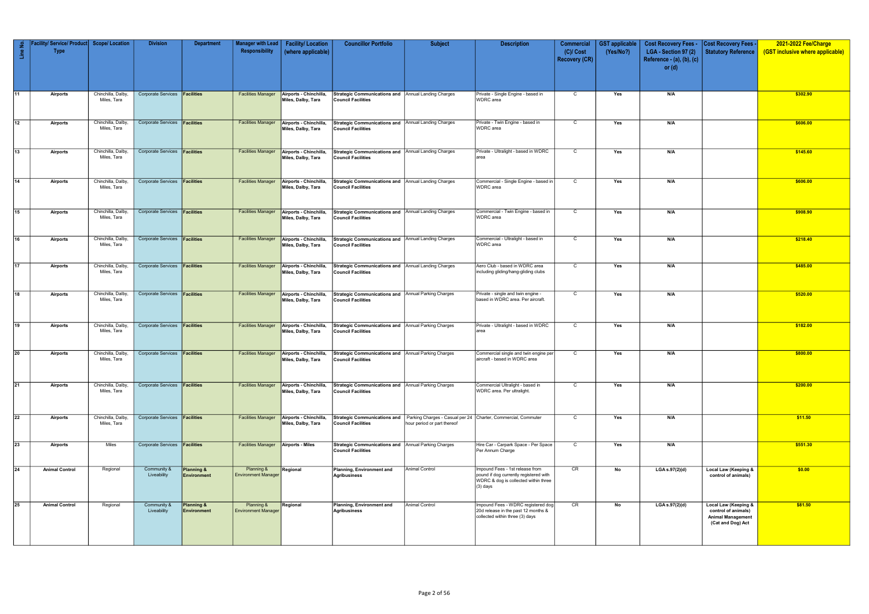| Line No.        | Facility/ Service/ Product Scope/ Location<br><b>Type</b> |                                   | <b>Division</b>                      | <b>Department</b>                | Manager with Lead<br>Responsibility        | <b>Facility/Location</b><br>(where applicable)                    | <b>Councillor Portfolio</b>                                                      | <b>Subject</b>                                                                                                            | <b>Description</b>                                                                                                              | <b>Commercial</b><br>$(C)/$ Cost<br>Recovery (CR) | <b>GST</b> applicable<br>(Yes/No?) | <b>Cost Recovery Fees -</b><br>LGA - Section 97 (2)<br>Reference - (a), (b), (c)<br>or $(d)$ | Cost Recovery Fees -<br>Statutory Reference                                                  | 2021-2022 Fee/Charge<br>(GST inclusive where applicable) |
|-----------------|-----------------------------------------------------------|-----------------------------------|--------------------------------------|----------------------------------|--------------------------------------------|-------------------------------------------------------------------|----------------------------------------------------------------------------------|---------------------------------------------------------------------------------------------------------------------------|---------------------------------------------------------------------------------------------------------------------------------|---------------------------------------------------|------------------------------------|----------------------------------------------------------------------------------------------|----------------------------------------------------------------------------------------------|----------------------------------------------------------|
| $\sqrt{11}$     | Airports                                                  | Chinchilla, Dalby,<br>Miles, Tara | Corporate Services <b>Facilities</b> |                                  | <b>Facilities Manager</b>                  | Airports - Chinchilla,<br>Miles, Dalby, Tara                      | Strategic Communications and Annual Landing Charges<br><b>Council Facilities</b> |                                                                                                                           | Private - Single Engine - based in<br><b>WDRC</b> area                                                                          | $\mathsf{C}$                                      | Yes                                | N/A                                                                                          |                                                                                              | \$302.90                                                 |
| $\sqrt{12}$     | <b>Airports</b>                                           | Chinchilla, Dalby<br>Miles, Tara  | Corporate Services <b>Facilities</b> |                                  | <b>Facilities Manager</b>                  | Airports - Chinchilla,<br>Miles, Dalby, Tara                      | Strategic Communications and Annual Landing Charges<br><b>Council Facilities</b> |                                                                                                                           | Private - Twin Engine - based in<br>WDRC area                                                                                   | $\mathsf{C}$                                      | Yes                                | N/A                                                                                          |                                                                                              | \$606.00                                                 |
| $\sqrt{13}$     | Airports                                                  | Chinchilla, Dalby<br>Miles, Tara  | Corporate Services <b>Facilities</b> |                                  | <b>Facilities Manager</b>                  | Airports - Chinchilla,<br>Miles, Dalby, Tara                      | Strategic Communications and Annual Landing Charges<br>Council Facilities        |                                                                                                                           | Private - Ultralight - based in WDRC<br>area                                                                                    | $\overline{C}$                                    | Yes                                | N/A                                                                                          |                                                                                              | \$145.60                                                 |
| $\sqrt{14}$     | Airports                                                  | Chinchilla, Dalby<br>Miles, Tara  | Corporate Services <b>Facilities</b> |                                  | <b>Facilities Manager</b>                  | Airports - Chinchilla,<br>Miles, Dalby, Tara                      | Strategic Communications and Annual Landing Charges<br>Council Facilities        |                                                                                                                           | Commercial - Single Engine - based in<br><b>WDRC</b> area                                                                       | $\overline{c}$                                    | Yes                                | N/A                                                                                          |                                                                                              | \$606.00                                                 |
| $\sqrt{15}$     | Airports                                                  | Chinchilla, Dalby<br>Miles, Tara  | Corporate Services <b>Facilities</b> |                                  | <b>Facilities Manager</b>                  | Airports - Chinchilla,<br>Miles, Dalby, Tara                      | Strategic Communications and Annual Landing Charges<br>Council Facilities        |                                                                                                                           | Commercial - Twin Engine - based in<br><b>WDRC</b> area                                                                         | $\mathsf{C}$                                      | Yes                                | N/A                                                                                          |                                                                                              | \$908.90                                                 |
| $\sqrt{16}$     | Airports                                                  | Chinchilla, Dalby<br>Miles, Tara  | Corporate Services <b>Facilities</b> |                                  | <b>Facilities Manager</b>                  | Airports - Chinchilla,<br>Miles, Dalby, Tara                      | Strategic Communications and Annual Landing Charges<br><b>Council Facilities</b> |                                                                                                                           | Commercial - Ultralight - based in<br><b>WDRC</b> area                                                                          | $\mathsf{C}$                                      | Yes                                | N/A                                                                                          |                                                                                              | \$218.40                                                 |
| 17              | Airports                                                  | Chinchilla, Dalby,<br>Miles, Tara | Corporate Services <b>Facilities</b> |                                  |                                            | Facilities Manager   Airports - Chinchilla,<br>Miles, Dalby, Tara | Strategic Communications and Annual Landing Charges<br>Council Facilities        |                                                                                                                           | Aero Club - based in WDRC area<br>including gliding/hang-gliding clubs                                                          | $\mathsf{C}$                                      | Yes                                | N/A                                                                                          |                                                                                              | \$485.00                                                 |
| $\sqrt{18}$     | Airports                                                  | Chinchilla, Dalby<br>Miles, Tara  | Corporate Services <b>Facilities</b> |                                  | <b>Facilities Manager</b>                  | Airports - Chinchilla,<br>Miles, Dalby, Tara                      | Strategic Communications and Annual Parking Charges<br><b>Council Facilities</b> |                                                                                                                           | Private - single and twin engine -<br>based in WDRC area. Per aircraft.                                                         | $\mathsf{C}$                                      | Yes                                | N/A                                                                                          |                                                                                              | \$520.00                                                 |
| $\sqrt{19}$     | Airports                                                  | Chinchilla, Dalby,<br>Miles, Tara | Corporate Services <b>Facilities</b> |                                  | <b>Facilities Manager</b>                  | Airports - Chinchilla,<br>Miles, Dalby, Tara                      | Strategic Communications and Annual Parking Charges<br>Council Facilities        |                                                                                                                           | Private - Ultralight - based in WDRC<br>area                                                                                    | $\mathsf{C}$                                      | Yes                                | N/A                                                                                          |                                                                                              | \$182.00                                                 |
| $\sqrt{20}$     | Airports                                                  | Chinchilla, Dalby<br>Miles, Tara  | Corporate Services <b>Facilities</b> |                                  |                                            | Facilities Manager   Airports - Chinchilla,<br>Miles, Dalby, Tara | Strategic Communications and Annual Parking Charges<br>Council Facilities        |                                                                                                                           | Commercial single and twin engine per<br>aircraft - based in WDRC area                                                          | C                                                 | Yes                                | N/A                                                                                          |                                                                                              | \$800.00                                                 |
| $\sqrt{21}$     | <b>Airports</b>                                           | Chinchilla, Dalby,<br>Miles, Tara | Corporate Services <b>Facilities</b> |                                  | <b>Facilities Manager</b>                  | Airports - Chinchilla,<br>Miles, Dalby, Tara                      | Strategic Communications and Annual Parking Charges<br><b>Council Facilities</b> |                                                                                                                           | Commercial Ultralight - based in<br>WDRC area. Per ultralight.                                                                  | $\mathsf{C}$                                      | Yes                                | N/A                                                                                          |                                                                                              | \$200.00                                                 |
| $\overline{22}$ | Airports                                                  | Chinchilla, Dalby,<br>Miles, Tara | Corporate Services <b>Facilities</b> |                                  |                                            | Facilities Manager Airports - Chinchilla,<br>Miles, Dalby, Tara   | Council Facilities                                                               | Strategic Communications and Parking Charges - Casual per 24 Charter, Commercial, Commuter<br>hour period or part thereof |                                                                                                                                 | $\overline{c}$                                    | Yes                                | N/A                                                                                          |                                                                                              | \$11.50                                                  |
| $\overline{23}$ | Airports                                                  | Miles                             | Corporate Services <b>Facilities</b> |                                  | <b>Facilities Manager Airports - Miles</b> |                                                                   | Strategic Communications and Annual Parking Charges<br>Council Facilities        |                                                                                                                           | Hire Car - Carpark Space - Per Space<br>Per Annum Charge                                                                        | $\mathsf{C}$                                      | Yes                                | N/A                                                                                          |                                                                                              | \$551.30                                                 |
| $\sqrt{24}$     | <b>Animal Control</b>                                     | Regional                          | Community &<br>Liveability           | Planning &<br><b>Environment</b> | Planning &<br><b>Environment Manager</b>   | Regional                                                          | Planning, Environment and<br>Agribusiness                                        | <b>Animal Control</b>                                                                                                     | Impound Fees - 1st release from<br>pound if dog currently registered with<br>WDRC & dog is collected within three<br>$(3)$ days | CR                                                | No                                 | LGA s.97(2)(d)                                                                               | Local Law (Keeping &<br>control of animals)                                                  | \$0.00                                                   |
| $\sqrt{25}$     | <b>Animal Control</b>                                     | Regional                          | Community &<br>Liveability           | Planning &<br><b>Environment</b> | Planning &<br><b>Environment Manager</b>   | Regional                                                          | Planning, Environment and<br>Agribusiness                                        | <b>Animal Control</b>                                                                                                     | Impound Fees - WDRC registered dog<br>20d release in the past 12 months &<br>collected within three (3) days                    | CR                                                | No                                 | $LGA$ s.97(2)(d)                                                                             | Local Law (Keeping &<br>control of animals)<br><b>Animal Management</b><br>(Cat and Dog) Act | \$81.50                                                  |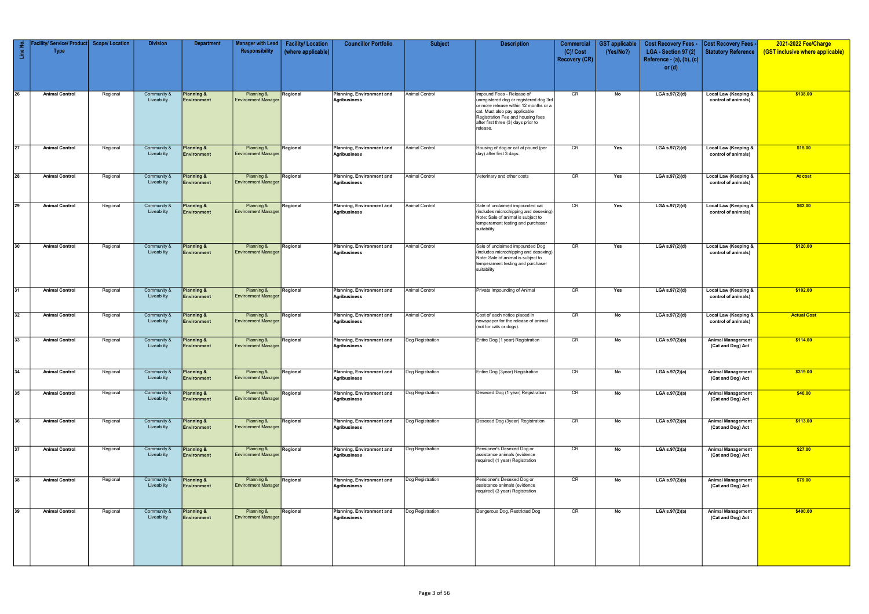| Line No.        | acility/ Service/ Product   Scope/ Location<br><b>Type</b> |          | <b>Division</b>            | <b>Department</b>                           | Manager with Lead<br>Responsibility      | <b>Facility/Location</b><br>(where applicable) | <b>Councillor Portfolio</b>                      | <b>Subject</b>        | <b>Description</b>                                                                                                                                                                                                                    | Commercial<br>$(C)/$ Cost<br><b>Recovery (CR)</b> | <b>GST</b> applicable<br>(Yes/No?) | <b>Cost Recovery Fees -</b><br>LGA - Section 97 (2)<br>Reference - $(a)$ , $(b)$ , $(c)$<br>or $(d)$ | <b>Cost Recovery Fees -</b><br>Statutory Reference     | 2021-2022 Fee/Charge<br>(GST inclusive where applicable) |
|-----------------|------------------------------------------------------------|----------|----------------------------|---------------------------------------------|------------------------------------------|------------------------------------------------|--------------------------------------------------|-----------------------|---------------------------------------------------------------------------------------------------------------------------------------------------------------------------------------------------------------------------------------|---------------------------------------------------|------------------------------------|------------------------------------------------------------------------------------------------------|--------------------------------------------------------|----------------------------------------------------------|
| $\overline{26}$ | <b>Animal Control</b>                                      | Regional | Community &<br>Liveability | <b>Planning &amp;</b><br><b>Environment</b> | Planning &<br><b>Environment Manager</b> | Regional                                       | Planning, Environment and<br>Agribusiness        | <b>Animal Control</b> | Impound Fees - Release of<br>unregistered dog or registered dog 3rd<br>or more release within 12 months or a<br>cat. Must also pay applicable<br>Registration Fee and housing fees<br>after first three (3) days prior to<br>release. | CR                                                | No                                 | LGA s.97(2)(d)                                                                                       | Local Law (Keeping &<br>control of animals)            | \$138.00                                                 |
| $\overline{27}$ | <b>Animal Control</b>                                      | Regional | Community &<br>Liveability | Planning &<br>Environment                   | Planning &<br><b>Environment Manager</b> | Regional                                       | Planning, Environment and<br>Agribusiness        | <b>Animal Control</b> | Housing of dog or cat at pound (per<br>day) after first 3 days.                                                                                                                                                                       | CR                                                | Yes                                | LGA s.97(2)(d)                                                                                       | Local Law (Keeping &<br>control of animals)            | \$15.00                                                  |
| $\sqrt{28}$     | <b>Animal Control</b>                                      | Regional | Community &<br>Liveability | Planning &<br><b>Environment</b>            | Planning &<br><b>Environment Manager</b> | Regional                                       | Planning, Environment and<br>Agribusiness        | <b>Animal Control</b> | Veterinary and other costs                                                                                                                                                                                                            | CR                                                | Yes                                | LGA s.97(2)(d)                                                                                       | <b>Local Law (Keeping &amp;</b><br>control of animals) | <b>At cost</b>                                           |
| $\sqrt{29}$     | <b>Animal Control</b>                                      | Regional | Community &<br>Liveability | Planning &<br><b>Environment</b>            | Planning &<br><b>Environment Manager</b> | Regional                                       | Planning, Environment and<br><b>Agribusiness</b> | <b>Animal Control</b> | Sale of unclaimed impounded cat<br>(includes microchipping and desexing).<br>Note: Sale of animal is subject to<br>temperament testing and purchaser<br>suitability.                                                                  | CR                                                | Yes                                | LGA s.97(2)(d)                                                                                       | Local Law (Keeping &<br>control of animals)            | \$62.00                                                  |
| 30              | <b>Animal Control</b>                                      | Regional | Community &<br>Liveability | <b>Planning &amp;</b><br><b>Environment</b> | Planning &<br><b>Environment Manager</b> | Regional                                       | Planning, Environment and<br>Agribusiness        | <b>Animal Control</b> | Sale of unclaimed impounded Dog<br>(includes microchipping and desexing).<br>Note: Sale of animal is subject to<br>temperament testing and purchaser<br>suitability                                                                   | CR                                                | Yes                                | LGA s.97(2)(d)                                                                                       | <b>Local Law (Keeping &amp;</b><br>control of animals) | \$120.00                                                 |
| 31              | <b>Animal Control</b>                                      | Regional | Community &<br>Liveability | Planning &<br><b>Environment</b>            | Planning &<br><b>Environment Manager</b> | Regional                                       | Planning, Environment and<br>Agribusiness        | Animal Control        | Private Impounding of Animal                                                                                                                                                                                                          | CR                                                | Yes                                | LGA s.97(2)(d)                                                                                       | Local Law (Keeping &<br>control of animals)            | \$102.00                                                 |
| 32              | <b>Animal Control</b>                                      | Regional | Community &<br>Liveability | <b>Planning &amp;</b><br>Environment        | Planning &<br><b>Environment Manager</b> | Regional                                       | Planning, Environment and<br>Agribusiness        | Animal Control        | Cost of each notice placed in<br>newspaper for the release of animal<br>(not for cats or dogs).                                                                                                                                       | CR                                                | No                                 | LGA s.97(2)(d)                                                                                       | Local Law (Keeping &<br>control of animals)            | <b>Actual Cost</b>                                       |
| 33              | <b>Animal Control</b>                                      | Regional | Community &<br>Liveability | Planning &<br><b>Environment</b>            | Planning &<br><b>Environment Manager</b> | Regional                                       | Planning, Environment and<br>Agribusiness        | Dog Registration      | Entire Dog (1 year) Registration                                                                                                                                                                                                      | CR                                                | No                                 | LGA s.97(2)(a)                                                                                       | <b>Animal Management</b><br>(Cat and Dog) Act          | \$114.00                                                 |
| $\overline{34}$ | <b>Animal Control</b>                                      | Regional | Community &<br>Liveability | Planning &<br><b>Environment</b>            | Planning &<br><b>Environment Manager</b> | Regional                                       | Planning, Environment and<br><b>Agribusiness</b> | Dog Registration      | Entire Dog (3year) Registration                                                                                                                                                                                                       | CR                                                | No                                 | LGA s.97(2)(a)                                                                                       | <b>Animal Management</b><br>(Cat and Dog) Act          | \$319.00                                                 |
| 35              | <b>Animal Control</b>                                      | Regional | Community &<br>Liveability | Planning &<br><b>Environment</b>            | Planning &<br><b>Environment Manager</b> | Regional                                       | Planning, Environment and<br>Agribusiness        | Dog Registration      | Desexed Dog (1 year) Registration                                                                                                                                                                                                     | CR                                                | No                                 | LGA s.97(2)(a)                                                                                       | <b>Animal Management</b><br>(Cat and Dog) Act          | \$40.00                                                  |
| $\sqrt{36}$     | <b>Animal Control</b>                                      | Regional | Community &<br>Liveability | Planning &<br>Environment                   | Planning &<br><b>Environment Manager</b> | Regional                                       | Planning, Environment and<br><b>Agribusiness</b> | Dog Registration      | Desexed Dog (3year) Registration                                                                                                                                                                                                      | CR                                                | No                                 | LGA s.97(2)(a)                                                                                       | <b>Animal Management</b><br>(Cat and Dog) Act          | \$113.00                                                 |
| 37              | <b>Animal Control</b>                                      | Regional | Community &<br>Liveability | Planning &<br><b>Environment</b>            | Planning &<br><b>Environment Manager</b> | Regional                                       | Planning, Environment and<br>Agribusiness        | Dog Registration      | Pensioner's Desexed Dog or<br>assistance animals (evidence<br>required) (1 year) Registration                                                                                                                                         | CR                                                | No                                 | LGA s.97(2)(a)                                                                                       | <b>Animal Management</b><br>(Cat and Dog) Act          | \$27.00                                                  |
| $\sqrt{38}$     | <b>Animal Control</b>                                      | Regional | Community &<br>Liveability | <b>Planning &amp;</b><br><b>Environment</b> | Planning &<br><b>Environment Manager</b> | Regional                                       | Planning, Environment and<br>Agribusiness        | Dog Registration      | Pensioner's Desexed Dog or<br>assistance animals (evidence<br>required) (3 year) Registration                                                                                                                                         | CR                                                | No                                 | LGA s.97(2)(a)                                                                                       | <b>Animal Management</b><br>(Cat and Dog) Act          | \$79.00                                                  |
| 39              | <b>Animal Control</b>                                      | Regional | Community &<br>Liveability | Planning &<br><b>Environment</b>            | Planning &<br><b>Environment Manager</b> | Regional                                       | Planning, Environment and<br>Agribusiness        | Dog Registration      | Dangerous Dog, Restricted Dog                                                                                                                                                                                                         | CR                                                | No                                 | LGA s.97(2)(a)                                                                                       | <b>Animal Management</b><br>(Cat and Dog) Act          | \$400.00                                                 |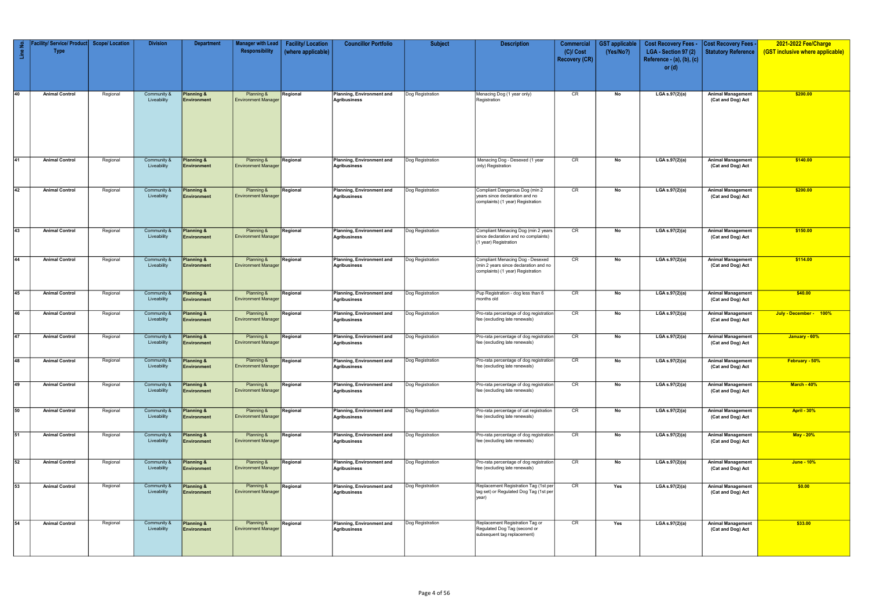| $\mathop{\text{in}}$ | ′ Service/ Product∣ ∣<br><b>Type</b> | <b>Scope/ Location</b> | <b>Division</b>            | <b>Department</b>                           | <b>Manager with Lead</b><br>Responsibility | <b>Facility/Location</b><br>(where applicable) | <b>Councillor Portfolio</b>                             | <b>Subject</b>   | <b>Description</b>                                                                                             | <b>Commercial</b><br>$(C)/$ Cost | <b>GST</b> applicable<br>(Yes/No?) | <b>Cost Recovery Fees -</b><br>LGA - Section 97 (2) | <b>Cost Recovery Fees -</b><br>Statutory Reference | 2021-2022 Fee/Charge<br>(GST inclusive where applicable) |
|----------------------|--------------------------------------|------------------------|----------------------------|---------------------------------------------|--------------------------------------------|------------------------------------------------|---------------------------------------------------------|------------------|----------------------------------------------------------------------------------------------------------------|----------------------------------|------------------------------------|-----------------------------------------------------|----------------------------------------------------|----------------------------------------------------------|
|                      |                                      |                        |                            |                                             |                                            |                                                |                                                         |                  |                                                                                                                | <b>Recovery (CR)</b>             |                                    | Reference - $(a)$ , $(b)$ , $(c)$<br>or $(d)$       |                                                    |                                                          |
| 40                   | <b>Animal Control</b>                | Regional               | Community &<br>Liveability | <b>Planning &amp;</b><br>Environment        | Planning &<br><b>Environment Manager</b>   | Regional                                       | Planning, Environment and<br>Agribusiness               | Dog Registration | Menacing Dog (1 year only)<br>Registration                                                                     | CR                               | No                                 | LGA s.97(2)(a)                                      | <b>Animal Management</b><br>(Cat and Dog) Act      | \$200.00                                                 |
| 41                   | <b>Animal Control</b>                | Regional               | Community &<br>Liveability | Planning &<br><b>Environment</b>            | Planning &<br><b>Environment Manager</b>   | Regional                                       | Planning, Environment and<br><b>Agribusiness</b>        | Dog Registration | Menacing Dog - Desexed (1 year<br>only) Registration                                                           | CR                               | No                                 | LGA s.97(2)(a)                                      | <b>Animal Management</b><br>(Cat and Dog) Act      | \$140.00                                                 |
| 42                   | <b>Animal Control</b>                | Regional               | Community &<br>Liveability | <b>Planning &amp;</b><br><b>Environment</b> | Planning &<br><b>Environment Manager</b>   | Regional                                       | Planning, Environment and<br>Agribusiness               | Dog Registration | Compliant Dangerous Dog (min 2<br>years since declaration and no<br>complaints) (1 year) Registration          | CR                               | No                                 | $LGA$ s.97(2)(a)                                    | <b>Animal Management</b><br>(Cat and Dog) Act      | \$200.00                                                 |
| 43                   | <b>Animal Control</b>                | Regional               | Community &<br>Liveability | Planning &<br><b>Environment</b>            | Planning &<br><b>Environment Manager</b>   | Regional                                       | Planning, Environment and<br>Agribusiness               | Dog Registration | Compliant Menacing Dog (min 2 years<br>since declaration and no complaints)<br>(1 year) Registration           | CR                               | No                                 | $LGA$ s.97(2)(a)                                    | <b>Animal Management</b><br>(Cat and Dog) Act      | \$150.00                                                 |
| 44                   | <b>Animal Control</b>                | Regional               | Community &<br>Liveability | <b>Planning &amp;</b><br><b>Environment</b> | Planning &<br><b>Environment Manager</b>   | Regional                                       | <b>Planning, Environment and</b><br><b>Agribusiness</b> | Dog Registration | Compliant Menacing Dog - Desexed<br>(min 2 years since declaration and no<br>complaints) (1 year) Registration | CR                               | No                                 | LGA s.97(2)(a)                                      | <b>Animal Management</b><br>(Cat and Dog) Act      | \$114.00                                                 |
| 45                   | <b>Animal Control</b>                | Regional               | Community &<br>Liveability | Planning &<br><b>Environment</b>            | Planning &<br><b>Environment Manager</b>   | Regional                                       | Planning, Environment and<br>Agribusiness               | Dog Registration | Pup Registration - dog less than 6<br>months old                                                               | CR                               | No                                 | LGA s.97(2)(a)                                      | <b>Animal Management</b><br>(Cat and Dog) Act      | \$40.00                                                  |
| 46                   | <b>Animal Control</b>                | Regional               | Community &<br>Liveability | Planning &<br><b>Environment</b>            | Planning &<br><b>Environment Manager</b>   | Regional                                       | Planning, Environment and<br>Agribusiness               | Dog Registration | Pro-rata percentage of dog registration<br>fee (excluding late renewals)                                       | CR                               | No                                 | LGA s.97(2)(a)                                      | <b>Animal Management</b><br>(Cat and Dog) Act      | July - December - 100%                                   |
| 47                   | <b>Animal Control</b>                | Regional               | Community &<br>Liveability | Planning &<br><b>Environment</b>            | Planning &<br><b>Environment Manager</b>   | Regional                                       | Planning, Environment and<br>Agribusiness               | Dog Registration | Pro-rata percentage of dog registration<br>fee (excluding late renewals)                                       | CR                               | No                                 | $LGA$ s.97(2)(a)                                    | <b>Animal Management</b><br>(Cat and Dog) Act      | January - 60%                                            |
| 48                   | <b>Animal Control</b>                | Regional               | Community &<br>Liveability | Planning &<br><b>Environment</b>            | Planning &<br><b>Environment Manager</b>   | Regional                                       | Planning, Environment and<br>Agribusiness               | Dog Registration | Pro-rata percentage of dog registration<br>fee (excluding late renewals)                                       | CR                               | No                                 | LGA s.97(2)(a)                                      | <b>Animal Management</b><br>(Cat and Dog) Act      | February - 50%                                           |
| 49                   | <b>Animal Control</b>                | Regional               | Community &<br>Liveability | Planning &<br><b>Environment</b>            | Planning &<br><b>Environment Manager</b>   | Regional                                       | Planning, Environment and<br><b>Agribusiness</b>        | Dog Registration | Pro-rata percentage of dog registration<br>fee (excluding late renewals)                                       | CR                               | No                                 | LGA s.97(2)(a)                                      | <b>Animal Management</b><br>(Cat and Dog) Act      | <b>March - 40%</b>                                       |
| 50                   | <b>Animal Control</b>                | Regional               | Community &<br>Liveability | Planning &<br><b>Environment</b>            | Planning &<br><b>Environment Manager</b>   | Regional                                       | Planning, Environment and<br><b>Agribusiness</b>        | Dog Registration | Pro-rata percentage of cat registration<br>fee (excluding late renewals)                                       | CR                               | No                                 | $LGA$ s.97(2)(a)                                    | <b>Animal Management</b><br>(Cat and Dog) Act      | <b>April - 30%</b>                                       |
| 51                   | <b>Animal Control</b>                | Regional               | Community &<br>Liveability | <b>Planning &amp;</b><br><b>Environment</b> | Planning &<br><b>Environment Manager</b>   | Regional                                       | Planning, Environment and<br><b>Agribusiness</b>        | Dog Registration | Pro-rata percentage of dog registration<br>fee (excluding late renewals)                                       | CR                               | No                                 | LGA s.97(2)(a)                                      | <b>Animal Management</b><br>(Cat and Dog) Act      | May - 20%                                                |
| 52                   | <b>Animal Control</b>                | Regional               | Community &<br>Liveability | Planning &<br><b>Environment</b>            | Planning &<br><b>Environment Manager</b>   | Regional                                       | Planning, Environment and<br>Agribusiness               | Dog Registration | Pro-rata percentage of dog registration<br>fee (excluding late renewals)                                       | CR                               | No                                 | LGA s.97(2)(a)                                      | <b>Animal Management</b><br>(Cat and Dog) Act      | <b>June - 10%</b>                                        |
| 53                   | <b>Animal Control</b>                | Regional               | Community &<br>Liveability | Planning &<br><b>Environment</b>            | Planning &<br><b>Environment Manager</b>   | Regional                                       | Planning, Environment and<br><b>Agribusiness</b>        | Dog Registration | Replacement Registration Tag (1st per<br>tag set) or Regulated Dog Tag (1st per<br>year)                       | CR                               | Yes                                | LGA s.97(2)(a)                                      | <b>Animal Management</b><br>(Cat and Dog) Act      | \$0.00                                                   |
| 54                   | <b>Animal Control</b>                | Regional               | Community &<br>Liveability | Planning &<br><b>Environment</b>            | Planning &<br><b>Environment Manager</b>   | Regional                                       | Planning, Environment and<br>Agribusiness               | Dog Registration | Replacement Registration Tag or<br>Regulated Dog Tag (second or<br>subsequent tag replacement)                 | CR                               | Yes                                | LGA s.97(2)(a)                                      | <b>Animal Management</b><br>(Cat and Dog) Act      | \$33.00                                                  |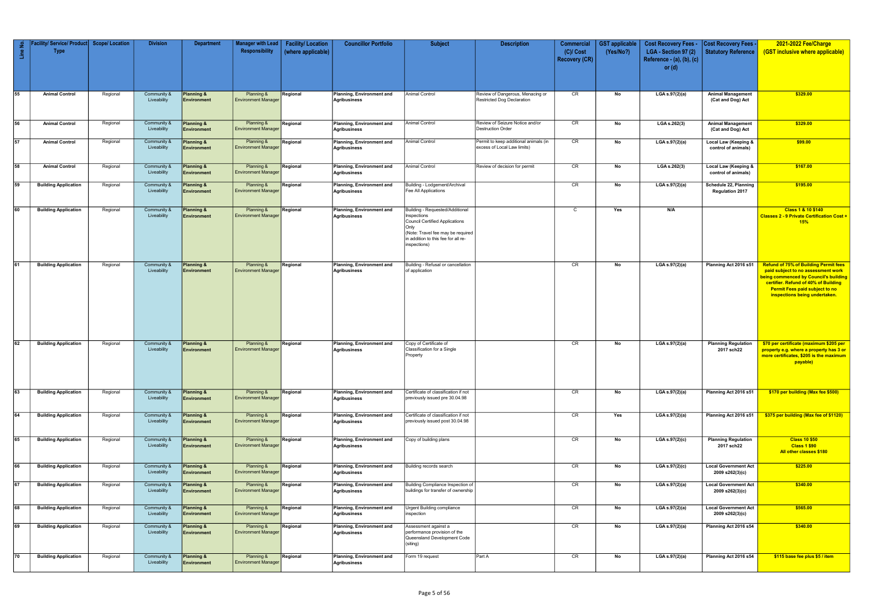| Line No | acility/ Service/ Product<br><b>Type</b> | <b>Scope/Location</b> | <b>Division</b>            | <b>Department</b>                           | <b>Manager with Lead</b><br>Responsibility | <b>Facility/Location</b><br>(where applicable) | <b>Councillor Portfolio</b>                             | <b>Subject</b>                                                                                                                                                                              | <b>Description</b>                                                   | <b>Commercial</b><br>$(C)/$ Cost<br><b>Recovery (CR)</b> | <b>GST</b> applicable<br>(Yes/No?) | <b>Cost Recovery Fees -</b><br>LGA - Section 97 (2)<br>Reference - $(a)$ , $(b)$ , $(c)$ | Cost Recovery Fees<br><b>Statutory Reference</b> | 2021-2022 Fee/Charge<br>(GST inclusive where applicable)                                                                                                                                                                                             |
|---------|------------------------------------------|-----------------------|----------------------------|---------------------------------------------|--------------------------------------------|------------------------------------------------|---------------------------------------------------------|---------------------------------------------------------------------------------------------------------------------------------------------------------------------------------------------|----------------------------------------------------------------------|----------------------------------------------------------|------------------------------------|------------------------------------------------------------------------------------------|--------------------------------------------------|------------------------------------------------------------------------------------------------------------------------------------------------------------------------------------------------------------------------------------------------------|
|         |                                          |                       |                            |                                             |                                            |                                                |                                                         |                                                                                                                                                                                             |                                                                      |                                                          |                                    | or $(d)$                                                                                 |                                                  |                                                                                                                                                                                                                                                      |
| 55      | <b>Animal Control</b>                    | Regional              | Community &<br>Liveability | <b>Planning &amp;</b><br>Environment        | Planning &<br><b>Environment Manager</b>   | Regional                                       | Planning, Environment and<br>Agribusiness               | Animal Control                                                                                                                                                                              | Review of Dangerous, Menacing or<br>Restricted Dog Declaration       | CR                                                       | No                                 | LGA s.97(2)(a)                                                                           | <b>Animal Management</b><br>(Cat and Dog) Act    | \$329.00                                                                                                                                                                                                                                             |
| 56      | <b>Animal Control</b>                    | Regional              | Community &<br>Liveability | <b>Planning &amp;</b><br>Environment        | Planning &<br><b>Environment Manager</b>   | Regional                                       | Planning, Environment and<br><b>Agribusiness</b>        | Animal Control                                                                                                                                                                              | Review of Seizure Notice and/or<br><b>Destruction Order</b>          | CR                                                       | No                                 | LGA s.262(3)                                                                             | <b>Animal Management</b><br>(Cat and Dog) Act    | \$329.00                                                                                                                                                                                                                                             |
| 57      | <b>Animal Control</b>                    | Regional              | Community &<br>Liveability | Planning &<br>Environment                   | Planning &<br><b>Environment Manager</b>   | Regional                                       | Planning, Environment and<br>Agribusiness               | <b>Animal Control</b>                                                                                                                                                                       | Permit to keep additional animals (in<br>excess of Local Law limits) | CR                                                       | No                                 | LGA s.97(2)(a)                                                                           | Local Law (Keeping &<br>control of animals)      | \$99.00                                                                                                                                                                                                                                              |
| 58      | <b>Animal Control</b>                    | Regional              | Community &<br>Liveability | <b>Planning &amp;</b><br>Environment        | Planning &<br><b>Environment Manager</b>   | Regional                                       | Planning, Environment and<br><b>Agribusiness</b>        | <b>Animal Control</b>                                                                                                                                                                       | Review of decision for permit                                        | CR                                                       | No                                 | LGA s.262(3)                                                                             | Local Law (Keeping &<br>control of animals)      | \$167.00                                                                                                                                                                                                                                             |
| 59      | <b>Building Application</b>              | Regional              | Community &<br>Liveability | Planning &<br>Environment                   | Planning &<br><b>Environment Manager</b>   | Regional                                       | Planning, Environment and<br><b>Agribusiness</b>        | Building - Lodgement/Archival<br>Fee All Applications                                                                                                                                       |                                                                      | CR                                                       | No                                 | LGA s.97(2)(a)                                                                           | Schedule 22, Planning<br><b>Regulation 2017</b>  | \$195.00                                                                                                                                                                                                                                             |
| 60      | <b>Building Application</b>              | Regional              | Community &<br>Liveability | Planning &<br>Environment                   | Planning &<br><b>Environment Manager</b>   | Regional                                       | Planning, Environment and<br>Agribusiness               | Building - Requested/Additional<br>Inspections<br><b>Council Certified Applications</b><br>Only<br>(Note: Travel fee may be required<br>in addition to this fee for all re-<br>inspections) |                                                                      | $\mathsf{C}$                                             | Yes                                | N/A                                                                                      |                                                  | <b>Class 1 &amp; 10 \$140</b><br><b>Classes 2 - 9 Private Certification Cost +</b><br>15%                                                                                                                                                            |
| 61      | <b>Building Application</b>              | Regional              | Community &<br>Liveability | <b>Planning &amp;</b><br>Environment        | Planning &<br><b>Environment Manager</b>   | Regional                                       | Planning, Environment and<br><b>Agribusiness</b>        | Building - Refusal or cancellation<br>of application                                                                                                                                        |                                                                      | CR                                                       | No                                 | LGA s.97(2)(a)                                                                           | Planning Act 2016 s51                            | <b>Refund of 75% of Building Permit fees</b><br>paid subject to no assessment work<br><b>being commenced by Council's building</b><br>certifier. Refund of 40% of Building<br><b>Permit Fees paid subject to no</b><br>inspections being undertaken. |
| 62      | <b>Building Application</b>              | Regional              | Community &<br>Liveability | <b>Planning &amp;</b><br>Environment        | Planning &<br><b>Environment Manager</b>   | Regional                                       | Planning, Environment and<br><b>Agribusiness</b>        | Copy of Certificate of<br>Classification for a Single<br>Property                                                                                                                           |                                                                      | CR                                                       | No                                 | LGA s.97(2)(a)                                                                           | <b>Planning Regulation</b><br>2017 sch22         | \$70 per certificate (maximum \$205 per<br>property e.g. where a property has 3 or<br>more certificates, \$205 is the maximum<br>payable)                                                                                                            |
| 63      | <b>Building Application</b>              | Regional              | Community &<br>Liveability | <b>Planning &amp;</b><br><b>Environment</b> | Planning &<br><b>Environment Manager</b>   | Regional                                       | Planning, Environment and<br><b>Agribusiness</b>        | Certificate of classification if not<br>previously issued pre 30.04.98                                                                                                                      |                                                                      | CR                                                       | No                                 | LGA s.97(2)(a)                                                                           | Planning Act 2016 s51                            | \$170 per building (Max fee \$500)                                                                                                                                                                                                                   |
| 64      | <b>Building Application</b>              | Regional              | Community &<br>Liveability | <b>Planning &amp;</b><br><b>Environment</b> | Planning &<br><b>Environment Manager</b>   | Regional                                       | Planning, Environment and<br>Agribusiness               | Certificate of classification if not<br>previously issued post 30.04.98                                                                                                                     |                                                                      | CR                                                       | Yes                                | LGA s.97(2)(a)                                                                           | Planning Act 2016 s51                            | \$375 per building (Max fee of \$1120)                                                                                                                                                                                                               |
| 65      | <b>Building Application</b>              | Regional              | Community &<br>Liveability | <b>Planning &amp;</b><br><b>Environment</b> | Planning &<br><b>Environment Manager</b>   | Regional                                       | Planning, Environment and<br>Agribusiness               | Copy of building plans                                                                                                                                                                      |                                                                      | CR                                                       | No                                 | LGA s.97(2)(c)                                                                           | <b>Planning Regulation</b><br>2017 sch22         | <b>Class 10 \$50</b><br><b>Class 1 \$90</b><br>All other classes \$180                                                                                                                                                                               |
| 66      | <b>Building Application</b>              | Regional              | Community &<br>Liveability | <b>Planning &amp;</b><br>Environment        | Planning &<br><b>Environment Manager</b>   | Regional                                       | <b>Planning, Environment and</b><br><b>Agribusiness</b> | Building records search                                                                                                                                                                     |                                                                      | CR                                                       | No                                 | LGA s.97(2)(c)                                                                           | <b>Local Government Act</b><br>2009 s262(3)(c)   | \$225.00                                                                                                                                                                                                                                             |
| 67      | <b>Building Application</b>              | Regional              | Community &<br>Liveability | <b>Planning &amp;</b><br>Environment        | Planning &<br><b>Environment Manager</b>   | Regional                                       | Planning, Environment and<br><b>Agribusiness</b>        | Building Compliance Inspection of<br>buildings for transfer of ownership                                                                                                                    |                                                                      | CR                                                       | No                                 | LGA s.97(2)(a)                                                                           | <b>Local Government Act</b><br>2009 s262(3)(c)   | \$340.00                                                                                                                                                                                                                                             |
| 68      | <b>Building Application</b>              | Regional              | Community &<br>Liveability | <b>Planning &amp;</b><br>Environment        | Planning &<br><b>Environment Manager</b>   | Regional                                       | Planning, Environment and<br>Agribusiness               | Urgent Building compliance<br>inspection                                                                                                                                                    |                                                                      | CR                                                       | No                                 | LGA s.97(2)(a)                                                                           | <b>Local Government Act</b><br>2009 s262(3)(c)   | \$565.00                                                                                                                                                                                                                                             |
| 69      | <b>Building Application</b>              | Regional              | Community &<br>Liveability | <b>Planning &amp;</b><br><b>Environment</b> | Planning &<br><b>Environment Manager</b>   | Regional                                       | <b>Planning, Environment and</b><br><b>Agribusiness</b> | Assessment against a<br>performance provision of the<br>Queensland Development Code<br>(siting)                                                                                             |                                                                      | CR                                                       | No                                 | $LGA$ s.97(2)(a)                                                                         | Planning Act 2016 s54                            | \$340.00                                                                                                                                                                                                                                             |
| 70      | <b>Building Application</b>              | Regional              | Community &<br>Liveability | <b>Planning &amp;</b><br><b>Environment</b> | Planning &<br><b>Environment Manager</b>   | Regional                                       | Planning, Environment and<br>Agribusiness               | Form 19 request                                                                                                                                                                             | Part A                                                               | CR                                                       | No                                 | LGA s.97(2)(a)                                                                           | Planning Act 2016 s54                            | \$115 base fee plus \$5 / item                                                                                                                                                                                                                       |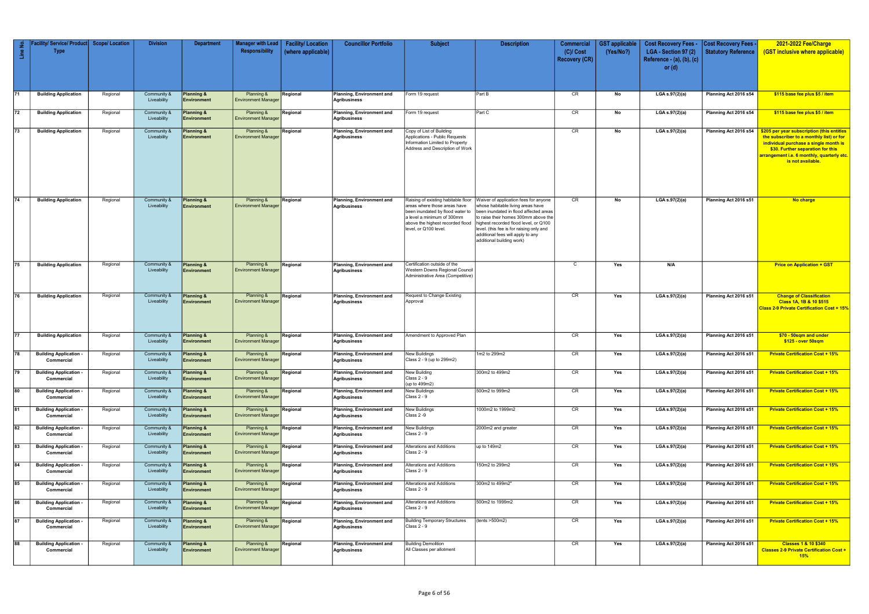| $\epsilon$<br>$\ensuremath{\mathbb{E}}$ | // Service/ Product <br><b>Type</b>       | <b>Scope/Location</b> | <b>Division</b>            | <b>Department</b>                           | <b>Manager with Lead</b><br>Responsibility | <b>Facility/Location</b><br>(where applicable) | <b>Councillor Portfolio</b>                      | <b>Subject</b>                                                                                                                                                                                     | <b>Description</b>                                                                                                                                                                                                                                                                                                  | Commercial<br>$(C)/$ Cost<br><b>Recovery (CR)</b> | <b>GST</b> applicable<br>(Yes/No?) | <b>Cost Recovery Fees -</b><br>LGA - Section 97 (2)<br>Reference - (a), (b), (c)<br>or $(d)$ | <b>Cost Recovery Fees -</b><br><b>Statutory Reference</b> | 2021-2022 Fee/Charge<br>(GST inclusive where applicable)                                                                                                                                                                                             |
|-----------------------------------------|-------------------------------------------|-----------------------|----------------------------|---------------------------------------------|--------------------------------------------|------------------------------------------------|--------------------------------------------------|----------------------------------------------------------------------------------------------------------------------------------------------------------------------------------------------------|---------------------------------------------------------------------------------------------------------------------------------------------------------------------------------------------------------------------------------------------------------------------------------------------------------------------|---------------------------------------------------|------------------------------------|----------------------------------------------------------------------------------------------|-----------------------------------------------------------|------------------------------------------------------------------------------------------------------------------------------------------------------------------------------------------------------------------------------------------------------|
| 71                                      | <b>Building Application</b>               | Regional              | Community &<br>Liveability | Planning &<br>Environment                   | Planning &<br><b>Environment Manager</b>   | Regional                                       | Planning, Environment and<br>Agribusiness        | Form 19 request                                                                                                                                                                                    | Part B                                                                                                                                                                                                                                                                                                              | CR                                                | No                                 | LGA s.97(2)(a)                                                                               | Planning Act 2016 s54                                     | \$115 base fee plus \$5 / item                                                                                                                                                                                                                       |
| 72                                      | <b>Building Application</b>               | Regional              | Community &<br>Liveability | Planning &<br>Environment                   | Planning &<br><b>Environment Manager</b>   | Regional                                       | Planning, Environment and<br>Agribusiness        | orm 19 request                                                                                                                                                                                     | Part C                                                                                                                                                                                                                                                                                                              | CR                                                | No                                 | LGA s.97(2)(a)                                                                               | Planning Act 2016 s54                                     | \$115 base fee plus \$5 / item                                                                                                                                                                                                                       |
| $\sqrt{73}$                             | <b>Building Application</b>               | Regional              | Community &<br>Liveability | Planning &<br>Environment                   | Planning &<br><b>Environment Manager</b>   | Regional                                       | Planning, Environment and<br>Agribusiness        | Copy of List of Building<br>Applications - Public Requests<br>Information Limited to Property<br>Address and Description of Work                                                                   |                                                                                                                                                                                                                                                                                                                     | CR                                                | No                                 | LGA s.97(2)(a)                                                                               | Planning Act 2016 s54                                     | \$205 per year subscription (this entitles<br>the subscriber to a monthly list) or for<br>individual purchase a single month is<br>\$30. Further separation for this<br><mark>arrangement i.e. 6 monthly, quarterly etc.</mark><br>is not available. |
| 74                                      | <b>Building Application</b>               | Regional              | Community &<br>Liveability | Planning &<br><b>Environment</b>            | Planning &<br><b>Environment Manager</b>   | Regional                                       | Planning, Environment and<br>Agribusiness        | Raising of existing habitable floor<br>areas where those areas have<br>been inundated by flood water to<br>a level a minimum of 300mm<br>above the highest recorded flood<br>level, or Q100 level. | Waiver of application fees for anyone<br>whose habitable living areas have<br>been inundated in flood affected areas<br>to raise their homes 300mm above the<br>highest recorded flood level, or Q100<br>level. (this fee is for raising only and<br>additional fees will apply to any<br>additional building work) | CR                                                | No                                 | LGA s.97(2)(a)                                                                               | Planning Act 2016 s51                                     | No charge                                                                                                                                                                                                                                            |
| 75                                      | <b>Building Application</b>               | Regional              | Community &<br>Liveability | Planning &<br>Environment                   | Planning &<br><b>Environment Manager</b>   | Regional                                       | Planning, Environment and<br><b>Agribusiness</b> | Certification outside of the<br>Western Downs Regional Council<br>Administrative Area (Competitive)                                                                                                |                                                                                                                                                                                                                                                                                                                     | C                                                 | Yes                                | N/A                                                                                          |                                                           | <b>Price on Application + GST</b>                                                                                                                                                                                                                    |
| 76                                      | <b>Building Application</b>               | Regional              | Community &<br>Liveability | Planning &<br><b>Environment</b>            | Planning &<br><b>Environment Manager</b>   | Regional                                       | Planning, Environment and<br>Agribusiness        | Request to Change Existing<br>Approval                                                                                                                                                             |                                                                                                                                                                                                                                                                                                                     | CR                                                | Yes                                | LGA s.97(2)(a)                                                                               | Planning Act 2016 s51                                     | <b>Change of Classification</b><br>Class 1A, 1B & 10 \$515<br><b>Class 2-9 Private Certification Cost + 15%</b>                                                                                                                                      |
| 77                                      | <b>Building Application</b>               | Regional              | Community &<br>Liveability | Planning &<br>Environment                   | Planning &<br><b>Environment Manager</b>   | Regional                                       | Planning, Environment and<br>Agribusiness        | Amendment to Approved Plan                                                                                                                                                                         |                                                                                                                                                                                                                                                                                                                     | CR                                                | Yes                                | LGA s.97(2)(a)                                                                               | Planning Act 2016 s51                                     | \$70 - 50sqm and under<br>\$125 - over 50sqm                                                                                                                                                                                                         |
| 78                                      | <b>Building Application</b><br>Commercial | Regional              | Community &<br>Liveability | Planning &<br>Environment                   | Planning &<br><b>Environment Manager</b>   | Regional                                       | Planning, Environment and<br>Agribusiness        | <b>New Buildings</b><br>Class 2 - 9 (up to 299m2)                                                                                                                                                  | 1m2 to 299m2                                                                                                                                                                                                                                                                                                        | CR                                                | Yes                                | LGA s.97(2)(a)                                                                               | Planning Act 2016 s51                                     | <b>Private Certification Cost + 15%</b>                                                                                                                                                                                                              |
| $\sqrt{79}$                             | <b>Building Application</b><br>Commercial | Regional              | Community &<br>Liveability | Planning &<br><b>Environment</b>            | Planning &<br><b>Environment Manager</b>   | Regional                                       | Planning, Environment and<br><b>Agribusiness</b> | New Building<br>Class 2 - 9<br>(up to 499m2)                                                                                                                                                       | 300m2 to 499m2                                                                                                                                                                                                                                                                                                      | CR                                                | Yes                                | LGA s.97(2)(a)                                                                               | Planning Act 2016 s51                                     | <b>Private Certification Cost + 15%</b>                                                                                                                                                                                                              |
| 80                                      | <b>Building Application</b><br>Commercial | Regional              | Community &<br>Liveability | Planning &<br>Environment                   | Planning &<br><b>Environment Manager</b>   | Regional                                       | Planning, Environment and<br><b>Agribusiness</b> | <b>New Buildings</b><br>Class 2 - 9                                                                                                                                                                | 500m2 to 999m2                                                                                                                                                                                                                                                                                                      | CR                                                | Yes                                | LGA s.97(2)(a)                                                                               | Planning Act 2016 s51                                     | <b>Private Certification Cost + 15%</b>                                                                                                                                                                                                              |
| 81                                      | <b>Building Application</b><br>Commercial | Regional              | Community &<br>Liveability | Planning &<br>Environment                   | Planning &<br><b>Environment Manage</b>    | Regional                                       | Planning, Environment and<br><b>Agribusiness</b> | <b>New Buildings</b><br>Class 2 -9                                                                                                                                                                 | 1000m2 to 1999m2                                                                                                                                                                                                                                                                                                    | CR                                                | Yes                                | LGA s.97(2)(a)                                                                               | Planning Act 2016 s51                                     | <b>Private Certification Cost + 15%</b>                                                                                                                                                                                                              |
| 82                                      | <b>Building Application</b><br>Commercial | Regional              | Community &<br>Liveability | <b>Planning &amp;</b><br><b>Environment</b> | Planning &<br><b>Environment Manager</b>   | Regional                                       | Planning, Environment and<br><b>Agribusiness</b> | <b>New Buildings</b><br>Class 2 - 9                                                                                                                                                                | 2000m2 and greater                                                                                                                                                                                                                                                                                                  | CR                                                | Yes                                | LGA s.97(2)(a)                                                                               | Planning Act 2016 s51                                     | <b>Private Certification Cost + 15%</b>                                                                                                                                                                                                              |
| 83                                      | <b>Building Application</b><br>Commercial | Regional              | Community &<br>Liveability | Planning &<br><b>Environment</b>            | Planning &<br><b>Environment Manager</b>   | Regional                                       | Planning, Environment and<br>Agribusiness        | Alterations and Additions<br>Class 2 - 9                                                                                                                                                           | up to 149m2                                                                                                                                                                                                                                                                                                         | CR                                                | Yes                                | LGA s.97(2)(a)                                                                               | Planning Act 2016 s51                                     | <b>Private Certification Cost + 15%</b>                                                                                                                                                                                                              |
| 84                                      | <b>Building Application</b><br>Commercial | Regional              | Community &<br>Liveability | Planning &<br><b>Environment</b>            | Planning &<br><b>Environment Manager</b>   | Regional                                       | <b>Planning, Environment and</b><br>Agribusiness | <b>Alterations and Additions</b><br>Class 2 - 9                                                                                                                                                    | 150m2 to 299m2                                                                                                                                                                                                                                                                                                      | CR                                                | Yes                                | LGA s.97(2)(a)                                                                               | Planning Act 2016 s51                                     | <b>Private Certification Cost + 15%</b>                                                                                                                                                                                                              |
| 85                                      | <b>Building Application</b><br>Commercial | Regional              | Community &<br>Liveability | Planning &<br><b>Environment</b>            | Planning &<br><b>Environment Manager</b>   | Regional                                       | Planning, Environment and<br>Agribusiness        | Alterations and Additions<br><b>Class 2 - 9</b>                                                                                                                                                    | 300m2 to 499m2"                                                                                                                                                                                                                                                                                                     | CR                                                | Yes                                | LGA s.97(2)(a)                                                                               | Planning Act 2016 s51                                     | <b>Private Certification Cost + 15%</b>                                                                                                                                                                                                              |
| $\overline{86}$                         | <b>Building Application</b><br>Commercial | Regional              | Community &<br>Liveability | Planning &<br>Environment                   | Planning &<br><b>Environment Manager</b>   | Regional                                       | Planning, Environment and<br>Agribusiness        | Alterations and Additions<br>Class 2 - 9                                                                                                                                                           | 500m2 to 1999m2                                                                                                                                                                                                                                                                                                     | CR                                                | Yes                                | LGA $s.97(2)(a)$                                                                             | Planning Act 2016 s51                                     | <b>Private Certification Cost + 15%</b>                                                                                                                                                                                                              |
| $\sqrt{87}$                             | <b>Building Application</b><br>Commercial | Regional              | Community &<br>Liveability | Planning &<br><b>Environment</b>            | Planning &<br><b>Environment Manager</b>   | Regional                                       | Planning, Environment and<br><b>Agribusiness</b> | <b>Building Temporary Structures</b><br><b>Class 2 - 9</b>                                                                                                                                         | (tents >500m2)                                                                                                                                                                                                                                                                                                      | CR                                                | Yes                                | LGA s.97(2)(a)                                                                               | Planning Act 2016 s51                                     | <b>Private Certification Cost + 15%</b>                                                                                                                                                                                                              |
| 88                                      | <b>Building Application</b><br>Commercial | Regional              | Community &<br>Liveability | Planning &<br>Environment                   | Planning &<br><b>Environment Manager</b>   | Regional                                       | <b>Planning, Environment and</b><br>Agribusiness | <b>Building Demolition</b><br>All Classes per allotment                                                                                                                                            |                                                                                                                                                                                                                                                                                                                     | CR                                                | Yes                                | LGA s.97(2)(a)                                                                               | Planning Act 2016 s51                                     | <b>Classes 1 &amp; 10 \$340</b><br><b>Classes 2-9 Private Certification Cost +</b><br>15%                                                                                                                                                            |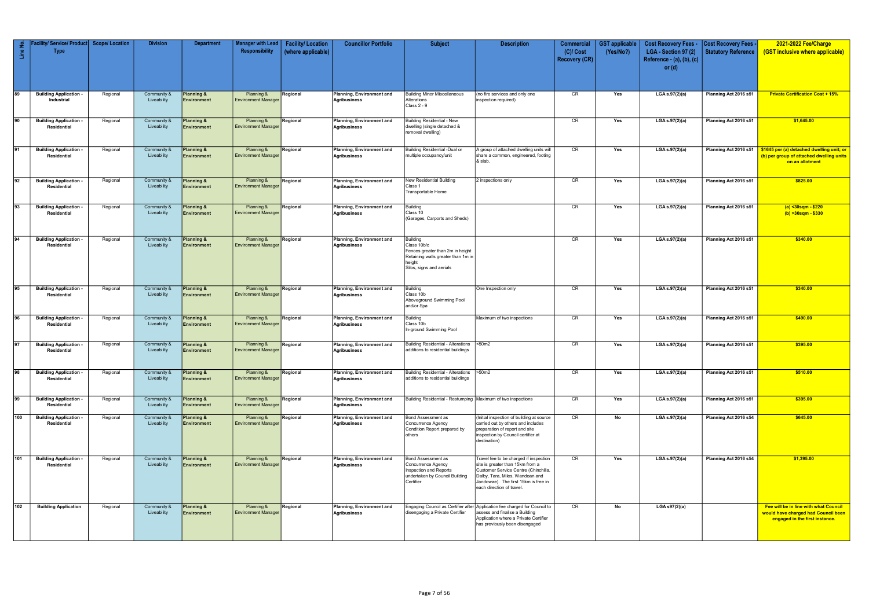| Line No.        | Facility/ Service/ Product <br><b>Type</b>        | <b>Scope/Location</b> | <b>Division</b>            | <b>Department</b>                | <b>Manager with Lead</b><br>Responsibility | <b>Facility/Location</b><br>(where applicable) | <b>Councillor Portfolio</b>               | <b>Subject</b>                                                                                                                                 | <b>Description</b>                                                                                                                                                                                                         | <b>Commercial</b><br>$(C)/$ Cost<br><b>Recovery (CR)</b> | <b>GST</b> applicable<br>(Yes/No?) | <b>Cost Recovery Fees -</b><br>LGA - Section 97 (2)<br>Reference - (a), (b), (c)<br>or $(d)$ | <b>Cost Recovery Fees -</b><br>Statutory Reference | 2021-2022 Fee/Charge<br><b>GST inclusive where applicable)</b>                                                 |
|-----------------|---------------------------------------------------|-----------------------|----------------------------|----------------------------------|--------------------------------------------|------------------------------------------------|-------------------------------------------|------------------------------------------------------------------------------------------------------------------------------------------------|----------------------------------------------------------------------------------------------------------------------------------------------------------------------------------------------------------------------------|----------------------------------------------------------|------------------------------------|----------------------------------------------------------------------------------------------|----------------------------------------------------|----------------------------------------------------------------------------------------------------------------|
| 89              | <b>Building Application</b><br>Industrial         | Regional              | Community &<br>Liveability | Planning &<br><b>Environment</b> | Planning &<br><b>Environment Manager</b>   | Regional                                       | Planning, Environment and<br>Agribusiness | <b>Building Minor Miscellaneous</b><br>Alterations<br>Class 2 - 9                                                                              | (no fire services and only one<br>inspection required)                                                                                                                                                                     | CR                                                       | Yes                                | LGA s.97(2)(a)                                                                               | Planning Act 2016 s51                              | <b>Private Certification Cost + 15%</b>                                                                        |
| 90              | <b>Building Application</b><br>Residential        | Regional              | Community &<br>Liveability | Planning &<br><b>Environment</b> | Planning &<br><b>Environment Manager</b>   | Regional                                       | Planning, Environment and<br>Agribusiness | <b>Building Residential - New</b><br>dwelling (single detached &<br>removal dwelling)                                                          |                                                                                                                                                                                                                            | CR                                                       | Yes                                | LGA s.97(2)(a)                                                                               | Planning Act 2016 s51                              | \$1,645.00                                                                                                     |
| $\sqrt{91}$     | <b>Building Application</b><br>Residential        | Regional              | Community &<br>Liveability | Planning &<br>Environment        | Planning &<br><b>Environment Manager</b>   | Regional                                       | Planning, Environment and<br>Agribusiness | <b>Building Residential -Dual or</b><br>multiple occupancy/unit                                                                                | A group of attached dwelling units will<br>share a common, engineered, footing<br>& slab.                                                                                                                                  | CR                                                       | Yes                                | LGA s.97(2)(a)                                                                               | Planning Act 2016 s51                              | \$1645 per (a) detached dwelling unit; or<br>(b) per group of attached dwelling units<br>on an allotment       |
| $\sqrt{92}$     | <b>Building Application</b><br>Residential        | Regional              | Community &<br>Liveability | Planning &<br><b>Environment</b> | Planning &<br><b>Environment Manager</b>   | Regional                                       | Planning, Environment and<br>Agribusiness | New Residential Building<br>Class 1<br>Transportable Home                                                                                      | 2 inspections only                                                                                                                                                                                                         | CR                                                       | Yes                                | LGA s.97(2)(a)                                                                               | Planning Act 2016 s51                              | \$825.00                                                                                                       |
| 93              | <b>Building Application</b><br>Residential        | Regional              | Community &<br>Liveability | Planning &<br><b>Environment</b> | Planning &<br><b>Environment Manager</b>   | Regional                                       | Planning, Environment and<br>Agribusiness | <b>Building</b><br>Class 10<br>(Garages, Carports and Sheds)                                                                                   |                                                                                                                                                                                                                            | CR                                                       | Yes                                | LGA s.97(2)(a)                                                                               | Planning Act 2016 s51                              | (a) <30sqm - \$220<br>$(b) > 30$ sqm - \$330                                                                   |
| 94              | <b>Building Application</b><br>Residential        | Regional              | Community &<br>Liveability | Planning &<br>Environment        | Planning &<br><b>Environment Manager</b>   | Regional                                       | Planning, Environment and<br>Agribusiness | <b>Building</b><br>Class 10b/c<br>Fences greater than 2m in height<br>Retaining walls greater than 1m ir<br>height<br>Silos, signs and aerials |                                                                                                                                                                                                                            | CR                                                       | Yes                                | LGA s.97(2)(a)                                                                               | Planning Act 2016 s51                              | \$340.00                                                                                                       |
| $\overline{95}$ | <b>Building Application</b><br>Residential        | Regional              | Community &<br>Liveability | Planning &<br>Environment        | Planning &<br><b>Environment Manager</b>   | Regional                                       | Planning, Environment and<br>Agribusiness | <b>Building</b><br>Class 10b<br>Aboveground Swimming Pool<br>and/or Spa                                                                        | One Inspection only                                                                                                                                                                                                        | CR                                                       | Yes                                | LGA s.97(2)(a)                                                                               | Planning Act 2016 s51                              | \$340.00                                                                                                       |
| 96              | <b>Building Application</b><br>Residential        | Regional              | Community &<br>Liveability | Planning &<br><b>Environment</b> | Planning &<br><b>Environment Manager</b>   | Regional                                       | Planning, Environment and<br>Agribusiness | Building<br>Class 10b<br>In-ground Swimming Pool                                                                                               | Maximum of two inspections                                                                                                                                                                                                 | CR                                                       | Yes                                | LGA s.97(2)(a)                                                                               | Planning Act 2016 s51                              | \$490.00                                                                                                       |
| 97              | <b>Building Application</b><br>Residential        | Regional              | Community &<br>Liveability | Planning &<br>Environment        | Planning &<br><b>Environment Manager</b>   | Regional                                       | Planning, Environment and<br>Agribusiness | <b>Building Residential - Alterations</b><br>additions to residential buildings                                                                | <50m2                                                                                                                                                                                                                      | CR                                                       | Yes                                | LGA s.97(2)(a)                                                                               | Planning Act 2016 s51                              | \$395.00                                                                                                       |
| 98              | <b>Building Application</b><br><b>Residential</b> | Regional              | Community &<br>Liveability | Planning &<br><b>Environment</b> | Planning &<br><b>Environment Manager</b>   | Regional                                       | Planning, Environment and<br>Agribusiness | <b>Building Residential - Alterations</b><br>additions to residential buildings                                                                | >50m2                                                                                                                                                                                                                      | CR                                                       | Yes                                | LGA s.97(2)(a)                                                                               | Planning Act 2016 s51                              | \$510.00                                                                                                       |
| $\sqrt{99}$     | <b>Building Application</b><br><b>Residential</b> | Regional              | Community &<br>Liveability | Planning &<br><b>Environment</b> | Planning &<br><b>Environment Manager</b>   | Regional                                       | Planning, Environment and<br>Agribusiness | Building Residential - Restumping   Maximum of two inspections                                                                                 |                                                                                                                                                                                                                            | CR                                                       | Yes                                | LGA s.97(2)(a)                                                                               | Planning Act 2016 s51                              | \$395.00                                                                                                       |
| 100             | <b>Building Application</b><br>Residential        | Regional              | Community &<br>Liveability | Planning &<br><b>Environment</b> | Planning &<br><b>Environment Manager</b>   | Regional                                       | Planning, Environment and<br>Agribusiness | Bond Assessment as<br>Concurrence Agency<br>Condition Report prepared by<br>others                                                             | (Initial inspection of building at source<br>carried out by others and includes<br>preparation of report and site<br>inspection by Council certifier at<br>destination)                                                    | CR                                                       | No                                 | LGA s.97(2)(a)                                                                               | Planning Act 2016 s54                              | \$645.00                                                                                                       |
| 101             | <b>Building Application</b><br>Residential        | Regional              | Community &<br>Liveability | Planning &<br><b>Environment</b> | Planning &<br><b>Environment Manager</b>   | Regional                                       | Planning, Environment and<br>Agribusiness | Bond Assessment as<br>Concurrence Agency<br>Inspection and Reports<br>undertaken by Council Building<br>Certifier                              | Travel fee to be charged if inspection<br>site is greater than 15km from a<br>Customer Service Centre (Chinchilla,<br>Dalby, Tara, Miles, Wandoan and<br>Jandowae). The first 15km is free in<br>each direction of travel. | CR                                                       | Yes                                | LGA s.97(2)(a)                                                                               | Planning Act 2016 s54                              | \$1,395.00                                                                                                     |
| 102             | <b>Building Application</b>                       | Regional              | Community &<br>Liveability | Planning &<br>Environment        | Planning &<br><b>Environment Manager</b>   | Regional                                       | Planning, Environment and<br>Agribusiness | Engaging Council as Certifier after<br>disengaging a Private Certifier                                                                         | Application fee charged for Council to<br>assess and finalise a Building<br>Application where a Private Certifier<br>has previously been disengaged                                                                        | CR                                                       | No                                 | $LGA$ s97 $(2)(a)$                                                                           |                                                    | Fee will be in line with what Council<br>would have charged had Council been<br>engaged in the first instance. |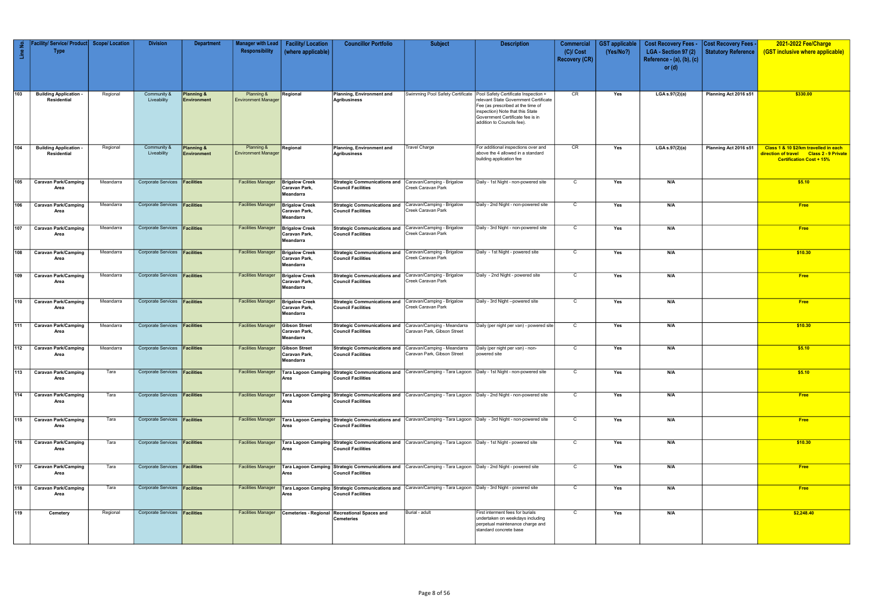| Line No.         | Facility/ Service/ Product <br><b>Type</b>        | <b>Scope/Location</b> | <b>Division</b>                      | <b>Department</b>                    | <b>Manager with Lead</b><br>Responsibility | <b>Facility/Location</b><br>(where applicable)      | <b>Councillor Portfolio</b>                                                          | <b>Subject</b>                                                                                                  | <b>Description</b>                                                                                                                                                                                                       | <b>Commercial</b><br>$(C)/$ Cost<br><b>Recovery (CR)</b> | <b>GST</b> applicable<br>(Yes/No?) | <b>Cost Recovery Fees -</b><br>LGA - Section 97 (2)<br>Reference - $(a)$ , $(b)$ , $(c)$<br>or $(d)$ | <b>Cost Recovery Fees</b> .<br><b>Statutory Reference</b> | 2021-2022 Fee/Charge<br>(GST inclusive where applicable)                                                            |
|------------------|---------------------------------------------------|-----------------------|--------------------------------------|--------------------------------------|--------------------------------------------|-----------------------------------------------------|--------------------------------------------------------------------------------------|-----------------------------------------------------------------------------------------------------------------|--------------------------------------------------------------------------------------------------------------------------------------------------------------------------------------------------------------------------|----------------------------------------------------------|------------------------------------|------------------------------------------------------------------------------------------------------|-----------------------------------------------------------|---------------------------------------------------------------------------------------------------------------------|
| 103              | <b>Building Application</b><br><b>Residential</b> | Regional              | Community &<br>Liveability           | <b>Planning &amp;</b><br>Environment | Planning &<br><b>Environment Manager</b>   | Regional                                            | Planning, Environment and<br><b>Agribusiness</b>                                     | Swimming Pool Safety Certificate                                                                                | Pool Safety Certificate Inspection +<br>relevant State Government Certificate<br>Fee (as prescribed at the time of<br>inspection) Note that this State<br>Government Certificate fee is in<br>addition to Councils fee). | CR                                                       | Yes                                | LGA s.97(2)(a)                                                                                       | Planning Act 2016 s51                                     | \$330.00                                                                                                            |
| 104              | <b>Building Application</b><br>Residential        | Regional              | Community &<br>Liveability           | Planning &<br>Environment            | Planning &<br><b>Environment Manager</b>   | Regional                                            | Planning, Environment and<br><b>Agribusiness</b>                                     | <b>Travel Charge</b>                                                                                            | For additional inspections over and<br>above the 4 allowed in a standard<br>building application fee                                                                                                                     | CR                                                       | Yes                                | LGA s.97(2)(a)                                                                                       | Planning Act 2016 s51                                     | Class 1 & 10 \$2/km travelled in each<br>direction of travel Class 2 - 9 Private<br><b>Certification Cost + 15%</b> |
| 105              | <b>Caravan Park/Camping</b><br>Area               | Meandarra             | Corporate Services <b>Facilities</b> |                                      | <b>Facilities Manager</b>                  | <b>Brigalow Creek</b><br>Caravan Park,<br>Meandarra | <b>Strategic Communications and</b><br><b>Council Facilities</b>                     | Caravan/Camping - Brigalow<br>Creek Caravan Park                                                                | Daily - 1st Night - non-powered site                                                                                                                                                                                     | $\overline{c}$                                           | Yes                                | N/A                                                                                                  |                                                           | \$5.10                                                                                                              |
| 106              | <b>Caravan Park/Camping</b><br>Area               | Meandarra             | Corporate Services                   | Facilities                           | <b>Facilities Manager</b>                  | <b>Brigalow Creek</b><br>Caravan Park,<br>Meandarra | <b>Strategic Communications and</b><br><b>Council Facilities</b>                     | Caravan/Camping - Brigalow<br>Creek Caravan Park                                                                | Daily - 2nd Night - non-powered site                                                                                                                                                                                     | C                                                        | Yes                                | N/A                                                                                                  |                                                           | <b>Free</b>                                                                                                         |
| 107              | <b>Caravan Park/Camping</b><br>Area               | Meandarra             | Corporate Services <b>Facilities</b> |                                      | <b>Facilities Manager</b>                  | <b>Brigalow Creek</b><br>Caravan Park,<br>Meandarra | <b>Strategic Communications and</b><br><b>Council Facilities</b>                     | Caravan/Camping - Brigalow<br>Creek Caravan Park                                                                | Daily - 3rd Night - non-powered site                                                                                                                                                                                     | $\mathsf{C}$                                             | Yes                                | N/A                                                                                                  |                                                           | <b>Free</b>                                                                                                         |
| 108              | <b>Caravan Park/Camping</b><br>Area               | Meandarra             | Corporate Services <b>Facilities</b> |                                      | <b>Facilities Manager</b>                  | <b>Brigalow Creek</b><br>Caravan Park,<br>Meandarra | Strategic Communications and Caravan/Camping - Brigalow<br><b>Council Facilities</b> | Creek Caravan Park                                                                                              | Daily - 1st Night - powered site                                                                                                                                                                                         | C                                                        | Yes                                | N/A                                                                                                  |                                                           | \$10.30                                                                                                             |
| 109              | <b>Caravan Park/Camping</b><br>Area               | Meandarra             | <b>Corporate Services</b>            | <b>Facilities</b>                    | <b>Facilities Manager</b>                  | <b>Brigalow Creek</b><br>Caravan Park,<br>Meandarra | <b>Strategic Communications and</b><br><b>Council Facilities</b>                     | Caravan/Camping - Brigalow<br>Creek Caravan Park                                                                | Daily - 2nd Night - powered site                                                                                                                                                                                         | C                                                        | Yes                                | N/A                                                                                                  |                                                           | <b>Free</b>                                                                                                         |
| 110              | <b>Caravan Park/Camping</b><br>Area               | Meandarra             | <b>Corporate Services</b>            | Facilities                           | <b>Facilities Manager</b>                  | <b>Brigalow Creek</b><br>Caravan Park,<br>Meandarra | <b>Strategic Communications and</b><br><b>Council Facilities</b>                     | Caravan/Camping - Brigalow<br>Creek Caravan Park                                                                | Daily - 3rd Night --powered site                                                                                                                                                                                         | $\mathbf C$                                              | Yes                                | N/A                                                                                                  |                                                           | Free                                                                                                                |
| $\overline{111}$ | <b>Caravan Park/Camping</b><br>Area               | Meandarra             | Corporate Services <b>Facilities</b> |                                      | <b>Facilities Manager</b>                  | <b>Gibson Street</b><br>Caravan Park,<br>Meandarra  | <b>Strategic Communications and</b><br><b>Council Facilities</b>                     | Caravan/Camping - Meandarra<br>Caravan Park, Gibson Street                                                      | Daily (per night per van) - powered site                                                                                                                                                                                 | $\mathbf C$                                              | Yes                                | N/A                                                                                                  |                                                           | \$10.30                                                                                                             |
| 112              | <b>Caravan Park/Camping</b><br>Area               | Meandarra             | Corporate Services <b>Facilities</b> |                                      | <b>Facilities Manager</b>                  | <b>Gibson Street</b><br>Caravan Park,<br>Meandarra  | <b>Strategic Communications and</b><br><b>Council Facilities</b>                     | Caravan/Camping - Meandarra<br>Caravan Park, Gibson Street                                                      | Daily (per night per van) - non-<br>powered site                                                                                                                                                                         | $\mathsf{C}$                                             | Yes                                | N/A                                                                                                  |                                                           | \$5.10                                                                                                              |
| $\overline{113}$ | <b>Caravan Park/Camping</b><br>Area               | Tara                  | Corporate Services <b>Facilities</b> |                                      | <b>Facilities Manager</b>                  | Area                                                | <b>Council Facilities</b>                                                            |                                                                                                                 | Tara Lagoon Camping Strategic Communications and Caravan/Camping - Tara Lagoon   Daily - 1st Night - non-powered site                                                                                                    | $\overline{c}$                                           | Yes                                | N/A                                                                                                  |                                                           | \$5.10                                                                                                              |
| 114              | <b>Caravan Park/Camping</b><br>Area               | Tara                  | Corporate Services <b>Facilities</b> |                                      | <b>Facilities Manager</b>                  | Area                                                | <b>Council Facilities</b>                                                            |                                                                                                                 | Tara Lagoon Camping Strategic Communications and Caravan/Camping - Tara Lagoon Daily - 2nd Night - non-powered site                                                                                                      | $\mathsf{C}$                                             | Yes                                | N/A                                                                                                  |                                                           | <b>Free</b>                                                                                                         |
| $\sqrt{115}$     | <b>Caravan Park/Camping</b><br>Area               | Tara                  | Corporate Services <b>Facilities</b> |                                      | <b>Facilities Manager</b>                  | Area                                                | <b>Council Facilities</b>                                                            |                                                                                                                 | Tara Lagoon Camping Strategic Communications and Caravan/Camping - Tara Lagoon Daily - 3rd Night - non-powered site                                                                                                      | $\mathbf C$                                              | Yes                                | N/A                                                                                                  |                                                           | <b>Free</b>                                                                                                         |
| $\sqrt{116}$     | <b>Caravan Park/Camping</b><br>Area               | Tara                  | Corporate Services <b>Facilities</b> |                                      | <b>Facilities Manager</b>                  | Area                                                | <b>Council Facilities</b>                                                            | Tara Lagoon Camping Strategic Communications and Caravan/Camping - Tara Lagoon Daily - 1st Night - powered site |                                                                                                                                                                                                                          | $\overline{c}$                                           | Yes                                | N/A                                                                                                  |                                                           | \$10.30                                                                                                             |
| 117              | <b>Caravan Park/Camping</b><br>Area               | Tara                  | Corporate Services <b>Facilities</b> |                                      | <b>Facilities Manager</b>                  | Area                                                | <b>Council Facilities</b>                                                            | Tara Lagoon Camping Strategic Communications and Caravan/Camping - Tara Lagoon Daily - 2nd Night - powered site |                                                                                                                                                                                                                          | $\mathsf{C}$                                             | Yes                                | N/A                                                                                                  |                                                           | <b>Free</b>                                                                                                         |
| 118              | <b>Caravan Park/Camping</b><br>Area               | Tara                  | Corporate Services <b>Facilities</b> |                                      | <b>Facilities Manager</b>                  | Area                                                | <b>Council Facilities</b>                                                            | Tara Lagoon Camping Strategic Communications and Caravan/Camping - Tara Lagoon Daily - 3rd Night - powered site |                                                                                                                                                                                                                          | $\overline{c}$                                           | Yes                                | N/A                                                                                                  |                                                           | <b>Free</b>                                                                                                         |
| 119              | Cemetery                                          | Regional              | Corporate Services <b>Facilities</b> |                                      | <b>Facilities Manager</b>                  |                                                     | Cemeteries - Regional Recreational Spaces and<br>Cemeteries                          | Burial - adult                                                                                                  | First interment fees for burials<br>undertaken on weekdays including<br>perpetual maintenance charge and<br>standard concrete base                                                                                       | $\mathsf{C}$                                             | Yes                                | N/A                                                                                                  |                                                           | \$2,248.40                                                                                                          |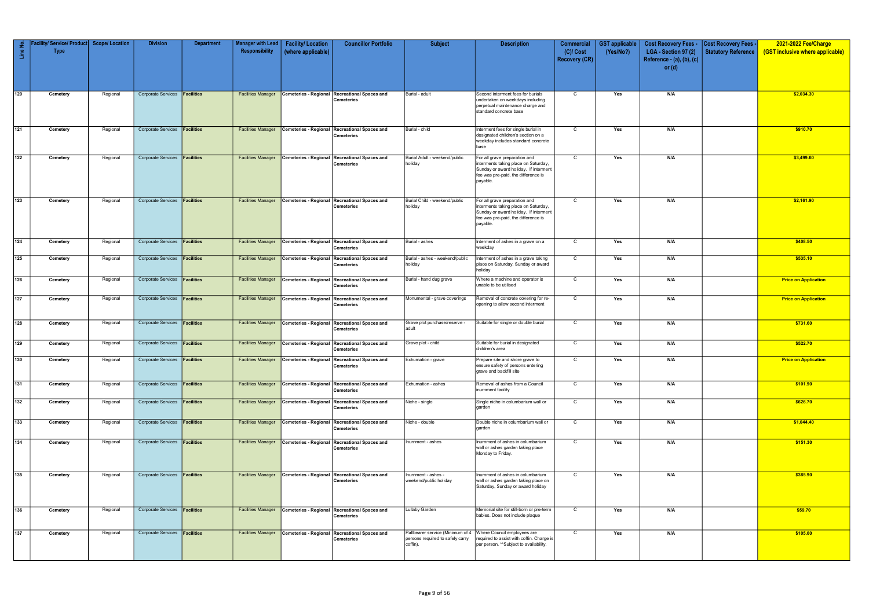| $\mathop{\text{in}}$ | / Service/ Product<br><b>Type</b> | <b>Scope/Location</b> | <b>Division</b>                      | <b>Department</b> | <b>Manager with Lead</b><br>Responsibility | <b>Facility/Location</b><br>(where applicable) | <b>Councillor Portfolio</b>                                        | <b>Subject</b>                                                                   | <b>Description</b>                                                                                                                                                | <b>Commercial</b><br>$(C)/$ Cost | <b>GST</b> applicable<br>(Yes/No?) | <b>Cost Recovery Fees -</b><br>LGA - Section 97 (2) | Cost Recovery Fees<br><b>Statutory Reference</b> | 2021-2022 Fee/Charge<br>(GST inclusive where applicable) |
|----------------------|-----------------------------------|-----------------------|--------------------------------------|-------------------|--------------------------------------------|------------------------------------------------|--------------------------------------------------------------------|----------------------------------------------------------------------------------|-------------------------------------------------------------------------------------------------------------------------------------------------------------------|----------------------------------|------------------------------------|-----------------------------------------------------|--------------------------------------------------|----------------------------------------------------------|
|                      |                                   |                       |                                      |                   |                                            |                                                |                                                                    |                                                                                  |                                                                                                                                                                   | <b>Recovery (CR)</b>             |                                    | Reference - (a), (b), (c)<br>or $(d)$               |                                                  |                                                          |
|                      |                                   |                       |                                      |                   |                                            |                                                |                                                                    |                                                                                  |                                                                                                                                                                   |                                  |                                    |                                                     |                                                  |                                                          |
| 120                  | Cemetery                          | Regional              | Corporate Services <b>Facilities</b> |                   | <b>Facilities Manager</b>                  |                                                | Cemeteries - Regional Recreational Spaces and<br><b>Cemeteries</b> | Burial - adult                                                                   | Second interment fees for burials<br>undertaken on weekdays including<br>perpetual maintenance charge and<br>standard concrete base                               | $\mathsf{C}$                     | Yes                                | N/A                                                 |                                                  | \$2,034.30                                               |
| 121                  | Cemetery                          | Regional              | Corporate Services <b>Facilities</b> |                   | <b>Facilities Manager</b>                  |                                                | Cemeteries - Regional Recreational Spaces and<br>Cemeteries        | Burial - child                                                                   | Interment fees for single burial in<br>designated children's section on a<br>weekday includes standard concrete<br>base                                           | $\mathsf{C}$                     | Yes                                | N/A                                                 |                                                  | \$910.70                                                 |
| $\boxed{122}$        | Cemetery                          | Regional              | Corporate Services <b>Facilities</b> |                   | <b>Facilities Manager</b>                  |                                                | Cemeteries - Regional Recreational Spaces and<br><b>Cemeteries</b> | Burial Adult - weekend/public<br>holiday                                         | For all grave preparation and<br>interments taking place on Saturday,<br>Sunday or award holiday. If interment<br>fee was pre-paid, the difference is<br>payable. | $\mathsf{C}$                     | Yes                                | N/A                                                 |                                                  | \$3,499.60                                               |
| 123                  | Cemetery                          | Regional              | Corporate Services <b>Facilities</b> |                   | <b>Facilities Manager</b>                  | Cemeteries - Regional                          | <b>Recreational Spaces and</b><br><b>Cemeteries</b>                | Burial Child - weekend/public<br>holiday                                         | For all grave preparation and<br>interments taking place on Saturday,<br>Sunday or award holiday. If interment<br>fee was pre-paid, the difference is<br>payable. | $\mathsf{C}$                     | Yes                                | N/A                                                 |                                                  | \$2,161.90                                               |
| $\boxed{124}$        | Cemetery                          | Regional              | Corporate Services <b>Facilities</b> |                   | <b>Facilities Manager</b>                  |                                                | Cemeteries - Regional Recreational Spaces and<br><b>Cemeteries</b> | Burial - ashes                                                                   | Interment of ashes in a grave on a<br>weekday                                                                                                                     | $\mathsf{C}$                     | Yes                                | N/A                                                 |                                                  | \$408.50                                                 |
| 125                  | Cemetery                          | Regional              | Corporate Services <b>Facilities</b> |                   | <b>Facilities Manager</b>                  | Cemeteries - Regional                          | <b>Recreational Spaces and</b><br>Cemeteries                       | Burial - ashes - weekend/public<br>holiday                                       | nterment of ashes in a grave taking<br>place on Saturday, Sunday or award<br>holiday                                                                              | $\mathsf{C}$                     | Yes                                | N/A                                                 |                                                  | \$535.10                                                 |
| 126                  | Cemetery                          | Regional              | Corporate Services <b>Facilities</b> |                   | <b>Facilities Manager</b>                  |                                                | Cemeteries - Regional Recreational Spaces and<br><b>Cemeteries</b> | Burial - hand dug grave                                                          | Where a machine and operator is<br>unable to be utilised                                                                                                          | $\overline{C}$                   | Yes                                | N/A                                                 |                                                  | <b>Price on Application</b>                              |
| 127                  | Cemetery                          | Regional              | Corporate Services <b>Facilities</b> |                   | <b>Facilities Manager</b>                  | Cemeteries - Regional                          | <b>Recreational Spaces and</b><br><b>Cemeteries</b>                | Monumental - grave coverings                                                     | Removal of concrete covering for re-<br>opening to allow second interment                                                                                         | C                                | Yes                                | N/A                                                 |                                                  | <b>Price on Application</b>                              |
| $\sqrt{128}$         | Cemetery                          | Regional              | Corporate Services <b>Facilities</b> |                   | <b>Facilities Manager</b>                  |                                                | Cemeteries - Regional Recreational Spaces and<br><b>Cemeteries</b> | Grave plot purchase/reserve -<br>adult                                           | Suitable for single or double burial                                                                                                                              | C                                | Yes                                | N/A                                                 |                                                  | \$731.60                                                 |
| $\sqrt{129}$         | Cemetery                          | Regional              | Corporate Services <b>Facilities</b> |                   | <b>Facilities Manager</b>                  |                                                | Cemeteries - Regional Recreational Spaces and<br>Cemeteries        | Grave plot - child                                                               | Suitable for burial in designated<br>children's area                                                                                                              | $\mathsf{C}$                     | Yes                                | N/A                                                 |                                                  | \$522.70                                                 |
| $\sqrt{130}$         | Cemetery                          | Regional              | Corporate Services <b>Facilities</b> |                   | <b>Facilities Manager</b>                  |                                                | Cemeteries - Regional Recreational Spaces and<br>Cemeteries        | Exhumation - grave                                                               | Prepare site and shore grave to<br>ensure safety of persons entering<br>grave and backfill site                                                                   | $\mathsf{C}$                     | Yes                                | N/A                                                 |                                                  | <b>Price on Application</b>                              |
| 131                  | Cemetery                          | Regional              | Corporate Services <b>Facilities</b> |                   | <b>Facilities Manager</b>                  | Cemeteries - Regional                          | <b>Recreational Spaces and</b><br>Cemeteries                       | Exhumation - ashes                                                               | Removal of ashes from a Council<br>inurnment facility                                                                                                             | $\mathsf{C}$                     | Yes                                | N/A                                                 |                                                  | \$101.90                                                 |
| 132                  | Cemetery                          | Regional              | Corporate Services <b>Facilities</b> |                   | <b>Facilities Manager</b>                  | Cemeteries - Regional                          | <b>Recreational Spaces and</b><br><b>Cemeteries</b>                | Niche - single                                                                   | Single niche in columbarium wall or<br>garden                                                                                                                     | $\mathsf{C}$                     | Yes                                | N/A                                                 |                                                  | \$626.70                                                 |
| 133                  | Cemetery                          | Regional              | Corporate Services <b>Facilities</b> |                   | <b>Facilities Manager</b>                  |                                                | Cemeteries - Regional Recreational Spaces and<br>Cemeteries        | Niche - double                                                                   | Double niche in columbarium wall or<br>garden                                                                                                                     | $\mathsf{C}$                     | Yes                                | N/A                                                 |                                                  | \$1,044.40                                               |
| 134                  | Cemetery                          | Regional              | Corporate Services <b>Facilities</b> |                   | <b>Facilities Manager</b>                  |                                                | Cemeteries - Regional Recreational Spaces and<br>Cemeteries        | Inurnment - ashes                                                                | Inurnment of ashes in columbarium<br>wall or ashes garden taking place<br>Monday to Friday.                                                                       | $\mathsf{C}$                     | Yes                                | N/A                                                 |                                                  | \$151.30                                                 |
| 135                  | Cemetery                          | Regional              | Corporate Services <b>Facilities</b> |                   | <b>Facilities Manager</b>                  |                                                | Cemeteries - Regional Recreational Spaces and<br><b>Cemeteries</b> | Inurnment - ashes -<br>weekend/public holiday                                    | Inurnment of ashes in columbarium<br>wall or ashes garden taking place on<br>Saturday, Sunday or award holiday                                                    | $\mathsf{C}$                     | Yes                                | N/A                                                 |                                                  | \$385.90                                                 |
| 136                  | Cemetery                          | Regional              | Corporate Services <b>Facilities</b> |                   | <b>Facilities Manager</b>                  |                                                | Cemeteries - Regional Recreational Spaces and<br>Cemeteries        | Lullaby Garden                                                                   | Memorial site for still-born or pre-term<br>babies. Does not include plaque                                                                                       | $\mathsf{C}$                     | Yes                                | N/A                                                 |                                                  | \$59.70                                                  |
| 137                  | Cemetery                          | Regional              | Corporate Services <b>Facilities</b> |                   | <b>Facilities Manager</b>                  |                                                | Cemeteries - Regional Recreational Spaces and<br>Cemeteries        | Pallbearer service (Minimum of 4<br>persons required to safely carry<br>coffin). | Where Council employees are<br>required to assist with coffin. Charge is<br>per person. **Subject to availability.                                                | $\mathsf{C}$                     | Yes                                | N/A                                                 |                                                  | \$105.00                                                 |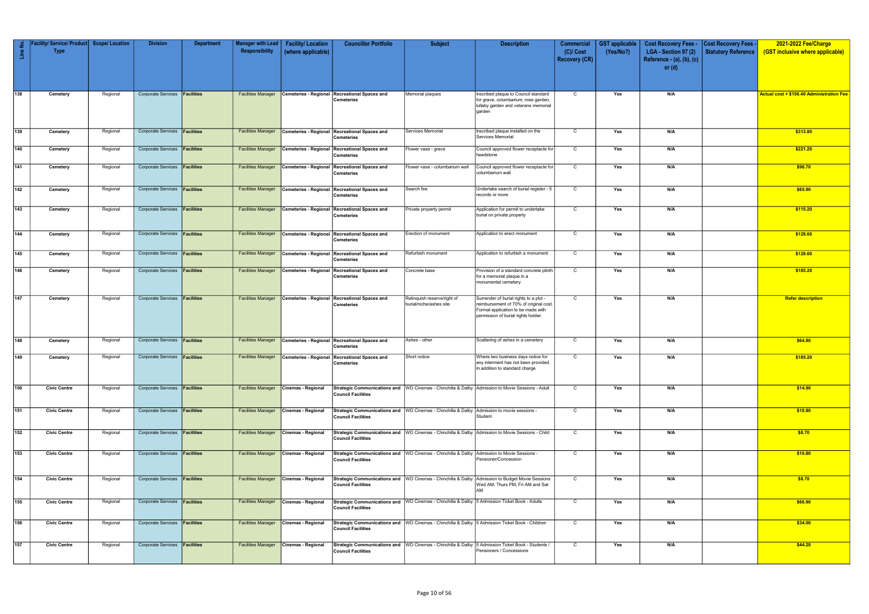| $\epsilon$<br>$\frac{e}{\Box}$ | Facility/ Service/ Product Scope/ Location<br><b>Type</b> |          | <b>Division</b>                      | <b>Department</b> | <b>Manager with Lead</b><br>Responsibility | <b>Facility/Location</b><br>(where applicable) | <b>Councillor Portfolio</b>                                        | <b>Subject</b>                                                                                | <b>Description</b>                                                                                                                                            | Commercial<br>$(C)/$ Cost<br><b>Recovery (CR)</b> | <b>GST</b> applicable<br>(Yes/No?) | <b>Cost Recovery Fees -</b><br>LGA - Section 97 (2)<br>Reference - (a), (b), (c)<br>or $(d)$ | <b>Cost Recovery Fees -</b><br>Statutory Reference | 2021-2022 Fee/Charge<br>(GST inclusive where applicable) |
|--------------------------------|-----------------------------------------------------------|----------|--------------------------------------|-------------------|--------------------------------------------|------------------------------------------------|--------------------------------------------------------------------|-----------------------------------------------------------------------------------------------|---------------------------------------------------------------------------------------------------------------------------------------------------------------|---------------------------------------------------|------------------------------------|----------------------------------------------------------------------------------------------|----------------------------------------------------|----------------------------------------------------------|
|                                |                                                           |          |                                      |                   |                                            |                                                |                                                                    |                                                                                               |                                                                                                                                                               |                                                   |                                    |                                                                                              |                                                    |                                                          |
| 138                            | Cemetery                                                  | Regional | Corporate Services <b>Facilities</b> |                   | <b>Facilities Manager</b>                  |                                                | Cemeteries - Regional Recreational Spaces and<br><b>Cemeteries</b> | Memorial plaques                                                                              | Inscribed plaque to Council standard<br>for grave, columbarium, rose garden<br>lullaby garden and veterans memorial<br>garden                                 | $\mathsf{C}$                                      | Yes                                | N/A                                                                                          |                                                    | <b>Actual cost + \$156.40 Administration Fee</b>         |
| 139                            | Cemetery                                                  | Regional | Corporate Services <b>Facilities</b> |                   | <b>Facilities Manager</b>                  |                                                | Cemeteries - Regional Recreational Spaces and<br><b>Cemeteries</b> | Services Memorial                                                                             | Inscribed plaque installed on the<br>Services Memorial                                                                                                        | $\overline{C}$                                    | Yes                                | N/A                                                                                          |                                                    | \$313.80                                                 |
| 140                            | Cemetery                                                  | Regional | Corporate Services <b>Facilities</b> |                   | <b>Facilities Manager</b>                  |                                                | Cemeteries - Regional Recreational Spaces and<br><b>Cemeteries</b> | Flower vase - grave                                                                           | Council approved flower receptacle for<br>headstone                                                                                                           | $\mathbf C$                                       | Yes                                | N/A                                                                                          |                                                    | \$221.20                                                 |
| $\sqrt{141}$                   | Cemetery                                                  | Regional | Corporate Services <b>Facilities</b> |                   | <b>Facilities Manager</b>                  | Cemeteries - Regional                          | <b>Recreational Spaces and</b><br><b>Cemeteries</b>                | Flower vase - columbarium wall                                                                | Council approved flower receptacle for<br>columbarium wall                                                                                                    | $\mathsf{C}$                                      | Yes                                | N/A                                                                                          |                                                    | \$96.70                                                  |
| $\boxed{142}$                  | Cemetery                                                  | Regional | Corporate Services <b>Facilities</b> |                   | <b>Facilities Manager</b>                  | Cemeteries - Regional                          | <b>Recreational Spaces and</b><br><b>Cemeteries</b>                | Search fee                                                                                    | Undertake search of burial register - 5<br>records or more                                                                                                    | $\mathsf{C}$                                      | Yes                                | N/A                                                                                          |                                                    | \$65.90                                                  |
| 143                            | Cemetery                                                  | Regional | Corporate Services <b>Facilities</b> |                   | <b>Facilities Manager</b>                  | <b>Cemeteries - Regional</b>                   | <b>Recreational Spaces and</b><br><b>Cemeteries</b>                | Private property permit                                                                       | Application for permit to undertake<br>burial on private property                                                                                             | C                                                 | Yes                                | N/A                                                                                          |                                                    | \$115.20                                                 |
| 144                            | Cemetery                                                  | Regional | Corporate Services <b>Facilities</b> |                   | <b>Facilities Manager</b>                  |                                                | Cemeteries - Regional Recreational Spaces and<br><b>Cemeteries</b> | Erection of monument                                                                          | Application to erect monument                                                                                                                                 | $\mathsf{C}$                                      | Yes                                | N/A                                                                                          |                                                    | \$128.60                                                 |
| 145                            | Cemetery                                                  | Regional | Corporate Services <b>Facilities</b> |                   | <b>Facilities Manager</b>                  |                                                | Cemeteries - Regional Recreational Spaces and<br><b>Cemeteries</b> | Refurbish monument                                                                            | Application to refurbish a monument                                                                                                                           | C                                                 | Yes                                | N/A                                                                                          |                                                    | \$128.60                                                 |
| 146                            | Cemetery                                                  | Regional | Corporate Services <b>Facilities</b> |                   | <b>Facilities Manager</b>                  | Cemeteries - Regional                          | <b>Recreational Spaces and</b><br>Cemeteries                       | Concrete base                                                                                 | Provision of a standard concrete plinth<br>for a memorial plaque in a<br>monumental cemetery                                                                  | C                                                 | Yes                                | N/A                                                                                          |                                                    | \$185.20                                                 |
| $\sqrt{147}$                   | Cemetery                                                  | Regional | Corporate Services <b>Facilities</b> |                   | <b>Facilities Manager</b>                  |                                                | Cemeteries - Regional Recreational Spaces and<br><b>Cemeteries</b> | Relinquish reserve/right of<br>burial/niche/ashes site                                        | Surrender of burial rights to a plot -<br>reimbursement of 70% of original cost.<br>Formal application to be made with<br>permission of burial rights holder. | $\mathbf C$                                       | Yes                                | N/A                                                                                          |                                                    | <b>Refer description</b>                                 |
| 148                            | Cemetery                                                  | Regional | Corporate Services <b>Facilities</b> |                   | <b>Facilities Manager</b>                  |                                                | Cemeteries - Regional Recreational Spaces and<br><b>Cemeteries</b> | Ashes - other                                                                                 | Scattering of ashes in a cemetery                                                                                                                             | $\mathsf{C}$                                      | Yes                                | N/A                                                                                          |                                                    | \$64.80                                                  |
| 149                            | Cemetery                                                  | Regional | Corporate Services <b>Facilities</b> |                   | <b>Facilities Manager</b>                  |                                                | Cemeteries - Regional Recreational Spaces and<br>Cemeteries        | Short notice                                                                                  | Where two business days notice for<br>any interment has not been provided.<br>In addition to standard charge                                                  | $\mathsf{C}$                                      | Yes                                | N/A                                                                                          |                                                    | \$185.20                                                 |
| 150                            | <b>Civic Centre</b>                                       | Regional | Corporate Services <b>Facilities</b> |                   | <b>Facilities Manager</b>                  | Cinemas - Regional                             | <b>Council Facilities</b>                                          |                                                                                               | Strategic Communications and   WD Cinemas - Chinchilla & Dalby   Admission to Movie Sessions - Adult                                                          | $\mathsf{C}$                                      | Yes                                | N/A                                                                                          |                                                    | \$14.90                                                  |
| 151                            | <b>Civic Centre</b>                                       | Regional | Corporate Services <b>Facilities</b> |                   | <b>Facilities Manager</b>                  | Cinemas - Regional                             | <b>Council Facilities</b>                                          | Strategic Communications and   WD Cinemas - Chinchilla & Dalby                                | Admission to movie sessions -<br>Student                                                                                                                      | C                                                 | Yes                                | N/A                                                                                          |                                                    | \$10.80                                                  |
| 152                            | <b>Civic Centre</b>                                       | Regional | Corporate Services <b>Facilities</b> |                   | <b>Facilities Manager</b>                  | Cinemas - Regional                             | <b>Council Facilities</b>                                          | Strategic Communications and   WD Cinemas - Chinchilla & Dalby                                | Admission to Movie Sessions - Child                                                                                                                           | $\mathsf{C}$                                      | Yes                                | N/A                                                                                          |                                                    | \$8.70                                                   |
| 153                            | <b>Civic Centre</b>                                       | Regional | Corporate Services <b>Facilities</b> |                   | <b>Facilities Manager</b>                  | Cinemas - Regional                             | <b>Council Facilities</b>                                          | Strategic Communications and   WD Cinemas - Chinchilla & Dalby                                | Admission to Movie Sessions -<br>Pensioner/Concession                                                                                                         | $\mathsf{C}$                                      | Yes                                | N/A                                                                                          |                                                    | \$10.80                                                  |
| 154                            | <b>Civic Centre</b>                                       | Regional | Corporate Services <b>Facilities</b> |                   | <b>Facilities Manager</b>                  | Cinemas - Regional                             | <b>Council Facilities</b>                                          | Strategic Communications and   WD Cinemas - Chinchilla & Dalby                                | Admission to Budget Movie Sessions<br>Wed AM, Thurs PM, Fri AM and Sat<br><b>AM</b>                                                                           | $\mathsf{C}$                                      | Yes                                | N/A                                                                                          |                                                    | \$8.70                                                   |
| 155                            | <b>Civic Centre</b>                                       | Regional | Corporate Services <b>Facilities</b> |                   | <b>Facilities Manager</b>                  | Cinemas - Regional                             | <b>Council Facilities</b>                                          | Strategic Communications and WD Cinemas - Chinchilla & Dalby 5 Admission Ticket Book - Adults |                                                                                                                                                               | $\overline{C}$                                    | Yes                                | N/A                                                                                          |                                                    | \$66.90                                                  |
| 156                            | <b>Civic Centre</b>                                       | Regional | Corporate Services <b>Facilities</b> |                   | <b>Facilities Manager</b>                  | Cinemas - Regional                             | <b>Council Facilities</b>                                          |                                                                                               | Strategic Communications and   WD Cinemas - Chinchilla & Dalby   5 Admission Ticket Book - Children                                                           | $\mathsf{C}$                                      | Yes                                | N/A                                                                                          |                                                    | \$34.00                                                  |
| 157                            | <b>Civic Centre</b>                                       | Regional | Corporate Services <b>Facilities</b> |                   | <b>Facilities Manager</b>                  | Cinemas - Regional                             | <b>Council Facilities</b>                                          |                                                                                               | Strategic Communications and WD Cinemas - Chinchilla & Dalby 5 Admission Ticket Book - Students /<br>Pensioners / Concessions                                 | $\mathbf C$                                       | Yes                                | N/A                                                                                          |                                                    | \$44.20                                                  |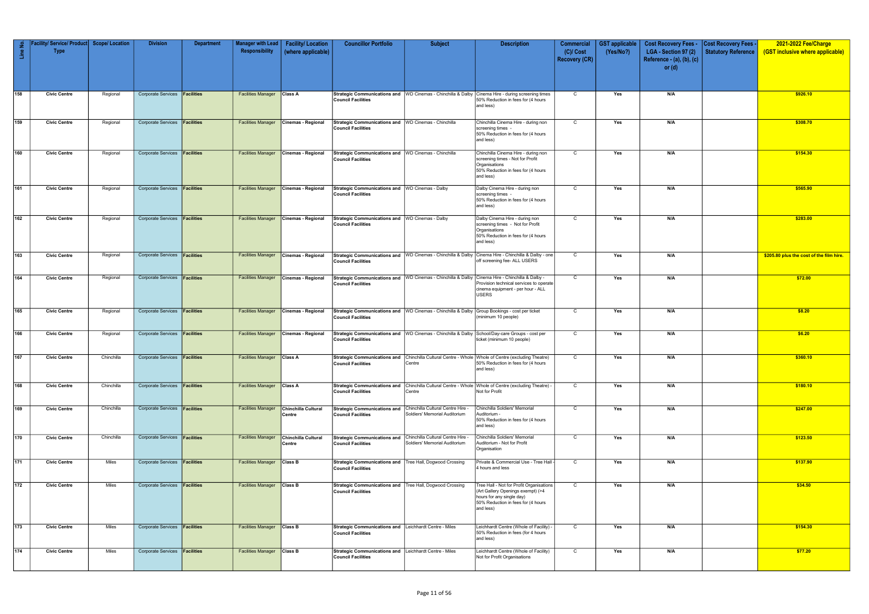| -2<br>$\mathbf{f}$ | Facility/ Service/ Product   Scope/ Location<br><b>Type</b> |            | <b>Division</b>                      | <b>Department</b> | <b>Manager with Lead</b><br>Responsibility | <b>Facility/Location</b><br>(where applicable) | <b>Councillor Portfolio</b>                                                                 | <b>Subject</b>                                                     | <b>Description</b>                                                                                                                                            | <b>Commercial</b><br>$(C)/$ Cost<br><b>Recovery (CR)</b> | <b>GST</b> applicable<br>(Yes/No?) | <b>Cost Recovery Fees -</b><br>LGA - Section 97 (2)<br>Reference - (a), (b), (c) | <b>Cost Recovery Fees -</b><br>Statutory Reference | 2021-2022 Fee/Charge<br>(GST inclusive where applicable) |
|--------------------|-------------------------------------------------------------|------------|--------------------------------------|-------------------|--------------------------------------------|------------------------------------------------|---------------------------------------------------------------------------------------------|--------------------------------------------------------------------|---------------------------------------------------------------------------------------------------------------------------------------------------------------|----------------------------------------------------------|------------------------------------|----------------------------------------------------------------------------------|----------------------------------------------------|----------------------------------------------------------|
|                    |                                                             |            |                                      |                   |                                            |                                                |                                                                                             |                                                                    |                                                                                                                                                               |                                                          |                                    | or $(d)$                                                                         |                                                    |                                                          |
| 158                | <b>Civic Centre</b>                                         | Regional   | Corporate Services <b>Facilities</b> |                   | <b>Facilities Manager</b>                  | Class A                                        | <b>Council Facilities</b>                                                                   | Strategic Communications and   WD Cinemas - Chinchilla & Dalby     | Cinema Hire - during screening times<br>50% Reduction in fees for (4 hours<br>and less)                                                                       | $\mathsf{C}$                                             | Yes                                | N/A                                                                              |                                                    | \$926.10                                                 |
| 159                | <b>Civic Centre</b>                                         | Regional   | Corporate Services <b>Facilities</b> |                   | <b>Facilities Manager</b>                  | Cinemas - Regional                             | Strategic Communications and WD Cinemas - Chinchilla<br><b>Council Facilities</b>           |                                                                    | Chinchilla Cinema Hire - during non<br>screening times -<br>50% Reduction in fees for (4 hours<br>and less)                                                   | $\mathsf{C}$                                             | Yes                                | N/A                                                                              |                                                    | \$308.70                                                 |
| 160                | <b>Civic Centre</b>                                         | Regional   | Corporate Services <b>Facilities</b> |                   | <b>Facilities Manager</b>                  | Cinemas - Regional                             | Strategic Communications and WD Cinemas - Chinchilla<br><b>Council Facilities</b>           |                                                                    | Chinchilla Cinema Hire - during non<br>screening times - Not for Profit<br>Organisations<br>50% Reduction in fees for (4 hours<br>and less)                   | $\mathsf{C}$                                             | Yes                                | N/A                                                                              |                                                    | \$154.30                                                 |
| 161                | <b>Civic Centre</b>                                         | Regional   | Corporate Services <b>Facilities</b> |                   | <b>Facilities Manager</b>                  | Cinemas - Regional                             | Strategic Communications and WD Cinemas - Dalby<br><b>Council Facilities</b>                |                                                                    | Dalby Cinema Hire - during non<br>screening times -<br>50% Reduction in fees for (4 hours<br>and less)                                                        | C                                                        | Yes                                | N/A                                                                              |                                                    | \$565.90                                                 |
| 162                | <b>Civic Centre</b>                                         | Regional   | Corporate Services <b>Facilities</b> |                   | <b>Facilities Manager</b>                  | Cinemas - Regional                             | Strategic Communications and WD Cinemas - Dalby<br><b>Council Facilities</b>                |                                                                    | Dalby Cinema Hire - during non<br>screening times - Not for Profit<br>Organisations<br>50% Reduction in fees for (4 hours<br>and less)                        | $\mathsf{C}$                                             | Yes                                | N/A                                                                              |                                                    | \$283.00                                                 |
| 163                | <b>Civic Centre</b>                                         | Regional   | Corporate Services <b>Facilities</b> |                   | <b>Facilities Manager</b>                  | Cinemas - Regional                             | <b>Council Facilities</b>                                                                   | Strategic Communications and   WD Cinemas - Chinchilla & Dalby     | Cinema Hire - Chinchilla & Dalby - one<br>off screening fee- ALL USERS                                                                                        | $\mathsf{C}$                                             | Yes                                | N/A                                                                              |                                                    | \$205.80 plus the cost of the film hire                  |
| 164                | <b>Civic Centre</b>                                         | Regional   | Corporate Services <b>Facilities</b> |                   | <b>Facilities Manager</b>                  | Cinemas - Regional                             | <b>Council Facilities</b>                                                                   | Strategic Communications and   WD Cinemas - Chinchilla & Dalby     | Cinema Hire - Chinchilla & Dalby -<br>Provision technical services to operate<br>cinema equipment - per hour - ALL<br>USERS                                   | $\mathsf{C}$                                             | Yes                                | N/A                                                                              |                                                    | \$72.00                                                  |
| 165                | <b>Civic Centre</b>                                         | Regional   | Corporate Services <b>Facilities</b> |                   | <b>Facilities Manager</b>                  | Cinemas - Regional                             | <b>Council Facilities</b>                                                                   | Strategic Communications and   WD Cinemas - Chinchilla & Dalby     | Group Bookings - cost per ticket<br>(minimum 10 people)                                                                                                       | $\mathsf{C}$                                             | Yes                                | N/A                                                                              |                                                    | \$8.20                                                   |
| 166                | <b>Civic Centre</b>                                         | Regional   | Corporate Services <b>Facilities</b> |                   | <b>Facilities Manager</b>                  | Cinemas - Regional                             | <b>Council Facilities</b>                                                                   | Strategic Communications and WD Cinemas - Chinchilla & Dalby       | School/Day-care Groups - cost per<br>ticket (minimum 10 people)                                                                                               | C                                                        | Yes                                | N/A                                                                              |                                                    | \$6.20                                                   |
| $\sqrt{167}$       | <b>Civic Centre</b>                                         | Chinchilla | Corporate Services <b>Facilities</b> |                   | <b>Facilities Manager</b>                  | <b>Class A</b>                                 | <b>Council Facilities</b>                                                                   | Centre                                                             | Strategic Communications and Chinchilla Cultural Centre - Whole Whole of Centre (excluding Theatre)<br>50% Reduction in fees for (4 hours<br>and less)        | $\mathsf{C}$                                             | Yes                                | N/A                                                                              |                                                    | \$360.10                                                 |
| 168                | <b>Civic Centre</b>                                         | Chinchilla | Corporate Services <b>Facilities</b> |                   | <b>Facilities Manager Class A</b>          |                                                | <b>Strategic Communications and</b><br><b>Council Facilities</b>                            | Centre                                                             | Chinchilla Cultural Centre - Whole Whole of Centre (excluding Theatre) -<br>Not for Profit                                                                    | $\mathsf{C}$                                             | Yes                                | N/A                                                                              |                                                    | \$180.10                                                 |
| 169                | <b>Civic Centre</b>                                         | Chinchilla | Corporate Services <b>Facilities</b> |                   | <b>Facilities Manager</b>                  | Chinchilla Cultural<br>Centre                  | <b>Strategic Communications and</b><br><b>Council Facilities</b>                            | Chinchilla Cultural Centre Hire -<br>Soldiers' Memorial Auditorium | Chinchilla Soldiers' Memorial<br>- Auditorium<br>50% Reduction in fees for (4 hours<br>and less)                                                              | $\overline{C}$                                           | Yes                                | N/A                                                                              |                                                    | \$247.00                                                 |
| $\sqrt{170}$       | <b>Civic Centre</b>                                         | Chinchilla | Corporate Services <b>Facilities</b> |                   | <b>Facilities Manager</b>                  | Chinchilla Cultural<br>Centre                  | Strategic Communications and Chinchilla Cultural Centre Hire -<br><b>Council Facilities</b> | Soldiers' Memorial Auditorium                                      | Chinchilla Soldiers' Memorial<br>Auditorium - Not for Profit<br>Organisation                                                                                  | $\mathsf{C}$                                             | Yes                                | N/A                                                                              |                                                    | \$123.50                                                 |
| 171                | <b>Civic Centre</b>                                         | Miles      | Corporate Services <b>Facilities</b> |                   | <b>Facilities Manager</b>                  | <b>Class B</b>                                 | Strategic Communications and   Tree Hall, Dogwood Crossing<br><b>Council Facilities</b>     |                                                                    | Private & Commercial Use - Tree Hall -<br>4 hours and less                                                                                                    | $\mathbf C$                                              | Yes                                | N/A                                                                              |                                                    | \$137.90                                                 |
| $\boxed{172}$      | <b>Civic Centre</b>                                         | Miles      | Corporate Services <b>Facilities</b> |                   | <b>Facilities Manager Class B</b>          |                                                | Strategic Communications and   Tree Hall, Dogwood Crossing<br><b>Council Facilities</b>     |                                                                    | Tree Hall - Not for Profit Organisations<br>(Art Gallery Openings exempt) (>4<br>hours for any single day)<br>50% Reduction in fees for (4 hours<br>and less) | $\mathsf{C}$                                             | Yes                                | N/A                                                                              |                                                    | \$34.50                                                  |
| $\boxed{173}$      | <b>Civic Centre</b>                                         | Miles      | Corporate Services <b>Facilities</b> |                   | <b>Facilities Manager Class B</b>          |                                                | Strategic Communications and Leichhardt Centre - Miles<br><b>Council Facilities</b>         |                                                                    | Leichhardt Centre (Whole of Facility) -<br>50% Reduction in fees (for 4 hours<br>and less)                                                                    | $\mathsf{C}$                                             | Yes                                | N/A                                                                              |                                                    | \$154.30                                                 |
| $\boxed{174}$      | <b>Civic Centre</b>                                         | Miles      | Corporate Services <b>Facilities</b> |                   | <b>Facilities Manager Class B</b>          |                                                | Strategic Communications and Leichhardt Centre - Miles<br><b>Council Facilities</b>         |                                                                    | Leichhardt Centre (Whole of Facility)<br>Not for Profit Organisations                                                                                         | $\overline{c}$                                           | Yes                                | N/A                                                                              |                                                    | \$77.20                                                  |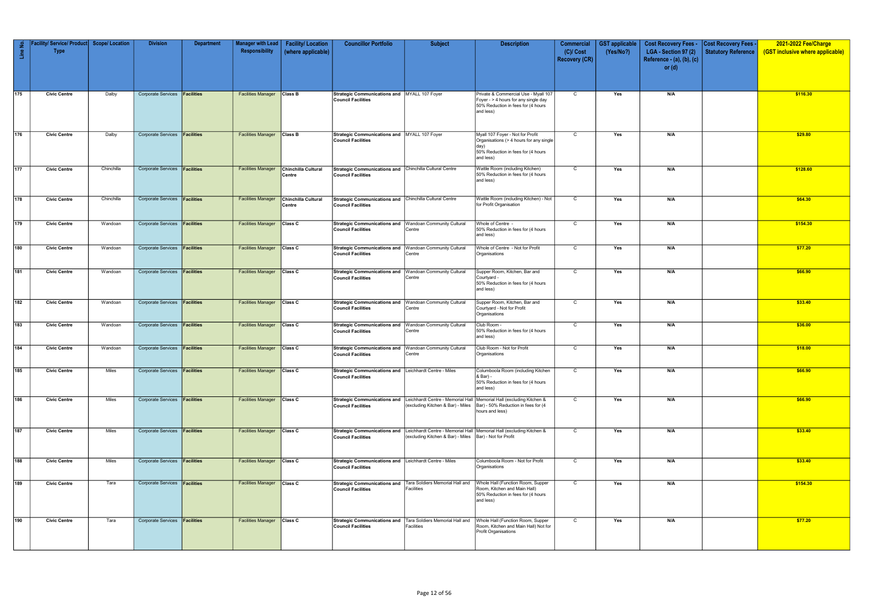| £<br>$\frac{e}{\Box}$ | Facility/ Service/ Product Scope/ Location<br><b>Type</b> |            | <b>Division</b>                      | <b>Department</b> | Manager with Lead<br>Responsibility | <b>Facility/Location</b><br>(where applicable) | <b>Councillor Portfolio</b>                                                                 | <b>Subject</b>                                                                                      | <b>Description</b>                                                                                                                     | <b>Commercial</b><br>$(C)/$ Cost<br><b>Recovery (CR)</b> | <b>GST</b> applicable<br>(Yes/No?) | <b>Cost Recovery Fees -</b><br>LGA - Section 97 (2)<br>Reference - (a), (b), (c) | <b>Cost Recovery Fees -</b><br><b>Statutory Reference</b> | 2021-2022 Fee/Charge<br>(GST inclusive where applicable) |
|-----------------------|-----------------------------------------------------------|------------|--------------------------------------|-------------------|-------------------------------------|------------------------------------------------|---------------------------------------------------------------------------------------------|-----------------------------------------------------------------------------------------------------|----------------------------------------------------------------------------------------------------------------------------------------|----------------------------------------------------------|------------------------------------|----------------------------------------------------------------------------------|-----------------------------------------------------------|----------------------------------------------------------|
|                       |                                                           |            |                                      |                   |                                     |                                                |                                                                                             |                                                                                                     |                                                                                                                                        |                                                          |                                    | or $(d)$                                                                         |                                                           |                                                          |
| $\sqrt{175}$          | <b>Civic Centre</b>                                       | Dalby      | Corporate Services <b>Facilities</b> |                   | <b>Facilities Manager</b>           | <b>Class B</b>                                 | Strategic Communications and MYALL 107 Foyer<br><b>Council Facilities</b>                   |                                                                                                     | Private & Commercial Use - Myall 107<br>Foyer - > 4 hours for any single day<br>50% Reduction in fees for (4 hours<br>and less)        | $\mathsf{C}$                                             | Yes                                | N/A                                                                              |                                                           | \$116.30                                                 |
| 176                   | <b>Civic Centre</b>                                       | Dalby      | Corporate Services <b>Facilities</b> |                   | <b>Facilities Manager</b>           | <b>Class B</b>                                 | Strategic Communications and MYALL 107 Foyer<br><b>Council Facilities</b>                   |                                                                                                     | Myall 107 Foyer - Not for Profit<br>Organisations (> 4 hours for any single<br>day)<br>50% Reduction in fees for (4 hours<br>and less) | $\mathsf{C}$                                             | Yes                                | N/A                                                                              |                                                           | \$29.80                                                  |
| 177                   | <b>Civic Centre</b>                                       | Chinchilla | Corporate Services <b>Facilities</b> |                   | <b>Facilities Manager</b>           | Chinchilla Cultural<br>Centre                  | Strategic Communications and Chinchilla Cultural Centre<br><b>Council Facilities</b>        |                                                                                                     | Wattle Room (including Kitchen)<br>50% Reduction in fees for (4 hours<br>and less)                                                     | $\mathbf C$                                              | Yes                                | N/A                                                                              |                                                           | \$128.60                                                 |
| 178                   | <b>Civic Centre</b>                                       | Chinchilla | Corporate Services <b>Facilities</b> |                   | <b>Facilities Manager</b>           | Chinchilla Cultural<br>Centre                  | Strategic Communications and Chinchilla Cultural Centre<br><b>Council Facilities</b>        |                                                                                                     | Wattle Room (including Kitchen) - Not<br>for Profit Organisation                                                                       | $\mathsf{C}$                                             | Yes                                | N/A                                                                              |                                                           | \$64.30                                                  |
| 179                   | <b>Civic Centre</b>                                       | Wandoan    | Corporate Services <b>Facilities</b> |                   | <b>Facilities Manager</b>           | Class C                                        | Strategic Communications and Wandoan Community Cultural<br><b>Council Facilities</b>        | Centre                                                                                              | Whole of Centre -<br>50% Reduction in fees for (4 hours<br>and less)                                                                   | $\mathsf{C}$                                             | Yes                                | N/A                                                                              |                                                           | \$154.30                                                 |
| 180                   | <b>Civic Centre</b>                                       | Wandoan    | Corporate Services <b>Facilities</b> |                   | <b>Facilities Manager Class C</b>   |                                                | Strategic Communications and   Wandoan Community Cultural<br><b>Council Facilities</b>      | Centre                                                                                              | Whole of Centre - Not for Profit<br>Organisations                                                                                      | $\mathsf{C}$                                             | Yes                                | N/A                                                                              |                                                           | \$77.20                                                  |
| 181                   | <b>Civic Centre</b>                                       | Wandoan    | Corporate Services <b>Facilities</b> |                   | <b>Facilities Manager Class C</b>   |                                                | Strategic Communications and   Wandoan Community Cultural<br><b>Council Facilities</b>      | Centre                                                                                              | Supper Room, Kitchen, Bar and<br>Courtyard -<br>50% Reduction in fees for (4 hours<br>and less)                                        | $\overline{c}$                                           | Yes                                | N/A                                                                              |                                                           | \$66.90                                                  |
| 182                   | <b>Civic Centre</b>                                       | Wandoan    | Corporate Services <b>Facilities</b> |                   | <b>Facilities Manager Class C</b>   |                                                | Strategic Communications and   Wandoan Community Cultural<br><b>Council Facilities</b>      | Centre                                                                                              | Supper Room, Kitchen, Bar and<br>Courtyard - Not for Profit<br>Organisations                                                           | $\mathsf{C}$                                             | Yes                                | N/A                                                                              |                                                           | \$33.40                                                  |
| 183                   | <b>Civic Centre</b>                                       | Wandoan    | Corporate Services <b>Facilities</b> |                   | <b>Facilities Manager</b>           | Class C                                        | Strategic Communications and Wandoan Community Cultural<br><b>Council Facilities</b>        | Centre                                                                                              | Club Room -<br>50% Reduction in fees for (4 hours<br>and less)                                                                         | C                                                        | Yes                                | N/A                                                                              |                                                           | \$36.00                                                  |
| 184                   | <b>Civic Centre</b>                                       | Wandoan    | Corporate Services <b>Facilities</b> |                   | <b>Facilities Manager</b>           | <b>Class C</b>                                 | Strategic Communications and   Wandoan Community Cultural<br><b>Council Facilities</b>      | Centre                                                                                              | Club Room - Not for Profit<br>Organisations                                                                                            | $\mathsf{C}$                                             | Yes                                | N/A                                                                              |                                                           | \$18.00                                                  |
| $\boxed{185}$         | <b>Civic Centre</b>                                       | Miles      | Corporate Services <b>Facilities</b> |                   | <b>Facilities Manager</b>           | <b>Class C</b>                                 | Strategic Communications and Leichhardt Centre - Miles<br><b>Council Facilities</b>         |                                                                                                     | Columboola Room (including Kitchen<br>& Bar) -<br>50% Reduction in fees for (4 hours<br>and less)                                      | $\mathsf{C}$                                             | Yes                                | N/A                                                                              |                                                           | \$66.90                                                  |
| 186                   | <b>Civic Centre</b>                                       | Miles      | Corporate Services <b>Facilities</b> |                   | <b>Facilities Manager Class C</b>   |                                                | <b>Council Facilities</b>                                                                   | Strategic Communications and Leichhardt Centre - Memorial Hall<br>(excluding Kitchen & Bar) - Miles | Memorial Hall (excluding Kitchen &<br>Bar) - 50% Reduction in fees for (4<br>hours and less)                                           | $\mathsf{C}$                                             | Yes                                | N/A                                                                              |                                                           | \$66.90                                                  |
| 187                   | <b>Civic Centre</b>                                       | Miles      | Corporate Services <b>Facilities</b> |                   | <b>Facilities Manager</b>           | <b>Class C</b>                                 | <b>Council Facilities</b>                                                                   | (excluding Kitchen & Bar) - Miles   Bar) - Not for Profit                                           | Strategic Communications and Leichhardt Centre - Memorial Hall Memorial Hall (excluding Kitchen &                                      | $\mathbf C$                                              | Yes                                | N/A                                                                              |                                                           | \$33.40                                                  |
| 188                   | <b>Civic Centre</b>                                       | Miles      | Corporate Services <b>Facilities</b> |                   | <b>Facilities Manager Class C</b>   |                                                | Strategic Communications and Leichhardt Centre - Miles<br><b>Council Facilities</b>         |                                                                                                     | Columboola Room - Not for Profit<br>Organisations                                                                                      | $\mathsf{C}$                                             | Yes                                | N/A                                                                              |                                                           | \$33.40                                                  |
| 189                   | <b>Civic Centre</b>                                       | Tara       | Corporate Services <b>Facilities</b> |                   | <b>Facilities Manager</b>           | <b>Class C</b>                                 | Strategic Communications and   Tara Soldiers Memorial Hall and<br><b>Council Facilities</b> | Facilities                                                                                          | Whole Hall (Function Room, Supper<br>Room, Kitchen and Main Hall)<br>50% Reduction in fees for (4 hours<br>and less)                   | $\mathsf{C}$                                             | Yes                                | N/A                                                                              |                                                           | \$154.30                                                 |
| 190                   | <b>Civic Centre</b>                                       | Tara       | Corporate Services <b>Facilities</b> |                   | <b>Facilities Manager</b>           | Class C                                        | <b>Council Facilities</b>                                                                   | Strategic Communications and   Tara Soldiers Memorial Hall and<br>Facilities                        | Whole Hall (Function Room, Supper<br>Room, Kitchen and Main Hall) Not for<br><b>Profit Organisations</b>                               | $\mathsf{C}$                                             | Yes                                | N/A                                                                              |                                                           | \$77.20                                                  |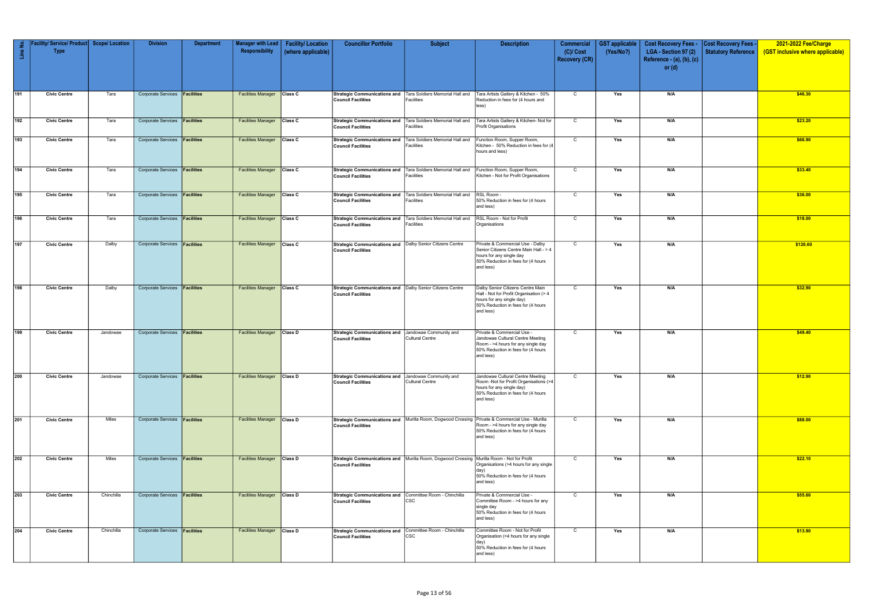| Line No.     | Facility/ Service/ Product Scope/ Location<br><b>Type</b> |            | <b>Division</b>                      | <b>Department</b> | <b>Manager with Lead</b><br>Responsibility | <b>Facility/Location</b><br>(where applicable) | <b>Councillor Portfolio</b>                                                                 | <b>Subject</b>                                                                                | <b>Description</b>                                                                                                                                           | <b>Commercial</b><br>$(C)/$ Cost | <b>GST applicable</b><br>(Yes/No?) | <b>Cost Recovery Fees -</b><br>LGA - Section 97 (2) | <b>Cost Recovery Fees -</b><br><b>Statutory Reference</b> | 2021-2022 Fee/Charge<br>(GST inclusive where applicable) |
|--------------|-----------------------------------------------------------|------------|--------------------------------------|-------------------|--------------------------------------------|------------------------------------------------|---------------------------------------------------------------------------------------------|-----------------------------------------------------------------------------------------------|--------------------------------------------------------------------------------------------------------------------------------------------------------------|----------------------------------|------------------------------------|-----------------------------------------------------|-----------------------------------------------------------|----------------------------------------------------------|
|              |                                                           |            |                                      |                   |                                            |                                                |                                                                                             |                                                                                               |                                                                                                                                                              | <b>Recovery (CR)</b>             |                                    | Reference - $(a)$ , $(b)$ , $(c)$<br>or $(d)$       |                                                           |                                                          |
|              |                                                           |            |                                      |                   |                                            |                                                |                                                                                             |                                                                                               |                                                                                                                                                              |                                  |                                    |                                                     |                                                           |                                                          |
| 191          | <b>Civic Centre</b>                                       | Tara       | Corporate Services <b>Facilities</b> |                   | <b>Facilities Manager Class C</b>          |                                                | <b>Council Facilities</b>                                                                   | Strategic Communications and Tara Soldiers Memorial Hall and<br>Facilities                    | Tara Artists Gallery & Kitchen - 50%<br>Reduction in fees for (4 hours and<br>less)                                                                          | $\mathsf{C}$                     | Yes                                | N/A                                                 |                                                           | \$46.30                                                  |
| $\sqrt{192}$ | <b>Civic Centre</b>                                       | Tara       | Corporate Services <b>Facilities</b> |                   | <b>Facilities Manager Class C</b>          |                                                | <b>Council Facilities</b>                                                                   | Strategic Communications and   Tara Soldiers Memorial Hall and<br>Facilities                  | Tara Artists Gallery & Kitchen- Not for<br>Profit Organisations                                                                                              | $\mathbf C$                      | Yes                                | N/A                                                 |                                                           | \$23.20                                                  |
| 193          | <b>Civic Centre</b>                                       | Tara       | Corporate Services <b>Facilities</b> |                   | <b>Facilities Manager</b>                  | Class C                                        | <b>Strategic Communications and</b><br><b>Council Facilities</b>                            | Tara Soldiers Memorial Hall and<br>Facilities                                                 | Function Room, Supper Room,<br>Kitchen - 50% Reduction in fees for (4)<br>hours and less)                                                                    | $\mathsf{C}$                     | Yes                                | N/A                                                 |                                                           | \$66.90                                                  |
| 194          | <b>Civic Centre</b>                                       | Tara       | Corporate Services <b>Facilities</b> |                   | <b>Facilities Manager</b>                  | <b>Class C</b>                                 | Strategic Communications and   Tara Soldiers Memorial Hall and<br><b>Council Facilities</b> | <b>Facilities</b>                                                                             | Function Room, Supper Room,<br>Kitchen - Not for Profit Organisations                                                                                        | C                                | Yes                                | N/A                                                 |                                                           | \$33.40                                                  |
| 195          | <b>Civic Centre</b>                                       | Tara       | Corporate Services <b>Facilities</b> |                   | <b>Facilities Manager Class C</b>          |                                                | Strategic Communications and Tara Soldiers Memorial Hall and<br><b>Council Facilities</b>   | Facilities                                                                                    | RSL Room -<br>50% Reduction in fees for (4 hours<br>and less)                                                                                                | C                                | Yes                                | N/A                                                 |                                                           | \$36.00                                                  |
| 196          | <b>Civic Centre</b>                                       | Tara       | Corporate Services <b>Facilities</b> |                   | <b>Facilities Manager</b>                  | <b>Class C</b>                                 | <b>Strategic Communications and</b><br><b>Council Facilities</b>                            | Tara Soldiers Memorial Hall and<br>Facilities                                                 | RSL Room - Not for Profit<br>Organisations                                                                                                                   | $\mathsf C$                      | Yes                                | N/A                                                 |                                                           | \$18.00                                                  |
| $\sqrt{197}$ | <b>Civic Centre</b>                                       | Dalby      | <b>Corporate Services</b>            | Facilities        | <b>Facilities Manager</b>                  | <b>Class C</b>                                 | Strategic Communications and Dalby Senior Citizens Centre<br><b>Council Facilities</b>      |                                                                                               | Private & Commercial Use - Dalby<br>Senior Citizens Centre Main Hall - > 4<br>hours for any single day<br>50% Reduction in fees for (4 hours<br>and less)    | $\mathbf C$                      | Yes                                | N/A                                                 |                                                           | \$126.60                                                 |
| 198          | <b>Civic Centre</b>                                       | Dalby      | Corporate Services <b>Facilities</b> |                   | <b>Facilities Manager</b>                  | <b>Class C</b>                                 | Strategic Communications and   Dalby Senior Citizens Centre<br><b>Council Facilities</b>    |                                                                                               | Dalby Senior Citizens Centre Main<br>Hall - Not for Profit Organisation (> 4<br>hours for any single day)<br>50% Reduction in fees for (4 hours<br>and less) | $\mathsf{C}$                     | Yes                                | N/A                                                 |                                                           | \$32.90                                                  |
| $\sqrt{199}$ | <b>Civic Centre</b>                                       | Jandowae   | Corporate Services <b>Facilities</b> |                   | <b>Facilities Manager</b>                  | <b>Class D</b>                                 | Strategic Communications and Jandowae Community and<br><b>Council Facilities</b>            | <b>Cultural Centre</b>                                                                        | Private & Commercial Use -<br>Jandowae Cultural Centre Meeting<br>Room - >4 hours for any single day<br>50% Reduction in fees for (4 hours<br>and less)      | $\mathsf{C}$                     | Yes                                | N/A                                                 |                                                           | \$49.40                                                  |
| 200          | <b>Civic Centre</b>                                       | Jandowae   | Corporate Services <b>Facilities</b> |                   | <b>Facilities Manager</b>                  | <b>Class D</b>                                 | Strategic Communications and Jandowae Community and<br><b>Council Facilities</b>            | <b>Cultural Centre</b>                                                                        | Jandowae Cultural Centre Meeting<br>Room -Not for Profit Organisations (>4<br>hours for any single day)<br>50% Reduction in fees for (4 hours<br>and less)   | $\mathsf{C}$                     | Yes                                | N/A                                                 |                                                           | \$12.90                                                  |
| 201          | <b>Civic Centre</b>                                       | Miles      | Corporate Services <b>Facilities</b> |                   | <b>Facilities Manager</b>                  | <b>Class D</b>                                 | <b>Council Facilities</b>                                                                   | Strategic Communications and   Murilla Room, Dogwood Crossing                                 | Private & Commercial Use - Murilla<br>Room - >4 hours for any single day<br>50% Reduction in fees for (4 hours<br>and less)                                  | C                                | Yes                                | N/A                                                 |                                                           | \$88.00                                                  |
| $\sqrt{202}$ | <b>Civic Centre</b>                                       | Miles      | Corporate Services <b>Facilities</b> |                   | <b>Facilities Manager</b>                  | <b>Class D</b>                                 | <b>Council Facilities</b>                                                                   | Strategic Communications and   Murilla Room, Dogwood Crossing   Murilla Room - Not for Profit | Organisations (>4 hours for any single<br>day)<br>50% Reduction in fees for (4 hours<br>and less)                                                            | $\mathsf{C}$                     | Yes                                | N/A                                                 |                                                           | \$22.10                                                  |
| 203          | <b>Civic Centre</b>                                       | Chinchilla | Corporate Services <b>Facilities</b> |                   | <b>Facilities Manager Class D</b>          |                                                | Strategic Communications and Committee Room - Chinchilla<br><b>Council Facilities</b>       | <b>CSC</b>                                                                                    | Private & Commercial Use -<br>Committee Room - >4 hours for any<br>single day<br>50% Reduction in fees for (4 hours<br>and less)                             | $\mathsf{C}$                     | Yes                                | N/A                                                 |                                                           | \$55.60                                                  |
| 204          | <b>Civic Centre</b>                                       | Chinchilla | Corporate Services <b>Facilities</b> |                   | <b>Facilities Manager Class D</b>          |                                                | Strategic Communications and Committee Room - Chinchilla<br><b>Council Facilities</b>       | <b>CSC</b>                                                                                    | Committee Room - Not for Profit<br>Organisation (>4 hours for any single<br>day)<br>50% Reduction in fees for (4 hours<br>and less)                          | $\mathsf{C}$                     | Yes                                | N/A                                                 |                                                           | \$13.90                                                  |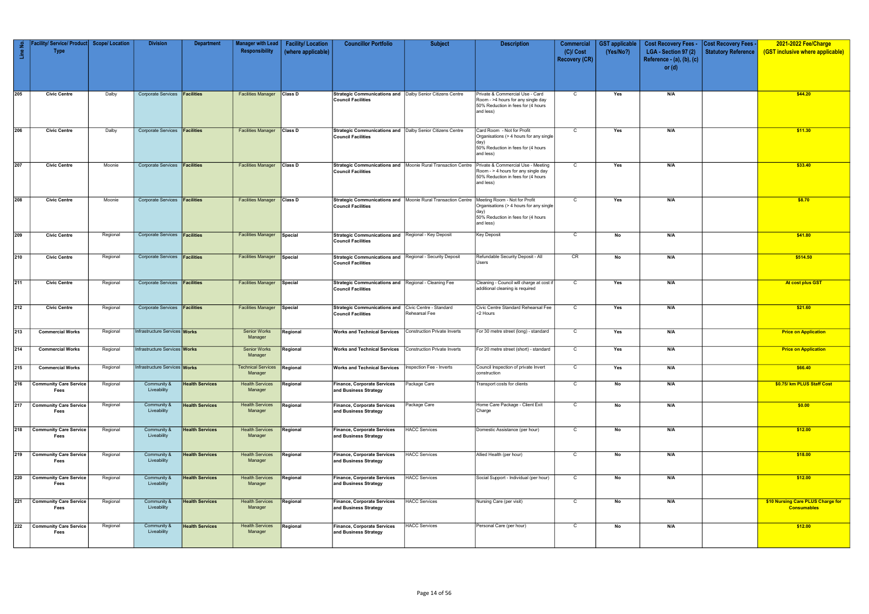| Line No.         | Facility/ Service/ Product   Scope/ Location<br><b>Type</b> |          | <b>Division</b>                      | <b>Department</b>      | <b>Manager with Lead</b><br>Responsibility    | <b>Facility/Location</b><br>(where applicable) | <b>Councillor Portfolio</b>                                                                     | <b>Subject</b>                                                 | <b>Description</b>                                                                                                                  | <b>Commercial</b><br>$(C)/$ Cost<br><b>Recovery (CR)</b> | <b>GST applicable</b><br>(Yes/No?) | <b>Cost Recovery Fees -</b><br>LGA - Section 97 (2)<br>Reference - (a), (b), (c) | <b>Cost Recovery Fees -</b><br><b>Statutory Reference</b> | 2021-2022 Fee/Charge<br>(GST inclusive where applicable) |
|------------------|-------------------------------------------------------------|----------|--------------------------------------|------------------------|-----------------------------------------------|------------------------------------------------|-------------------------------------------------------------------------------------------------|----------------------------------------------------------------|-------------------------------------------------------------------------------------------------------------------------------------|----------------------------------------------------------|------------------------------------|----------------------------------------------------------------------------------|-----------------------------------------------------------|----------------------------------------------------------|
|                  |                                                             |          |                                      |                        |                                               |                                                |                                                                                                 |                                                                |                                                                                                                                     |                                                          |                                    | or $(d)$                                                                         |                                                           |                                                          |
| 205              | <b>Civic Centre</b>                                         | Dalby    | Corporate Services <b>Facilities</b> |                        | <b>Facilities Manager</b>                     | <b>Class D</b>                                 | <b>Strategic Communications and   Dalby Senior Citizens Centre</b><br><b>Council Facilities</b> |                                                                | Private & Commercial Use - Card<br>Room - >4 hours for any single day<br>50% Reduction in fees for (4 hours<br>and less)            | $\mathbf C$                                              | Yes                                | N/A                                                                              |                                                           | \$44.20                                                  |
| 206              | <b>Civic Centre</b>                                         | Dalby    | Corporate Services <b>Facilities</b> |                        | <b>Facilities Manager</b>                     | <b>Class D</b>                                 | Strategic Communications and Dalby Senior Citizens Centre<br><b>Council Facilities</b>          |                                                                | Card Room - Not for Profit<br>Organisations (> 4 hours for any single<br>day)<br>50% Reduction in fees for (4 hours<br>and less)    | $\mathsf{C}$                                             | Yes                                | N/A                                                                              |                                                           | \$11.30                                                  |
| $\sqrt{207}$     | <b>Civic Centre</b>                                         | Moonie   | Corporate Services <b>Facilities</b> |                        | <b>Facilities Manager</b>                     | <b>Class D</b>                                 | Strategic Communications and   Moonie Rural Transaction Centre<br><b>Council Facilities</b>     |                                                                | Private & Commercial Use - Meeting<br>Room - > 4 hours for any single day<br>50% Reduction in fees for (4 hours<br>and less)        | $\mathsf{C}$                                             | Yes                                | N/A                                                                              |                                                           | \$33.40                                                  |
| 208              | <b>Civic Centre</b>                                         | Moonie   | <b>Corporate Services</b>            | Facilities             | <b>Facilities Manager</b>                     | <b>Class D</b>                                 | <b>Council Facilities</b>                                                                       | Strategic Communications and   Moonie Rural Transaction Centre | Meeting Room - Not for Profit<br>Organisations (> 4 hours for any single<br>day)<br>50% Reduction in fees for (4 hours<br>and less) | $\mathsf{C}$                                             | Yes                                | N/A                                                                              |                                                           | \$8.70                                                   |
| 209              | <b>Civic Centre</b>                                         | Regional | Corporate Services <b>Facilities</b> |                        | <b>Facilities Manager</b>                     | Special                                        | Strategic Communications and   Regional - Key Deposit<br><b>Council Facilities</b>              |                                                                | Key Deposit                                                                                                                         | $\mathsf{C}$                                             | No                                 | N/A                                                                              |                                                           | \$41.80                                                  |
| $\overline{210}$ | <b>Civic Centre</b>                                         | Regional | Corporate Services <b>Facilities</b> |                        | <b>Facilities Manager</b>                     | Special                                        | Strategic Communications and   Regional - Security Deposit<br><b>Council Facilities</b>         |                                                                | Refundable Security Deposit - All<br>Users                                                                                          | CR                                                       | No                                 | N/A                                                                              |                                                           | \$514.50                                                 |
| 211              | <b>Civic Centre</b>                                         | Regional | Corporate Services <b>Facilities</b> |                        | <b>Facilities Manager</b>                     | Special                                        | Strategic Communications and   Regional - Cleaning Fee<br><b>Council Facilities</b>             |                                                                | Cleaning - Council will charge at cost if<br>additional cleaning is required                                                        | C                                                        | Yes                                | N/A                                                                              |                                                           | At cost plus GST                                         |
| 212              | <b>Civic Centre</b>                                         | Regional | Corporate Services <b>Facilities</b> |                        | <b>Facilities Manager</b>                     | Special                                        | <b>Strategic Communications and</b><br><b>Council Facilities</b>                                | Civic Centre - Standard<br>Rehearsal Fee                       | Civic Centre Standard Rehearsal Fee<br><2 Hours                                                                                     | $\mathbf C$                                              | Yes                                | N/A                                                                              |                                                           | \$21.60                                                  |
| $\sqrt{213}$     | <b>Commercial Works</b>                                     | Regional | Infrastructure Services Works        |                        | <b>Senior Works</b><br>Manager                | Regional                                       | <b>Works and Technical Services</b>                                                             | <b>Construction Private Inverts</b>                            | For 30 metre street (long) - standard                                                                                               | $\mathsf{C}$                                             | Yes                                | N/A                                                                              |                                                           | <b>Price on Application</b>                              |
| 214              | <b>Commercial Works</b>                                     | Regional | Infrastructure Services Works        |                        | <b>Senior Works</b><br>Manager                | Regional                                       | <b>Works and Technical Services</b>                                                             | <b>Construction Private Inverts</b>                            | For 20 metre street (short) - standard                                                                                              | $\mathsf{C}$                                             | Yes                                | N/A                                                                              |                                                           | <b>Price on Application</b>                              |
| 215              | <b>Commercial Works</b>                                     | Regional | Infrastructure Services Works        |                        | <b>Technical Services Regional</b><br>Manager |                                                | Works and Technical Services   Inspection Fee - Inverts                                         |                                                                | Council Inspection of private Invert<br>construction                                                                                | $\mathbf C$                                              | Yes                                | N/A                                                                              |                                                           | \$66.40                                                  |
|                  | 216 Community Care Service<br>Fees                          | Regional | Community &<br>Liveability           | <b>Health Services</b> | <b>Health Services</b><br>Manager             | Regional                                       | <b>Finance, Corporate Services</b><br>and Business Strategy                                     | Package Care                                                   | ransport costs for clients                                                                                                          | $\mathsf{C}$                                             | No                                 | N/A                                                                              |                                                           | \$0.75/ km PLUS Staff Cost                               |
| 217              | <b>Community Care Service</b><br>Fees                       | Regional | Community &<br>Liveability           | <b>Health Services</b> | <b>Health Services</b><br>Manager             | Regional                                       | <b>Finance, Corporate Services</b><br>and Business Strategy                                     | Package Care                                                   | Home Care Package - Client Exit<br>Charge                                                                                           | $\mathsf{C}$                                             | No                                 | N/A                                                                              |                                                           | \$0.00                                                   |
| 218              | <b>Community Care Service</b><br>Fees                       | Regional | Community &<br>Liveability           | <b>Health Services</b> | <b>Health Services</b><br>Manager             | Regional                                       | <b>Finance, Corporate Services</b><br>and Business Strategy                                     | <b>HACC Services</b>                                           | Domestic Assistance (per hour)                                                                                                      | $\mathsf{C}$                                             | No                                 | N/A                                                                              |                                                           | \$12.00                                                  |
| $\overline{219}$ | <b>Community Care Service</b><br>Fees                       | Regional | Community &<br>Liveability           | <b>Health Services</b> | <b>Health Services</b><br>Manager             | Regional                                       | <b>Finance, Corporate Services</b><br>and Business Strategy                                     | <b>HACC Services</b>                                           | Allied Health (per hour)                                                                                                            | $\mathsf{C}$                                             | No                                 | N/A                                                                              |                                                           | \$18.00                                                  |
| 220              | <b>Community Care Service</b><br>Fees                       | Regional | Community &<br>Liveability           | <b>Health Services</b> | <b>Health Services</b><br>Manager             | Regional                                       | <b>Finance, Corporate Services</b><br>and Business Strategy                                     | <b>HACC Services</b>                                           | Social Support - Individual (per hour)                                                                                              | $\mathsf{C}$                                             | No                                 | N/A                                                                              |                                                           | \$12.00                                                  |
| 221              | <b>Community Care Service</b><br>Fees                       | Regional | Community &<br>Liveability           | <b>Health Services</b> | <b>Health Services</b><br>Manager             | Regional                                       | <b>Finance, Corporate Services</b><br>and Business Strategy                                     | <b>HACC Services</b>                                           | Nursing Care (per visit)                                                                                                            | $\mathsf{C}$                                             | No                                 | N/A                                                                              |                                                           | \$10 Nursing Care PLUS Charge for<br><b>Consumables</b>  |
| $\overline{222}$ | <b>Community Care Service</b><br>Fees                       | Regional | Community &<br>Liveability           | <b>Health Services</b> | <b>Health Services</b><br>Manager             | Regional                                       | <b>Finance, Corporate Services</b><br>and Business Strategy                                     | <b>HACC Services</b>                                           | Personal Care (per hour)                                                                                                            | $\mathsf{C}$                                             | No                                 | N/A                                                                              |                                                           | \$12.00                                                  |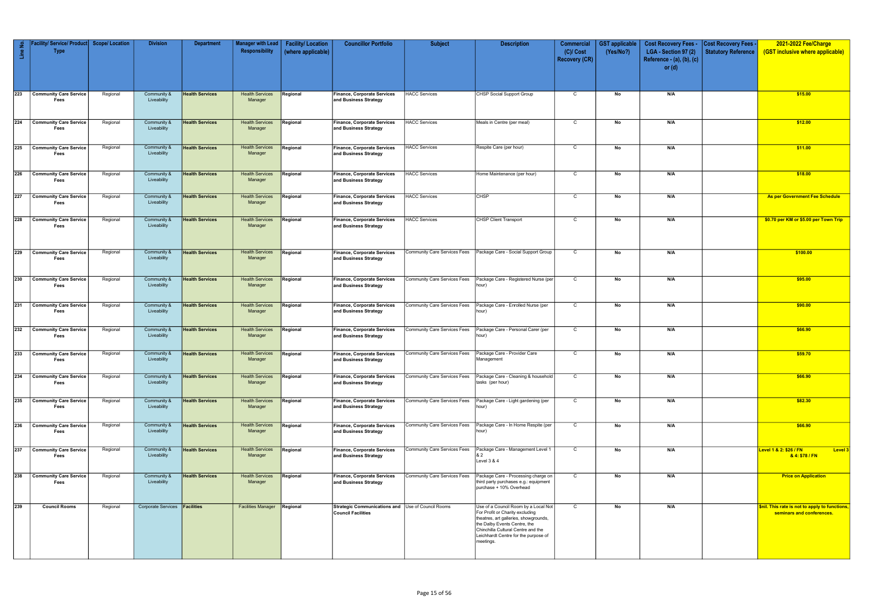| Line No.         | Service/ Product<br><b>Type</b>       | <b>Scope/Location</b> | <b>Division</b>                      | <b>Department</b>      | <b>Manager with Lead</b><br>Responsibility | <b>Facility/Location</b><br>(where applicable) | <b>Councillor Portfolio</b>                                             | <b>Subject</b>                      | <b>Description</b>                                                                                                                                                                                                                          | Commercial<br>$(C)/$ Cost<br><b>Recovery (CR)</b> | <b>GST</b> applicable<br>(Yes/No?) | <b>Cost Recovery Fees -</b><br>LGA - Section 97 (2)<br>Reference - (a), (b), (c)<br>or $(d)$ | <b>Cost Recovery Fees -</b><br>Statutory Reference | 2021-2022 Fee/Charge<br>(GST inclusive where applicable)                   |
|------------------|---------------------------------------|-----------------------|--------------------------------------|------------------------|--------------------------------------------|------------------------------------------------|-------------------------------------------------------------------------|-------------------------------------|---------------------------------------------------------------------------------------------------------------------------------------------------------------------------------------------------------------------------------------------|---------------------------------------------------|------------------------------------|----------------------------------------------------------------------------------------------|----------------------------------------------------|----------------------------------------------------------------------------|
| 223              | <b>Community Care Service</b><br>Fees | Regional              | Community &<br>Liveability           | <b>Health Services</b> | <b>Health Services</b><br>Manager          | Regional                                       | Finance, Corporate Services<br>and Business Strategy                    | <b>HACC Services</b>                | CHSP Social Support Group                                                                                                                                                                                                                   | $\mathsf{C}$                                      | No                                 | N/A                                                                                          |                                                    | \$15.00                                                                    |
|                  | 224 Community Care Service<br>Fees    | Regional              | Community &<br>Liveability           | <b>Health Services</b> | <b>Health Services</b><br>Manager          | Regional                                       | Finance, Corporate Services<br>and Business Strategy                    | <b>HACC Services</b>                | Meals in Centre (per meal)                                                                                                                                                                                                                  | $\mathsf{C}$                                      | No                                 | N/A                                                                                          |                                                    | \$12.00                                                                    |
| $\sqrt{225}$     | <b>Community Care Service</b><br>Fees | Regional              | Community &<br>Liveability           | <b>Health Services</b> | <b>Health Services</b><br>Manager          | Regional                                       | <b>Finance, Corporate Services</b><br>and Business Strategy             | <b>HACC Services</b>                | Respite Care (per hour)                                                                                                                                                                                                                     | $\mathsf{C}$                                      | No                                 | N/A                                                                                          |                                                    | \$11.00                                                                    |
| 226              | <b>Community Care Service</b><br>Fees | Regional              | Community &<br>Liveability           | <b>Health Services</b> | <b>Health Services</b><br>Manager          | Regional                                       | <b>Finance, Corporate Services</b><br>and Business Strategy             | <b>HACC Services</b>                | Home Maintenance (per hour)                                                                                                                                                                                                                 | C                                                 | No                                 | N/A                                                                                          |                                                    | \$18.00                                                                    |
| $\overline{227}$ | <b>Community Care Service</b><br>Fees | Regional              | Community &<br>Liveability           | <b>Health Services</b> | <b>Health Services</b><br>Manager          | Regional                                       | Finance, Corporate Services<br>and Business Strategy                    | <b>HACC Services</b>                | <b>CHSP</b>                                                                                                                                                                                                                                 | C                                                 | No                                 | N/A                                                                                          |                                                    | As per Government Fee Schedule                                             |
| 228              | <b>Community Care Service</b><br>Fees | Regional              | Community &<br>Liveability           | <b>Health Services</b> | <b>Health Services</b><br>Manager          | Regional                                       | <b>Finance, Corporate Services</b><br>and Business Strategy             | <b>HACC Services</b>                | <b>CHSP Client Transport</b>                                                                                                                                                                                                                | $\mathsf{C}$                                      | No                                 | N/A                                                                                          |                                                    | \$0.70 per KM or \$5.00 per Town Trip                                      |
| 229              | <b>Community Care Service</b><br>Fees | Regional              | Community &<br>Liveability           | <b>Health Services</b> | <b>Health Services</b><br>Manager          | Regional                                       | Finance, Corporate Services<br>and Business Strategy                    | Community Care Services Fees        | Package Care - Social Support Group                                                                                                                                                                                                         | C                                                 | No                                 | N/A                                                                                          |                                                    | \$100.00                                                                   |
| 230              | <b>Community Care Service</b><br>Fees | Regional              | Community &<br>Liveability           | <b>Health Services</b> | <b>Health Services</b><br>Manager          | Regional                                       | <b>Finance, Corporate Services</b><br>and Business Strategy             | Community Care Services Fees        | Package Care - Registered Nurse (per<br>hour)                                                                                                                                                                                               | $\mathbf C$                                       | No                                 | N/A                                                                                          |                                                    | \$95.00                                                                    |
| 231              | <b>Community Care Service</b><br>Fees | Regional              | Community &<br>Liveability           | <b>Health Services</b> | <b>Health Services</b><br>Manager          | Regional                                       | <b>Finance, Corporate Services</b><br>and Business Strategy             | <b>Community Care Services Fees</b> | Package Care - Enrolled Nurse (per<br>hour)                                                                                                                                                                                                 | $\mathsf{C}$                                      | No                                 | N/A                                                                                          |                                                    | \$90.00                                                                    |
| 232              | <b>Community Care Service</b><br>Fees | Regional              | Community &<br>Liveability           | <b>Health Services</b> | <b>Health Services</b><br>Manager          | Regional                                       | <b>Finance, Corporate Services</b><br>and Business Strategy             | <b>Community Care Services Fees</b> | Package Care - Personal Carer (per<br>hour)                                                                                                                                                                                                 | $\mathsf{C}$                                      | No                                 | N/A                                                                                          |                                                    | \$66.90                                                                    |
| 233              | <b>Community Care Service</b><br>Fees | Regional              | Community &<br>Liveability           | <b>Health Services</b> | <b>Health Services</b><br>Manager          | Regional                                       | <b>Finance, Corporate Services</b><br>and Business Strategy             | Community Care Services Fees        | Package Care - Provider Care<br>Management                                                                                                                                                                                                  | C                                                 | No                                 | N/A                                                                                          |                                                    | \$59.70                                                                    |
| $\overline{234}$ | <b>Community Care Service</b><br>Fees | Regional              | Community &<br>Liveability           | <b>Health Services</b> | <b>Health Services</b><br>Manager          | Regional                                       | <b>Finance, Corporate Services</b><br>and Business Strategy             | Community Care Services Fees        | Package Care - Cleaning & household<br>tasks (per hour)                                                                                                                                                                                     | $\mathsf{C}$                                      | No                                 | N/A                                                                                          |                                                    | \$66.90                                                                    |
| $\sqrt{235}$     | <b>Community Care Service</b><br>Fees | Regional              | Community &<br>Liveability           | <b>Health Services</b> | <b>Health Services</b><br>Manager          | Regional                                       | <b>Finance, Corporate Services</b><br>and Business Strategy             | Community Care Services Fees        | Package Care - Light gardening (per<br>hour)                                                                                                                                                                                                | $\mathsf{C}$                                      | No                                 | N/A                                                                                          |                                                    | \$82.30                                                                    |
| $\overline{236}$ | <b>Community Care Service</b><br>Fees | Regional              | Community &<br>Liveability           | <b>Health Services</b> | <b>Health Services</b><br>Manager          | Regional                                       | Finance, Corporate Services<br>and Business Strategy                    | <b>Community Care Services Fees</b> | Package Care - In Home Respite (per<br>hour)                                                                                                                                                                                                | $\mathsf{C}$                                      | No                                 | N/A                                                                                          |                                                    | \$66.90                                                                    |
| 237              | <b>Community Care Service</b><br>Fees | Regional              | Community &<br>Liveability           | <b>Health Services</b> | <b>Health Services</b><br>Manager          | Regional                                       | Finance, Corporate Services<br>and Business Strategy                    | <b>Community Care Services Fees</b> | Package Care - Management Level 1<br>Level 3 & 4                                                                                                                                                                                            | $\mathsf{C}$                                      | No                                 | N/A                                                                                          |                                                    | Level 1 & 2: \$26 / FN<br><b>Level 3</b><br>& 4: \$78 / FN                 |
| 238              | <b>Community Care Service</b><br>Fees | Regional              | Community &<br>Liveability           | <b>Health Services</b> | <b>Health Services</b><br>Manager          | Regional                                       | Finance, Corporate Services<br>and Business Strategy                    | Community Care Services Fees        | Package Care - Processing charge on<br>third party purchases e.g.: equipment<br>purchase + 10% Overhead                                                                                                                                     | $\mathsf{C}$                                      | No                                 | N/A                                                                                          |                                                    | <b>Price on Application</b>                                                |
| 239              | <b>Council Rooms</b>                  | Regional              | Corporate Services <b>Facilities</b> |                        | <b>Facilities Manager</b>                  | Regional                                       | Strategic Communications and Use of Council Rooms<br>Council Facilities |                                     | Use of a Council Room by a Local Not<br>For Profit or Charity excluding<br>theatres, art galleries, showgrounds,<br>the Dalby Events Centre, the<br>Chinchilla Cultural Centre and the<br>Leichhardt Centre for the purpose of<br>meetings. | $\mathbf C$                                       | No                                 | N/A                                                                                          |                                                    | \$nil. This rate is not to apply to functions<br>seminars and conferences. |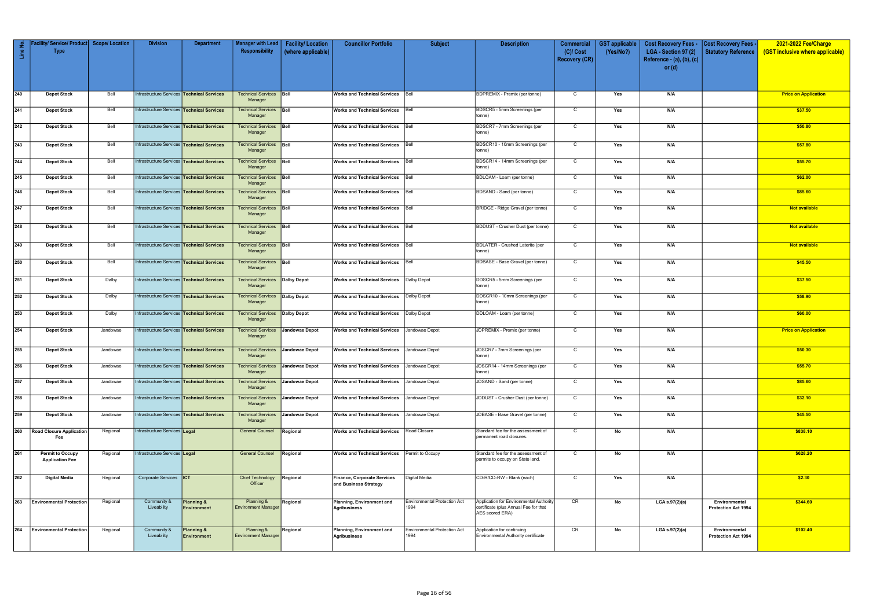|              | Facility/ Service/ Product Scope/ Location |          | <b>Division</b>                                   | <b>Department</b>                | Manager with Lead                            | <b>Facility/Location</b> | <b>Councillor Portfolio</b>                          | <b>Subject</b>               | <b>Description</b>                                                | <b>Commercial</b> | <b>GST</b> applicable | <b>Cost Recovery Fees -</b> | <b>Cost Recovery Fees -</b>          | 2021-2022 Fee/Charge             |
|--------------|--------------------------------------------|----------|---------------------------------------------------|----------------------------------|----------------------------------------------|--------------------------|------------------------------------------------------|------------------------------|-------------------------------------------------------------------|-------------------|-----------------------|-----------------------------|--------------------------------------|----------------------------------|
| Line No.     | <b>Type</b>                                |          |                                                   |                                  | Responsibility                               | (where applicable)       |                                                      |                              |                                                                   | $(C)/$ Cost       | (Yes/No?)             | LGA - Section 97 (2)        | <b>Statutory Reference</b>           | (GST inclusive where applicable) |
|              |                                            |          |                                                   |                                  |                                              |                          |                                                      |                              |                                                                   | Recovery (CR)     |                       | Reference - (a), (b), (c)   |                                      |                                  |
|              |                                            |          |                                                   |                                  |                                              |                          |                                                      |                              |                                                                   |                   |                       | or $(d)$                    |                                      |                                  |
|              |                                            |          |                                                   |                                  |                                              |                          |                                                      |                              |                                                                   |                   |                       |                             |                                      |                                  |
|              |                                            |          |                                                   |                                  |                                              |                          |                                                      |                              |                                                                   |                   |                       |                             |                                      |                                  |
|              |                                            |          |                                                   |                                  |                                              |                          |                                                      |                              |                                                                   |                   |                       |                             |                                      |                                  |
| 240          | <b>Depot Stock</b>                         | Bell     | Infrastructure Services Technical Services        |                                  | <b>Technical Services</b><br>Manager         | Bell                     | <b>Works and Technical Services</b>                  | Bell                         | <b>BDPREMIX - Premix (per tonne)</b>                              | $\mathbf C$       | Yes                   | N/A                         |                                      | <b>Price on Application</b>      |
|              |                                            |          |                                                   |                                  |                                              |                          |                                                      |                              |                                                                   |                   |                       |                             |                                      |                                  |
| 241          | <b>Depot Stock</b>                         | Bell     | Infrastructure Services Technical Services        |                                  | <b>Technical Services Bell</b>               |                          | <b>Works and Technical Services</b>                  | Bell                         | BDSCR5 - 5mm Screenings (per                                      | $\mathsf{C}$      | Yes                   | N/A                         |                                      | \$37.50                          |
|              |                                            |          |                                                   |                                  | Manager                                      |                          |                                                      |                              | tonne)                                                            |                   |                       |                             |                                      |                                  |
| 242          | <b>Depot Stock</b>                         | Bell     | Infrastructure Services Technical Services        |                                  | <b>Technical Services</b>                    | Bell                     | <b>Works and Technical Services</b>                  | Bell                         | BDSCR7 - 7mm Screenings (per                                      | $\mathsf{C}$      | Yes                   | N/A                         |                                      | \$50.80                          |
|              |                                            |          |                                                   |                                  | Manager                                      |                          |                                                      |                              | tonne)                                                            |                   |                       |                             |                                      |                                  |
|              |                                            | Bell     |                                                   |                                  |                                              |                          |                                                      |                              |                                                                   |                   |                       |                             |                                      |                                  |
| 243          | <b>Depot Stock</b>                         |          | Infrastructure Services Technical Services        |                                  | Technical Services<br>Manager                | Bell                     | <b>Works and Technical Services</b>                  | Bell                         | BDSCR10 - 10mm Screenings (per<br>tonne)                          | $\mathsf{C}$      | Yes                   | N/A                         |                                      | \$57.80                          |
|              |                                            |          |                                                   |                                  |                                              |                          |                                                      |                              |                                                                   |                   |                       |                             |                                      |                                  |
| 244          | <b>Depot Stock</b>                         | Bell     | Infrastructure Services Technical Services        |                                  | <b>Technical Services</b>                    | Bell                     | <b>Works and Technical Services</b>                  | Bell                         | BDSCR14 - 14mm Screenings (per                                    | $\mathsf{C}$      | Yes                   | N/A                         |                                      | \$55.70                          |
|              |                                            |          |                                                   |                                  | Manager                                      |                          |                                                      |                              | tonne)                                                            |                   |                       |                             |                                      |                                  |
| 245          | <b>Depot Stock</b>                         | Bell     | Infrastructure Services Technical Services        |                                  | Technical Services                           | Bell                     | <b>Works and Technical Services</b>                  | Bell                         | BDLOAM - Loam (per tonne)                                         | $\mathsf{C}$      | Yes                   | N/A                         |                                      | \$62.00                          |
|              |                                            |          |                                                   |                                  | Manager                                      |                          |                                                      |                              |                                                                   |                   |                       |                             |                                      |                                  |
| $\sqrt{246}$ | <b>Depot Stock</b>                         | Bell     | Infrastructure Services <b>Technical Services</b> |                                  | Technical Services   Bell                    |                          | <b>Works and Technical Services</b>                  | Bell                         | BDSAND - Sand (per tonne)                                         | $\mathsf{C}$      | Yes                   | N/A                         |                                      | \$85.60                          |
|              |                                            |          |                                                   |                                  | Manager                                      |                          |                                                      |                              |                                                                   |                   |                       |                             |                                      |                                  |
| 247          | <b>Depot Stock</b>                         | Bell     | Infrastructure Services <b>Technical Services</b> |                                  | <b>Technical Services</b>                    | Bell                     | <b>Works and Technical Services</b>                  | Bell                         | BRIDGE - Ridge Gravel (per tonne)                                 | $\mathsf{C}$      | Yes                   | N/A                         |                                      | <b>Not available</b>             |
|              |                                            |          |                                                   |                                  | Manager                                      |                          |                                                      |                              |                                                                   |                   |                       |                             |                                      |                                  |
|              |                                            |          |                                                   |                                  |                                              |                          |                                                      |                              |                                                                   |                   |                       |                             |                                      |                                  |
| 248          | <b>Depot Stock</b>                         | Bell     | nfrastructure Services <b>Technical Services</b>  |                                  | Technical Services   Bell<br>Manager         |                          | <b>Works and Technical Services</b>   Bell           |                              | BDDUST - Crusher Dust (per tonne)                                 | $\mathsf{C}$      | Yes                   | N/A                         |                                      | Not available                    |
|              |                                            |          |                                                   |                                  |                                              |                          |                                                      |                              |                                                                   |                   |                       |                             |                                      |                                  |
| 249          | <b>Depot Stock</b>                         | Bell     | Infrastructure Services Technical Services        |                                  | <b>Technical Services Bell</b>               |                          | <b>Works and Technical Services</b>                  | Bell                         | <b>BDLATER - Crushed Laterite (per</b>                            | $\mathsf{C}$      | Yes                   | N/A                         |                                      | Not available                    |
|              |                                            |          |                                                   |                                  | Manager                                      |                          |                                                      |                              | tonne)                                                            |                   |                       |                             |                                      |                                  |
| 250          | <b>Depot Stock</b>                         | Bell     | Infrastructure Services <b>Technical Services</b> |                                  | <b>Technical Services Bell</b>               |                          | Works and Technical Services   Bell                  |                              | BDBASE - Base Gravel (per tonne)                                  | $\mathsf{C}$      | Yes                   | N/A                         |                                      | \$45.50                          |
|              |                                            |          |                                                   |                                  | Manager                                      |                          |                                                      |                              |                                                                   |                   |                       |                             |                                      |                                  |
|              |                                            |          |                                                   |                                  |                                              |                          |                                                      |                              |                                                                   |                   |                       |                             |                                      |                                  |
| 251          | <b>Depot Stock</b>                         | Dalby    | Infrastructure Services Technical Services        |                                  | <b>Technical Services</b>                    | Dalby Depot              | Works and Technical Services                         | Dalby Depot                  | DDSCR5 - 5mm Screenings (per                                      | $\mathsf{C}$      | Yes                   | N/A                         |                                      | \$37.50                          |
|              |                                            |          |                                                   |                                  | Manager                                      |                          |                                                      |                              | tonne)                                                            |                   |                       |                             |                                      |                                  |
| 252          | <b>Depot Stock</b>                         | Dalby    | Infrastructure Services <b>Technical Services</b> |                                  | <b>Technical Services   Dalby Depot</b>      |                          | <b>Works and Technical Services</b>                  | Dalby Depot                  | DDSCR10 - 10mm Screenings (per                                    | $\mathsf{C}$      | Yes                   | N/A                         |                                      | \$58.90                          |
|              |                                            |          |                                                   |                                  | Manager                                      |                          |                                                      |                              | tonne)                                                            |                   |                       |                             |                                      |                                  |
| 253          |                                            | Dalby    | Infrastructure Services Technical Services        |                                  | <b>Technical Services</b>                    | Dalby Depot              |                                                      | Dalby Depot                  | DDLOAM - Loam (per tonne)                                         | $\mathsf{C}$      | Yes                   | N/A                         |                                      | \$60.00                          |
|              | <b>Depot Stock</b>                         |          |                                                   |                                  | Manager                                      |                          | <b>Works and Technical Services</b>                  |                              |                                                                   |                   |                       |                             |                                      |                                  |
|              |                                            |          |                                                   |                                  |                                              |                          |                                                      |                              |                                                                   |                   |                       |                             |                                      |                                  |
| 254          | <b>Depot Stock</b>                         | Jandowae | Infrastructure Services Technical Services        |                                  | <b>Technical Services</b>                    | Jandowae Depot           | <b>Works and Technical Services</b>                  | Jandowae Depot               | JDPREMIX - Premix (per tonne)                                     | $\mathbf{C}$      | Yes                   | N/A                         |                                      | <b>Price on Application</b>      |
|              |                                            |          |                                                   |                                  | Manager                                      |                          |                                                      |                              |                                                                   |                   |                       |                             |                                      |                                  |
| 255          | <b>Depot Stock</b>                         | Jandowae | Infrastructure Services <b>Technical Services</b> |                                  | Technical Services                           | <b>Jandowae Depot</b>    | <b>Works and Technical Services</b>                  | Jandowae Depot               | JDSCR7 - 7mm Screenings (per                                      | $\mathbf{C}$      | Yes                   | N/A                         |                                      | \$50.30                          |
|              |                                            |          |                                                   |                                  | Manager                                      |                          |                                                      |                              | tonne)                                                            |                   |                       |                             |                                      |                                  |
| 256          |                                            |          | Infrastructure Services Technical Services        |                                  | Technical Services Jandowae Depot            |                          | Works and Technical Services Jandowae Depot          |                              | JDSCR14 - 14mm Screenings (per                                    | C                 |                       |                             |                                      |                                  |
|              | <b>Depot Stock</b>                         | Jandowae |                                                   |                                  | Manager                                      |                          |                                                      |                              | tonne)                                                            |                   | Yes                   |                             |                                      | <u>\$55.70</u>                   |
|              |                                            |          |                                                   |                                  |                                              |                          |                                                      |                              |                                                                   |                   |                       |                             |                                      |                                  |
| 257          | <b>Depot Stock</b>                         | Jandowae | Infrastructure Services <b>Technical Services</b> |                                  | Technical Services Jandowae Depot<br>Manager |                          | <b>Works and Technical Services</b> Jandowae Depot   |                              | JDSAND - Sand (per tonne)                                         | $\mathsf{C}$      | Yes                   | N/A                         |                                      | \$85.60                          |
|              |                                            |          |                                                   |                                  |                                              |                          |                                                      |                              |                                                                   |                   |                       |                             |                                      |                                  |
| 258          | <b>Depot Stock</b>                         | Jandowae | Infrastructure Services Technical Services        |                                  | <b>Technical Services</b>                    | Jandowae Depot           | <b>Works and Technical Services</b>                  | Jandowae Depot               | JDDUST - Crusher Dust (per tonne)                                 | $\mathsf{C}$      | Yes                   | N/A                         |                                      | \$32.10                          |
|              |                                            |          |                                                   |                                  | Manager                                      |                          |                                                      |                              |                                                                   |                   |                       |                             |                                      |                                  |
| 259          | <b>Depot Stock</b>                         | Jandowae | Infrastructure Services <b>Technical Services</b> |                                  | Technical Services Jandowae Depot            |                          | <b>Works and Technical Services</b> Jandowae Depot   |                              | JDBASE - Base Gravel (per tonne)                                  | $\mathsf{C}$      | Yes                   | N/A                         |                                      | \$45.50                          |
|              |                                            |          |                                                   |                                  | Manager                                      |                          |                                                      |                              |                                                                   |                   |                       |                             |                                      |                                  |
| 260          | <b>Road Closure Application</b>            | Regional | Infrastructure Services Legal                     |                                  | <b>General Counsel</b>                       | Regional                 | <b>Works and Technical Services</b>                  | Road Closure                 | Standard fee for the assessment of                                | $\mathsf{C}$      | No                    | N/A                         |                                      | \$838.10                         |
|              | Fee                                        |          |                                                   |                                  |                                              |                          |                                                      |                              | permanent road closures.                                          |                   |                       |                             |                                      |                                  |
|              |                                            |          |                                                   |                                  |                                              |                          |                                                      |                              |                                                                   |                   |                       |                             |                                      |                                  |
| 261          | <b>Permit to Occupy</b>                    | Regional | Infrastructure Services Legal                     |                                  | <b>General Counsel</b>                       | Regional                 | <b>Works and Technical Services</b>                  | Permit to Occupy             | Standard fee for the assessment of                                | $\overline{C}$    | No                    | N/A                         |                                      | \$628.20                         |
|              | <b>Application Fee</b>                     |          |                                                   |                                  |                                              |                          |                                                      |                              | permits to occupy on State land.                                  |                   |                       |                             |                                      |                                  |
|              |                                            |          |                                                   |                                  |                                              |                          |                                                      |                              |                                                                   |                   |                       |                             |                                      |                                  |
| 262          |                                            | Regional | Corporate Services  ICT                           |                                  | <b>Chief Technology</b>                      | Regional                 |                                                      | Digital Media                | CD-R/CD-RW - Blank (each)                                         | $\overline{C}$    | Yes                   | N/A                         |                                      |                                  |
|              | Digital Media                              |          |                                                   |                                  | Officer                                      |                          | Finance, Corporate Services<br>and Business Strategy |                              |                                                                   |                   |                       |                             |                                      | \$2.30                           |
|              |                                            |          |                                                   |                                  |                                              |                          |                                                      |                              |                                                                   |                   |                       |                             |                                      |                                  |
|              |                                            |          |                                                   |                                  |                                              |                          |                                                      |                              |                                                                   |                   |                       |                             |                                      |                                  |
| 263          | <b>Environmental Protection</b>            | Regional | Community &                                       | <b>Planning &amp;</b>            | Planning &                                   | Regional                 | Planning, Environment and                            | Environmental Protection Act | Application for Environmental Authority                           | CR                | No                    | LGA s.97(2)(a)              | Environmental                        | \$344.60                         |
|              |                                            |          | Liveability                                       | Environment                      | <b>Environment Manager</b>                   |                          | <b>Agribusiness</b>                                  | 1994                         | certificate (plus Annual Fee for that<br>AES scored ERA)          |                   |                       |                             | Protection Act 1994                  |                                  |
|              |                                            |          |                                                   |                                  |                                              |                          |                                                      |                              |                                                                   |                   |                       |                             |                                      |                                  |
| 264          |                                            |          | Community &                                       |                                  | Planning &                                   |                          |                                                      | Environmental Protection Act |                                                                   | CR                |                       |                             |                                      | \$102.40                         |
|              | <b>Environmental Protection</b>            | Regional | Liveability                                       | Planning &<br><b>Environment</b> | <b>Environment Manager</b>                   | Regional                 | Planning, Environment and<br><b>Agribusiness</b>     | 1994                         | Application for continuing<br>Environmental Authority certificate |                   | No                    | LGA s.97(2)(a)              | Environmental<br>Protection Act 1994 |                                  |
|              |                                            |          |                                                   |                                  |                                              |                          |                                                      |                              |                                                                   |                   |                       |                             |                                      |                                  |
|              |                                            |          |                                                   |                                  |                                              |                          |                                                      |                              |                                                                   |                   |                       |                             |                                      |                                  |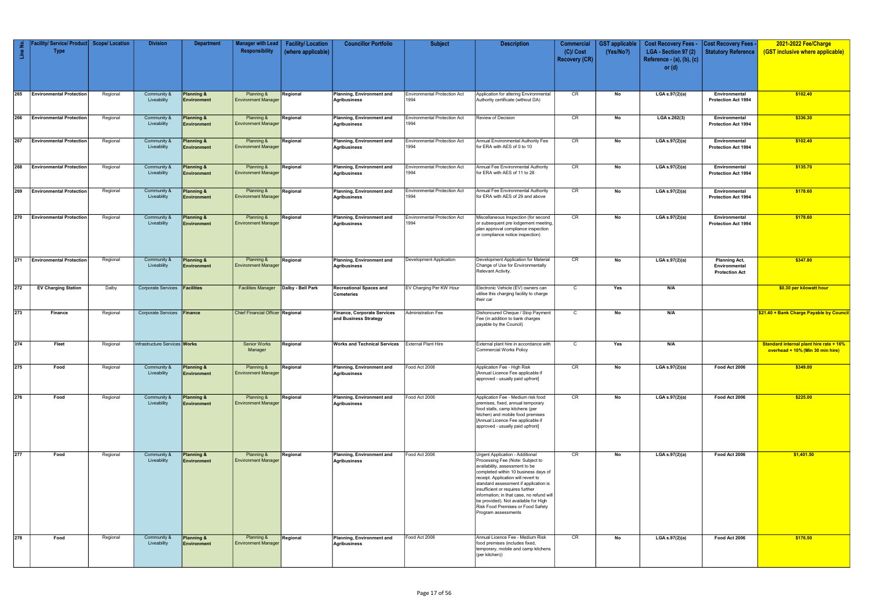| Line No.         | / Service/ Product<br><b>Type</b> | <b>Scope/Location</b> | <b>Division</b>               | <b>Department</b>                    | <b>Manager with Lead</b><br>Responsibility | <b>Facility/Location</b><br>(where applicable) | <b>Councillor Portfolio</b>                                 | <b>Subject</b>                              | <b>Description</b>                                                                                                                                                                                                                                                                                                                                                                                                 | <b>Commercial</b><br>$(C)/$ Cost<br><b>Recovery (CR)</b> | <b>GST</b> applicable<br>(Yes/No?) | <b>Cost Recovery Fees -</b><br>LGA - Section 97 (2)<br>Reference - (a), (b), (c)<br>or $(d)$ | Cost Recovery Fees<br><b>Statutory Reference</b>               | 2021-2022 Fee/Charge<br>(GST inclusive where applicable)                           |
|------------------|-----------------------------------|-----------------------|-------------------------------|--------------------------------------|--------------------------------------------|------------------------------------------------|-------------------------------------------------------------|---------------------------------------------|--------------------------------------------------------------------------------------------------------------------------------------------------------------------------------------------------------------------------------------------------------------------------------------------------------------------------------------------------------------------------------------------------------------------|----------------------------------------------------------|------------------------------------|----------------------------------------------------------------------------------------------|----------------------------------------------------------------|------------------------------------------------------------------------------------|
| $\overline{265}$ | <b>Environmental Protection</b>   | Regional              | Community &<br>Liveability    | <b>Planning &amp;</b><br>Environment | Planning &<br><b>Environment Manager</b>   | Regional                                       | Planning, Environment and<br><b>Agribusiness</b>            | <b>Environmental Protection Act</b><br>1994 | Application for altering Environmental<br>Authority certificate (without DA)                                                                                                                                                                                                                                                                                                                                       | CR                                                       | No                                 | LGA s.97(2)(a)                                                                               | Environmental<br><b>Protection Act 1994</b>                    | \$102.40                                                                           |
|                  | 266 Environmental Protection      | Regional              | Community &<br>Liveability    | <b>Planning &amp;</b><br>Environment | Planning &<br><b>Environment Manager</b>   | Regional                                       | Planning, Environment and<br><b>Agribusiness</b>            | <b>Environmental Protection Act</b><br>1994 | Review of Decision                                                                                                                                                                                                                                                                                                                                                                                                 | CR                                                       | No                                 | LGA s.262(3)                                                                                 | Environmental<br><b>Protection Act 1994</b>                    | \$336.30                                                                           |
|                  | 267 Environmental Protection      | Regional              | Community &<br>Liveability    | Planning &<br>Environment            | Planning &<br><b>Environment Manager</b>   | Regional                                       | Planning, Environment and<br><b>Agribusiness</b>            | <b>Environmental Protection Act</b><br>1994 | Annual Environmental Authority Fee<br>for ERA with AES of 0 to 10                                                                                                                                                                                                                                                                                                                                                  | CR                                                       | No                                 | LGA s.97(2)(a)                                                                               | Environmental<br><b>Protection Act 1994</b>                    | \$102.40                                                                           |
|                  | 268 Environmental Protection      | Regional              | Community &<br>Liveability    | Planning &<br>Environment            | Planning &<br><b>Environment Manager</b>   | Regional                                       | Planning, Environment and<br><b>Agribusiness</b>            | <b>Environmental Protection Act</b><br>1994 | Annual Fee Environmental Authority<br>for ERA with AES of 11 to 28                                                                                                                                                                                                                                                                                                                                                 | CR                                                       | No                                 | LGA s.97(2)(a)                                                                               | Environmental<br>Protection Act 1994                           | \$135.70                                                                           |
| 269              | <b>Environmental Protection</b>   | Regional              | Community &<br>Liveability    | Planning &<br>Environment            | Planning &<br><b>Environment Manager</b>   | Regional                                       | Planning, Environment and<br><b>Agribusiness</b>            | <b>Environmental Protection Act</b><br>1994 | Annual Fee Environmental Authority<br>for ERA with AES of 29 and above                                                                                                                                                                                                                                                                                                                                             | CR                                                       | No                                 | LGA s.97(2)(a)                                                                               | Environmental<br><b>Protection Act 1994</b>                    | \$178.60                                                                           |
|                  | 270 Environmental Protection      | Regional              | Community &<br>Liveability    | Planning &<br>Environment            | Planning &<br><b>Environment Manager</b>   | Regional                                       | Planning, Environment and<br><b>Agribusiness</b>            | <b>Environmental Protection Act</b><br>1994 | Miscellaneous Inspection (for second<br>or subsequent pre lodgement meeting,<br>plan approval compliance inspection<br>or compliance notice inspection)                                                                                                                                                                                                                                                            | CR                                                       | No                                 | LGA s.97(2)(a)                                                                               | Environmental<br><b>Protection Act 1994</b>                    | \$178.60                                                                           |
|                  | 271 Environmental Protection      | Regional              | Community &<br>Liveability    | <b>Planning &amp;</b><br>Environment | Planning &<br><b>Environment Manager</b>   | Regional                                       | Planning, Environment and<br><b>Agribusiness</b>            | Development Application                     | Development Application for Material<br>Change of Use for Environmentally<br>Relevant Activity.                                                                                                                                                                                                                                                                                                                    | CR                                                       | No                                 | LGA s.97(2)(a)                                                                               | <b>Planning Act,</b><br>Environmental<br><b>Protection Act</b> | \$347.80                                                                           |
| 272              | <b>EV Charging Station</b>        | Dalby                 | <b>Corporate Services</b>     | <b>Facilities</b>                    | <b>Facilities Manager</b>                  | Dalby - Bell Park                              | <b>Recreational Spaces and</b><br><b>Cemeteries</b>         | EV Charging Per KW Hour                     | Electronic Vehicle (EV) owners can<br>utilise this charging facility to charge<br>their car                                                                                                                                                                                                                                                                                                                        | C                                                        | Yes                                | N/A                                                                                          |                                                                | \$0.30 per kilowatt hour                                                           |
| $\overline{273}$ | Finance                           | Regional              | Corporate Services Finance    |                                      | Chief Financial Officer Regional           |                                                | <b>Finance, Corporate Services</b><br>and Business Strategy | <b>Administration Fee</b>                   | Dishonoured Cheque / Stop Payment<br>Fee (in addition to bank charges<br>payable by the Council)                                                                                                                                                                                                                                                                                                                   | $\mathsf{C}$                                             | No                                 | N/A                                                                                          |                                                                | \$21.40 + Bank Charge Payable by Council                                           |
| 274              | Fleet                             | Regional              | Infrastructure Services Works |                                      | <b>Senior Works</b><br>Manager             | Regional                                       | <b>Works and Technical Services</b>                         | <b>External Plant Hire</b>                  | External plant hire in accordance with<br>Commercial Works Policy                                                                                                                                                                                                                                                                                                                                                  | $\mathsf{C}$                                             | Yes                                | N/A                                                                                          |                                                                | <b>Standard internal plant hire rate + 16%</b><br>overhead + 10% (Min 30 min hire) |
| 275              | Food                              | Regional              | Community &<br>Liveability    | <b>Planning &amp;</b><br>Environment | Planning &<br><b>Environment Manager</b>   | Regional                                       | Planning, Environment and<br><b>Agribusiness</b>            | Food Act 2006                               | Application Fee - High Risk<br>[Annual Licence Fee applicable if<br>approved - usually paid upfront]                                                                                                                                                                                                                                                                                                               | CR                                                       | No                                 | LGA s.97(2)(a)                                                                               | Food Act 2006                                                  | \$349.00                                                                           |
| $\overline{276}$ | Food                              | Regional              | Community &<br>Liveability    | Planning &<br><b>Environment</b>     | Planning &<br><b>Environment Manager</b>   | Regional                                       | Planning, Environment and<br><b>Agribusiness</b>            | Food Act 2006                               | Application Fee - Medium risk food<br>premises, fixed, annual temporary<br>food stalls, camp kitchens (per<br>kitchen) and mobile food premises<br>[Annual Licence Fee applicable if<br>approved - usually paid upfront]                                                                                                                                                                                           | CR                                                       | No                                 | LGA s.97(2)(a)                                                                               | Food Act 2006                                                  | \$225.00                                                                           |
| 277              | Food                              | Regional              | Community &<br>Liveability    | Planning &<br>Environment            | Planning &<br><b>Environment Manager</b>   | Regional                                       | Planning, Environment and<br><b>Agribusiness</b>            | Food Act 2006                               | Urgent Application - Additional<br>Processing Fee (Note: Subject to<br>availability, assessment to be<br>completed within 10 business days of<br>receipt. Application will revert to<br>standard assessment if application is<br>insufficient or requires further<br>information; in that case, no refund will<br>be provided). Not available for High<br>Risk Food Premises or Food Safety<br>Program assessments | CR                                                       | No                                 | LGA s.97(2)(a)                                                                               | Food Act 2006                                                  | \$1,401.50                                                                         |
| 278              | Food                              | Regional              | Community &<br>Liveability    | Planning &<br>Environment            | Planning &<br><b>Environment Manager</b>   | Regional                                       | Planning, Environment and<br><b>Agribusiness</b>            | Food Act 2006                               | Annual Licence Fee - Medium Risk<br>food premises (includes fixed,<br>temporary, mobile and camp kitchens<br>(per kitchen))                                                                                                                                                                                                                                                                                        | CR                                                       | No                                 | LGA s.97(2)(a)                                                                               | Food Act 2006                                                  | \$176.50                                                                           |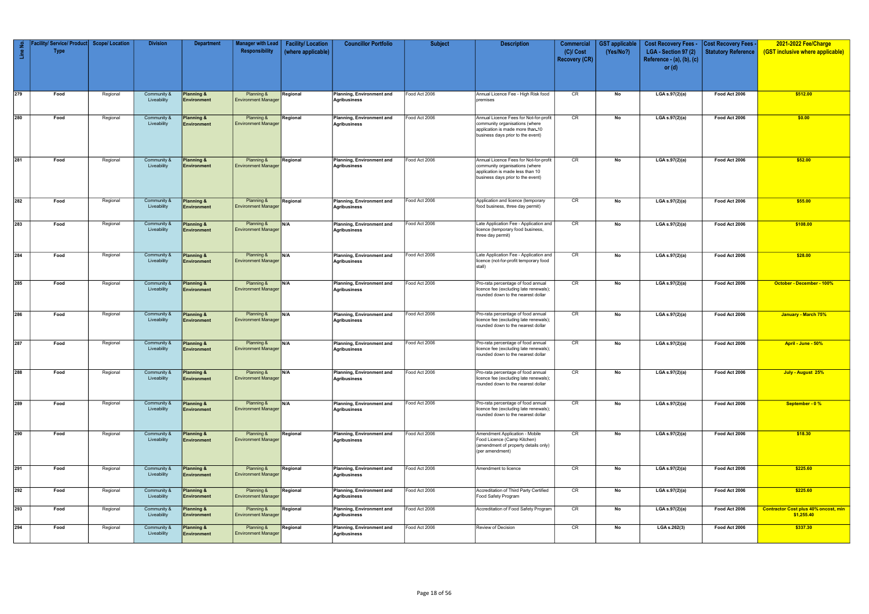| Line No.         | Facility/ Service/ Product <br><b>Type</b> | <b>Scope/Location</b> | <b>Division</b>            | <b>Department</b>                           | Manager with Lead<br><b>Responsibility</b> | <b>Facility/Location</b><br>(where applicable) | <b>Councillor Portfolio</b>                      | <b>Subject</b> | <b>Description</b>                                                                                                                                | Commercial<br>$(C)/$ Cost<br><b>Recovery (CR)</b> | <b>GST</b> applicable<br>(Yes/No?) | <b>Cost Recovery Fees -</b><br>LGA - Section 97 (2)<br>Reference - $(a)$ , $(b)$ , $(c)$ | <b>Cost Recovery Fees</b><br><b>Statutory Reference</b> | 2021-2022 Fee/Charge<br>(GST inclusive where applicable)  |
|------------------|--------------------------------------------|-----------------------|----------------------------|---------------------------------------------|--------------------------------------------|------------------------------------------------|--------------------------------------------------|----------------|---------------------------------------------------------------------------------------------------------------------------------------------------|---------------------------------------------------|------------------------------------|------------------------------------------------------------------------------------------|---------------------------------------------------------|-----------------------------------------------------------|
|                  |                                            |                       |                            |                                             |                                            |                                                |                                                  |                |                                                                                                                                                   |                                                   |                                    | or $(d)$                                                                                 |                                                         |                                                           |
| $\overline{279}$ | Food                                       | Regional              | Community &<br>Liveability | Planning &<br><b>Environment</b>            | Planning &<br><b>Environment Manager</b>   | Regional                                       | Planning, Environment and<br>Agribusiness        | Food Act 2006  | Annual Licence Fee - High Risk food<br>premises                                                                                                   | CR                                                | No                                 | LGA s.97(2)(a)                                                                           | Food Act 2006                                           | \$512.00                                                  |
| 280              | Food                                       | Regional              | Community &<br>Liveability | Planning &<br>Environment                   | Planning &<br><b>Environment Manager</b>   | Regional                                       | Planning, Environment and<br>Agribusiness        | Food Act 2006  | Annual Licence Fees for Not-for-profit<br>community organisations (where<br>application is made more than-10<br>business days prior to the event) | CR                                                | No                                 | LGA s.97(2)(a)                                                                           | Food Act 2006                                           | \$0.00                                                    |
| 281              | Food                                       | Regional              | Community &<br>Liveability | <b>Planning &amp;</b><br><b>Environment</b> | Planning &<br><b>Environment Manager</b>   | Regional                                       | Planning, Environment and<br>Agribusiness        | Food Act 2006  | Annual Licence Fees for Not-for-profit<br>community organisations (where<br>application is made less than 10<br>business days prior to the event) | CR                                                | No                                 | $LGA$ s.97(2)(a)                                                                         | Food Act 2006                                           | \$52.00                                                   |
| 282              | Food                                       | Regional              | Community &<br>Liveability | Planning &<br>Environment                   | Planning &<br><b>Environment Manager</b>   | Regional                                       | Planning, Environment and<br>Agribusiness        | Food Act 2006  | Application and licence (temporary<br>food business, three day permit)                                                                            | CR                                                | No                                 | LGA s.97(2)(a)                                                                           | Food Act 2006                                           | \$55.00                                                   |
| 283              | Food                                       | Regional              | Community &<br>Liveability | Planning &<br><b>Environment</b>            | Planning &<br><b>Environment Manager</b>   | N/A                                            | Planning, Environment and<br>Agribusiness        | Food Act 2006  | Late Application Fee - Application and<br>licence (temporary food business,<br>three day permit)                                                  | CR                                                | No                                 | LGA s.97(2)(a)                                                                           | Food Act 2006                                           | \$108.00                                                  |
| 284              | Food                                       | Regional              | Community &<br>Liveability | Planning &<br>Environment                   | Planning &<br><b>Environment Manager</b>   | N/A                                            | Planning, Environment and<br>Agribusiness        | Food Act 2006  | Late Application Fee - Application and<br>licence (not-for-profit temporary food<br>stall)                                                        | CR                                                | No                                 | LGA s.97(2)(a)                                                                           | Food Act 2006                                           | \$28.00                                                   |
| 285              | Food                                       | Regional              | Community &<br>Liveability | Planning &<br>Environment                   | Planning &<br><b>Environment Manager</b>   | N/A                                            | Planning, Environment and<br>Agribusiness        | Food Act 2006  | Pro-rata percentage of food annual<br>licence fee (excluding late renewals);<br>rounded down to the nearest dollar                                | CR                                                | No                                 | LGA s.97(2)(a)                                                                           | Food Act 2006                                           | October - December - 100%                                 |
| 286              | Food                                       | Regional              | Community &<br>Liveability | Planning &<br><b>Environment</b>            | Planning &<br><b>Environment Manager</b>   | N/A                                            | Planning, Environment and<br>Agribusiness        | Food Act 2006  | Pro-rata percentage of food annual<br>licence fee (excluding late renewals);<br>rounded down to the nearest dollar                                | CR                                                | No                                 | LGA s.97(2)(a)                                                                           | Food Act 2006                                           | January - March 75%                                       |
| 287              | Food                                       | Regional              | Community &<br>Liveability | Planning &<br>Environment                   | Planning &<br><b>Environment Manager</b>   | N/A                                            | Planning, Environment and<br>Agribusiness        | Food Act 2006  | Pro-rata percentage of food annual<br>licence fee (excluding late renewals);<br>rounded down to the nearest dollar                                | CR                                                | No                                 | LGA s.97(2)(a)                                                                           | Food Act 2006                                           | April - June - 50%                                        |
| 288              | Food                                       | Regional              | Community &<br>Liveability | Planning &<br>Environment                   | Planning &<br><b>Environment Manager</b>   | N/A                                            | Planning, Environment and<br><b>Agribusiness</b> | Food Act 2006  | Pro-rata percentage of food annual<br>licence fee (excluding late renewals);<br>rounded down to the nearest dollar                                | CR                                                | No                                 | LGA s.97(2)(a)                                                                           | Food Act 2006                                           | July - August 25%                                         |
| 289              | Food                                       | Regional              | Community &<br>Liveability | Planning &<br>Environment                   | Planning &<br><b>Environment Manager</b>   | N/A                                            | Planning, Environment and<br>Agribusiness        | Food Act 2006  | Pro-rata percentage of food annual<br>licence fee (excluding late renewals);<br>rounded down to the nearest dollar                                | CR                                                | No                                 | LGA s.97(2)(a)                                                                           | Food Act 2006                                           | September - 0 %                                           |
| $\sqrt{290}$     | Food                                       | Regional              | Community &<br>Liveability | <b>Planning &amp;</b><br>Environment        | Planning &<br><b>Environment Manager</b>   | Regional                                       | Planning, Environment and<br><b>Agribusiness</b> | Food Act 2006  | Amendment Application - Mobile<br>Food Licence (Camp Kitchen)<br>(amendment of property details only)<br>(per amendment)                          | CR                                                | No                                 | LGA s.97(2)(a)                                                                           | Food Act 2006                                           | \$18.30                                                   |
| 291              | Food                                       | Regional              | Community &<br>Liveability | <b>Planning &amp;</b><br><b>Environment</b> | Planning &<br><b>Environment Manager</b>   | Regional                                       | Planning, Environment and<br><b>Agribusiness</b> | Food Act 2006  | Amendment to licence                                                                                                                              | CR                                                | No                                 | LGA s.97(2)(a)                                                                           | Food Act 2006                                           | \$225.60                                                  |
| 292              | Food                                       | Regional              | Community &<br>Liveability | Planning &<br><b>Environment</b>            | Planning &<br><b>Environment Manager</b>   | Regional                                       | Planning, Environment and<br>Agribusiness        | Food Act 2006  | Accreditation of Third Party Certified<br>Food Safety Program                                                                                     | CR                                                | No                                 | LGA s.97(2)(a)                                                                           | Food Act 2006                                           | \$225.60                                                  |
| $\sqrt{293}$     | Food                                       | Regional              | Community &<br>Liveability | Planning &<br>Environment                   | Planning &<br><b>Environment Manager</b>   | Regional                                       | Planning, Environment and<br>Agribusiness        | Food Act 2006  | Accreditation of Food Safety Program                                                                                                              | CR                                                | No                                 | LGA s.97(2)(a)                                                                           | Food Act 2006                                           | <b>Contractor Cost plus 40% oncost, min</b><br>\$1,255.40 |
| 294              | Food                                       | Regional              | Community &<br>Liveability | <b>Planning &amp;</b><br><b>Environment</b> | Planning &<br><b>Environment Manager</b>   | Regional                                       | Planning, Environment and<br>Agribusiness        | Food Act 2006  | Review of Decision                                                                                                                                | CR                                                | No                                 | LGA s.262(3)                                                                             | Food Act 2006                                           | \$337.30                                                  |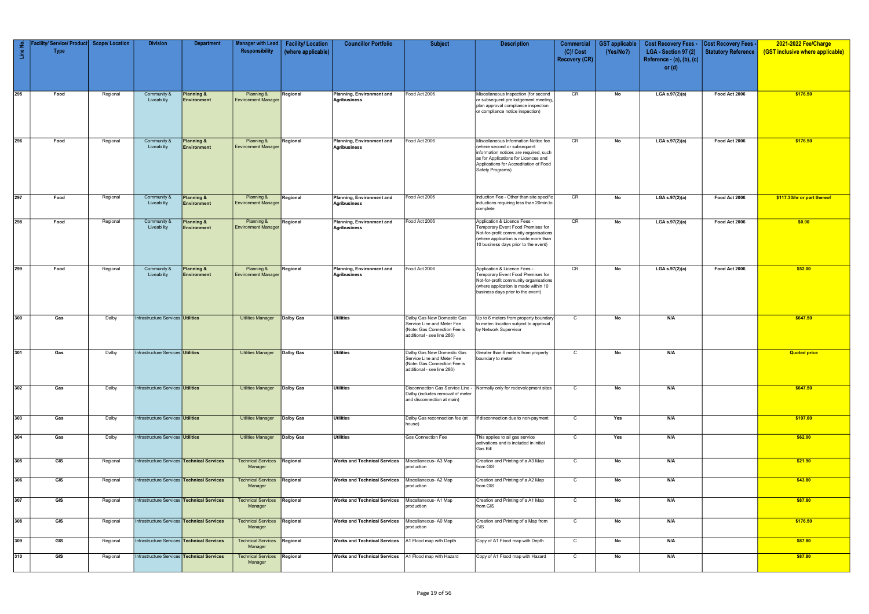| Line No.         | / Service/ Product<br><b>Type</b> | <b>Scope/ Location</b> | <b>Division</b>                                                                                 | <b>Department</b>                    | <b>Manager with Lead</b><br>Responsibility                        | <b>Facility/Location</b><br>(where applicable) | <b>Councillor Portfolio</b>                                    | <b>Subject</b>                                                                                                         | <b>Description</b>                                                                                                                                                                                                  | <b>Commercial</b><br>$(C)/$ Cost<br><b>Recovery (CR)</b> | <b>GST</b> applicable<br>(Yes/No?) | <b>Cost Recovery Fees -</b><br>LGA - Section 97 (2)<br>Reference - (a), (b), (c)<br>or $(d)$ | Cost Recovery Fees -<br>Statutory Reference | 2021-2022 Fee/Charge<br>(GST inclusive where applicable) |
|------------------|-----------------------------------|------------------------|-------------------------------------------------------------------------------------------------|--------------------------------------|-------------------------------------------------------------------|------------------------------------------------|----------------------------------------------------------------|------------------------------------------------------------------------------------------------------------------------|---------------------------------------------------------------------------------------------------------------------------------------------------------------------------------------------------------------------|----------------------------------------------------------|------------------------------------|----------------------------------------------------------------------------------------------|---------------------------------------------|----------------------------------------------------------|
| $\overline{295}$ | Food                              | Regional               | Community &<br>Liveability                                                                      | <b>Planning &amp;</b><br>Environment | Planning &<br><b>Environment Manager</b>                          | Regional                                       | Planning, Environment and<br>Agribusiness                      | Food Act 2006                                                                                                          | Miscellaneous Inspection (for second<br>or subsequent pre lodgement meeting,<br>plan approval compliance inspection<br>or compliance notice inspection)                                                             | CR                                                       | No                                 | LGA s.97(2)(a)                                                                               | Food Act 2006                               | \$176.50                                                 |
| $\overline{296}$ | Food                              | Regional               | Community &<br>Liveability                                                                      | <b>Planning &amp;</b><br>Environment | Planning &<br><b>Environment Manager</b>                          | Regional                                       | Planning, Environment and<br><b>Agribusiness</b>               | Food Act 2006                                                                                                          | Miscellaneous Information Notice fee<br>(where second or subsequent<br>information notices are required, such<br>as for Applications for Licences and<br>Applications for Accreditation of Food<br>Safety Programs) | CR                                                       | No                                 | LGA s.97(2)(a)                                                                               | Food Act 2006                               | \$176.50                                                 |
| 297              | Food                              | Regional               | Community &<br>Liveability                                                                      | <b>Planning &amp;</b><br>Environment | Planning &<br><b>Environment Manager</b>                          | Regional                                       | Planning, Environment and<br><b>Agribusiness</b>               | Food Act 2006                                                                                                          | Induction Fee - Other than site specific<br>inductions requiring less than 20min to<br>complete                                                                                                                     | CR                                                       | No                                 | LGA s.97(2)(a)                                                                               | Food Act 2006                               | \$117.30/hr or part thereof                              |
| 298              | Food                              | Regional               | Community &<br>Liveability                                                                      | Planning &<br>Environment            | Planning &<br><b>Environment Manager</b>                          | Regional                                       | Planning, Environment and<br>Agribusiness                      | Food Act 2006                                                                                                          | Application & Licence Fees -<br>Temporary Event Food Premises for<br>Not-for-profit community organisations<br>(where application is made more than<br>10 business days prior to the event)                         | CR                                                       | No                                 | LGA s.97(2)(a)                                                                               | Food Act 2006                               | \$0.00                                                   |
| $\overline{299}$ | Food                              | Regional               | Community &<br>Liveability                                                                      | <b>Planning &amp;</b><br>Environment | Planning &<br><b>Environment Manager</b>                          | Regional                                       | Planning, Environment and<br>Agribusiness                      | Food Act 2006                                                                                                          | Application & Licence Fees -<br>Temporary Event Food Premises for<br>Not-for-profit community organisations<br>(where application is made within 10<br>business days prior to the event)                            | CR                                                       | No                                 | LGA s.97(2)(a)                                                                               | Food Act 2006                               | \$52.00                                                  |
| 300              | Gas                               | Dalby                  | Infrastructure Services Utilities                                                               |                                      | <b>Utilities Manager</b>                                          | Dalby Gas                                      | <b>Utilities</b>                                               | Dalby Gas New Domestic Gas<br>Service Line and Meter Fee<br>(Note: Gas Connection Fee is<br>additional - see line 286) | Up to 6 meters from property boundary<br>to meter- location subject to approval<br>by Network Supervisor                                                                                                            | $\mathsf{C}$                                             | No                                 | N/A                                                                                          |                                             | \$647.50                                                 |
| 301              | Gas                               | Dalby                  | Infrastructure Services Utilities                                                               |                                      | <b>Utilities Manager</b>                                          | <b>Dalby Gas</b>                               | <b>Utilities</b>                                               | Dalby Gas New Domestic Gas<br>Service Line and Meter Fee<br>(Note: Gas Connection Fee is<br>additional - see line 286) | Greater than 6 meters from property<br>boundary to meter                                                                                                                                                            | $\mathsf{C}$                                             | No                                 | N/A                                                                                          |                                             | <b>Quoted price</b>                                      |
| 302              | Gas                               | Dalby                  | Infrastructure Services Utilities                                                               |                                      | <b>Utilities Manager</b>                                          | Dalby Gas                                      | <b>Utilities</b>                                               | Disconnection Gas Service Line -<br>Dalby (includes removal of meter<br>and disconnection at main)                     | Normally only for redevelopment sites                                                                                                                                                                               | $\mathsf{C}$                                             | No                                 | N/A                                                                                          |                                             | \$647.50                                                 |
| 303              | Gas                               | Dalby                  | Infrastructure Services <b>Utilities</b>                                                        |                                      | <b>Utilities Manager</b>                                          | Dalby Gas                                      | <b>Utilities</b>                                               | Dalby Gas reconnection fee (at<br>house)                                                                               | If disconnection due to non-payment                                                                                                                                                                                 | $\overline{C}$                                           | Yes                                | N/A                                                                                          |                                             | \$197.00                                                 |
| 304              | Gas                               | Dalby                  | Infrastructure Services <b>Utilities</b>                                                        |                                      | <b>Utilities Manager</b>                                          | Dalby Gas                                      | <b>Utilities</b>                                               | Gas Connection Fee                                                                                                     | This applies to all gas service<br>activations and is included in initial<br>Gas Bill                                                                                                                               | C                                                        | Yes                                | N/A                                                                                          |                                             | \$62.00                                                  |
| 305              | GIS                               | Regional               | Infrastructure Services Technical Services                                                      |                                      | <b>Technical Services Regional</b><br>Manager                     |                                                | <b>Works and Technical Services</b>                            | Miscellaneous- A3 Map<br>production                                                                                    | Creation and Printing of a A3 Map<br>from GIS                                                                                                                                                                       | $\mathsf{C}$                                             | No                                 | N/A                                                                                          |                                             | \$21.90                                                  |
| 306              | GIS                               | Regional               | Infrastructure Services <sup>1</sup>                                                            | <b>Technical Services</b>            | <b>Technical Services</b><br>Manager                              | Regional                                       | <b>Works and Technical Services</b>                            | Miscellaneous- A2 Map<br>production                                                                                    | Creation and Printing of a A2 Map<br>from GIS                                                                                                                                                                       | $\mathsf{C}$                                             | No                                 | N/A                                                                                          |                                             | \$43.80                                                  |
| 307              | GIS                               | Regional               | Infrastructure Services Technical Services                                                      |                                      | <b>Technical Services</b><br>Manager                              | Regional                                       | <b>Works and Technical Services</b>                            | Miscellaneous- A1 Map<br>production                                                                                    | Creation and Printing of a A1 Map<br>from GIS                                                                                                                                                                       | $\mathsf{C}$                                             | No                                 | N/A                                                                                          |                                             | \$87.80                                                  |
| 308              | GIS                               | Regional               | Infrastructure Services Technical Services                                                      |                                      | <b>Technical Services</b><br>Manager                              | Regional                                       | <b>Works and Technical Services</b>                            | Miscellaneous- A0 Map<br>production                                                                                    | Creation and Printing of a Map from<br>GIS                                                                                                                                                                          | $\overline{C}$                                           | No                                 | N/A                                                                                          |                                             | \$176.50                                                 |
| 309<br>310       | GIS<br>GIS                        | Regional<br>Regional   | Infrastructure Services <b>Technical Services</b><br>Infrastructure Services Technical Services |                                      | <b>Technical Services</b><br>Manager<br><b>Technical Services</b> | Regional                                       | <b>Works and Technical Services</b>                            | A1 Flood map with Depth                                                                                                | Copy of A1 Flood map with Depth                                                                                                                                                                                     | $\mathsf{C}$<br>$\mathsf{C}$                             | No<br>No                           | N/A<br>N/A                                                                                   |                                             | \$87.80<br>\$87.80                                       |
|                  |                                   |                        |                                                                                                 |                                      | Manager                                                           | Regional                                       | <b>Works and Technical Services</b>   A1 Flood map with Hazard |                                                                                                                        | Copy of A1 Flood map with Hazard                                                                                                                                                                                    |                                                          |                                    |                                                                                              |                                             |                                                          |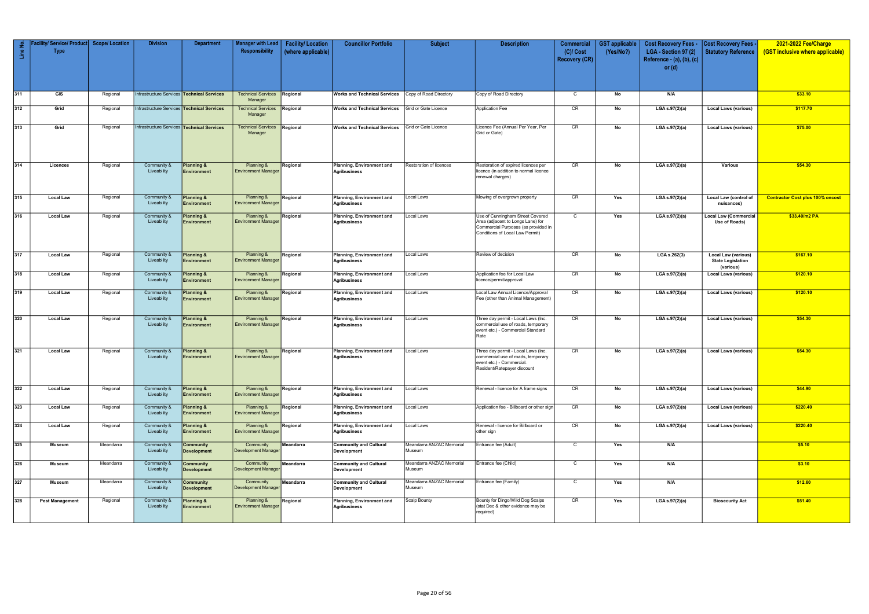| Line No. | acility/ Service/ Product   Scope/ Location<br><b>Type</b> |           | <b>Division</b>                            | <b>Department</b>                           | Manager with Lead<br>Responsibility           | <b>Facility/Location</b><br>(where applicable) | <b>Councillor Portfolio</b>                                | <b>Subject</b>                     | <b>Description</b>                                                                                                                              | <b>Commercial</b><br>$(C)/$ Cost<br><b>Recovery (CR)</b> | <b>GST</b> applicable<br>(Yes/No?) | <b>Cost Recovery Fees -</b><br>LGA - Section 97 (2)<br>Reference - $(a)$ , $(b)$ , $(c)$<br>or $(d)$ | <b>Cost Recovery Fees -</b><br>Statutory Reference                  | 2021-2022 Fee/Charge<br>(GST inclusive where applicable) |
|----------|------------------------------------------------------------|-----------|--------------------------------------------|---------------------------------------------|-----------------------------------------------|------------------------------------------------|------------------------------------------------------------|------------------------------------|-------------------------------------------------------------------------------------------------------------------------------------------------|----------------------------------------------------------|------------------------------------|------------------------------------------------------------------------------------------------------|---------------------------------------------------------------------|----------------------------------------------------------|
| 311      | GIS                                                        | Regional  | Infrastructure Services Technical Services |                                             | <b>Technical Services Regional</b><br>Manager |                                                | <b>Works and Technical Services</b> Copy of Road Directory |                                    | Copy of Road Directory                                                                                                                          | $\mathsf{C}$                                             | No                                 | N/A                                                                                                  |                                                                     | \$33.10                                                  |
| 312      | Grid                                                       | Regional  | Infrastructure Services Technical Services |                                             | Technical Services<br>Manager                 | Regional                                       | <b>Works and Technical Services</b>                        | Grid or Gate Licence               | Application Fee                                                                                                                                 | CR                                                       | No                                 | LGA s.97(2)(a)                                                                                       | <b>Local Laws (various)</b>                                         | \$117.70                                                 |
| 313      | Grid                                                       | Regional  | Infrastructure Services Technical Services |                                             | <b>Technical Services</b><br>Manager          | Regional                                       | <b>Works and Technical Services</b>                        | Grid or Gate Licence               | Licence Fee (Annual Per Year, Per<br>Grid or Gate)                                                                                              | CR                                                       | No                                 | LGA s.97(2)(a)                                                                                       | <b>Local Laws (various)</b>                                         | \$75.00                                                  |
| 314      | Licences                                                   | Regional  | Community &<br>Liveability                 | <b>Planning &amp;</b><br><b>Environment</b> | Planning &<br><b>Environment Manager</b>      | Regional                                       | Planning, Environment and<br>Agribusiness                  | Restoration of licences            | Restoration of expired licences per<br>licence (in addition to normal licence<br>renewal charges)                                               | CR                                                       | No                                 | LGA $s.97(2)(a)$                                                                                     | Various                                                             | \$54.30                                                  |
| 315      | <b>Local Law</b>                                           | Regional  | Community &<br>Liveability                 | <b>Planning &amp;</b><br><b>Environment</b> | Planning &<br><b>Environment Manager</b>      | Regional                                       | Planning, Environment and<br><b>Agribusiness</b>           | Local Laws                         | Mowing of overgrown property                                                                                                                    | CR                                                       | Yes                                | LGA s.97(2)(a)                                                                                       | Local Law (control of<br>nuisances)                                 | <b>Contractor Cost plus 100% oncost</b>                  |
| 316      | <b>Local Law</b>                                           | Regional  | Community 8<br>Liveability                 | Planning &<br><b>Environment</b>            | Planning &<br><b>Environment Manager</b>      | Regional                                       | Planning, Environment and<br>Agribusiness                  | Local Laws                         | Use of Cunningham Street Covered<br>Area (adjacent to Longs Lane) for<br>Commercial Purposes (as provided in<br>Conditions of Local Law Permit) | $\mathsf{C}$                                             | Yes                                | LGA s.97(2)(a)                                                                                       | <b>Local Law (Commercial</b><br>Use of Roads)                       | \$33.40/m2 PA                                            |
| 317      | <b>Local Law</b>                                           | Regional  | Community &<br>Liveability                 | Planning &<br><b>Environment</b>            | Planning &<br><b>Environment Manager</b>      | Regional                                       | Planning, Environment and<br>Agribusiness                  | Local Laws                         | Review of decision                                                                                                                              | CR                                                       | No                                 | LGA s.262(3)                                                                                         | <b>Local Law (various)</b><br><b>State Legislation</b><br>(various) | \$167.10                                                 |
| 318      | <b>Local Law</b>                                           | Regional  | Community &<br>Liveability                 | <b>Planning &amp;</b><br>Environment        | Planning &<br><b>Environment Manager</b>      | Regional                                       | Planning, Environment and<br>Agribusiness                  | Local Laws                         | Application fee for Local Law<br>licence/permit/approval                                                                                        | CR                                                       | No                                 | LGA s.97(2)(a)                                                                                       | <b>Local Laws (various)</b>                                         | \$120.10                                                 |
| 319      | <b>Local Law</b>                                           | Regional  | Community 8<br>Liveability                 | Planning &<br><b>Environment</b>            | Planning &<br><b>Environment Manager</b>      | Regional                                       | Planning, Environment and<br>Agribusiness                  | Local Laws                         | Local Law Annual Licence/Approval<br>Fee (other than Animal Management)                                                                         | CR                                                       | No                                 | LGA s.97(2)(a)                                                                                       | <b>Local Laws (various)</b>                                         | \$120.10                                                 |
| 320      | <b>Local Law</b>                                           | Regional  | Community &<br>Liveability                 | Planning &<br><b>Environment</b>            | Planning &<br><b>Environment Manager</b>      | Regional                                       | Planning, Environment and<br>Agribusiness                  | Local Laws                         | Three day permit - Local Laws (Inc.<br>commercial use of roads, temporary<br>event etc.) - Commercial Standard<br>Rate                          | CR                                                       | No                                 | LGA s.97(2)(a)                                                                                       | <b>Local Laws (various)</b>                                         | \$54.30                                                  |
| 321      | <b>Local Law</b>                                           | Regional  | Community &<br>Liveability                 | Planning &<br><b>Environment</b>            | Planning &<br><b>Environment Manager</b>      | Regional                                       | Planning, Environment and<br>Agribusiness                  | Local Laws                         | Three day permit - Local Laws (Inc.<br>commercial use of roads, temporary<br>event etc.) - Commercial.<br>Resident/Ratepayer discount           | CR                                                       | No                                 | LGA s.97(2)(a)                                                                                       | <b>Local Laws (various)</b>                                         | \$54.30                                                  |
| 322      | <b>Local Law</b>                                           | Regional  | Community &<br>Liveability                 | <b>Planning &amp;</b><br>Environment        | Planning &<br><b>Environment Manager</b>      | Regional                                       | Planning, Environment and<br>Agribusiness                  | Local Laws                         | Renewal - licence for A frame signs                                                                                                             | CR                                                       | No                                 | LGA s.97(2)(a)                                                                                       | <b>Local Laws (various)</b>                                         | \$44.90                                                  |
| 323      | <b>Local Law</b>                                           | Regional  | Community &<br>Liveability                 | <b>Planning &amp;</b><br><b>Environment</b> | Planning &<br><b>Environment Manager</b>      | Regional                                       | Planning, Environment and<br><b>Agribusiness</b>           | Local Laws                         | Application fee - Billboard or other sign                                                                                                       | CR                                                       | No                                 | LGA s.97(2)(a)                                                                                       | <b>Local Laws (various)</b>                                         | \$220.40                                                 |
| 324      | <b>Local Law</b>                                           | Regional  | Community &<br>Liveability                 | Planning &<br><b>Environment</b>            | Planning &<br><b>Environment Manager</b>      | Regional                                       | Planning, Environment and<br>Agribusiness                  | Local Laws                         | Renewal - licence for Billboard or<br>other sign                                                                                                | CR                                                       | No                                 | LGA s.97(2)(a)                                                                                       | <b>Local Laws (various)</b>                                         | \$220.40                                                 |
| $325$    | Museum                                                     | Meandarra | Community &<br>Liveability                 | <b>Community</b><br><b>Development</b>      | Community<br><b>Development Manager</b>       | Meandarra                                      | <b>Community and Cultural</b><br>Development               | Meandarra ANZAC Memorial<br>Museum | Entrance fee (Adult)                                                                                                                            | $\mathsf{C}$                                             | Yes                                | N/A                                                                                                  |                                                                     | \$5.10                                                   |
| 326      | Museum                                                     | Meandarra | Community 8<br>Liveability                 | Community<br><b>Development</b>             | Community<br><b>Development Manager</b>       | Meandarra                                      | <b>Community and Cultural</b><br>Development               | Meandarra ANZAC Memorial<br>Museum | Entrance fee (Child)                                                                                                                            | $\mathsf{C}$                                             | Yes                                | N/A                                                                                                  |                                                                     | \$3.10                                                   |
| 327      | Museum                                                     | Meandarra | Community &<br>Liveability                 | <b>Community</b><br><b>Development</b>      | Community<br><b>Development Manager</b>       | Meandarra                                      | <b>Community and Cultural</b><br>Development               | Meandarra ANZAC Memorial<br>Museum | Entrance fee (Family)                                                                                                                           | $\mathsf{C}$                                             | Yes                                | N/A                                                                                                  |                                                                     | \$12.60                                                  |
| 328      | <b>Pest Management</b>                                     | Regional  | Community &<br>Liveability                 | Planning &<br>Environment                   | Planning &<br><b>Environment Manager</b>      | Regional                                       | Planning, Environment and<br>Agribusiness                  | <b>Scalp Bounty</b>                | Bounty for Dingo/Wild Dog Scalps<br>(stat Dec & other evidence may be<br>required)                                                              | CR                                                       | Yes                                | LGA s.97(2)(a)                                                                                       | <b>Biosecurity Act</b>                                              | \$51.40                                                  |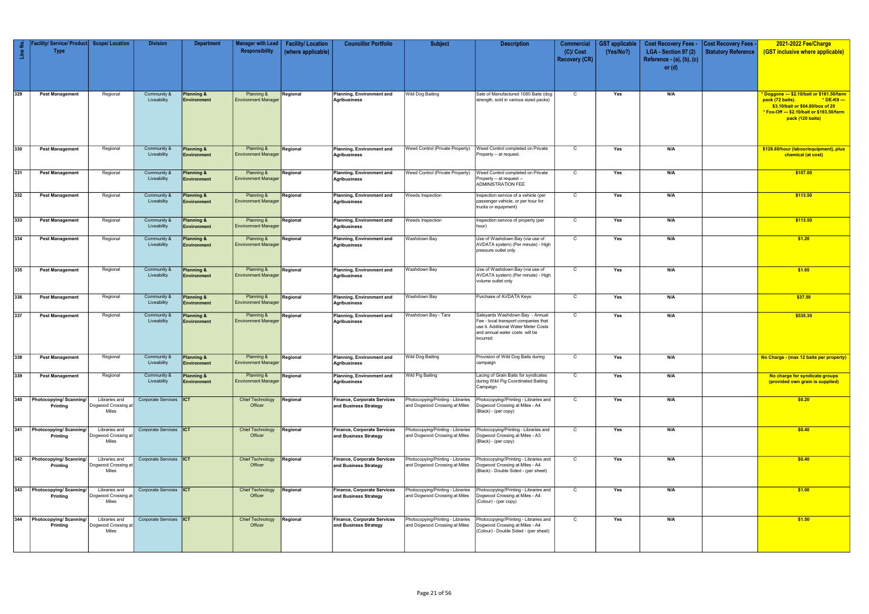|          | Facility/ Service/ Product   Scope/ Location |                                               | <b>Division</b>               | <b>Department</b>                           | <b>Manager with Lead</b>                            | <b>Facility/Location</b> | <b>Councillor Portfolio</b>                                 | <b>Subject</b>                                                     | <b>Description</b>                                                                                                                                            | <b>Commercial</b>                   | <b>GST</b> applicable | <b>Cost Recovery Fees -</b>                                   | <b>Cost Recovery Fees -</b> | 2021-2022 Fee/Charge                                                                                                                                                                |
|----------|----------------------------------------------|-----------------------------------------------|-------------------------------|---------------------------------------------|-----------------------------------------------------|--------------------------|-------------------------------------------------------------|--------------------------------------------------------------------|---------------------------------------------------------------------------------------------------------------------------------------------------------------|-------------------------------------|-----------------------|---------------------------------------------------------------|-----------------------------|-------------------------------------------------------------------------------------------------------------------------------------------------------------------------------------|
| Line No. | <b>Type</b>                                  |                                               |                               |                                             | Responsibility                                      | (where applicable)       |                                                             |                                                                    |                                                                                                                                                               | $(C)/$ Cost<br><b>Recovery (CR)</b> | (Yes/No?)             | LGA - Section 97 (2)<br>Reference - (a), (b), (c)<br>or $(d)$ | Statutory Reference         | (GST inclusive where applicable)                                                                                                                                                    |
| 329      | <b>Pest Management</b>                       | Regional                                      | Community &<br>Liveability    | <b>Planning &amp;</b><br>Environment        | Planning &<br><b>Environment Manage</b>             | Regional                 | Planning, Environment and<br>Agribusiness                   | <b>Wild Dog Baiting</b>                                            | Sale of Manufactured 1080 Baits (dog<br>strength, sold in various sized packs)                                                                                | $\mathsf{C}$                        | Yes                   | N/A                                                           |                             | * Doggone --- \$2.10/bait or \$161.50/farm<br>pack (72 baits).<br>* DE-K9 ---<br>\$3.10/bait or \$64.80/box of 20<br>* Fox-Off --- \$2.10/bait or \$193.50/farm<br>pack (120 baits) |
| 330      | <b>Pest Management</b>                       | Regional                                      | Community &<br>Liveability    | <b>Planning &amp;</b><br>Environment        | Planning &<br><b>Environment Manager</b>            | Regional                 | Planning, Environment and<br><b>Agribusiness</b>            | Weed Control (Private Property)                                    | Weed Control completed on Private<br>Property -- at request.                                                                                                  | C                                   | Yes                   | N/A                                                           |                             | \$128.60/hour (labour/equipment), plus<br>chemical (at cost)                                                                                                                        |
| 331      | <b>Pest Management</b>                       | Regional                                      | Community &<br>Liveability    | <b>Planning &amp;</b><br>Environment        | <b>Planning &amp;</b><br><b>Environment Manager</b> | Regional                 | Planning, Environment and<br><b>Agribusiness</b>            | Weed Control (Private Property)                                    | Weed Control completed on Private<br>Property -- at request --<br><b>ADMINISTRATION FEE</b>                                                                   | $\overline{C}$                      | Yes                   | N/A                                                           |                             | \$107.00                                                                                                                                                                            |
| 332      | <b>Pest Management</b>                       | Regional                                      | Community &<br>Liveability    | Planning &<br><b>Environment</b>            | Planning &<br><b>Environment Manager</b>            | Regional                 | Planning, Environment and<br><b>Agribusiness</b>            | Weeds Inspection                                                   | nspection service of a vehicle (per<br>passenger vehicle, or per hour for<br>trucks or equipment)                                                             | C                                   | Yes                   | N/A                                                           |                             | \$113.50                                                                                                                                                                            |
| 333      | <b>Pest Management</b>                       | Regional                                      | Community &<br>Liveability    | <b>Planning &amp;</b><br>Environment        | Planning &<br><b>Environment Manager</b>            | Regional                 | Planning, Environment and<br><b>Agribusiness</b>            | Weeds Inspection                                                   | Inspection service of property (per<br>hour)                                                                                                                  | $\mathsf{C}$                        | Yes                   | N/A                                                           |                             | \$113.50                                                                                                                                                                            |
| 334      | <b>Pest Management</b>                       | Regional                                      | Community &<br>Liveability    | Planning &<br><b>Environment</b>            | <b>Planning &amp;</b><br><b>Environment Manager</b> | Regional                 | Planning, Environment and<br><b>Agribusiness</b>            | Washdown Bay                                                       | Use of Washdown Bay (via use of<br>AVDATA system) (Per minute) - High<br>pressure outlet only                                                                 | C                                   | Yes                   | N/A                                                           |                             | \$1.20                                                                                                                                                                              |
| 335      | <b>Pest Management</b>                       | Regional                                      | Community &<br>Liveability    | Planning &<br>Environment                   | Planning &<br><b>Environment Manager</b>            | Regional                 | Planning, Environment and<br><b>Agribusiness</b>            | Washdown Bay                                                       | Use of Washdown Bay (via use of<br>AVDATA system) (Per minute) - High<br>volume outlet only                                                                   | $\mathsf{C}$                        | Yes                   | N/A                                                           |                             | \$1.65                                                                                                                                                                              |
| 336      | <b>Pest Management</b>                       | Regional                                      | Community &<br>Liveability    | <b>Planning &amp;</b><br>Environment        | Planning &<br><b>Environment Manager</b>            | Regional                 | Planning, Environment and<br><b>Agribusiness</b>            | Washdown Bay                                                       | Purchase of AVDATA Keys                                                                                                                                       | $\mathsf{C}$                        | Yes                   | N/A                                                           |                             | \$37.50                                                                                                                                                                             |
| 337      | <b>Pest Management</b>                       | Regional                                      | Community &<br>Liveability    | <b>Planning &amp;</b><br><b>Environment</b> | Planning &<br><b>Environment Manager</b>            | Regional                 | Planning, Environment and<br><b>Agribusiness</b>            | Washdown Bay - Tara                                                | Saleyards Washdown Bay - Annual<br>Fee - local transport companies that<br>use it. Additional Water Meter Costs<br>and annual water costs will be<br>incurred | C                                   | Yes                   | N/A                                                           |                             | \$535.30                                                                                                                                                                            |
| 338      | <b>Pest Management</b>                       | Regional                                      | Community &<br>Liveability    | <b>Planning &amp;</b><br>Environment        | Planning &<br><b>Environment Manager</b>            | Regional                 | Planning, Environment and<br><b>Agribusiness</b>            | <b>Wild Dog Baiting</b>                                            | Provision of Wild Dog Baits during<br>campaign                                                                                                                | $\mathsf{C}$                        | Yes                   | N/A                                                           |                             | No Charge - (max 12 baits per property)                                                                                                                                             |
| 339      | <b>Pest Management</b>                       | Regional                                      | Community &<br>Liveability    | <b>Planning &amp;</b><br>Environment        | Planning &<br><b>Environment Manager</b>            | Regional                 | <b>Planning, Environment and</b><br><b>Agribusiness</b>     | <b>Wild Pig Baiting</b>                                            | Lacing of Grain Baits for syndicates<br>during Wild Pig Coordinated Baiting<br>Campaign                                                                       | $\mathsf{C}$                        | Yes                   | N/A                                                           |                             | No charge for syndicate groups<br>(provided own grain is supplied)                                                                                                                  |
| 340      | Photocopying/Scanning/<br>Printing           | Libraries and<br>Dogwood Crossing at<br>Miles | Corporate Services <b>ICT</b> |                                             | <b>Chief Technology</b><br>Officer                  | Regional                 | <b>Finance, Corporate Services</b><br>and Business Strategy | Photocopying/Printing - Libraries<br>and Dogwood Crossing at Miles | Photocopying//Printing - Libraries and<br>Dogwood Crossing at Miles - A4<br>(Black) - (per copy)                                                              | $\mathsf{C}$                        | Yes                   | N/A                                                           |                             | \$0.20                                                                                                                                                                              |
| 341      | Photocopying/Scanning/<br>Printing           | Libraries and<br>Dogwood Crossing at<br>Miles | Corporate Services  ICT       |                                             | <b>Chief Technology</b><br>Officer                  | Regional                 | <b>Finance, Corporate Services</b><br>and Business Strategy | Photocopying/Printing - Libraries<br>and Dogwood Crossing at Miles | Photocopying/Printing - Libraries and<br>Dogwood Crossing at Miles - A3<br>(Black) - (per copy)                                                               | $\mathsf{C}$                        | Yes                   | N/A                                                           |                             | \$0.40                                                                                                                                                                              |
|          | 342 Photocopying/ Scanning/<br>Printing      | Libraries and<br>Dogwood Crossing at<br>Miles | Corporate Services <b>ICT</b> |                                             | <b>Chief Technology</b><br>Officer                  | Regional                 | <b>Finance, Corporate Services</b><br>and Business Strategy | Photocopying/Printing - Libraries<br>and Dogwood Crossing at Miles | Photocopying//Printing - Libraries and<br>Dogwood Crossing at Miles - A4<br>(Black) - Double Sided - (per sheet)                                              | $\mathsf{C}$                        | Yes                   | N/A                                                           |                             | \$0.40                                                                                                                                                                              |
| $343$    | Photocopying/Scanning/<br>Printing           | Libraries and<br>Dogwood Crossing at<br>Miles | Corporate Services <b>ICT</b> |                                             | <b>Chief Technology</b><br>Officer                  | Regional                 | <b>Finance, Corporate Services</b><br>and Business Strategy | Photocopying/Printing - Libraries<br>and Dogwood Crossing at Miles | Photocopying//Printing - Libraries and<br>Dogwood Crossing at Miles - A4<br>(Colour) - (per copy)                                                             | $\mathsf{C}$                        | Yes                   | N/A                                                           |                             | \$1.00                                                                                                                                                                              |
| 344      | Photocopying/Scanning/<br>Printing           | Libraries and<br>Dogwood Crossing at<br>Miles | Corporate Services <b>ICT</b> |                                             | <b>Chief Technology</b><br>Officer                  | Regional                 | <b>Finance, Corporate Services</b><br>and Business Strategy | Photocopying/Printing - Libraries<br>and Dogwood Crossing at Miles | Photocopying//Printing - Libraries and<br>Dogwood Crossing at Miles - A4<br>(Colour) - Double Sided - (per sheet)                                             | $\mathsf{C}$                        | Yes                   | N/A                                                           |                             | \$1.50                                                                                                                                                                              |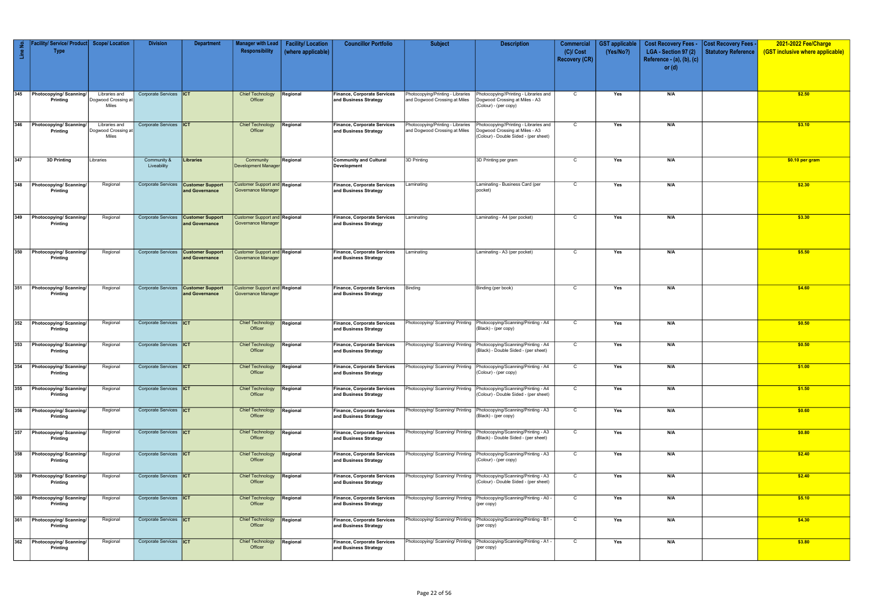| Line No.   | acility/ Service/ Product<br><b>Type</b>                     | <b>Scope/Location</b>                         | <b>Division</b>                                    | <b>Department</b>                                     | Manager with Lead<br>Responsibility                               | <b>Facility/Location</b><br>(where applicable) | <b>Councillor Portfolio</b>                                                                       | <b>Subject</b>                                                      | <b>Description</b>                                                                                                 | Commercial<br>$(C)/$ Cost<br><b>Recovery (CR)</b> | <b>GST</b> applicable<br>(Yes/No?) | <b>Cost Recovery Fees -</b><br>LGA - Section 97 (2)<br>Reference - $(a)$ , $(b)$ , $(c)$<br>or $(d)$ | <b>Cost Recovery Fees -</b><br><b>Statutory Reference</b> | 2021-2022 Fee/Charge<br>(GST inclusive where applicable) |
|------------|--------------------------------------------------------------|-----------------------------------------------|----------------------------------------------------|-------------------------------------------------------|-------------------------------------------------------------------|------------------------------------------------|---------------------------------------------------------------------------------------------------|---------------------------------------------------------------------|--------------------------------------------------------------------------------------------------------------------|---------------------------------------------------|------------------------------------|------------------------------------------------------------------------------------------------------|-----------------------------------------------------------|----------------------------------------------------------|
|            |                                                              |                                               |                                                    |                                                       |                                                                   |                                                |                                                                                                   |                                                                     |                                                                                                                    |                                                   |                                    |                                                                                                      |                                                           |                                                          |
| 345        | Photocopying/Scanning/<br>Printing                           | Libraries and<br>Dogwood Crossing at<br>Miles | Corporate Services  ICT                            |                                                       | <b>Chief Technology</b><br>Officer                                | Regional                                       | Finance, Corporate Services<br>and Business Strategy                                              | Photocopying/Printing - Libraries<br>and Dogwood Crossing at Miles  | Photocopying//Printing - Libraries and<br>Dogwood Crossing at Miles - A3<br>(Colour) - (per copy)                  | $\mathsf{C}$                                      | Yes                                | N/A                                                                                                  |                                                           | \$2.50                                                   |
| 346        | Photocopying/Scanning/<br>Printing                           | Libraries and<br>Dogwood Crossing at<br>Miles | Corporate Services <b>ICT</b>                      |                                                       | Chief Technology<br>Officer                                       | Regional                                       | Finance, Corporate Services<br>and Business Strategy                                              | Photocopying/Printing - Libraries<br>and Dogwood Crossing at Miles  | Photocopying//Printing - Libraries and<br>Dogwood Crossing at Miles - A3<br>(Colour) - Double Sided - (per sheet)  | $\mathsf{C}$                                      | Yes                                | N/A                                                                                                  |                                                           | \$3.10                                                   |
| 347        | 3D Printing                                                  | Libraries                                     | Community &<br>Liveability                         | Libraries                                             | Community<br><b>Development Manager</b>                           | Regional                                       | <b>Community and Cultural</b><br>Development                                                      | 3D Printing                                                         | 3D Printing per gram                                                                                               | $\mathsf{C}$                                      | Yes                                | N/A                                                                                                  |                                                           | \$0.10 per gram                                          |
| 348        | Photocopying/Scanning/<br>Printing                           | Regional                                      | <b>Corporate Services</b>                          | <b>Customer Support</b><br>and Governance             | <b>Customer Support and Regional</b><br><b>Governance Manager</b> |                                                | <b>Finance, Corporate Services</b><br>and Business Strategy                                       | aminating.                                                          | Laminating - Business Card (per<br>pocket)                                                                         | $\mathsf{C}$                                      | Yes                                | N/A                                                                                                  |                                                           | \$2.30                                                   |
| 349        | Photocopying/Scanning/<br>Printing                           | Regional                                      | <b>Corporate Services</b>                          | <b>Customer Support</b><br>and Governance             | <b>Customer Support and Regional</b><br><b>Governance Manager</b> |                                                | Finance, Corporate Services<br>and Business Strategy                                              | .aminating                                                          | Laminating - A4 (per pocket)                                                                                       | $\mathsf{C}$                                      | Yes                                | N/A                                                                                                  |                                                           | \$3.30                                                   |
| 350        | Photocopying/Scanning/<br>Printing                           | Regional                                      |                                                    | Corporate Services Customer Support<br>and Governance | <b>Customer Support and Regional</b><br><b>Governance Manager</b> |                                                | Finance, Corporate Services<br>and Business Strategy                                              | Laminating                                                          | Laminating - A3 (per pocket)                                                                                       | $\mathsf{C}$                                      | Yes                                | N/A                                                                                                  |                                                           | \$5.50                                                   |
| 351        | Photocopying/Scanning/<br>Printing                           | Regional                                      | <b>Corporate Services</b>                          | <b>Customer Support</b><br>and Governance             | <b>Customer Support and Regional</b><br><b>Governance Manager</b> |                                                | Finance, Corporate Services<br>and Business Strategy                                              | Binding                                                             | Binding (per book)                                                                                                 | $\mathsf{C}$                                      | Yes                                | N/A                                                                                                  |                                                           | \$4.60                                                   |
| 352        | Photocopying/Scanning/<br>Printing                           | Regional                                      | Corporate Services  ICT                            |                                                       | <b>Chief Technology</b><br>Officer                                | Regional                                       | Finance, Corporate Services<br>and Business Strategy                                              | Photocopying/ Scanning/ Printing                                    | Photocopying/Scanning/Printing - A4<br>(Black) - (per copy)                                                        | $\mathsf{C}$                                      | Yes                                | N/A                                                                                                  |                                                           | \$0.50                                                   |
| 353        | Photocopying/Scanning/<br>Printing                           | Regional                                      | Corporate Services  ICT                            |                                                       | <b>Chief Technology</b><br>Officer                                | Regional                                       | <b>Finance, Corporate Services</b><br>and Business Strategy                                       | hotocopying/ Scanning/ Printing                                     | Photocopying/Scanning/Printing - A4<br>(Black) - Double Sided - (per sheet)                                        | C                                                 | Yes                                | N/A                                                                                                  |                                                           | \$0.50                                                   |
| 354        | Photocopying/Scanning/<br>Printing                           | Regional                                      | Corporate Services <b>ICT</b>                      |                                                       | <b>Chief Technology</b><br>Officer                                | Regional                                       | <b>Finance, Corporate Services</b><br>and Business Strategy                                       | Photocopying/ Scanning/ Printing                                    | Photocopying/Scanning/Printing - A4<br>(Colour) - (per copy)                                                       | C                                                 | Yes                                | N/A                                                                                                  |                                                           | \$1.00                                                   |
| 355        | Photocopying/Scanning/<br>Printing                           | Regional                                      | Corporate Services <b>ICT</b>                      |                                                       | <b>Chief Technology</b><br>Officer                                | Regional                                       | <b>Finance, Corporate Services</b><br>and Business Strategy                                       | Photocopying/ Scanning/ Printing                                    | Photocopying/Scanning/Printing - A4<br>(Colour) - Double Sided - (per sheet)                                       | $\mathsf{C}$                                      | Yes                                | N/A                                                                                                  |                                                           | \$1.50                                                   |
| 356<br>357 | Photocopying/Scanning/<br>Printing                           | Regional                                      | Corporate Services  ICT<br>Corporate Services  ICT |                                                       | <b>Chief Technology</b><br>Officer<br><b>Chief Technology</b>     | Regional                                       | <b>Finance, Corporate Services</b><br>and Business Strategy<br><b>Finance, Corporate Services</b> | Photocopying/ Scanning/ Printing<br>hotocopying/ Scanning/ Printing | Photocopying/Scanning/Printing - A3<br>(Black) - (per copy)                                                        | $\mathsf{C}$<br>$\mathsf{C}$                      | Yes<br>Yes                         | N/A<br>N/A                                                                                           |                                                           | \$0.60<br>\$0.80                                         |
| 358        | Photocopying/Scanning/<br>Printing<br>Photocopying/Scanning/ | Regional<br>Regional                          | Corporate Services  ICT                            |                                                       | Officer<br><b>Chief Technology</b>                                | Regional<br>Regional                           | and Business Strategy<br><b>Finance, Corporate Services</b>                                       | Photocopying/ Scanning/ Printing                                    | Photocopying/Scanning/Printing - A3<br>(Black) - Double Sided - (per sheet)<br>Photocopying/Scanning/Printing - A3 | $\mathsf{C}$                                      | Yes                                | N/A                                                                                                  |                                                           | \$2.40                                                   |
| 359        | Printing<br>Photocopying/Scanning/                           | Regional                                      | Corporate Services  ICT                            |                                                       | Officer<br><b>Chief Technology</b>                                | Regional                                       | and Business Strategy<br><b>Finance, Corporate Services</b>                                       | Photocopying/ Scanning/ Printing                                    | (Colour) - (per copy)<br>Photocopying/Scanning/Printing - A3                                                       | $\mathsf{C}$                                      | Yes                                | N/A                                                                                                  |                                                           | \$2.40                                                   |
| 360        | Printing<br>Photocopying/Scanning/                           | Regional                                      | Corporate Services  ICT                            |                                                       | Officer<br><b>Chief Technology</b>                                | Regional                                       | and Business Strategy<br><b>Finance, Corporate Services</b>                                       | hotocopying/ Scanning/ Printing                                     | (Colour) - Double Sided - (per sheet)<br>Photocopying/Scanning/Printing - A0 -                                     | $\mathsf{C}$                                      | Yes                                | N/A                                                                                                  |                                                           | \$5.10                                                   |
| 361        | Printing<br>Photocopying/Scanning/                           | Regional                                      | Corporate Services  ICT                            |                                                       | Officer<br><b>Chief Technology</b>                                | Regional                                       | and Business Strategy<br><b>Finance, Corporate Services</b>                                       | Photocopying/ Scanning/ Printing                                    | (per copy)<br>Photocopying/Scanning/Printing - B1                                                                  | $\mathsf{C}$                                      | Yes                                | N/A                                                                                                  |                                                           | \$4.30                                                   |
| 362        | Printing<br>Photocopying/Scanning/                           | Regional                                      | Corporate Services  ICT                            |                                                       | Officer<br><b>Chief Technology</b>                                | Regional                                       | and Business Strategy<br><b>Finance, Corporate Services</b>                                       | Photocopying/ Scanning/ Printing                                    | (per copy)<br>Photocopying/Scanning/Printing - A1 -                                                                | $\mathsf{C}$                                      | Yes                                | N/A                                                                                                  |                                                           | \$3.80                                                   |
|            | Printing                                                     |                                               |                                                    |                                                       | Officer                                                           |                                                | and Business Strategy                                                                             |                                                                     | (per copy)                                                                                                         |                                                   |                                    |                                                                                                      |                                                           |                                                          |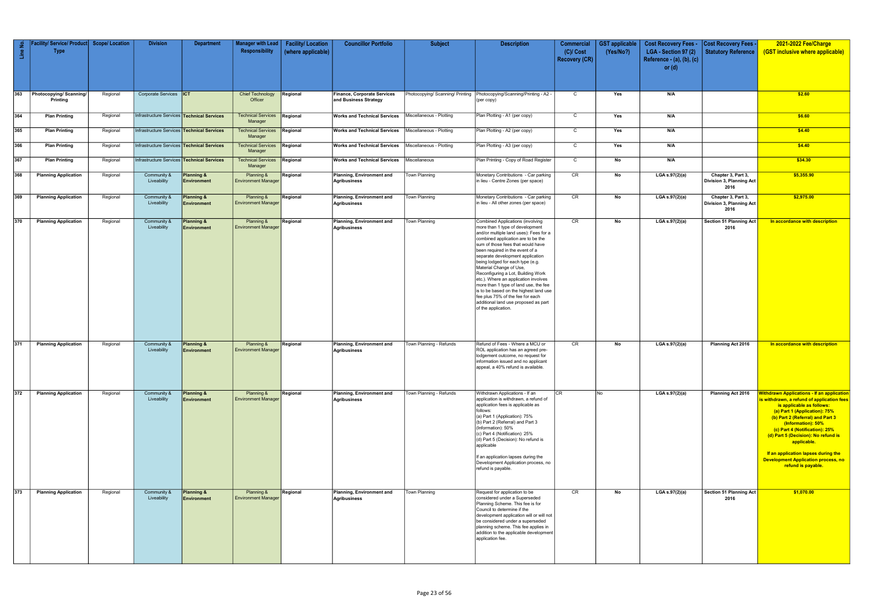| $\frac{1}{2}$<br>$\frac{e}{\sqrt{2}}$ | acility/ Service/ Product<br><b>Type</b> | <b>Scope/Location</b> | <b>Division</b>                            | <b>Department</b>                           | <b>Manager with Lead</b><br>Responsibility | <b>Facility/Location</b><br>(where applicable) | <b>Councillor Portfolio</b>                                    | <b>Subject</b>                   | <b>Description</b>                                                                                                                                                                                                                                                                                                                                                                                                                                                                                                                                                                                 | <b>Commercial</b><br>$(C)/$ Cost<br><b>Recovery (CR)</b> | <b>GST</b> applicable<br>(Yes/No?) | <b>Cost Recovery Fees -</b><br>LGA - Section 97 (2)<br>Reference - (a), (b), (c) | <b>Cost Recovery Fees -</b><br>Statutory Reference     | 2021-2022 Fee/Charge<br>(GST inclusive where applicable)                                                                                                                                                                                                                                                                                                                                                            |
|---------------------------------------|------------------------------------------|-----------------------|--------------------------------------------|---------------------------------------------|--------------------------------------------|------------------------------------------------|----------------------------------------------------------------|----------------------------------|----------------------------------------------------------------------------------------------------------------------------------------------------------------------------------------------------------------------------------------------------------------------------------------------------------------------------------------------------------------------------------------------------------------------------------------------------------------------------------------------------------------------------------------------------------------------------------------------------|----------------------------------------------------------|------------------------------------|----------------------------------------------------------------------------------|--------------------------------------------------------|---------------------------------------------------------------------------------------------------------------------------------------------------------------------------------------------------------------------------------------------------------------------------------------------------------------------------------------------------------------------------------------------------------------------|
|                                       |                                          |                       |                                            |                                             |                                            |                                                |                                                                |                                  |                                                                                                                                                                                                                                                                                                                                                                                                                                                                                                                                                                                                    |                                                          |                                    | or $(d)$                                                                         |                                                        |                                                                                                                                                                                                                                                                                                                                                                                                                     |
| 363                                   | Photocopying/Scanning/<br>Printing       | Regional              | Corporate Services <b>ICT</b>              |                                             | <b>Chief Technology</b><br>Officer         | Regional                                       | Finance, Corporate Services<br>and Business Strategy           | Photocopying/ Scanning/ Printing | Photocopying/Scanning/Printing - A2 -<br>(per copy)                                                                                                                                                                                                                                                                                                                                                                                                                                                                                                                                                | $\mathsf{C}$                                             | Yes                                | N/A                                                                              |                                                        | \$2.60                                                                                                                                                                                                                                                                                                                                                                                                              |
| 364                                   | <b>Plan Printing</b>                     | Regional              | Infrastructure Services Technical Services |                                             | <b>Technical Services</b><br>Manager       | Regional                                       | <b>Works and Technical Services</b>   Miscellaneous - Plotting |                                  | Plan Plotting - A1 (per copy)                                                                                                                                                                                                                                                                                                                                                                                                                                                                                                                                                                      | $\mathsf{C}$                                             | Yes                                | N/A                                                                              |                                                        | \$6.60                                                                                                                                                                                                                                                                                                                                                                                                              |
| 365                                   | <b>Plan Printing</b>                     | Regional              | Infrastructure Services Technical Services |                                             | <b>Technical Services</b><br>Manager       | Regional                                       | Works and Technical Services   Miscellaneous - Plotting        |                                  | Plan Plotting - A2 (per copy)                                                                                                                                                                                                                                                                                                                                                                                                                                                                                                                                                                      | $\mathsf{C}$                                             | Yes                                | N/A                                                                              |                                                        | \$4.40                                                                                                                                                                                                                                                                                                                                                                                                              |
| 366                                   | <b>Plan Printing</b>                     | Regional              | Infrastructure Services Technical Services |                                             | <b>Technical Services</b><br>Manager       | Regional                                       | <b>Works and Technical Services</b>   Miscellaneous - Plotting |                                  | Plan Plotting - A3 (per copy)                                                                                                                                                                                                                                                                                                                                                                                                                                                                                                                                                                      | $\mathsf{C}$                                             | Yes                                | N/A                                                                              |                                                        | \$4.40                                                                                                                                                                                                                                                                                                                                                                                                              |
| 367                                   | <b>Plan Printing</b>                     | Regional              | Infrastructure Services Technical Services |                                             | Technical Services<br>Manager              | Regional                                       | <b>Works and Technical Services</b>                            | Miscellaneous                    | Plan Printing - Copy of Road Register                                                                                                                                                                                                                                                                                                                                                                                                                                                                                                                                                              | C                                                        | No                                 | N/A                                                                              |                                                        | \$34.30                                                                                                                                                                                                                                                                                                                                                                                                             |
| 368                                   | <b>Planning Application</b>              | Regional              | Community &<br>Liveability                 | <b>Planning &amp;</b><br><b>Environment</b> | Planning &<br><b>Environment Manager</b>   | Regional                                       | Planning, Environment and<br>Agribusiness                      | Town Planning                    | Monetary Contributions - Car parking<br>in lieu - Centre Zones (per space)                                                                                                                                                                                                                                                                                                                                                                                                                                                                                                                         | CR                                                       | No                                 | LGA $s.97(2)(a)$                                                                 | Chapter 3, Part 3,<br>Division 3, Planning Act<br>2016 | \$5,355.90                                                                                                                                                                                                                                                                                                                                                                                                          |
| 369                                   | <b>Planning Application</b>              | Regional              | Community &<br>Liveability                 | <b>Planning &amp;</b><br><b>Environment</b> | Planning &<br><b>Environment Manager</b>   | Regional                                       | Planning, Environment and<br><b>Agribusiness</b>               | <b>Town Planning</b>             | Monetary Contributions - Car parking<br>in lieu - All other zones (per space)                                                                                                                                                                                                                                                                                                                                                                                                                                                                                                                      | CR                                                       | No                                 | LGA $s.97(2)(a)$                                                                 | Chapter 3, Part 3,<br>Division 3, Planning Act<br>2016 | \$2,975.00                                                                                                                                                                                                                                                                                                                                                                                                          |
| 370                                   | <b>Planning Application</b>              | Regional              | Community &<br>Liveability                 | Planning &<br>Environment                   | Planning &<br><b>Environment Manager</b>   | Regional                                       | Planning, Environment and<br>Agribusiness                      | Town Planning                    | Combined Applications (involving<br>more than 1 type of development<br>and/or multiple land uses): Fees for a<br>combined application are to be the<br>sum of those fees that would have<br>been required in the event of a<br>separate development application<br>being lodged for each type (e.g.<br>Material Change of Use,<br>Reconfiguring a Lot, Building Work<br>etc.). Where an application involves<br>more than 1 type of land use, the fee<br>is to be based on the highest land use<br>fee plus 75% of the fee for each<br>additional land use proposed as part<br>of the application. | CR                                                       | No                                 | LGA s.97(2)(a)                                                                   | <b>Section 51 Planning Act</b><br>2016                 | In accordance with description                                                                                                                                                                                                                                                                                                                                                                                      |
| 371                                   | <b>Planning Application</b>              | Regional              | Community &<br>Liveability                 | Planning &<br><b>Environment</b>            | Planning &<br><b>Environment Manager</b>   | Regional                                       | Planning, Environment and<br>Agribusiness                      | Town Planning - Refunds          | Refund of Fees - Where a MCU or<br>ROL application has an agreed pre-<br>lodgement outcome, no request for<br>information issued and no applicant<br>appeal, a 40% refund is available.                                                                                                                                                                                                                                                                                                                                                                                                            | CR                                                       | No                                 | LGA s.97(2)(a)                                                                   | Planning Act 2016                                      | In accordance with description                                                                                                                                                                                                                                                                                                                                                                                      |
| 372                                   | <b>Planning Application</b>              | Regional              | Community &<br>Liveability                 | <b>Planning &amp;</b><br><b>Environment</b> | Planning &<br><b>Environment Manager</b>   | Regional                                       | Planning, Environment and<br>Agribusiness                      | Town Planning - Refunds          | Withdrawn Applications - If an<br>application is withdrawn, a refund of<br>application fees is applicable as<br>follows:<br>(a) Part 1 (Application): 75%<br>(b) Part 2 (Referral) and Part 3<br>(Information): 50%<br>(c) Part 4 (Notification): 25%<br>(d) Part 5 (Decision): No refund is<br>applicable<br>If an application lapses during the<br>Development Application process, no<br>refund is payable.                                                                                                                                                                                     | CR.                                                      | No.                                | LGA s.97(2)(a)                                                                   | Planning Act 2016                                      | <b>Withdrawn Applications - If an application</b><br>is withdrawn, a refund of application fees<br>is applicable as follows:<br>(a) Part 1 (Application): 75%<br>(b) Part 2 (Referral) and Part 3<br>(Information): 50%<br>(c) Part 4 (Notification): 25%<br>(d) Part 5 (Decision): No refund is<br>applicable.<br>If an application lapses during the<br>Development Application process, no<br>refund is payable. |
| 373                                   | <b>Planning Application</b>              | Regional              | Community &<br>Liveability                 | <b>Planning &amp;</b><br><b>Environment</b> | Planning &<br><b>Environment Manager</b>   | Regional                                       | Planning, Environment and<br><b>Agribusiness</b>               | Town Planning                    | Request for application to be<br>considered under a Superseded<br>Planning Scheme. This fee is for<br>Council to determine if the<br>development application will or will not<br>be considered under a superseded<br>planning scheme. This fee applies in<br>addition to the applicable development<br>application fee.                                                                                                                                                                                                                                                                            | CR                                                       | No                                 | LGA s.97(2)(a)                                                                   | Section 51 Planning Act<br>2016                        | \$1,070.00                                                                                                                                                                                                                                                                                                                                                                                                          |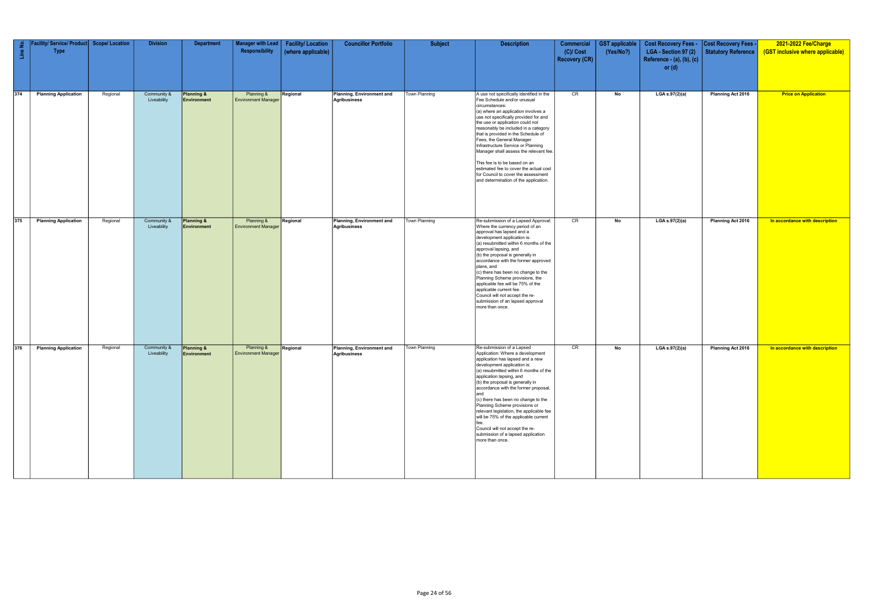| Line No. | Facility/ Service/ Product Scope/ Location<br><b>Type</b> |          | <b>Division</b>            | <b>Department</b>         | Manager with Lead<br>Responsibility      | <b>Facility/Location</b><br>(where applicable) | <b>Councillor Portfolio</b>               | <b>Subject</b> | <b>Description</b>                                                                                                                                                                                                                                                                                                                                                                                                                                                                                                                                                   | <b>Commercial</b><br>$(C)/$ Cost<br><b>Recovery (CR)</b> | <b>GST</b> applicable<br>(Yes/No?) | Cost Recovery Fees - Cost Recovery Fees -<br>LGA - Section 97 (2)<br>Reference - $(a)$ , $(b)$ , $(c)$<br>or $(d)$ | Statutory Reference | 2021-2022 Fee/Charge<br>(GST inclusive where applicable) |
|----------|-----------------------------------------------------------|----------|----------------------------|---------------------------|------------------------------------------|------------------------------------------------|-------------------------------------------|----------------|----------------------------------------------------------------------------------------------------------------------------------------------------------------------------------------------------------------------------------------------------------------------------------------------------------------------------------------------------------------------------------------------------------------------------------------------------------------------------------------------------------------------------------------------------------------------|----------------------------------------------------------|------------------------------------|--------------------------------------------------------------------------------------------------------------------|---------------------|----------------------------------------------------------|
| $374$    | <b>Planning Application</b>                               | Regional | Community &<br>Liveability | Planning &<br>Environment | Planning &<br><b>Environment Manager</b> | Regional                                       | Planning, Environment and<br>Agribusiness | Town Planning  | A use not specifically identified in the<br>Fee Schedule and/or unusual<br>circumstances:<br>(a) where an application involves a<br>use not specifically provided for and<br>the use or application could not<br>reasonably be included in a category<br>that is provided in the Schedule of<br>Fees, the General Manager<br>Infrastructure Service or Planning<br>Manager shall assess the relevant fee.<br>This fee is to be based on an<br>estimated fee to cover the actual cost<br>for Council to cover the assessment<br>and determination of the application. | CR                                                       | No                                 | LGA s.97(2)(a)                                                                                                     | Planning Act 2016   | <b>Price on Application</b>                              |
| 375      | <b>Planning Application</b>                               | Regional | Community &<br>Liveability | Planning &<br>Environment | Planning &<br><b>Environment Manager</b> | Regional                                       | Planning, Environment and<br>Agribusiness | Town Planning  | Re-submission of a Lapsed Approval:<br>Where the currency period of an<br>approval has lapsed and a<br>development application is:<br>(a) resubmitted within 6 months of the<br>approval lapsing, and<br>(b) the proposal is generally in<br>accordance with the former approved<br>plans, and<br>(c) there has been no change to the<br>Planning Scheme provisions, the<br>applicable fee will be 75% of the<br>applicable current fee.<br>Council will not accept the re-<br>submission of an lapsed approval<br>more than once.                                   | CR                                                       | No                                 | LGA s.97(2)(a)                                                                                                     | Planning Act 2016   | In accordance with description                           |
| 376      | <b>Planning Application</b>                               | Regional | Community &<br>Liveability | Planning &<br>Environment | Planning &<br><b>Environment Manager</b> | Regional                                       | Planning, Environment and<br>Agribusiness | Town Planning  | Re-submission of a Lapsed<br>Application: Where a development<br>application has lapsed and a new<br>development application is:<br>(a) resubmitted within 6 months of the<br>application lapsing, and<br>(b) the proposal is generally in<br>accordance with the former proposal,<br>land<br>(c) there has been no change to the<br>Planning Scheme provisions or<br>relevant legislation, the applicable fee<br>will be 75% of the applicable current<br>Council will not accept the re-<br>submission of a lapsed application<br>more than once.                  | CR                                                       | No                                 | LGA s.97(2)(a)                                                                                                     | Planning Act 2016   | In accordance with description                           |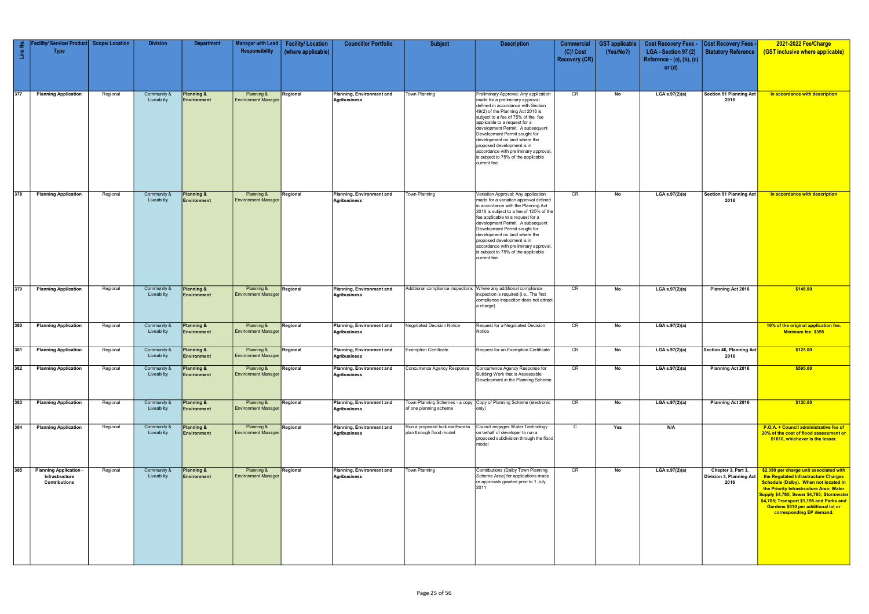| $\frac{1}{2}$<br>$\frac{e}{2}$ | acility/ Service/ Product<br><b>Type</b>                              | <b>Scope/ Location</b> | <b>Division</b>            | <b>Department</b>                           | <b>Manager with Lead</b><br>Responsibility | <b>Facility/Location</b><br>(where applicable) | <b>Councillor Portfolio</b>               | <b>Subject</b>                                             | <b>Description</b>                                                                                                                                                                                                                                                                                                                                                                                                                                             | <b>Commercial</b><br>$(C)/$ Cost<br><b>Recovery (CR)</b> | <b>GST</b> applicable<br>(Yes/No?) | <b>Cost Recovery Fees -</b><br>LGA - Section 97 (2)<br>Reference - $(a)$ , $(b)$ , $(c)$<br>or $(d)$ | <b>Cost Recovery Fees -</b><br>Statutory Reference     | 2021-2022 Fee/Charge<br>(GST inclusive where applicable)                                                                                                                                                                                                                                                                                 |
|--------------------------------|-----------------------------------------------------------------------|------------------------|----------------------------|---------------------------------------------|--------------------------------------------|------------------------------------------------|-------------------------------------------|------------------------------------------------------------|----------------------------------------------------------------------------------------------------------------------------------------------------------------------------------------------------------------------------------------------------------------------------------------------------------------------------------------------------------------------------------------------------------------------------------------------------------------|----------------------------------------------------------|------------------------------------|------------------------------------------------------------------------------------------------------|--------------------------------------------------------|------------------------------------------------------------------------------------------------------------------------------------------------------------------------------------------------------------------------------------------------------------------------------------------------------------------------------------------|
| 377                            | <b>Planning Application</b>                                           | Regional               | Community &<br>Liveability | <b>Planning &amp;</b><br><b>Environment</b> | Planning &<br><b>Environment Manager</b>   | Regional                                       | Planning, Environment and<br>Agribusiness | Town Planning                                              | Preliminary Approval: Any application<br>made for a preliminary approval<br>defined in accordance with Section<br>49(2) of the Planning Act 2016 is<br>subject to a fee of 75% of the fee<br>applicable to a request for a<br>development Permit. A subsequent<br>Development Permit sought for<br>development on land where the<br>proposed development is in<br>accordance with preliminary approval,<br>is subject to 75% of the applicable<br>current fee. | CR                                                       | No                                 | LGA s.97(2)(a)                                                                                       | Section 51 Planning Act<br>2016                        | In accordance with description                                                                                                                                                                                                                                                                                                           |
| 378                            | <b>Planning Application</b>                                           | Regional               | Community &<br>Liveability | <b>Planning &amp;</b><br>Environment        | Planning &<br><b>Environment Manager</b>   | Regional                                       | Planning, Environment and<br>Agribusiness | Town Planning                                              | Variation Approval: Any application<br>made for a variation approval defined<br>in accordance with the Planning Act<br>2016 is subject to a fee of 125% of the<br>fee applicable to a request for a<br>development Permit. A subsequent<br>Development Permit sought for<br>development on land where the<br>proposed development is in<br>accordance with preliminary approval<br>is subject to 75% of the applicable<br>current fee                          | CR                                                       | No                                 | LGA s.97(2)(a)                                                                                       | Section 51 Planning Act<br>2016                        | In accordance with description                                                                                                                                                                                                                                                                                                           |
| 379                            | <b>Planning Application</b>                                           | Regional               | Community &<br>Liveability | Planning &<br><b>Environment</b>            | Planning &<br><b>Environment Manager</b>   | Regional                                       | Planning, Environment and<br>Agribusiness |                                                            | Additional compliance inspections Where any additional compliance<br>inspection is required (i.e The first<br>compliance inspection does not attract<br>a charge)                                                                                                                                                                                                                                                                                              | CR                                                       | No                                 | LGA s.97(2)(a)                                                                                       | Planning Act 2016                                      | \$145.00                                                                                                                                                                                                                                                                                                                                 |
| 380                            | <b>Planning Application</b>                                           | Regional               | Community &<br>Liveability | <b>Planning &amp;</b><br><b>Environment</b> | Planning &<br><b>Environment Manager</b>   | Regional                                       | Planning, Environment and<br>Agribusiness | <b>Negotiated Decision Notice</b>                          | Request for a Negotiated Decision<br>Notice                                                                                                                                                                                                                                                                                                                                                                                                                    | CR                                                       | No                                 | LGA s.97(2)(a)                                                                                       |                                                        | 10% of the original application fee.<br>Minimum fee: \$395                                                                                                                                                                                                                                                                               |
| 381                            | <b>Planning Application</b>                                           | Regional               | Community &<br>Liveability | Planning &<br>Environment                   | Planning &<br><b>Environment Manager</b>   | Regional                                       | Planning, Environment and<br>Agribusiness | <b>Exemption Certificate</b>                               | Request for an Exemption Certificate                                                                                                                                                                                                                                                                                                                                                                                                                           | CR                                                       | No                                 | LGA s.97(2)(a)                                                                                       | Section 46, Planning Act<br>2016                       | \$125.00                                                                                                                                                                                                                                                                                                                                 |
| 382                            | <b>Planning Application</b>                                           | Regional               | Community &<br>Liveability | Planning &<br><b>Environment</b>            | Planning &<br><b>Environment Manager</b>   | Regional                                       | Planning, Environment and<br>Agribusiness | Concurrence Agency Response                                | Concurrence Agency Response for<br>Building Work that is Assessable<br>Development in the Planning Scheme                                                                                                                                                                                                                                                                                                                                                      | CR                                                       | No                                 | LGA s.97(2)(a)                                                                                       | <b>Planning Act 2016</b>                               | \$595.00                                                                                                                                                                                                                                                                                                                                 |
| 383                            | <b>Planning Application</b>                                           | Regional               | Community &<br>Liveability | Planning &<br>Environment                   | Planning &<br><b>Environment Manager</b>   | Regional                                       | Planning, Environment and<br>Agribusiness | Town Planning Schemes - a copy<br>of one planning scheme   | Copy of Planning Scheme (electronic<br>only)                                                                                                                                                                                                                                                                                                                                                                                                                   | CR                                                       | No                                 | LGA s.97(2)(a)                                                                                       | Planning Act 2016                                      | \$120.00                                                                                                                                                                                                                                                                                                                                 |
| 384                            | <b>Planning Application</b>                                           | Regional               | Community &<br>Liveability | Planning &<br><b>Environment</b>            | Planning &<br><b>Environment Manager</b>   | Regional                                       | Planning, Environment and<br>Agribusiness | Run a proposed bulk earthworks<br>plan through flood model | Council engages Water Technology<br>on behalf of developer to run a<br>proposed subdivision through the flood<br>model                                                                                                                                                                                                                                                                                                                                         | C                                                        | Yes                                | N/A                                                                                                  |                                                        | P.O.A. + Council administrative fee of<br>20% of the cost of flood assessment or<br>\$1610, whichever is the lesser.                                                                                                                                                                                                                     |
| 385                            | <b>Planning Application</b><br>Infrastructure<br><b>Contributions</b> | Regional               | Community &<br>Liveability | Planning &<br>Environment                   | Planning &<br><b>Environment Manager</b>   | Regional                                       | Planning, Environment and<br>Agribusiness | Town Planning                                              | Contributions (Dalby Town Planning<br>Scheme Area) for applications made<br>or approvals granted prior to 1 July,<br>2011                                                                                                                                                                                                                                                                                                                                      | CR                                                       | No                                 | LGA s.97(2)(a)                                                                                       | Chapter 3, Part 3,<br>Division 3, Planning Act<br>2016 | \$2,380 per charge unit associated with<br>the Regulated Infrastructure Charges<br>Schedule (Dalby). When not located in<br>the Priority Infrastructure Area: Water<br>Supply \$4,765; Sewer \$4,765; Stormwater  <br>\$4,765; Transport \$1,195 and Parks and<br><b>Gardens \$610 per additional lot or</b><br>corresponding EP demand. |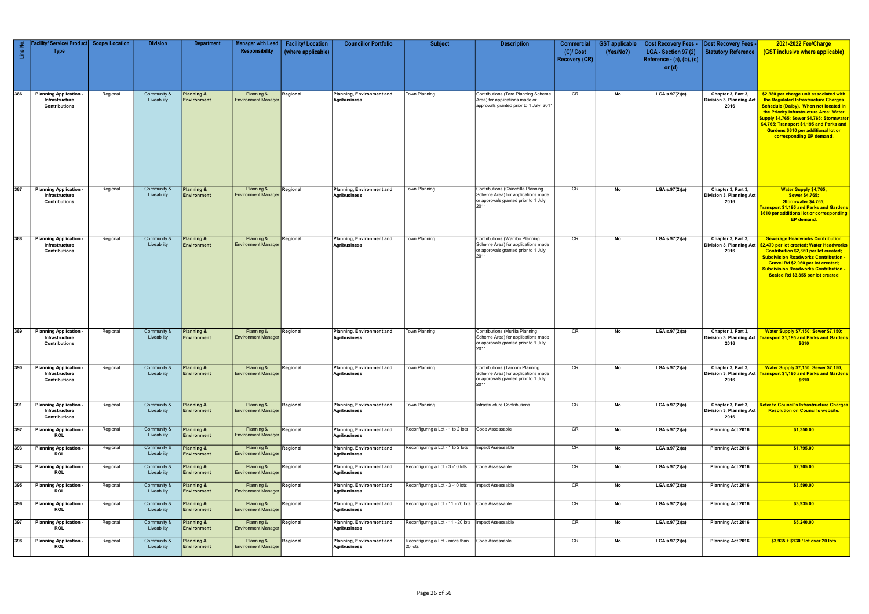|            | acility/ Service/ Product   Scope/ Location                           |                      | <b>Division</b>                           | <b>Department</b>                                  | Manager with Lead                                      | <b>Facility/Location</b> | <b>Councillor Portfolio</b>                                            | <b>Subject</b>                                                         | <b>Description</b>                                                                                                        | Commercial                          | <b>GST applicable</b> | <b>Cost Recovery Fees -</b>                                   | <b>Cost Recovery Fees -</b>                            | 2021-2022 Fee/Charge                                                                                                                                                                                                                                                                                                                   |
|------------|-----------------------------------------------------------------------|----------------------|-------------------------------------------|----------------------------------------------------|--------------------------------------------------------|--------------------------|------------------------------------------------------------------------|------------------------------------------------------------------------|---------------------------------------------------------------------------------------------------------------------------|-------------------------------------|-----------------------|---------------------------------------------------------------|--------------------------------------------------------|----------------------------------------------------------------------------------------------------------------------------------------------------------------------------------------------------------------------------------------------------------------------------------------------------------------------------------------|
| Line No.   | <b>Type</b>                                                           |                      |                                           |                                                    | Responsibility                                         | (where applicable)       |                                                                        |                                                                        |                                                                                                                           | $(C)/$ Cost<br><b>Recovery (CR)</b> | (Yes/No?)             | LGA - Section 97 (2)<br>Reference - (a), (b), (c)<br>or $(d)$ | Statutory Reference                                    | (GST inclusive where applicable)                                                                                                                                                                                                                                                                                                       |
| 386        | <b>Planning Application</b><br>Infrastructure<br><b>Contributions</b> | Regional             | Community &<br>Liveability                | <b>Planning &amp;</b><br>Environment               | Planning &<br><b>Environment Manager</b>               | Regional                 | Planning, Environment and<br><b>Agribusiness</b>                       | Town Planning                                                          | Contributions (Tara Planning Scheme<br>Area) for applications made or<br>approvals granted prior to 1 July, 2011          | CR                                  | No                    | LGA s.97(2)(a)                                                | Chapter 3, Part 3,<br>Division 3, Planning Act<br>2016 | \$2,380 per charge unit associated with<br>the Regulated Infrastructure Charges<br>Schedule (Dalby). When not located in<br>the Priority Infrastructure Area: Water<br>Supply \$4,765; Sewer \$4,765; Stormwater<br>\$4,765; Transport \$1,195 and Parks and<br><b>Gardens \$610 per additional lot or</b><br>corresponding EP demand. |
| 387        | <b>Planning Application</b><br>Infrastructure<br>Contributions        | Regional             | Community &<br>Liveability                | Planning &<br><b>Environment</b>                   | Planning &<br><b>Environment Manager</b>               | Regional                 | Planning, Environment and<br>Agribusiness                              | Town Planning                                                          | Contributions (Chinchilla Planning<br>Scheme Area) for applications made<br>or approvals granted prior to 1 July,<br>2011 | CR                                  | No                    | LGA $s.97(2)(a)$                                              | Chapter 3, Part 3,<br>Division 3, Planning Act<br>2016 | <b>Water Supply \$4,765;</b><br><b>Sewer \$4,765;</b><br>Stormwater \$4,765;<br>Transport \$1,195 and Parks and Gardens  <br>\$610 per additional lot or corresponding<br>EP demand.                                                                                                                                                   |
| 388        | <b>Planning Application</b><br>Infrastructure<br><b>Contributions</b> | Regional             | Community &<br>Liveability                | Planning &<br>Environment                          | Planning &<br><b>Environment Manager</b>               | Regional                 | Planning, Environment and<br><b>Agribusiness</b>                       | Town Planning                                                          | Contributions (Wambo Planning<br>Scheme Area) for applications made<br>or approvals granted prior to 1 July,<br>2011      | CR                                  | No                    | LGA s.97(2)(a)                                                | Chapter 3, Part 3,<br>Division 3, Planning Act<br>2016 | <b>Sewerage Headworks Contribution</b><br>\$2,470 per lot created; Water Headworks<br>Contribution \$2,860 per lot created;<br><b>Subdivision Roadworks Contribution -</b><br>Gravel Rd \$2,060 per lot created;<br><b>Subdivision Roadworks Contribution -</b><br>Sealed Rd \$3,355 per lot created                                   |
| 389        | <b>Planning Application</b><br>Infrastructure<br>Contributions        | Regional             | Community &<br>Liveability                | <b>Planning &amp;</b><br><b>Environment</b>        | Planning &<br><b>Environment Manager</b>               | Regional                 | Planning, Environment and<br>Agribusiness                              | Town Planning                                                          | Contributions (Murilla Planning<br>Scheme Area) for applications made<br>or approvals granted prior to 1 July,<br>2011    | CR                                  | No                    | LGA s.97(2)(a)                                                | Chapter 3, Part 3,<br>2016                             | <b>Water Supply \$7,150; Sewer \$7,150;</b><br>Division 3, Planning Act   Transport \$1,195 and Parks and Gardens  <br>\$610                                                                                                                                                                                                           |
| 390        | <b>Planning Application</b><br>Infrastructure<br><b>Contributions</b> | Regional             | Community &<br>Liveability                | <b>Planning &amp;</b><br><b>Environment</b>        | Planning &<br><b>Environment Manager</b>               | Regional                 | Planning, Environment and<br><b>Agribusiness</b>                       | Town Planning                                                          | Contributions (Taroom Planning<br>Scheme Area) for applications made<br>or approvals granted prior to 1 July,<br>2011     | CR                                  | No                    | LGA s.97(2)(a)                                                | Chapter 3, Part 3,<br>2016                             | <b>Water Supply \$7,150; Sewer \$7,150;</b><br>Division 3, Planning Act   Transport \$1,195 and Parks and Gardens  <br>\$610                                                                                                                                                                                                           |
| 391        | <b>Planning Application</b><br>Infrastructure<br><b>Contributions</b> | Regional             | Community &<br>Liveability                | Planning &<br><b>Environment</b>                   | Planning &<br><b>Environment Manager</b>               | Regional                 | <b>Planning, Environment and</b><br>Agribusiness                       | Town Planning                                                          | Infrastructure Contributions                                                                                              | CR                                  | No                    | LGA s.97(2)(a)                                                | Chapter 3, Part 3,<br>Division 3, Planning Act<br>2016 | <b>Refer to Council's Infrastructure Charges</b><br><b>Resolution on Council's website.</b>                                                                                                                                                                                                                                            |
| 392<br>393 | <b>Planning Application</b><br>ROL<br><b>Planning Application</b>     | Regional<br>Regional | Community &<br>Liveability<br>Community & | <b>Planning &amp;</b><br>Environment<br>Planning & | Planning &<br><b>Environment Manager</b><br>Planning & | Regional<br>Regional     | Planning, Environment and<br>Agribusiness<br>Planning, Environment and | Reconfiguring a Lot - 1 to 2 lots<br>Reconfiguring a Lot - 1 to 2 lots | Code Assessable<br>Impact Assessable                                                                                      | CR<br>CR                            | No<br>No              | LGA s.97(2)(a)<br>LGA s.97(2)(a)                              | Planning Act 2016<br>Planning Act 2016                 | \$1,350.00<br>\$1,795.00                                                                                                                                                                                                                                                                                                               |
|            | ROL                                                                   |                      | Liveability                               | <b>Environment</b>                                 | <b>Environment Manager</b>                             |                          | Agribusiness                                                           |                                                                        |                                                                                                                           |                                     |                       |                                                               |                                                        |                                                                                                                                                                                                                                                                                                                                        |
| 394        | <b>Planning Application</b><br><b>ROL</b>                             | Regional             | Community &<br>Liveability                | <b>Planning &amp;</b><br><b>Environment</b>        | Planning &<br><b>Environment Manager</b>               | Regional                 | Planning, Environment and<br>Agribusiness                              | Reconfiguring a Lot - 3 -10 lots                                       | Code Assessable                                                                                                           | CR                                  | No                    | LGA s.97(2)(a)                                                | <b>Planning Act 2016</b>                               | \$2,705.00                                                                                                                                                                                                                                                                                                                             |
| 395        | <b>Planning Application</b><br><b>ROL</b>                             | Regional             | Community &<br>Liveability                | Planning &<br><b>Environment</b>                   | Planning &<br><b>Environment Manager</b>               | Regional                 | Planning, Environment and<br>Agribusiness                              | Reconfiguring a Lot - 3 -10 lots                                       | Impact Assessable                                                                                                         | CR                                  | No                    | LGA s.97(2)(a)                                                | Planning Act 2016                                      | \$3,590.00                                                                                                                                                                                                                                                                                                                             |
| 396        | <b>Planning Application</b><br>ROL                                    | Regional             | Community &<br>Liveability                | Planning &<br>Environment                          | Planning &<br><b>Environment Manager</b>               | Regional                 | Planning, Environment and<br>Agribusiness                              | Reconfiguring a Lot - 11 - 20 lots Code Assessable                     |                                                                                                                           | CR                                  | No                    | LGA s.97(2)(a)                                                | <b>Planning Act 2016</b>                               | \$3,935.00                                                                                                                                                                                                                                                                                                                             |
| 397        | <b>Planning Application</b><br><b>ROL</b>                             | Regional             | Community &<br>Liveability                | Planning &<br><b>Environment</b>                   | Planning &<br><b>Environment Manager</b>               | Regional                 | Planning, Environment and<br>Agribusiness                              | Reconfiguring a Lot - 11 - 20 lots   Impact Assessable                 |                                                                                                                           | CR                                  | No                    | LGA s.97(2)(a)                                                | Planning Act 2016                                      | \$5,240.00                                                                                                                                                                                                                                                                                                                             |
| 398        | <b>Planning Application</b><br>ROL                                    | Regional             | Community &<br>Liveability                | Planning &<br>Environment                          | Planning &<br><b>Environment Manager</b>               | Regional                 | Planning, Environment and<br>Agribusiness                              | Reconfiguring a Lot - more than<br>20 lots                             | Code Assessable                                                                                                           | CR                                  | No                    | LGA s.97(2)(a)                                                | <b>Planning Act 2016</b>                               | $$3,935 + $130 /$ lot over 20 lots                                                                                                                                                                                                                                                                                                     |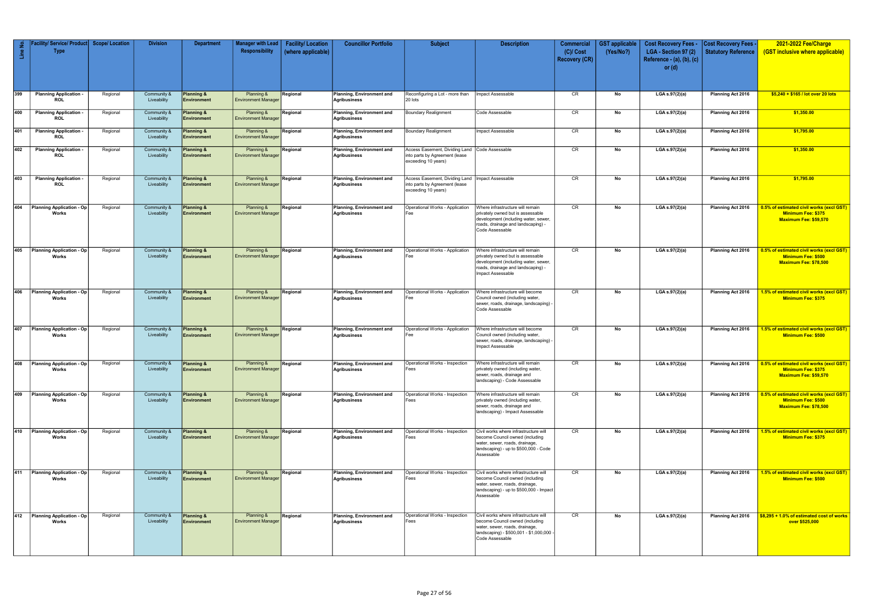| $\frac{e}{\Box}$ | / Service/ Product<br><b>Type</b>           | <b>Scope/ Location</b> | <b>Division</b>                       | <b>Department</b>                           | <b>Manager with Lead</b><br>Responsibility | <b>Facility/Location</b><br>(where applicable) | <b>Councillor Portfolio</b>                      | <b>Subject</b>                                                                          | <b>Description</b>                                                                                                                                                      | <b>Commercial</b><br>$(C)/$ Cost<br><b>Recovery (CR)</b> | <b>GST</b> applicable<br>(Yes/No?) | <b>Cost Recovery Fees -</b><br>LGA - Section 97 (2)<br>Reference - $(a)$ , $(b)$ , $(c)$<br>or $(d)$ | <b>Cost Recovery Fees</b><br><b>Statutory Reference</b> | 2021-2022 Fee/Charge<br>(GST inclusive where applicable)                                                    |
|------------------|---------------------------------------------|------------------------|---------------------------------------|---------------------------------------------|--------------------------------------------|------------------------------------------------|--------------------------------------------------|-----------------------------------------------------------------------------------------|-------------------------------------------------------------------------------------------------------------------------------------------------------------------------|----------------------------------------------------------|------------------------------------|------------------------------------------------------------------------------------------------------|---------------------------------------------------------|-------------------------------------------------------------------------------------------------------------|
| 399              | <b>Planning Application -</b><br><b>ROL</b> | Regional               | Community &<br>Liveability            | <b>Planning &amp;</b><br>Environment        | Planning &<br><b>Environment Manager</b>   | Regional                                       | Planning, Environment and<br>Agribusiness        | Reconfiguring a Lot - more than<br>20 lots                                              | Impact Assessable                                                                                                                                                       | CR                                                       | No                                 | LGA s.97(2)(a)                                                                                       | Planning Act 2016                                       | $$5,240 + $165$ / lot over 20 lots                                                                          |
| 400              | <b>Planning Application</b><br><b>ROL</b>   | Regional               | Community &<br>Liveability            | Planning &<br>Environment                   | Planning &<br><b>Environment Manager</b>   | Regional                                       | Planning, Environment and<br>Agribusiness        | Boundary Realignment                                                                    | Code Assessable                                                                                                                                                         | CR                                                       | No                                 | LGA s.97(2)(a)                                                                                       | Planning Act 2016                                       | \$1,350.00                                                                                                  |
| 401              | <b>Planning Application</b><br><b>ROL</b>   | Regional               | Community &<br>Liveability            | Planning &<br><b>Environment</b>            | Planning &<br><b>Environment Manager</b>   | Regional                                       | Planning, Environment and<br><b>Agribusiness</b> | <b>Boundary Realignment</b>                                                             | Impact Assessable                                                                                                                                                       | CR                                                       | No                                 | LGA s.97(2)(a)                                                                                       | Planning Act 2016                                       | \$1,795.00                                                                                                  |
| 402              | <b>Planning Application</b><br><b>ROL</b>   | Regional               | Community &<br>Liveability            | Planning &<br><b>Environment</b>            | Planning &<br><b>Environment Manager</b>   | Regional                                       | Planning, Environment and<br><b>Agribusiness</b> | Access Easement, Dividing Land<br>into parts by Agreement (lease<br>exceeding 10 years) | Code Assessable                                                                                                                                                         | CR                                                       | No                                 | LGA s.97(2)(a)                                                                                       | Planning Act 2016                                       | \$1,350.00                                                                                                  |
| 403              | <b>Planning Application</b><br><b>ROL</b>   | Regional               | Community &<br>Liveability            | Planning &<br>Environment                   | Planning &<br><b>Environment Manager</b>   | Regional                                       | <b>Planning, Environment and</b><br>Agribusiness | Access Easement, Dividing Land<br>into parts by Agreement (lease<br>exceeding 10 years) | <b>Impact Assessable</b>                                                                                                                                                | CR                                                       | No                                 | LGA s.97(2)(a)                                                                                       | Planning Act 2016                                       | \$1,795.00                                                                                                  |
| 404              | Planning Application - Op<br>Works          | Regional               | Community &<br>Liveability            | <b>Planning &amp;</b><br>Environment        | Planning &<br><b>Environment Manager</b>   | Regional                                       | Planning, Environment and<br>Agribusiness        | Operational Works - Application<br>Fee                                                  | Where infrastructure will remain<br>privately owned but is assessable<br>development (including water, sewer,<br>roads, drainage and landscaping) -<br>Code Assessable  | CR                                                       | No                                 | LGA s.97(2)(a)                                                                                       | <b>Planning Act 2016</b>                                | 0.5% of estimated civil works (excl GST)<br>Minimum Fee: \$375<br><b>Maximum Fee: \$59,570</b>              |
| 405              | Planning Application - Op<br>Works          | Regional               | Community &<br>Liveability            | Planning &<br><b>Environment</b>            | Planning &<br><b>Environment Manager</b>   | Regional                                       | Planning, Environment and<br><b>Agribusiness</b> | Operational Works - Application<br>Fee                                                  | Where infrastructure will remain<br>privately owned but is assessable<br>development (including water, sewer<br>roads, drainage and landscaping) -<br>Impact Assessable | CR                                                       | No                                 | LGA s.97(2)(a)                                                                                       | Planning Act 2016                                       | 0.5% of estimated civil works (excl GST)<br>Minimum Fee: \$500<br>Maximum Fee: \$78,500                     |
| 406              | Planning Application - Op<br>Works          | Regional               | Community &<br>Liveability            | Planning &<br><b>Environment</b>            | Planning &<br><b>Environment Manager</b>   | Regional                                       | Planning, Environment and<br>Agribusiness        | Operational Works - Application<br>Fee                                                  | Where infrastructure will become<br>Council owned (including water,<br>sewer, roads, drainage, landscaping) -<br>Code Assessable                                        | CR                                                       | No                                 | LGA s.97(2)(a)                                                                                       | Planning Act 2016                                       | 1.5% of estimated civil works (excl GST)<br><b>Minimum Fee: \$375</b>                                       |
| 407              | Planning Application - Op<br>Works          | Regional               | Community &<br>Liveability            | Planning &<br><b>Environment</b>            | Planning &<br><b>Environment Manager</b>   | Regional                                       | Planning, Environment and<br><b>Agribusiness</b> | Operational Works - Application<br>Fee                                                  | Where infrastructure will become<br>Council owned (including water,<br>sewer, roads, drainage, landscaping) -<br>Impact Assessable                                      | CR                                                       | No                                 | LGA s.97(2)(a)                                                                                       | <b>Planning Act 2016</b>                                | 1.5% of estimated civil works (excl GST)<br>Minimum Fee: \$500                                              |
|                  | 408 Planning Application - Op<br>Works      | Regional               | Community & Planning &<br>Liveability | Environment                                 | Planning &<br><b>Environment Manager</b>   | Regional                                       | Planning, Environment and<br>Agribusiness        | Operational Works - Inspection<br>Fees                                                  | Where infrastructure will remain<br>privately owned (including water,<br>sewer, roads, drainage and<br>landscaping) - Code Assessable                                   | CR                                                       | No                                 | $LGA$ s.97(2)(a)                                                                                     |                                                         | Planning Act 2016   0.5% of estimated civil works (excl GST)<br>Minimum Fee: \$375<br>Maximum Fee: \$59,570 |
| 409              | <b>Planning Application - Op</b><br>Works   | Regional               | Community &<br>Liveability            | <b>Planning &amp;</b><br>Environment        | Planning &<br><b>Environment Manager</b>   | Regional                                       | Planning, Environment and<br>Agribusiness        | Operational Works - Inspection<br>Fees                                                  | Where infrastructure will remain<br>privately owned (including water,<br>sewer, roads, drainage and<br>Iandscaping) - Impact Assessable                                 | CR                                                       | No                                 | LGA s.97(2)(a)                                                                                       | Planning Act 2016                                       | 0.5% of estimated civil works (excl GST)<br>Minimum Fee: \$500<br>Maximum Fee: \$78,500                     |
| 410              | Planning Application - Op<br>Works          | Regional               | Community &<br>Liveability            | <b>Planning &amp;</b><br><b>Environment</b> | Planning &<br><b>Environment Manager</b>   | Regional                                       | Planning, Environment and<br>Agribusiness        | Operational Works - Inspection<br>Fees                                                  | Civil works where infrastructure will<br>become Council owned (including<br>water, sewer, roads, drainage,<br>landscaping) - up to \$500,000 - Code<br>Assessable       | CR                                                       | No                                 | LGA s.97(2)(a)                                                                                       | Planning Act 2016                                       | 1.5% of estimated civil works (excl GST)<br>Minimum Fee: \$375                                              |
| 411              | <b>Planning Application - Op</b><br>Works   | Regional               | Community &<br>Liveability            | <b>Planning &amp;</b><br><b>Environment</b> | Planning &<br><b>Environment Manager</b>   | Regional                                       | Planning, Environment and<br>Agribusiness        | Operational Works - Inspection<br>Fees                                                  | Civil works where infrastructure will<br>become Council owned (including<br>water, sewer, roads, drainage,<br>landscaping) - up to \$500,000 - Impact<br>Assessable     | CR                                                       | No                                 | LGA s.97(2)(a)                                                                                       | Planning Act 2016                                       | 1.5% of estimated civil works (excl GST)<br>Minimum Fee: \$500                                              |
|                  | 412 Planning Application - Op<br>Works      | Regional               | Community &<br>Liveability            | Planning &<br><b>Environment</b>            | Planning &<br><b>Environment Manager</b>   | Regional                                       | <b>Planning, Environment and</b><br>Agribusiness | Operational Works - Inspection<br>Fees                                                  | Civil works where infrastructure will<br>become Council owned (including<br>water, sewer, roads, drainage,<br>landscaping) - \$500,001 - \$1,000,000<br>Code Assessable | CR                                                       | No                                 | LGA s.97(2)(a)                                                                                       | <b>Planning Act 2016</b>                                | \$8,295 + 1.0% of estimated cost of works<br>over \$525,000                                                 |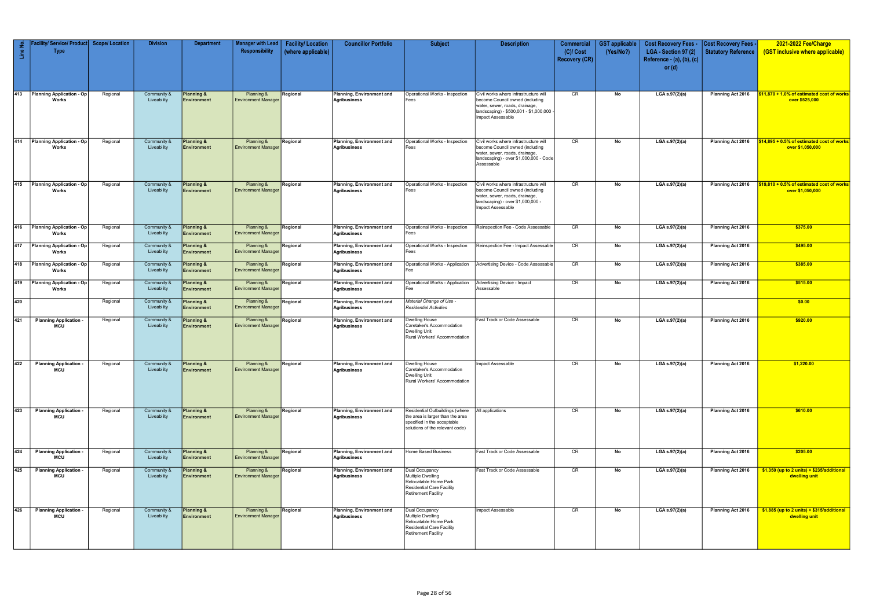| Line No. | Facility/ Service/ Product <br><b>Type</b>  | <b>Scope/Location</b> | <b>Division</b>                       | <b>Department</b>                    | <b>Manager with Lead</b><br>Responsibility | <b>Facility/Location</b><br>(where applicable) | <b>Councillor Portfolio</b>                      | <b>Subject</b>                                                                                                                        | <b>Description</b>                                                                                                                                                          | Commercial<br>$(C)/$ Cost<br><b>Recovery (CR)</b> | <b>GST</b> applicable<br>(Yes/No?) | <b>Cost Recovery Fees -</b><br>LGA - Section 97 (2)<br>Reference - $(a)$ , $(b)$ , $(c)$<br>or $(d)$ | Cost Recovery Fees -<br>Statutory Reference | 2021-2022 Fee/Charge<br>(GST inclusive where applicable)         |
|----------|---------------------------------------------|-----------------------|---------------------------------------|--------------------------------------|--------------------------------------------|------------------------------------------------|--------------------------------------------------|---------------------------------------------------------------------------------------------------------------------------------------|-----------------------------------------------------------------------------------------------------------------------------------------------------------------------------|---------------------------------------------------|------------------------------------|------------------------------------------------------------------------------------------------------|---------------------------------------------|------------------------------------------------------------------|
| 413      | <b>Planning Application - Op</b><br>Works   | Regional              | Community &<br>Liveability            | <b>Planning &amp;</b><br>Environment | Planning &<br><b>Environment Manager</b>   | Regional                                       | Planning, Environment and<br><b>Agribusiness</b> | Operational Works - Inspection<br>Fees                                                                                                | Civil works where infrastructure will<br>become Council owned (including<br>water, sewer, roads, drainage,<br>landscaping) - \$500,001 - \$1,000,000 -<br>Impact Assessable | CR                                                | No                                 | LGA s.97(2)(a)                                                                                       | Planning Act 2016                           | $$11,870 + 1.0\%$ of estimated cost of works<br>over \$525,000   |
|          | 414 Planning Application - Op<br>Works      | Regional              | Community &<br>Liveability            | Planning &<br>Environment            | Planning &<br><b>Environment Manager</b>   | Regional                                       | Planning, Environment and<br><b>Agribusiness</b> | Operational Works - Inspection<br>Fees                                                                                                | Civil works where infrastructure will<br>become Council owned (including<br>water, sewer, roads, drainage,<br>landscaping) - over \$1,000,000 - Code<br>Assessable          | CR                                                | No                                 | LGA s.97(2)(a)                                                                                       | Planning Act 2016                           | $$14,895 + 0.5\%$ of estimated cost of works<br>over \$1,050,000 |
|          | 415 Planning Application - Op<br>Works      | Regional              | Community &<br>Liveability            | <b>Planning &amp;</b><br>Environment | Planning &<br><b>Environment Manager</b>   | Regional                                       | Planning, Environment and<br><b>Agribusiness</b> | Operational Works - Inspection<br>Fees                                                                                                | Civil works where infrastructure will<br>become Council owned (including<br>water, sewer, roads, drainage,<br>landscaping) - over \$1,000,000 -<br>Impact Assessable        | CR                                                | No                                 | LGA s.97(2)(a)                                                                                       | Planning Act 2016                           | \$19,810 + 0.5% of estimated cost of works<br>over \$1,050,000   |
|          | 416 Planning Application - Op<br>Works      | Regional              | Community &<br>Liveability            | <b>Planning &amp;</b><br>Environment | Planning &<br><b>Environment Manager</b>   | Regional                                       | Planning, Environment and<br><b>Agribusiness</b> | Operational Works - Inspection<br>Fees                                                                                                | Reinspection Fee - Code Assessable                                                                                                                                          | CR                                                | No                                 | LGA s.97(2)(a)                                                                                       | Planning Act 2016                           | \$375.00                                                         |
|          | 417 Planning Application - Op<br>Works      | Regional              | Community &<br>Liveability            | Planning &<br>Environment            | Planning &<br><b>Environment Manager</b>   | Regional                                       | Planning, Environment and<br><b>Agribusiness</b> | Operational Works - Inspection<br>Fees                                                                                                | Reinspection Fee - Impact Assessable                                                                                                                                        | CR                                                | No                                 | LGA s.97(2)(a)                                                                                       | Planning Act 2016                           | \$495.00                                                         |
|          | 418 Planning Application - Op<br>Works      | Regional              | Community &<br>Liveability            | Planning &<br>Environment            | Planning &<br><b>Environment Manager</b>   | Regional                                       | Planning, Environment and<br><b>Agribusiness</b> | Operational Works - Application<br>Fee                                                                                                | Advertising Device - Code Assessable                                                                                                                                        | CR                                                | No                                 | LGA s.97(2)(a)                                                                                       | Planning Act 2016                           | \$385.00                                                         |
|          | 419 Planning Application - Op<br>Works      | Regional              | Community &<br>Liveability            | Planning &<br>Environment            | Planning &<br><b>Environment Manager</b>   | Regional                                       | Planning, Environment and<br><b>Agribusiness</b> | Operational Works - Application<br>Fee                                                                                                | Advertising Device - Impact<br>Assessable                                                                                                                                   | CR                                                | No                                 | LGA s.97(2)(a)                                                                                       | Planning Act 2016                           | \$515.00                                                         |
| 420      |                                             | Regional              | Community &<br>Liveability            | Planning &<br>Environment            | Planning &<br><b>Environment Manager</b>   | Regional                                       | Planning, Environment and<br><b>Agribusiness</b> | Material Change of Use -<br><b>Residential Activities</b>                                                                             |                                                                                                                                                                             |                                                   |                                    |                                                                                                      |                                             | \$0.00                                                           |
| 421      | Planning Application -<br><b>MCU</b>        | Regional              | Community &<br>Liveability            | Planning &<br>Environment            | Planning &<br><b>Environment Manager</b>   | Regional                                       | Planning, Environment and<br><b>Agribusiness</b> | <b>Dwelling House</b><br>Caretaker's Accommodation<br><b>Dwelling Unit</b><br>Rural Workers' Accommodation                            | Fast Track or Code Assessable                                                                                                                                               | CR                                                | No                                 | LGA s.97(2)(a)                                                                                       | Planning Act 2016                           | \$920.00                                                         |
|          | 422 Planning Application -<br><b>MCU</b>    | Regional              | Community & Planning &<br>Liveability | <b>Environment</b>                   | Planning &<br><b>Environment Manager</b>   | Regional                                       | Planning, Environment and<br><b>Agribusiness</b> | Dwelling House<br>Caretaker's Accommodation<br><b>Dwelling Unit</b><br>Rural Workers' Accommodation                                   | Impact Assessable                                                                                                                                                           | CR                                                | No                                 | $LGA$ s.97 $(2)(a)$                                                                                  | Planning Act 2016                           | \$1,220.00                                                       |
| 423      | <b>Planning Application</b><br><b>MCU</b>   | Regional              | Community &<br>Liveability            | <b>Planning &amp;</b><br>Environment | Planning &<br><b>Environment Manager</b>   | Regional                                       | Planning, Environment and<br><b>Agribusiness</b> | Residential Outbuildings (where<br>the area is larger than the area<br>specified in the acceptable<br>solutions of the relevant code) | All applications                                                                                                                                                            | CR                                                | No                                 | LGA s.97(2)(a)                                                                                       | Planning Act 2016                           | \$610.00                                                         |
| 424      | <b>Planning Application</b><br><b>MCU</b>   | Regional              | Community &<br>Liveability            | <b>Planning &amp;</b><br>Environment | Planning &<br><b>Environment Manager</b>   | Regional                                       | Planning, Environment and<br><b>Agribusiness</b> | <b>Home Based Business</b>                                                                                                            | Fast Track or Code Assessable                                                                                                                                               | CR                                                | No                                 | LGA s.97(2)(a)                                                                                       | Planning Act 2016                           | \$205.00                                                         |
| 425      | <b>Planning Application</b><br>MCU          | Regional              | Community &<br>Liveability            | <b>Planning &amp;</b><br>Environment | Planning &<br><b>Environment Manager</b>   | Regional                                       | Planning, Environment and<br><b>Agribusiness</b> | Dual Occupancy<br><b>Multiple Dwelling</b><br>Relocatable Home Park<br>Residential Care Facility<br><b>Retirement Facility</b>        | Fast Track or Code Assessable                                                                                                                                               | CR                                                | No                                 | LGA s.97(2)(a)                                                                                       | Planning Act 2016                           | $$1,350$ (up to 2 units) + $$235/a$ dditional<br>dwelling unit   |
| 426      | <b>Planning Application -</b><br><b>MCU</b> | Regional              | Community &<br>Liveability            | <b>Planning &amp;</b><br>Environment | Planning &<br><b>Environment Manager</b>   | Regional                                       | Planning, Environment and<br>Agribusiness        | Dual Occupancy<br>Multiple Dwelling<br>Relocatable Home Park<br>Residential Care Facility<br><b>Retirement Facility</b>               | Impact Assessable                                                                                                                                                           | CR                                                | No                                 | LGA s.97(2)(a)                                                                                       | Planning Act 2016                           | $$1,885$ (up to 2 units) + $$315/additional$<br>dwelling unit    |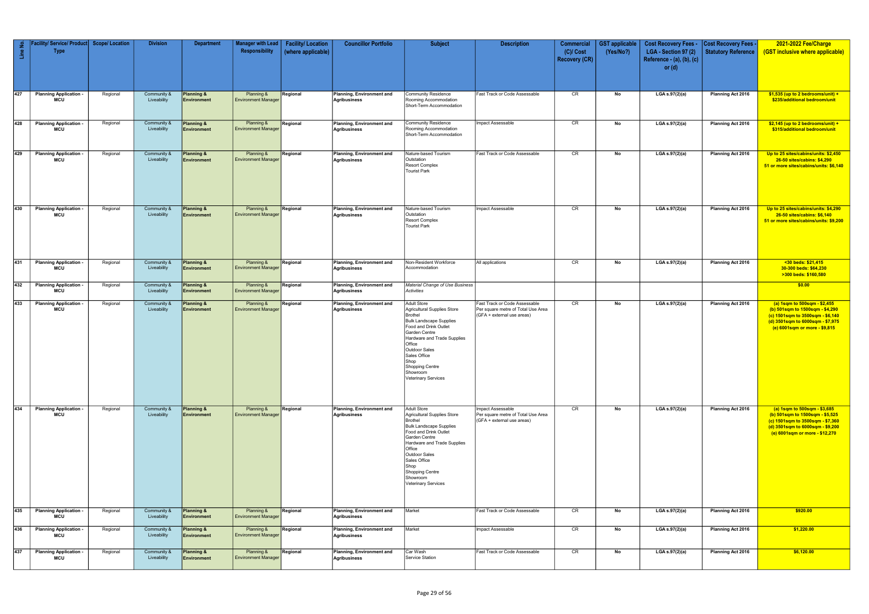| Line No. | ty/ Service/ Product Scope/ Location<br><b>Type</b> |          | <b>Division</b>            | <b>Department</b>                           | Manager with Lead<br>Responsibility      | <b>Facility/Location</b><br>(where applicable) | <b>Councillor Portfolio</b>                      | <b>Subject</b>                                                                                                                                                                                                                                                                                 | <b>Description</b>                                                                                | <b>Commercial</b><br>$(C)/$ Cost<br><b>Recovery (CR)</b> | <b>GST applicable</b><br>(Yes/No?) | <b>Cost Recovery Fees -</b><br>LGA - Section 97 (2)<br>Reference - $(a)$ , $(b)$ , $(c)$<br>or $(d)$ | <b>Cost Recovery Fees -</b><br>Statutory Reference | 2021-2022 Fee/Charge<br>(GST inclusive where applicable)                                                                                                                  |
|----------|-----------------------------------------------------|----------|----------------------------|---------------------------------------------|------------------------------------------|------------------------------------------------|--------------------------------------------------|------------------------------------------------------------------------------------------------------------------------------------------------------------------------------------------------------------------------------------------------------------------------------------------------|---------------------------------------------------------------------------------------------------|----------------------------------------------------------|------------------------------------|------------------------------------------------------------------------------------------------------|----------------------------------------------------|---------------------------------------------------------------------------------------------------------------------------------------------------------------------------|
| 427      | <b>Planning Application</b><br><b>MCU</b>           | Regional | Community &<br>Liveability | <b>Planning &amp;</b><br>Environment        | Planning &<br><b>Environment Manager</b> | Regional                                       | Planning, Environment and<br><b>Agribusiness</b> | <b>Community Residence</b><br>Rooming Accommodation<br>Short-Term Accommodation                                                                                                                                                                                                                | Fast Track or Code Assessable                                                                     | CR                                                       | No                                 | LGA s.97(2)(a)                                                                                       | Planning Act 2016                                  | $$1,535$ (up to 2 bedrooms/unit) +<br>\$235/additional bedroom/unit                                                                                                       |
| 428      | <b>Planning Application</b><br><b>MCU</b>           | Regional | Community &<br>Liveability | <b>Planning &amp;</b><br>Environment        | Planning &<br><b>Environment Manager</b> | Regional                                       | Planning, Environment and<br><b>Agribusiness</b> | <b>Community Residence</b><br>Rooming Accommodation<br>Short-Term Accommodation                                                                                                                                                                                                                | Impact Assessable                                                                                 | CR                                                       | No                                 | $LGA$ s.97(2)(a)                                                                                     | Planning Act 2016                                  | $$2,145$ (up to 2 bedrooms/unit) +<br>\$315/additional bedroom/unit                                                                                                       |
| 429      | <b>Planning Application</b><br><b>MCU</b>           | Regional | Community &<br>Liveability | <b>Planning &amp;</b><br>Environment        | Planning &<br><b>Environment Manager</b> | Regional                                       | Planning, Environment and<br><b>Agribusiness</b> | Nature-based Tourism<br>Outstation<br>Resort Complex<br><b>Tourist Park</b>                                                                                                                                                                                                                    | Fast Track or Code Assessable                                                                     | CR                                                       | No                                 | LGA s.97(2)(a)                                                                                       | Planning Act 2016                                  | Up to 25 sites/cabins/units: \$2,450<br>26-50 sites/cabins: \$4,290<br>51 or more sites/cabins/units: \$6,140                                                             |
| 430      | <b>Planning Application</b><br><b>MCU</b>           | Regional | Community &<br>Liveability | Planning &<br>Environment                   | Planning &<br><b>Environment Manager</b> | Regional                                       | Planning, Environment and<br><b>Agribusiness</b> | Nature-based Tourism<br>Outstation<br><b>Resort Complex</b><br><b>Tourist Park</b>                                                                                                                                                                                                             | Impact Assessable                                                                                 | CR                                                       | No                                 | LGA s.97(2)(a)                                                                                       | Planning Act 2016                                  | Up to 25 sites/cabins/units: \$4,290<br>26-50 sites/cabins: \$6,140<br>51 or more sites/cabins/units: \$9,200                                                             |
| 431      | <b>Planning Application</b><br><b>MCU</b>           | Regional | Community &<br>Liveability | Planning &<br>Environment                   | Planning &<br><b>Environment Manager</b> | Regional                                       | Planning, Environment and<br><b>Agribusiness</b> | Non-Resident Workforce<br>Accommodation                                                                                                                                                                                                                                                        | All applications                                                                                  | CR                                                       | No                                 | LGA s.97(2)(a)                                                                                       | Planning Act 2016                                  | <30 beds: \$21,415<br>30-300 beds: \$64,230<br>>300 beds: \$160,580                                                                                                       |
| 432      | <b>Planning Application</b><br><b>MCU</b>           | Regional | Community &<br>Liveability | <b>Planning &amp;</b><br>Environment        | Planning &<br><b>Environment Manager</b> | Regional                                       | Planning, Environment and<br>Agribusiness        | Material Change of Use Business<br>Activities                                                                                                                                                                                                                                                  |                                                                                                   |                                                          |                                    |                                                                                                      |                                                    | \$0.00                                                                                                                                                                    |
| 433      | <b>Planning Application</b><br><b>MCU</b>           | Regional | Community &<br>Liveability | <b>Planning &amp;</b><br>Environment        | Planning &<br><b>Environment Manager</b> | Regional                                       | Planning, Environment and<br>Agribusiness        | <b>Adult Store</b><br>Agricultural Supplies Store<br><b>Brothel</b><br>Bulk Landscape Supplies<br>Food and Drink Outlet<br>Garden Centre<br>Hardware and Trade Supplies<br>Office<br>Outdoor Sales<br>Sales Office<br>Shop<br>Shopping Centre<br>Showroom<br><b>Veterinary Services</b>        | Fast Track or Code Assessable<br>Per square metre of Total Use Area<br>(GFA + external use areas) | CR                                                       | No                                 | LGA s.97(2)(a)                                                                                       | Planning Act 2016                                  | (a) 1sqm to 500sqm - \$2,455<br>(b) 501sqm to 1500sqm - \$4,290<br>(c) 1501sqm to 3500sqm - \$6,140<br>(d) 3501sqm to 6000sqm - \$7,975<br>(e) 6001sqm or more - \$9,815  |
| 434      | <b>Planning Application -</b><br><b>MCU</b>         | Regional | Community &<br>Liveability | <b>Planning &amp;</b><br>Environment        | Planning &<br><b>Environment Manager</b> | Regional                                       | Planning, Environment and<br><b>Agribusiness</b> | <b>Adult Store</b><br>Agricultural Supplies Store<br><b>Brothel</b><br><b>Bulk Landscape Supplies</b><br>Food and Drink Outlet<br>Garden Centre<br>Hardware and Trade Supplies<br>Office<br>Outdoor Sales<br>Sales Office<br>Shop<br>Shopping Centre<br>Showroom<br><b>Veterinary Services</b> | mpact Assessable<br>Per square metre of Total Use Area<br>(GFA + external use areas)              | CR                                                       | No                                 | LGA s.97(2)(a)                                                                                       | <b>Planning Act 2016</b>                           | (a) 1sqm to 500sqm - \$3,685<br>(b) 501sqm to 1500sqm - \$5,525<br>(c) 1501sqm to 3500sqm - \$7,360<br>(d) 3501sqm to 6000sqm - \$9,200<br>(e) 6001sqm or more - \$12,270 |
| 435      | <b>Planning Application</b><br>MCU                  | Regional | Community &<br>Liveability | <b>Planning &amp;</b><br><b>Environment</b> | Planning &<br><b>Environment Manager</b> | Regional                                       | Planning, Environment and<br><b>Agribusiness</b> | Market                                                                                                                                                                                                                                                                                         | Fast Track or Code Assessable                                                                     | CR                                                       | No                                 | $LGA$ s.97(2)(a)                                                                                     | Planning Act 2016                                  | \$920.00                                                                                                                                                                  |
| 436      | <b>Planning Application -</b><br><b>MCU</b>         | Regional | Community &<br>Liveability | Planning &<br>Environment                   | Planning &<br><b>Environment Manager</b> | Regional                                       | Planning, Environment and<br><b>Agribusiness</b> | Market                                                                                                                                                                                                                                                                                         | Impact Assessable                                                                                 | CR                                                       | No                                 | LGA s.97(2)(a)                                                                                       | Planning Act 2016                                  | \$1,220.00                                                                                                                                                                |
| 437      | <b>Planning Application -</b><br>MCU                | Regional | Community &<br>Liveability | <b>Planning &amp;</b><br>Environment        | Planning &<br>Environment Manager        | Regional                                       | Planning, Environment and<br><b>Agribusiness</b> | Car Wash<br>Service Station                                                                                                                                                                                                                                                                    | Fast Track or Code Assessable                                                                     | CR                                                       | No                                 | $LGA$ s.97(2)(a)                                                                                     | <b>Planning Act 2016</b>                           | \$6,120.00                                                                                                                                                                |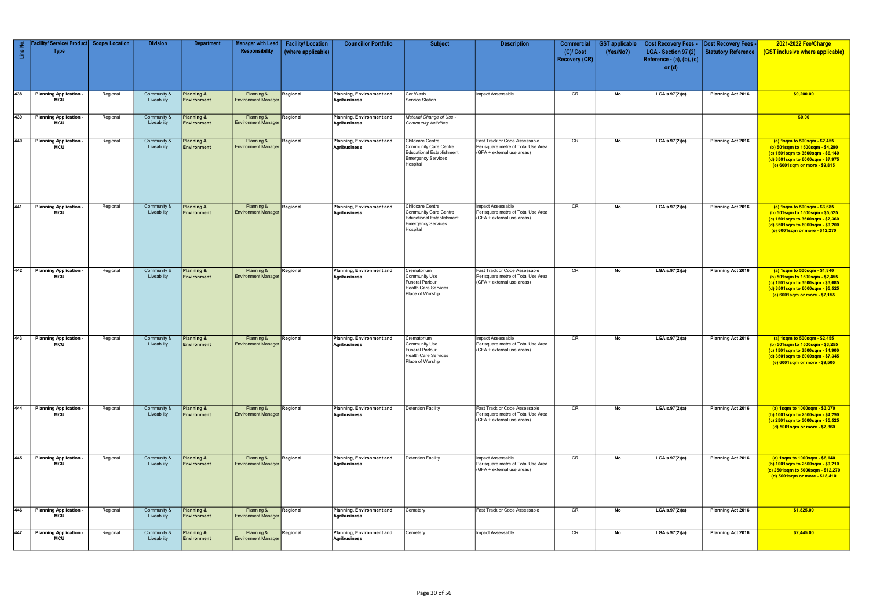| Line No.         | Facility/ Service/ Product Scope/ Location<br><b>Type</b> |          | <b>Division</b>            | <b>Department</b>                           | <b>Manager with Lead</b><br>Responsibility | <b>Facility/Location</b><br>(where applicable) | <b>Councillor Portfolio</b>                      | <b>Subject</b>                                                                                                         | <b>Description</b>                                                                                | <b>Commercial</b><br>$(C)/$ Cost<br><b>Recovery (CR)</b> | <b>GST</b> applicable<br>(Yes/No?) | <b>Cost Recovery Fees -</b><br>LGA - Section 97 (2)<br>Reference - (a), (b), (c)<br>or $(d)$ | Cost Recovery Fees -<br><b>Statutory Reference</b> | 2021-2022 Fee/Charge<br>(GST inclusive where applicable)                                                                                                                  |
|------------------|-----------------------------------------------------------|----------|----------------------------|---------------------------------------------|--------------------------------------------|------------------------------------------------|--------------------------------------------------|------------------------------------------------------------------------------------------------------------------------|---------------------------------------------------------------------------------------------------|----------------------------------------------------------|------------------------------------|----------------------------------------------------------------------------------------------|----------------------------------------------------|---------------------------------------------------------------------------------------------------------------------------------------------------------------------------|
| 438              | <b>Planning Application -</b><br><b>MCU</b>               | Regional | Community &<br>Liveability | <b>Planning &amp;</b><br>Environment        | Planning &<br><b>Environment Manager</b>   | Regional                                       | Planning, Environment and<br><b>Agribusiness</b> | Car Wash<br>Service Station                                                                                            | Impact Assessable                                                                                 | CR                                                       | No                                 | LGA s.97(2)(a)                                                                               | Planning Act 2016                                  | \$9,200.00                                                                                                                                                                |
| $\overline{439}$ | <b>Planning Application</b><br><b>MCU</b>                 | Regional | Community &<br>Liveability | <b>Planning &amp;</b><br>Environment        | Planning &<br><b>Environment Manager</b>   | Regional                                       | Planning, Environment and<br><b>Agribusiness</b> | Material Change of Use -<br><b>Community Activities</b>                                                                |                                                                                                   |                                                          |                                    |                                                                                              |                                                    | \$0.00                                                                                                                                                                    |
| 440              | <b>Planning Application</b><br><b>MCU</b>                 | Regional | Community &<br>Liveability | <b>Planning &amp;</b><br>Environment        | Planning &<br><b>Environment Manager</b>   | Regional                                       | Planning, Environment and<br>Agribusiness        | Childcare Centre<br>Community Care Centre<br>Educational Establishment<br><b>Emergency Services</b><br>Hospital        | Fast Track or Code Assessable<br>Per square metre of Total Use Area<br>(GFA + external use areas) | CR                                                       | No                                 | LGA $s.97(2)(a)$                                                                             | Planning Act 2016                                  | (a) 1sqm to 500sqm - \$2,455<br>(b) 501sqm to 1500sqm - \$4,290<br>(c) 1501sqm to 3500sqm - \$6,140<br>(d) 3501sqm to 6000sqm - \$7,975<br>(e) 6001sqm or more - \$9,815  |
| 441              | <b>Planning Application</b><br><b>MCU</b>                 | Regional | Community &<br>Liveability | Planning &<br>Environment                   | Planning &<br><b>Environment Manager</b>   | Regional                                       | Planning, Environment and<br><b>Agribusiness</b> | <b>Childcare Centre</b><br>Community Care Centre<br>Educational Establishment<br><b>Emergency Services</b><br>Hospital | Impact Assessable<br>Per square metre of Total Use Area<br>(GFA + external use areas)             | CR                                                       | No                                 | LGA s.97(2)(a)                                                                               | Planning Act 2016                                  | (a) 1sqm to 500sqm - \$3,685<br>(b) 501sqm to 1500sqm - \$5,525<br>(c) 1501sqm to 3500sqm - \$7,360<br>(d) 3501sqm to 6000sqm - \$9,200<br>(e) 6001sqm or more - \$12,270 |
| 442              | <b>Planning Application</b><br><b>MCU</b>                 | Regional | Community &<br>Liveability | <b>Planning &amp;</b><br>Environment        | Planning &<br><b>Environment Manager</b>   | Regional                                       | Planning, Environment and<br><b>Agribusiness</b> | Crematorium<br><b>Community Use</b><br>Funeral Parlour<br>Health Care Services<br>Place of Worship                     | Fast Track or Code Assessable<br>Per square metre of Total Use Area<br>(GFA + external use areas) | CR                                                       | No                                 | LGA s.97(2)(a)                                                                               | Planning Act 2016                                  | (a) 1sqm to 500sqm - \$1,840<br>(b) 501sqm to 1500sqm - \$2,455<br>(c) 1501sqm to 3500sqm - \$3,685<br>(d) 3501sqm to 6000sqm - \$5,525<br>(e) 6001sqm or more - \$7,155  |
| 443              | <b>Planning Application</b><br><b>MCU</b>                 | Regional | Community &<br>Liveability | <b>Planning &amp;</b><br>Environment        | Planning &<br><b>Environment Manager</b>   | Regional                                       | Planning, Environment and<br><b>Agribusiness</b> | Crematorium<br><b>Community Use</b><br><b>Funeral Parlour</b><br><b>Health Care Services</b><br>Place of Worship       | Impact Assessable<br>Per square metre of Total Use Area<br>(GFA + external use areas)             | CR                                                       | No                                 | LGA s.97(2)(a)                                                                               | Planning Act 2016                                  | (a) 1sqm to 500sqm - \$2,455<br>(b) 501sqm to 1500sqm - \$3,255<br>(c) 1501sqm to 3500sqm - \$4,900<br>(d) 3501sqm to 6000sqm - \$7,345<br>(e) 6001sqm or more - \$9,505  |
| 444              | <b>Planning Application -</b><br><b>MCU</b>               | Regional | Community &<br>Liveability | <b>Planning &amp;</b><br>Environment        | Planning &<br><b>Environment Manager</b>   | Regional                                       | Planning, Environment and<br>Agribusiness        | <b>Detention Facility</b>                                                                                              | Fast Track or Code Assessable<br>Per square metre of Total Use Area<br>(GFA + external use areas) | CR                                                       | No                                 | LGA s.97(2)(a)                                                                               | <b>Planning Act 2016</b>                           | (a) 1sqm to 1000sqm - \$3,070<br>(b) 1001sqm to 2500sqm - \$4,290<br>(c) 2501sqm to 5000sqm - \$5,525<br>(d) 5001sqm or more - \$7,360                                    |
| 445              | <b>Planning Application -</b><br><b>MCU</b>               | Regional | Community &<br>Liveability | <b>Planning &amp;</b><br>Environment        | Planning &<br><b>Environment Manager</b>   | Regional                                       | Planning, Environment and<br>Agribusiness        | <b>Detention Facility</b>                                                                                              | Impact Assessable<br>Per square metre of Total Use Area<br>(GFA + external use areas)             | CR                                                       | No                                 | LGA s.97(2)(a)                                                                               | <b>Planning Act 2016</b>                           | (a) 1sqm to 1000sqm - \$6,140<br>(b) 1001sqm to 2500sqm - \$9,210<br>(c) 2501sqm to 5000sqm - \$12,270<br>(d) 5001sqm or more - \$18,410                                  |
| 446              | <b>Planning Application -</b><br><b>MCU</b>               | Regional | Community &<br>Liveability | <b>Planning &amp;</b><br>Environment        | Planning &<br><b>Environment Manager</b>   | Regional                                       | Planning, Environment and<br>Agribusiness        | Cemetery                                                                                                               | Fast Track or Code Assessable                                                                     | CR                                                       | No                                 | LGA s.97(2)(a)                                                                               | <b>Planning Act 2016</b>                           | \$1,825.00                                                                                                                                                                |
| 447              | <b>Planning Application</b><br><b>MCU</b>                 | Regional | Community &<br>Liveability | <b>Planning &amp;</b><br><b>Environment</b> | Planning &<br><b>Environment Manager</b>   | Regional                                       | Planning, Environment and<br><b>Agribusiness</b> | Cemetery                                                                                                               | Impact Assessable                                                                                 | CR                                                       | No                                 | LGA s.97(2)(a)                                                                               | <b>Planning Act 2016</b>                           | \$2,445.00                                                                                                                                                                |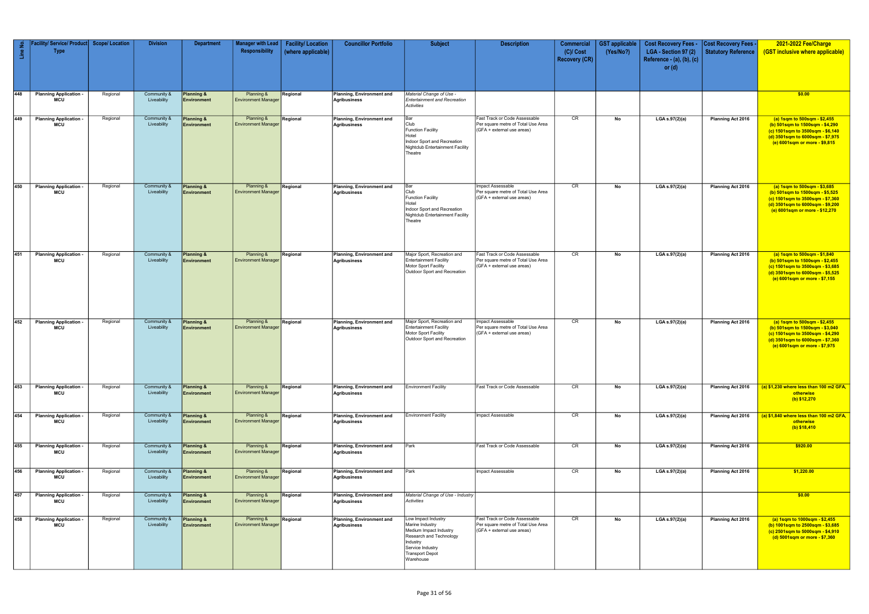| Line No. | Facility/ Service/ Product   Scope/ Location<br><b>Type</b> |          | <b>Division</b>            | <b>Department</b>                    | <b>Manager with Lead</b><br>Responsibility | <b>Facility/Location</b><br>(where applicable) | <b>Councillor Portfolio</b>                      | <b>Subject</b>                                                                                                                                                     | <b>Description</b>                                                                                | <b>Commercial</b><br>$(C)/$ Cost<br><b>Recovery (CR)</b> | <b>GST</b> applicable<br>(Yes/No?) | <b>Cost Recovery Fees -</b><br>LGA - Section 97 (2)<br>Reference - (a), (b), (c)<br>or $(d)$ | <b>Cost Recovery Fees -</b><br>Statutory Reference | 2021-2022 Fee/Charge<br>(GST inclusive where applicable)                                                                                                                  |
|----------|-------------------------------------------------------------|----------|----------------------------|--------------------------------------|--------------------------------------------|------------------------------------------------|--------------------------------------------------|--------------------------------------------------------------------------------------------------------------------------------------------------------------------|---------------------------------------------------------------------------------------------------|----------------------------------------------------------|------------------------------------|----------------------------------------------------------------------------------------------|----------------------------------------------------|---------------------------------------------------------------------------------------------------------------------------------------------------------------------------|
| 448      | <b>Planning Application -</b><br><b>MCU</b>                 | Regional | Community &<br>Liveability | Planning &<br>Environment            | Planning &<br><b>Environment Manager</b>   | Regional                                       | Planning, Environment and<br><b>Agribusiness</b> | Material Change of Use -<br><b>Entertainment and Recreation</b><br>Activities                                                                                      |                                                                                                   |                                                          |                                    |                                                                                              |                                                    | \$0.00                                                                                                                                                                    |
| 449      | <b>Planning Application</b><br><b>MCU</b>                   | Regional | Community &<br>Liveability | <b>Planning &amp;</b><br>Environment | Planning &<br><b>Environment Manager</b>   | Regional                                       | Planning, Environment and<br><b>Agribusiness</b> | Bar<br>Club<br><b>Function Facility</b><br>Hotel<br>Indoor Sport and Recreation<br>Nightclub Entertainment Facility<br>Theatre                                     | Fast Track or Code Assessable<br>Per square metre of Total Use Area<br>(GFA + external use areas) | CR                                                       | No                                 | LGA s.97(2)(a)                                                                               | Planning Act 2016                                  | (a) 1sqm to 500sqm - \$2,455<br>(b) 501sqm to 1500sqm - \$4,290<br>(c) 1501sqm to 3500sqm - \$6,140<br>(d) 3501sqm to 6000sqm - \$7,975<br>(e) 6001sqm or more - \$9,815  |
| 450      | <b>Planning Application</b><br><b>MCU</b>                   | Regional | Community &<br>Liveability | <b>Planning &amp;</b><br>Environment | Planning &<br><b>Environment Manager</b>   | Regional                                       | Planning, Environment and<br><b>Agribusiness</b> | Bar<br>Club<br><b>Function Facility</b><br>Hotel<br>Indoor Sport and Recreation<br><b>Nightclub Entertainment Facility</b><br>Theatre                              | Impact Assessable<br>Per square metre of Total Use Area<br>(GFA + external use areas)             | CR                                                       | No                                 | LGA s.97(2)(a)                                                                               | Planning Act 2016                                  | (a) 1sqm to 500sqm - \$3,685<br>(b) 501sqm to 1500sqm - \$5,525<br>(c) 1501sqm to 3500sqm - \$7,360<br>(d) 3501sqm to 6000sqm - \$9,200<br>(e) 6001sqm or more - \$12,270 |
| 451      | <b>Planning Application</b><br><b>MCU</b>                   | Regional | Community &<br>Liveability | Planning &<br>Environment            | Planning &<br><b>Environment Manager</b>   | Regional                                       | Planning, Environment and<br><b>Agribusiness</b> | Major Sport, Recreation and<br><b>Entertainment Facility</b><br>Motor Sport Facility<br>Outdoor Sport and Recreation                                               | Fast Track or Code Assessable<br>Per square metre of Total Use Area<br>(GFA + external use areas) | CR                                                       | No                                 | LGA s.97(2)(a)                                                                               | Planning Act 2016                                  | (a) 1sqm to 500sqm - \$1,840<br>(b) 501sqm to 1500sqm - \$2,455<br>(c) 1501sqm to 3500sqm - \$3,685<br>(d) 3501sqm to 6000sqm - \$5,525<br>(e) 6001sqm or more - \$7,155  |
| 452      | <b>Planning Application -</b><br><b>MCU</b>                 | Regional | Community &<br>Liveability | <b>Planning &amp;</b><br>Environment | Planning &<br><b>Environment Manager</b>   | Regional                                       | Planning, Environment and<br><b>Agribusiness</b> | Major Sport, Recreation and<br><b>Entertainment Facility</b><br>Motor Sport Facility<br>Outdoor Sport and Recreation                                               | Impact Assessable<br>Per square metre of Total Use Area<br>(GFA + external use areas)             | CR                                                       | No                                 | LGA s.97(2)(a)                                                                               | Planning Act 2016                                  | (a) 1sqm to 500sqm - \$2,455<br>(b) 501sqm to 1500sqm - \$3,040<br>(c) 1501sqm to 3500sqm - \$4,290<br>(d) 3501sqm to 6000sqm - \$7,360<br>(e) 6001sqm or more - \$7,975  |
| 453      | <b>Planning Application -</b><br><b>MCU</b>                 | Regional | Community &<br>Liveability | <b>Planning &amp;</b><br>Environment | Planning &<br><b>Environment Manager</b>   | Regional                                       | Planning, Environment and<br>Agribusiness        | <b>Environment Facility</b>                                                                                                                                        | Fast Track or Code Assessable                                                                     | CR                                                       | No                                 | LGA s.97(2)(a)                                                                               | Planning Act 2016                                  | (a) \$1,230 where less than 100 m2 GFA,<br>otherwise<br>(b) \$12,270                                                                                                      |
| 454      | <b>Planning Application</b><br><b>MCU</b>                   | Regional | Community &<br>Liveability | <b>Planning &amp;</b><br>Environment | Planning &<br><b>Environment Manager</b>   | Regional                                       | Planning, Environment and<br><b>Agribusiness</b> | <b>Environment Facility</b>                                                                                                                                        | Impact Assessable                                                                                 | CR                                                       | No                                 | LGA s.97(2)(a)                                                                               | Planning Act 2016                                  | (a) \$1,840 where less than 100 m2 GFA,<br>otherwise<br>$(b)$ \$18,410                                                                                                    |
| 455      | <b>Planning Application</b><br>MCU                          | Regional | Community &<br>Liveability | <b>Planning &amp;</b><br>Environment | Planning &<br><b>Environment Manager</b>   | Regional                                       | Planning, Environment and<br><b>Agribusiness</b> | Park                                                                                                                                                               | Fast Track or Code Assessable                                                                     | CR                                                       | No                                 | LGA s.97(2)(a)                                                                               | Planning Act 2016                                  | \$920.00                                                                                                                                                                  |
| 456      | <b>Planning Application</b><br><b>MCU</b>                   | Regional | Community &<br>Liveability | <b>Planning &amp;</b><br>Environment | Planning &<br><b>Environment Manager</b>   | Regional                                       | Planning, Environment and<br><b>Agribusiness</b> | Park                                                                                                                                                               | Impact Assessable                                                                                 | CR                                                       | No                                 | LGA s.97(2)(a)                                                                               | Planning Act 2016                                  | \$1,220.00                                                                                                                                                                |
| 457      | <b>Planning Application</b><br><b>MCU</b>                   | Regional | Community &<br>Liveability | <b>Planning &amp;</b><br>Environment | Planning &<br><b>Environment Manager</b>   | Regional                                       | Planning, Environment and<br><b>Agribusiness</b> | Material Change of Use - Industry<br>Activities                                                                                                                    |                                                                                                   |                                                          |                                    |                                                                                              |                                                    | \$0.00                                                                                                                                                                    |
| 458      | <b>Planning Application</b><br><b>MCU</b>                   | Regional | Community &<br>Liveability | <b>Planning &amp;</b><br>Environment | Planning &<br><b>Environment Manager</b>   | Regional                                       | Planning, Environment and<br><b>Agribusiness</b> | Low Impact Industry<br>Marine Industry<br>Medium Impact Industry<br>Research and Technology<br>Industry<br>Service Industry<br><b>Transport Depot</b><br>Warehouse | Fast Track or Code Assessable<br>Per square metre of Total Use Area<br>(GFA + external use areas) | CR                                                       | No                                 | LGA s.97(2)(a)                                                                               | Planning Act 2016                                  | (a) 1sqm to 1000sqm - \$2,455<br>(b) 1001sqm to 2500sqm - \$3,685<br>(c) 2501sqm to 5000sqm - \$4,910<br>(d) 5001sqm or more - \$7,360                                    |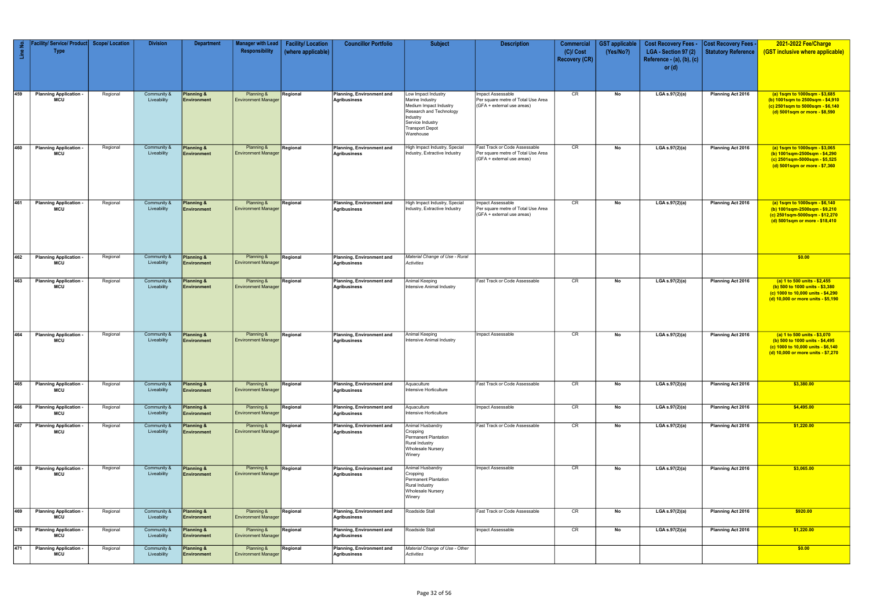| Line No.   | Facility/ Service/ Product<br><b>Type</b>   | <b>Scope/ Location</b> | <b>Division</b>            | <b>Department</b>                           | <b>Manager with Lead</b><br>Responsibility | <b>Facility/Location</b><br>(where applicable) | <b>Councillor Portfolio</b>                      | <b>Subject</b>                                                                                                                                                     | <b>Description</b>                                                                                | <b>Commercial</b><br>$(C)/$ Cost<br><b>Recovery (CR)</b> | <b>GST</b> applicable<br>(Yes/No?) | <b>Cost Recovery Fees -</b><br>LGA - Section 97 (2) | <b>Cost Recovery Fees</b><br><b>Statutory Reference</b> | 2021-2022 Fee/Charge<br>(GST inclusive where applicable)                                                                                    |
|------------|---------------------------------------------|------------------------|----------------------------|---------------------------------------------|--------------------------------------------|------------------------------------------------|--------------------------------------------------|--------------------------------------------------------------------------------------------------------------------------------------------------------------------|---------------------------------------------------------------------------------------------------|----------------------------------------------------------|------------------------------------|-----------------------------------------------------|---------------------------------------------------------|---------------------------------------------------------------------------------------------------------------------------------------------|
|            |                                             |                        |                            |                                             |                                            |                                                |                                                  |                                                                                                                                                                    |                                                                                                   |                                                          |                                    | Reference - (a), (b), (c)<br>or $(d)$               |                                                         |                                                                                                                                             |
| 459        | <b>Planning Application -</b><br><b>MCU</b> | Regional               | Community &<br>Liveability | <b>Planning &amp;</b><br>Environment        | Planning &<br><b>Environment Manager</b>   | Regional                                       | Planning, Environment and<br>Agribusiness        | Low Impact Industry<br>Marine Industry<br>Medium Impact Industry<br>Research and Technology<br>Industry<br>Service Industry<br><b>Transport Depot</b><br>Warehouse | Impact Assessable<br>Per square metre of Total Use Area<br>(GFA + external use areas)             | CR                                                       | No                                 | LGA s.97(2)(a)                                      | <b>Planning Act 2016</b>                                | (a) 1sqm to 1000sqm - \$3,685<br>(b) 1001sqm to 2500sqm - \$4,910<br>(c) 2501sqm to 5000sqm - \$6,140<br>(d) 5001sqm or more - \$8,590      |
| 460        | <b>Planning Application</b><br><b>MCU</b>   | Regional               | Community &<br>Liveability | Planning &<br><b>Environment</b>            | Planning &<br><b>Environment Manager</b>   | Regional                                       | Planning, Environment and<br>Agribusiness        | High Impact Industry, Special<br>Industry, Extractive Industry                                                                                                     | Fast Track or Code Assessable<br>Per square metre of Total Use Area<br>(GFA + external use areas) | CR                                                       | No                                 | LGA s.97(2)(a)                                      | Planning Act 2016                                       | (a) 1sqm to 1000sqm - \$3,065<br>(b) 1001sqm-2500sqm - \$4,290<br>(c) 2501sqm-5000sqm - \$5,525<br>(d) 5001sqm or more - \$7,360            |
| 461        | <b>Planning Application</b><br><b>MCU</b>   | Regional               | Community &<br>Liveability | <b>Planning &amp;</b><br>Environment        | Planning &<br><b>Environment Manager</b>   | Regional                                       | Planning, Environment and<br>Agribusiness        | High Impact Industry, Special<br>Industry, Extractive Industry                                                                                                     | mpact Assessable<br>Per square metre of Total Use Area<br>(GFA + external use areas)              | CR                                                       | No                                 | LGA s.97(2)(a)                                      | <b>Planning Act 2016</b>                                | (a) 1sqm to 1000sqm - \$6,140<br>(b) 1001sqm-2500sqm - \$9,210<br>(c) 2501sqm-5000sqm - \$12,270<br>(d) 5001sqm or more - \$18,410          |
| 462        | <b>Planning Application</b><br><b>MCU</b>   | Regional               | Community &<br>Liveability | <b>Planning &amp;</b><br><b>Environment</b> | Planning &<br><b>Environment Manager</b>   | Regional                                       | Planning, Environment and<br>Agribusiness        | Material Change of Use - Rural<br>Activities                                                                                                                       |                                                                                                   |                                                          |                                    |                                                     |                                                         | \$0.00                                                                                                                                      |
| 463        | <b>Planning Application</b><br><b>MCU</b>   | Regional               | Community &<br>Liveability | <b>Planning &amp;</b><br>Environment        | Planning &<br><b>Environment Manager</b>   | Regional                                       | Planning, Environment and<br>Agribusiness        | Animal Keeping<br>Intensive Animal Industry                                                                                                                        | Fast Track or Code Assessable                                                                     | CR                                                       | No                                 | LGA s.97(2)(a)                                      | Planning Act 2016                                       | (a) 1 to 500 units - \$2,455<br>(b) 500 to 1000 units - \$3,380<br>(c) 1000 to 10,000 units - \$4,290<br>(d) 10,000 or more units - \$5,190 |
| 464        | <b>Planning Application</b><br><b>MCU</b>   | Regional               | Community &<br>Liveability | <b>Planning &amp;</b><br><b>Environment</b> | Planning &<br><b>Environment Manager</b>   | Regional                                       | Planning, Environment and<br>Agribusiness        | Animal Keeping<br>Intensive Animal Industry                                                                                                                        | Impact Assessable                                                                                 | CR                                                       | No                                 | LGA s.97(2)(a)                                      | Planning Act 2016                                       | (a) 1 to 500 units - \$3,070<br>(b) 500 to 1000 units - \$4,495<br>(c) 1000 to 10,000 units - \$6,140<br>(d) 10,000 or more units - \$7,270 |
| 465        | <b>Planning Application</b><br>MCU          | Regional               | Community &<br>Liveability | <b>Planning &amp;</b><br><b>Environment</b> | Planning &<br><b>Environment Manager</b>   | Regional                                       | Planning, Environment and<br>Agribusiness        | Aquaculture<br>Intensive Horticulture                                                                                                                              | Fast Track or Code Assessable                                                                     | CR                                                       | No                                 | LGA s.97(2)(a)                                      | Planning Act 2016                                       | \$3,380.00                                                                                                                                  |
| 466        | <b>Planning Application</b><br><b>MCU</b>   | Regional               | Community &<br>Liveability | <b>Planning &amp;</b><br>Environment        | Planning &<br><b>Environment Manager</b>   | Regional                                       | Planning, Environment and<br>Agribusiness        | Aquaculture<br>Intensive Horticulture                                                                                                                              | Impact Assessable                                                                                 | CR                                                       | No                                 | LGA s.97(2)(a)                                      | Planning Act 2016                                       | \$4,495.00                                                                                                                                  |
| 467        | <b>Planning Application</b><br><b>MCU</b>   | Regional               | Community &<br>Liveability | <b>Planning &amp;</b><br>Environment        | Planning &<br><b>Environment Manager</b>   | Regional                                       | Planning, Environment and<br><b>Agribusiness</b> | Animal Husbandry<br>Cropping<br>Permanent Plantation<br><b>Rural Industry</b><br><b>Wholesale Nursery</b><br>Winery                                                | Fast Track or Code Assessable                                                                     | CR                                                       | No                                 | LGA s.97(2)(a)                                      | Planning Act 2016                                       | \$1,220.00                                                                                                                                  |
| 468        | <b>Planning Application</b><br><b>MCU</b>   | Regional               | Community &<br>Liveability | <b>Planning &amp;</b><br>Environment        | Planning &<br><b>Environment Manager</b>   | Regional                                       | Planning, Environment and<br>Agribusiness        | Animal Husbandry<br>Cropping<br><b>Permanent Plantation</b><br><b>Rural Industry</b><br><b>Wholesale Nursery</b><br>Winery                                         | Impact Assessable                                                                                 | CR                                                       | No                                 | LGA s.97(2)(a)                                      | Planning Act 2016                                       | \$3,065.00                                                                                                                                  |
| 469        | <b>Planning Application</b><br><b>MCU</b>   | Regional               | Community &<br>Liveability | <b>Planning &amp;</b><br><b>Environment</b> | Planning &<br><b>Environment Manager</b>   | Regional                                       | Planning, Environment and<br>Agribusiness        | Roadside Stall                                                                                                                                                     | Fast Track or Code Assessable                                                                     | CR                                                       | No                                 | LGA s.97(2)(a)                                      | Planning Act 2016                                       | \$920.00                                                                                                                                    |
| 470<br>471 | <b>Planning Application</b><br><b>MCU</b>   | Regional               | Community &<br>Liveability | Planning &<br>Environment                   | Planning &<br><b>Environment Manager</b>   | Regional                                       | Planning, Environment and<br>Agribusiness        | Roadside Stall                                                                                                                                                     | Impact Assessable                                                                                 | CR                                                       | No                                 | LGA s.97(2)(a)                                      | Planning Act 2016                                       | \$1,220.00                                                                                                                                  |
|            | <b>Planning Application</b><br>MCU          | Regional               | Community &<br>Liveability | <b>Planning &amp;</b><br><b>Environment</b> | Planning &<br><b>Environment Manager</b>   | Regional                                       | Planning, Environment and<br>Agribusiness        | Material Change of Use - Other<br>Activities                                                                                                                       |                                                                                                   |                                                          |                                    |                                                     |                                                         | \$0.00                                                                                                                                      |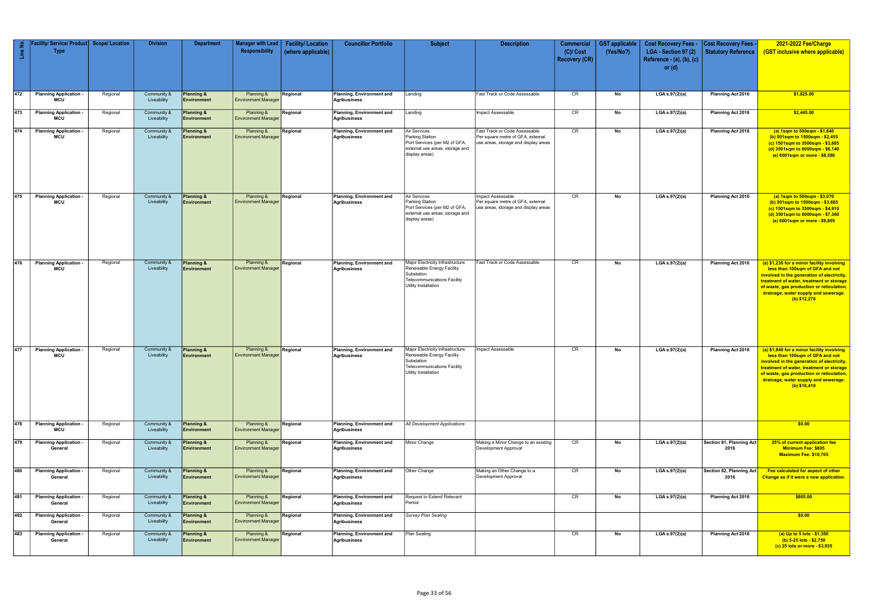| Line No. | Facility/ Service/ Product   Scope/ Location<br><b>Type</b> |          | <b>Division</b>            | <b>Department</b>                           | <b>Manager with Lead</b><br>Responsibility | <b>Facility/Location</b><br>(where applicable) | <b>Councillor Portfolio</b>                      | <b>Subject</b>                                                                                                                            | <b>Description</b>                                                                                         | <b>Commercial</b><br>$(C)/$ Cost<br><b>Recovery (CR)</b> | <b>GST</b> applicable<br>(Yes/No?) | <b>Cost Recovery Fees -</b><br>LGA - Section 97 (2)<br>Reference - (a), (b), (c)<br>or $(d)$ | <b>Cost Recovery Fees -</b><br>Statutory Reference | 2021-2022 Fee/Charge<br>(GST inclusive where applicable)                                                                                                                                                                                                                       |
|----------|-------------------------------------------------------------|----------|----------------------------|---------------------------------------------|--------------------------------------------|------------------------------------------------|--------------------------------------------------|-------------------------------------------------------------------------------------------------------------------------------------------|------------------------------------------------------------------------------------------------------------|----------------------------------------------------------|------------------------------------|----------------------------------------------------------------------------------------------|----------------------------------------------------|--------------------------------------------------------------------------------------------------------------------------------------------------------------------------------------------------------------------------------------------------------------------------------|
| 472      | <b>Planning Application -</b><br>MCU                        | Regional | Community &<br>Liveability | <b>Planning &amp;</b><br>Environment        | Planning &<br><b>Environment Manager</b>   | Regional                                       | Planning, Environment and<br>Agribusiness        | Landing                                                                                                                                   | Fast Track or Code Assessable                                                                              | CR                                                       | No                                 | LGA s.97(2)(a)                                                                               | Planning Act 2016                                  | \$1,825.00                                                                                                                                                                                                                                                                     |
| 473      | <b>Planning Application</b><br>MCU                          | Regional | Community &<br>Liveability | Planning &<br><b>Environment</b>            | Planning &<br><b>Environment Manager</b>   | Regional                                       | Planning, Environment and<br>Agribusiness        | Landing                                                                                                                                   | Impact Assessable                                                                                          | CR                                                       | No                                 | LGA s.97(2)(a)                                                                               | Planning Act 2016                                  | \$2,445.00                                                                                                                                                                                                                                                                     |
| 474      | <b>Planning Application</b><br>MCU                          | Regional | Community &<br>Liveability | Planning &<br>Environment                   | Planning &<br><b>Environment Manager</b>   | Regional                                       | Planning, Environment and<br>Agribusiness        | Air Services<br>Parking Station<br>Port Services (per M2 of GFA,<br>external use areas, storage and<br>display areas)                     | Fast Track or Code Assessable<br>Per square metre of GFA, external<br>use areas, storage and display areas | CR                                                       | No                                 | LGA s.97(2)(a)                                                                               | Planning Act 2016                                  | (a) 1sqm to 500sqm - \$1,840<br>(b) 501sqm to 1500sqm - \$2,455<br>(c) 1501sqm to 3500sqm - \$3,685<br>(d) 3501sqm to 6000sqm - \$6,140<br>(e) 6001sqm or more - \$8,590                                                                                                       |
| 475      | <b>Planning Application</b><br>MCU                          | Regional | Community &<br>Liveability | Planning &<br><b>Environment</b>            | Planning &<br><b>Environment Manager</b>   | Regional                                       | Planning, Environment and<br>Agribusiness        | Air Services<br>Parking Station<br>Port Services (per M2 of GFA,<br>external use areas, storage and<br>display areas)                     | Impact Assessable<br>Per square metre of GFA, external<br>use areas, storage and display areas             | CR                                                       | No                                 | LGA s.97(2)(a)                                                                               | Planning Act 2016                                  | (a) 1sqm to 500sqm - \$3,070<br>(b) 501sqm to 1500sqm - \$3,685<br>(c) 1501sqm to 3500sqm - \$4,910<br>(d) 3501sqm to 6000sqm - \$7,360<br>(e) 6001sqm or more - \$9,805                                                                                                       |
| 476      | <b>Planning Application</b><br><b>MCU</b>                   | Regional | Community &<br>Liveability | Planning &<br><b>Environment</b>            | Planning &<br><b>Environment Manager</b>   | Regional                                       | Planning, Environment and<br>Agribusiness        | Major Electricity Infrastructure<br>Renewable Energy Facility<br>Substation<br><b>Telecommunications Facility</b><br>Utility Installation | Fast Track or Code Assessable                                                                              | CR                                                       | No                                 | LGA s.97(2)(a)                                                                               | Planning Act 2016                                  | (a) \$1,230 for a minor facility involving<br>less than 100sqm of GFA and not<br>involved in the generation of electricity,<br>treatment of water, treatment or storage<br>of waste, gas production or reticulation,<br>drainage, water supply and sewerage.<br>(b) \$12,270   |
| 477      | <b>Planning Application</b><br>MCU                          | Regional | Community &<br>Liveability | Planning &<br><b>Environment</b>            | Planning &<br><b>Environment Manager</b>   | Regional                                       | Planning, Environment and<br>Agribusiness        | Major Electricity Infrastructure<br>Renewable Energy Facility<br>Substation<br><b>Telecommunications Facility</b><br>Utility Installation | mpact Assessable                                                                                           | CR                                                       | No                                 | LGA s.97(2)(a)                                                                               | Planning Act 2016                                  | (a) \$1,840 for a minor facility involving<br>less than 100sqm of GFA and not<br>involved in the generation of electricity,<br>treatment of water, treatment or storage<br>of waste, gas production or reticulation,<br>drainage, water supply and sewerage.<br>$(b)$ \$18,410 |
| 478      | <b>Planning Application</b><br>MCU                          | Regional | Community &<br>Liveability | Planning &<br><b>Environment</b>            | Planning &<br><b>Environment Manager</b>   | Regional                                       | <b>Planning, Environment and</b><br>Agribusiness | All Development Applications                                                                                                              |                                                                                                            |                                                          |                                    |                                                                                              |                                                    | \$0.00                                                                                                                                                                                                                                                                         |
| 479      | <b>Planning Application -</b><br>General                    | Regional | Community &<br>Liveability | Planning &<br><b>Environment</b>            | Planning &<br><b>Environment Manager</b>   | Regional                                       | Planning, Environment and<br>Agribusiness        | Minor Change                                                                                                                              | Making a Minor Change to an existing<br>Development Approval                                               | CR                                                       | No                                 | LGA s.97(2)(a)                                                                               | Section 81, Planning Act<br>2016                   | 25% of current application fee<br>Minimum Fee: \$805<br>Maximum Fee: \$10,705                                                                                                                                                                                                  |
| 480      | <b>Planning Application -</b><br>General                    | Regional | Community &<br>Liveability | <b>Planning &amp;</b><br><b>Environment</b> | Planning &<br><b>Environment Manager</b>   | Regional                                       | Planning, Environment and<br>Agribusiness        | Other Change                                                                                                                              | Making an Other Change to a<br>Development Approval                                                        | CR                                                       | No                                 | LGA s.97(2)(a)                                                                               | Section 82, Planning Act<br>2016                   | Fee calculated for aspect of other<br>Change as if it were a new application.                                                                                                                                                                                                  |
| 481      | <b>Planning Application -</b><br>General                    | Regional | Community &<br>Liveability | <b>Planning &amp;</b><br><b>Environment</b> | Planning &<br><b>Environment Manager</b>   | Regional                                       | Planning, Environment and<br>Agribusiness        | Request to Extend Relevant<br>Period                                                                                                      |                                                                                                            | CR                                                       | No                                 | LGA s.97(2)(a)                                                                               | Planning Act 2016                                  | \$805.00                                                                                                                                                                                                                                                                       |
| 482      | <b>Planning Application</b><br>General                      | Regional | Community &<br>Liveability | -& lanning<br><b>Environment</b>            | Planning &<br><b>Environment Manager</b>   | Regional                                       | <b>Planning, Environment and</b><br>Agribusiness | Survey Plan Sealing                                                                                                                       |                                                                                                            |                                                          |                                    |                                                                                              |                                                    | \$0.00                                                                                                                                                                                                                                                                         |
| 483      | <b>Planning Application</b><br>General                      | Regional | Community &<br>Liveability | Planning &<br><b>Environment</b>            | Planning &<br><b>Environment Manager</b>   | Regional                                       | Planning, Environment and<br>Agribusiness        | Plan Sealing                                                                                                                              |                                                                                                            | CR                                                       | No                                 | LGA s.97(2)(a)                                                                               | Planning Act 2016                                  | (a) Up to 5 lots - \$1,350<br>(b) 5-25 lots - \$2,750<br>(c) 25 lots or more - \$3,935                                                                                                                                                                                         |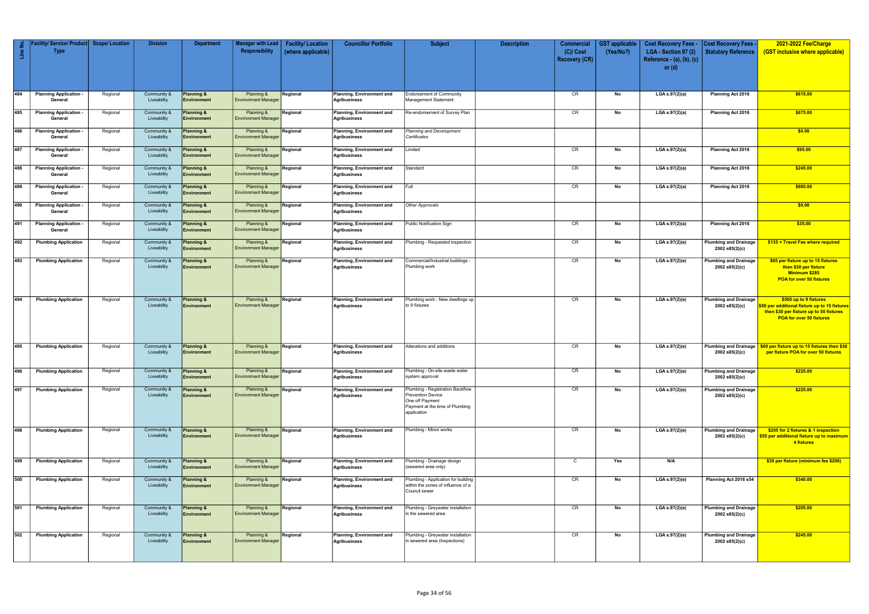| $\epsilon$<br>$\mathbf{u}$ | Facility/ Service/ Product   Scope/ Location<br><b>Type</b> |          | <b>Division</b>            | <b>Department</b>                | <b>Manager with Lead</b><br>Responsibility | <b>Facility/Location</b><br>(where applicable) | <b>Councillor Portfolio</b>                      | <b>Subject</b>                                                                                                                    | <b>Description</b> | Commercial<br>$(C)/$ Cost<br><b>Recovery (CR)</b> | <b>GST</b> applicable<br>(Yes/No?) | <b>Cost Recovery Fees -</b><br>LGA - Section 97 (2)<br>Reference - (a), (b), (c)<br>or $(d)$ | <b>Cost Recovery Fees</b><br><b>Statutory Reference</b> | 2021-2022 Fee/Charge<br>(GST inclusive where applicable)                                                                                       |
|----------------------------|-------------------------------------------------------------|----------|----------------------------|----------------------------------|--------------------------------------------|------------------------------------------------|--------------------------------------------------|-----------------------------------------------------------------------------------------------------------------------------------|--------------------|---------------------------------------------------|------------------------------------|----------------------------------------------------------------------------------------------|---------------------------------------------------------|------------------------------------------------------------------------------------------------------------------------------------------------|
|                            |                                                             |          |                            |                                  |                                            |                                                |                                                  |                                                                                                                                   |                    |                                                   |                                    |                                                                                              |                                                         |                                                                                                                                                |
| 484                        | <b>Planning Application</b><br>General                      | Regional | Community &<br>Liveability | Planning &<br>Environment        | Planning &<br><b>Environment Manager</b>   | Regional                                       | Planning, Environment and<br>Agribusiness        | <b>Endorsement of Community</b><br>Management Statement                                                                           |                    | CR                                                | No                                 | LGA s.97(2)(a)                                                                               | <b>Planning Act 2016</b>                                | \$615.00                                                                                                                                       |
| 485                        | <b>Planning Application</b><br>General                      | Regional | Community &<br>Liveability | Planning &<br>Environment        | Planning &<br><b>Environment Manager</b>   | Regional                                       | Planning, Environment and<br>Agribusiness        | Re-endorsement of Survey Plan                                                                                                     |                    | CR                                                | No                                 | LGA s.97(2)(a)                                                                               | Planning Act 2016                                       | \$675.00                                                                                                                                       |
| 486                        | <b>Planning Application</b><br>General                      | Regional | Community &<br>Liveability | Planning &<br>Environment        | Planning &<br><b>Environment Manager</b>   | Regional                                       | Planning, Environment and<br>Agribusiness        | <b>Planning and Development</b><br>Certificates                                                                                   |                    |                                                   |                                    |                                                                                              |                                                         | \$0.00                                                                                                                                         |
| 487                        | <b>Planning Application</b><br>General                      | Regional | Community &<br>Liveability | Planning &<br>Environment        | Planning &<br><b>Environment Manager</b>   | Regional                                       | Planning, Environment and<br>Agribusiness        | Limited                                                                                                                           |                    | CR                                                | No                                 | LGA s.97(2)(a)                                                                               | Planning Act 2016                                       | \$95.00                                                                                                                                        |
| 488                        | <b>Planning Application</b><br>General                      | Regional | Community &<br>Liveability | Planning &<br>Environment        | Planning &<br><b>Environment Manager</b>   | Regional                                       | Planning, Environment and<br>Agribusiness        | Standard                                                                                                                          |                    | CR                                                | No                                 | LGA s.97(2)(a)                                                                               | Planning Act 2016                                       | \$245.00                                                                                                                                       |
| 489                        | <b>Planning Application</b><br>General                      | Regional | Community &<br>Liveability | Planning &<br>Environment        | Planning &<br><b>Environment Manager</b>   | Regional                                       | Planning, Environment and<br>Agribusiness        | Full                                                                                                                              |                    | CR                                                | No                                 | LGA s.97(2)(a)                                                                               | Planning Act 2016                                       | \$985.00                                                                                                                                       |
| 490                        | <b>Planning Application</b><br>General                      | Regional | Community &<br>Liveability | Planning &<br><b>Environment</b> | Planning &<br><b>Environment Manager</b>   | Regional                                       | <b>Planning, Environment and</b><br>Agribusiness | <b>Other Approvals</b>                                                                                                            |                    |                                                   |                                    |                                                                                              |                                                         | \$0.00                                                                                                                                         |
| 491                        | <b>Planning Application</b><br>General                      | Regional | Community &<br>Liveability | Planning &<br><b>Environment</b> | Planning &<br><b>Environment Manager</b>   | Regional                                       | <b>Planning, Environment and</b><br>Agribusiness | Public Notification Sign                                                                                                          |                    | CR                                                | No                                 | LGA s.97(2)(a)                                                                               | Planning Act 2016                                       | \$35.00                                                                                                                                        |
| 492                        | <b>Plumbing Application</b>                                 | Regional | Community &<br>Liveability | Planning &<br><b>Environment</b> | Planning &<br><b>Environment Manager</b>   | Regional                                       | Planning, Environment and<br>Agribusiness        | Plumbing - Requested inspection                                                                                                   |                    | CR                                                | No                                 | LGA s.97(2)(e)                                                                               | <b>Plumbing and Drainage</b><br>2002 s85(2)(c)          | \$135 + Travel Fee where required                                                                                                              |
| 493                        | <b>Plumbing Application</b>                                 | Regional | Community &<br>Liveability | Planning &<br>Environment        | Planning &<br><b>Environment Manager</b>   | Regional                                       | Planning, Environment and<br>Agribusiness        | Commercial/Industrial buildings -<br>Plumbing work                                                                                |                    | CR                                                | No                                 | LGA s.97(2)(e)                                                                               | <b>Plumbing and Drainage</b><br>2002 s85(2)(c)          | \$65 per fixture up to 15 fixtures<br>then \$30 per fixture<br>Minimum \$285<br>POA for over 50 fixtures                                       |
| 494                        | <b>Plumbing Application</b>                                 | Regional | Community &<br>Liveability | Planning &<br><b>Environment</b> | Planning &<br><b>Environment Manager</b>   | Regional                                       | Planning, Environment and<br>Agribusiness        | Plumbing work - New dwellings up<br>to 9 fixtures                                                                                 |                    | CR                                                | No                                 | LGA s.97(2)(e)                                                                               | <b>Plumbing and Drainage</b><br>2002 s85(2)(c)          | \$560 up to 9 fixtures<br>\$50 per additional fixture up to 15 fixtures<br>then \$30 per fixture up to 50 fixtures<br>POA for over 50 fixtures |
| 495                        | <b>Plumbing Application</b>                                 | Regional | Community &<br>Liveability | Planning &<br>Environment        | Planning &<br><b>Environment Manager</b>   | Regional                                       | Planning, Environment and<br>Agribusiness        | Alterations and additions                                                                                                         |                    | CR                                                | No                                 | LGA s.97(2)(e)                                                                               | <b>Plumbing and Drainage</b><br>2002 s85(2)(c)          | \$60 per fixture up to 15 fixtures then \$30<br>per fixture POA for over 50 fixtures                                                           |
| 496                        | <b>Plumbing Application</b>                                 | Regional | Community &<br>Liveability | Planning &<br>Environment        | Planning &<br><b>Environment Manager</b>   | Regional                                       | Planning, Environment and<br>Agribusiness        | Plumbing - On-site waste water<br>system approval                                                                                 |                    | CR                                                | No                                 | LGA s.97(2)(e)                                                                               | <b>Plumbing and Drainage</b><br>2002 s85(2)(c)          | \$225.00                                                                                                                                       |
| 497                        | <b>Plumbing Application</b>                                 | Regional | Community &<br>Liveability | Planning &<br>Environment        | Planning &<br><b>Environment Manager</b>   | Regional                                       | Planning, Environment and<br>Agribusiness        | Plumbing - Registration Backflow<br><b>Prevention Device</b><br>One off Payment<br>Payment at the time of Plumbing<br>application |                    | CR                                                | No                                 | LGA s.97(2)(e)                                                                               | <b>Plumbing and Drainage</b><br>2002 s85(2)(c)          | \$225.00                                                                                                                                       |
| 498                        | <b>Plumbing Application</b>                                 | Regional | Community &<br>Liveability | Planning &<br>Environment        | Planning &<br><b>Environment Manager</b>   | Regional                                       | Planning, Environment and<br>Agribusiness        | Plumbing - Minor works                                                                                                            |                    | CR                                                | No                                 | LGA s.97(2)(e)                                                                               | <b>Plumbing and Drainage</b><br>2002 s85(2)(c)          | \$205 for 2 fixtures & 1 inspection<br>\$55 per additional fixture up to maximum<br>4 fixtures                                                 |
| 499                        | <b>Plumbing Application</b>                                 | Regional | Community &<br>Liveability | Planning &<br>Environment        | Planning &<br><b>Environment Manager</b>   | Regional                                       | Planning, Environment and<br>Agribusiness        | Plumbing - Drainage design<br>(sewered area only)                                                                                 |                    | $\mathsf{C}$                                      | Yes                                | N/A                                                                                          |                                                         | \$30 per fixture (minimum fee \$200)                                                                                                           |
| 500                        | <b>Plumbing Application</b>                                 | Regional | Community &<br>Liveability | Planning &<br><b>Environment</b> | Planning &<br><b>Environment Manager</b>   | Regional                                       | Planning, Environment and<br>Agribusiness        | Plumbing - Application for building<br>within the zones of influence of a<br>Council sewer                                        |                    | CR                                                | No                                 | LGA s.97(2)(e)                                                                               | Planning Act 2016 s54                                   | \$340.00                                                                                                                                       |
| 501                        | <b>Plumbing Application</b>                                 | Regional | Community &<br>Liveability | Planning &<br>Environment        | Planning &<br><b>Environment Manager</b>   | Regional                                       | Planning, Environment and<br>Agribusiness        | Plumbing - Greywater installation<br>in the sewered area                                                                          |                    | CR                                                | No                                 | LGA s.97(2)(e)                                                                               | <b>Plumbing and Drainage</b><br>2002 s85(2)(c)          | \$205.00                                                                                                                                       |
| 502                        | <b>Plumbing Application</b>                                 | Regional | Community &<br>Liveability | Planning &<br>Environment        | Planning &<br><b>Environment Manager</b>   | Regional                                       | Planning, Environment and<br>Agribusiness        | Plumbing - Greywater installation<br>in sewered area (Inspections)                                                                |                    | CR                                                | No                                 | LGA s.97(2)(e)                                                                               | <b>Plumbing and Drainage</b><br>2002 s85(2)(c)          | \$245.00                                                                                                                                       |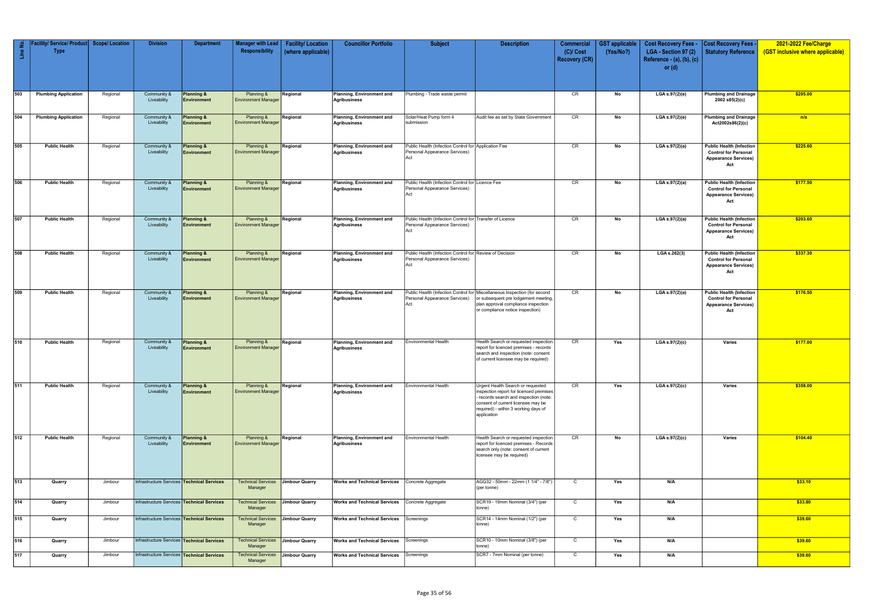| Line No.         | Facility/ Service/ Product Scope/ Location<br><b>Type</b> |          | <b>Division</b>                                   | <b>Department</b>                    | Manager with Lead  <br>Responsibility    | <b>Facility/Location</b><br>(where applicable) | <b>Councillor Portfolio</b>                      | <b>Subject</b>                                                                                   | <b>Description</b>                                                                                                                                                                                                  | <b>Commercial</b><br>$(C)/$ Cost<br><b>Recovery (CR)</b> | <b>GST applicable</b><br>(Yes/No?) | <b>Cost Recovery Fees -</b><br>LGA - Section 97 (2)<br>Reference - (a), (b), (c)<br>or $(d)$ | <b>Cost Recovery Fees -</b><br>Statutory Reference                                                   | 2021-2022 Fee/Charge<br>(GST inclusive where applicable) |
|------------------|-----------------------------------------------------------|----------|---------------------------------------------------|--------------------------------------|------------------------------------------|------------------------------------------------|--------------------------------------------------|--------------------------------------------------------------------------------------------------|---------------------------------------------------------------------------------------------------------------------------------------------------------------------------------------------------------------------|----------------------------------------------------------|------------------------------------|----------------------------------------------------------------------------------------------|------------------------------------------------------------------------------------------------------|----------------------------------------------------------|
| 503              | <b>Plumbing Application</b>                               | Regional | Community &<br>Liveability                        | <b>Planning &amp;</b><br>Environment | Planning &<br><b>Environment Manager</b> | Regional                                       | Planning, Environment and<br><b>Agribusiness</b> | Plumbing - Trade waste permit                                                                    |                                                                                                                                                                                                                     | CR                                                       | No                                 | LGA s.97(2)(e)                                                                               | <b>Plumbing and Drainage</b><br>2002 s85(2)(c)                                                       | \$205.00                                                 |
| 504              | <b>Plumbing Application</b>                               | Regional | Community &<br>Liveability                        | <b>Planning &amp;</b><br>Environment | Planning &<br><b>Environment Manager</b> | Regional                                       | Planning, Environment and<br><b>Agribusiness</b> | Solar/Heat Pump form 4<br>submission                                                             | Audit fee as set by State Government                                                                                                                                                                                | CR                                                       | No                                 | LGA s.97(2)(e)                                                                               | <b>Plumbing and Drainage</b><br>Act2002s86(2)(c)                                                     | n/a                                                      |
| 505              | <b>Public Health</b>                                      | Regional | Community &<br>Liveability                        | <b>Planning &amp;</b><br>Environment | Planning &<br><b>Environment Manager</b> | Regional                                       | Planning, Environment and<br><b>Agribusiness</b> | Public Health (Infection Control for Application Fee<br>Personal Appearance Services)<br>Act     |                                                                                                                                                                                                                     | CR                                                       | No                                 | LGA s.97(2)(a)                                                                               | <b>Public Health (Infection</b><br><b>Control for Personal</b><br><b>Appearance Services)</b><br>Act | \$225.60                                                 |
| 506              | <b>Public Health</b>                                      | Regional | Community &<br>Liveability                        | <b>Planning &amp;</b><br>Environment | Planning &<br><b>Environment Manager</b> | Regional                                       | Planning, Environment and<br><b>Agribusiness</b> | Public Health (Infection Control for Licence Fee<br>Personal Appearance Services)<br>Act         |                                                                                                                                                                                                                     | CR                                                       | No                                 | LGA s.97(2)(a)                                                                               | <b>Public Health (Infection</b><br><b>Control for Personal</b><br><b>Appearance Services)</b><br>Act | \$177.50                                                 |
| 507              | <b>Public Health</b>                                      | Regional | Community &<br>Liveability                        | <b>Planning &amp;</b><br>Environment | Planning &<br><b>Environment Manager</b> | Regional                                       | Planning, Environment and<br><b>Agribusiness</b> | Public Health (Infection Control for Transfer of Licence<br>Personal Appearance Services)<br>Act |                                                                                                                                                                                                                     | CR                                                       | No                                 | LGA s.97(2)(a)                                                                               | <b>Public Health (Infection</b><br><b>Control for Personal</b><br><b>Appearance Services)</b><br>Act | \$203.60                                                 |
| 508              | <b>Public Health</b>                                      | Regional | Community &<br>Liveability                        | <b>Planning &amp;</b><br>Environment | Planning &<br><b>Environment Manager</b> | Regional                                       | Planning, Environment and<br><b>Agribusiness</b> | Public Health (Infection Control for Review of Decision<br>Personal Appearance Services)<br>Act  |                                                                                                                                                                                                                     | CR                                                       | No                                 | LGA s.262(3)                                                                                 | <b>Public Health (Infection</b><br><b>Control for Personal</b><br><b>Appearance Services)</b><br>Act | \$337.30                                                 |
| 509              | <b>Public Health</b>                                      | Regional | Community &<br>Liveability                        | <b>Planning &amp;</b><br>Environment | Planning &<br><b>Environment Manager</b> | Regional                                       | Planning, Environment and<br><b>Agribusiness</b> | Personal Appearance Services)<br>Act                                                             | Public Health (Infection Control for Miscellaneous Inspection (for second<br>or subsequent pre lodgement meeting,<br>plan approval compliance inspection<br>or compliance notice inspection)                        | CR                                                       | No                                 | LGA s.97(2)(a)                                                                               | <b>Public Health (Infection</b><br><b>Control for Personal</b><br><b>Appearance Services)</b><br>Act | \$176.50                                                 |
| 510              | <b>Public Health</b>                                      | Regional | Community &<br>Liveability                        | <b>Planning &amp;</b><br>Environment | Planning &<br><b>Environment Manager</b> | Regional                                       | Planning, Environment and<br>Agribusiness        | <b>Environmental Health</b>                                                                      | Health Search or requested inspection<br>report for licenced premises - records<br>search and inspection (note: consent<br>of current licensee may be required)                                                     | CR                                                       | Yes                                | LGA s.97(2)(c)                                                                               | Varies                                                                                               | \$177.00                                                 |
| 511              | <b>Public Health</b>                                      | Regional | Community &<br>Liveability                        | <b>Planning &amp;</b><br>Environment | Planning &<br><b>Environment Manager</b> | Regional                                       | Planning, Environment and<br><b>Agribusiness</b> | <b>Environmental Health</b>                                                                      | Urgent Health Search or requested<br>inspection report for licenced premises<br>- records search and inspection (note:<br>consent of current licensee may be<br>required) - within 3 working days of<br>application | CR                                                       | Yes                                | LGA s.97(2)(c)                                                                               | Varies                                                                                               | \$358.00                                                 |
| 512              | <b>Public Health</b>                                      | Regional | Community &<br>Liveability                        | <b>Planning &amp;</b><br>Environment | Planning &<br><b>Environment Manager</b> | Regional                                       | Planning, Environment and<br><b>Agribusiness</b> | <b>Environmental Health</b>                                                                      | Health Search or requested inspection<br>report for licenced premises - Records<br>search only (note: consent of current<br>licensee may be required)                                                               | CR                                                       | No                                 | LGA s.97(2)(c)                                                                               | Varies                                                                                               | \$104.40                                                 |
| 513              | Quarry                                                    | Jimbour  | Infrastructure Services Technical Services        |                                      | <b>Technical Services</b><br>Manager     | Jimbour Quarry                                 | <b>Works and Technical Services</b>              | Concrete Aggregate                                                                               | AGG32 - 50mm - 22mm (1 1/4" - 7/8")<br>(per tonne)                                                                                                                                                                  | $\mathsf{C}$                                             | Yes                                | N/A                                                                                          |                                                                                                      | \$33.10                                                  |
| $\overline{514}$ | Quarry                                                    | Jimbour  | Infrastructure Services Technical Services        |                                      | <b>Technical Services</b><br>Manager     | Jimbour Quarry                                 | <b>Works and Technical Services</b>              | Concrete Aggregate                                                                               | SCR19 - 19mm Nominal (3/4") (per<br>tonne)                                                                                                                                                                          | $\mathsf{C}$                                             | Yes                                | N/A                                                                                          |                                                                                                      | \$33.80                                                  |
| 515              | Quarry                                                    | Jimbour  | Infrastructure Services Technical Services        |                                      | <b>Technical Services</b><br>Manager     | Jimbour Quarry                                 | <b>Works and Technical Services</b>              | Screenings                                                                                       | SCR14 - 14mm Nominal (1/2") (per<br>tonne)                                                                                                                                                                          | $\mathsf{C}$                                             | Yes                                | N/A                                                                                          |                                                                                                      | \$39.60                                                  |
| 516              | Quarry                                                    | Jimbour  | Infrastructure Services Technical Services        |                                      | <b>Technical Services</b><br>Manager     | Jimbour Quarry                                 | <b>Works and Technical Services</b>              | Screenings                                                                                       | SCR10 - 10mm Nominal (3/8") (per<br>tonne)                                                                                                                                                                          | $\mathsf{C}$                                             | Yes                                | N/A                                                                                          |                                                                                                      | \$39.60                                                  |
| 517              | Quarry                                                    | Jimbour  | Infrastructure Services <b>Technical Services</b> |                                      | Technical Services<br>Manager            | <b>Jimbour Quarry</b>                          | <b>Works and Technical Services</b>              | Screenings                                                                                       | SCR7 - 7mm Nominal (per tonne)                                                                                                                                                                                      | $\mathsf{C}$                                             | Yes                                | N/A                                                                                          |                                                                                                      | \$39.60                                                  |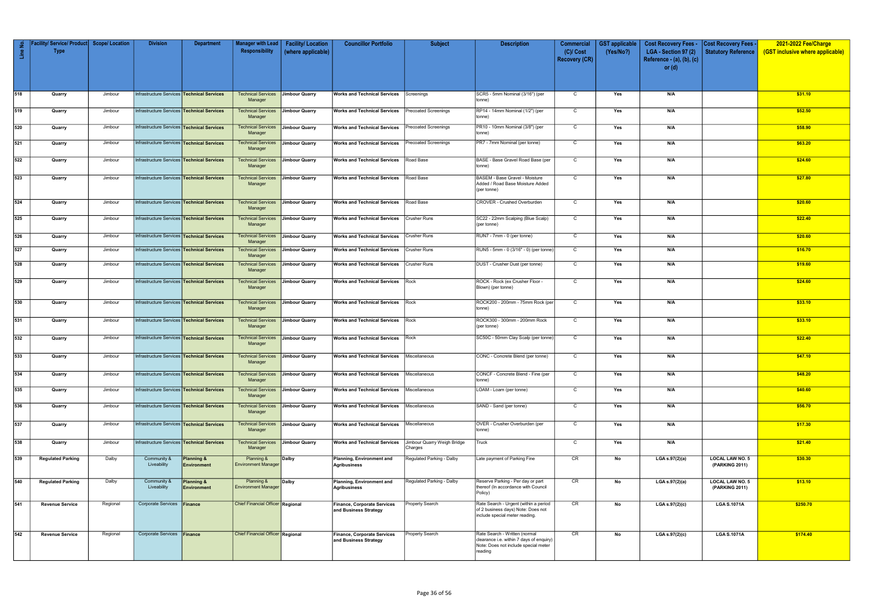| Line No. | acility/ Service/ Product   Scope/ Location<br><b>Type</b> |          | <b>Division</b>                                   | <b>Department</b>                           | Manager with Lead<br>Responsibility                 | <b>Facility/Location</b> | <b>Councillor Portfolio</b>                                 | <b>Subject</b>                         | <b>Description</b>                                                                                                           | <b>Commercial</b>                   | <b>GST</b> applicable | <b>Cost Recovery Fees -</b>                       | <b>Cost Recovery Fees -</b>              | 2021-2022 Fee/Charge             |
|----------|------------------------------------------------------------|----------|---------------------------------------------------|---------------------------------------------|-----------------------------------------------------|--------------------------|-------------------------------------------------------------|----------------------------------------|------------------------------------------------------------------------------------------------------------------------------|-------------------------------------|-----------------------|---------------------------------------------------|------------------------------------------|----------------------------------|
|          |                                                            |          |                                                   |                                             |                                                     | (where applicable)       |                                                             |                                        |                                                                                                                              | $(C)/$ Cost<br><b>Recovery (CR)</b> | (Yes/No?)             | LGA - Section 97 (2)<br>Reference - (a), (b), (c) | <b>Statutory Reference</b>               | (GST inclusive where applicable) |
|          |                                                            |          |                                                   |                                             |                                                     |                          |                                                             |                                        |                                                                                                                              |                                     |                       | or $(d)$                                          |                                          |                                  |
|          |                                                            |          |                                                   |                                             |                                                     |                          |                                                             |                                        |                                                                                                                              |                                     |                       |                                                   |                                          |                                  |
| 518      | Quarry                                                     | Jimbour  | Infrastructure Services Technical Services        |                                             | <b>Technical Services</b><br>Manager                | <b>Jimbour Quarry</b>    | <b>Works and Technical Services</b>                         | Screenings                             | SCR5 - 5mm Nominal (3/16") (per<br>tonne)                                                                                    | $\mathsf{C}$                        | Yes                   | N/A                                               |                                          | \$31.10                          |
| 519      | Quarry                                                     | Jimbour  | Infrastructure Services <b>Technical Services</b> |                                             | Technical Services<br>Manager                       | <b>Jimbour Quarry</b>    | <b>Works and Technical Services</b>                         | <b>Precoated Screenings</b>            | RP14 - 14mm Nominal (1/2") (per<br>tonne)                                                                                    | $\mathsf{C}$                        | Yes                   | N/A                                               |                                          | \$52.50                          |
| 520      | Quarry                                                     | Jimbour  | Infrastructure Services Technical Services        |                                             | <b>Technical Services</b><br>Manager                | <b>Jimbour Quarry</b>    | <b>Works and Technical Services</b>                         | Precoated Screenings                   | PR10 - 10mm Nominal (3/8") (per<br>tonne)                                                                                    | $\mathsf{C}$                        | Yes                   | N/A                                               |                                          | \$58.90                          |
| 521      | Quarry                                                     | Jimbour  | Infrastructure Services Technical Services        |                                             | <b>Technical Services</b><br>Manager                | <b>Jimbour Quarry</b>    | <b>Works and Technical Services</b>                         | <b>Precoated Screenings</b>            | PR7 - 7mm Nominal (per tonne)                                                                                                | $\mathsf{C}$                        | Yes                   | N/A                                               |                                          | \$63.20                          |
| 522      | Quarry                                                     | Jimbour  | Infrastructure Services Technical Services        |                                             | <b>Technical Services</b><br>Manager                | <b>Jimbour Quarry</b>    | <b>Works and Technical Services</b>                         | Road Base                              | BASE - Base Gravel Road Base (per<br>tonne)                                                                                  | $\mathsf{C}$                        | Yes                   | N/A                                               |                                          | \$24.60                          |
| 523      | Quarry                                                     | Jimbour  | Infrastructure Services Technical Services        |                                             | <b>Technical Services</b><br>Manager                | Jimbour Quarry           | <b>Works and Technical Services</b>                         | Road Base                              | BASEM - Base Gravel - Moisture<br>Added / Road Base Moisture Added<br>(per tonne)                                            | $\mathsf{C}$                        | Yes                   | N/A                                               |                                          | \$27.80                          |
| 524      | Quarry                                                     | Jimbour  | Infrastructure Services Technical Services        |                                             | Technical Services<br>Manager                       | <b>Jimbour Quarry</b>    | <b>Works and Technical Services</b>                         | Road Base                              | CROVER - Crushed Overburden                                                                                                  | $\mathsf{C}$                        | Yes                   | N/A                                               |                                          | \$20.60                          |
| 525      | Quarry                                                     | Jimbour  | Infrastructure Services <b>Technical Services</b> |                                             | <b>Technical Services</b><br>Manager                | Jimbour Quarry           | <b>Works and Technical Services</b>                         | <b>Crusher Runs</b>                    | SC22 - 22mm Scalping (Blue Scalp)<br>(per tonne)                                                                             | $\mathsf{C}$                        | Yes                   | N/A                                               |                                          | \$22.40                          |
| 526      | Quarry                                                     | Jimbour  | Infrastructure Services Technical Services        |                                             | <b>Technical Services</b><br>Manager                | <b>Jimbour Quarry</b>    | <b>Works and Technical Services</b>                         | <b>Crusher Runs</b>                    | RUN7 - 7mm - 0 (per tonne)                                                                                                   | $\mathbf C$                         | Yes                   | N/A                                               |                                          | \$20.60                          |
| 527      | Quarry                                                     | Jimbour  | Infrastructure Services Technical Services        |                                             | <b>Technical Services</b><br>Manager                | <b>Jimbour Quarry</b>    | <b>Works and Technical Services</b>                         | <b>Crusher Runs</b>                    | RUN5 - 5mm - 0 (3/16" - 0) (per tonne)                                                                                       | $\mathsf{C}$                        | Yes                   | N/A                                               |                                          | \$16.70                          |
| 528      | Quarry                                                     | Jimbour  | Infrastructure Services Technical Services        |                                             | <b>Technical Services</b><br>Manager                | <b>Jimbour Quarry</b>    | <b>Works and Technical Services</b>                         | <b>Crusher Runs</b>                    | DUST - Crusher Dust (per tonne)                                                                                              | $\mathsf{C}$                        | Yes                   | N/A                                               |                                          | \$19.60                          |
| 529      | Quarry                                                     | Jimbour  | Infrastructure Services <b>Technical Services</b> |                                             | Technical Services<br>Manager                       | <b>Jimbour Quarry</b>    | <b>Works and Technical Services   Rock</b>                  |                                        | ROCK - Rock (ex Crusher Floor -<br>Blown) (per tonne)                                                                        | $\mathsf{C}$                        | Yes                   | N/A                                               |                                          | \$24.60                          |
| 530      | Quarry                                                     | Jimbour  | Infrastructure Services Technical Services        |                                             | <b>Technical Services</b><br>Manager                | <b>Jimbour Quarry</b>    | <b>Works and Technical Services   Rock</b>                  |                                        | ROCK200 - 200mm - 75mm Rock (per<br>tonne)                                                                                   | $\mathsf{C}$                        | Yes                   | N/A                                               |                                          | \$33.10                          |
| 531      | Quarry                                                     | Jimbour  | Infrastructure Services Technical Services        |                                             | <b>Technical Services</b><br>Manager                | Jimbour Quarry           | <b>Works and Technical Services</b> Rock                    |                                        | ROCK300 - 300mm - 200mm Rock<br>(per tonne)                                                                                  | $\mathsf{C}$                        | Yes                   | N/A                                               |                                          | \$33.10                          |
| 532      | Quarry                                                     | Jimbour  | Infrastructure Services Technical Services        |                                             | <b>Technical Services</b><br>Manager                | <b>Jimbour Quarry</b>    | <b>Works and Technical Services   Rock</b>                  |                                        | SC50C - 50mm Clay Scalp (per tonne)                                                                                          | $\mathsf{C}$                        | Yes                   | N/A                                               |                                          | \$22.40                          |
| 533      | Quarry                                                     | Jimbour  | Infrastructure Services Technical Services        |                                             | <b>Technical Services</b><br>Manager                | <b>Jimbour Quarry</b>    | <b>Works and Technical Services</b>                         | Miscellaneous                          | CONC - Concrete Blend (per tonne)                                                                                            | $\mathsf{C}$                        | Yes                   | N/A                                               |                                          | \$47.10                          |
| 534      | Quarry                                                     | Jimbour  | Infrastructure Services Technical Services        |                                             | <b>Technical Services</b> Jimbour Quarry<br>Manager |                          | <b>Works and Technical Services</b>                         | Miscellaneous                          | CONCF - Concrete Blend - Fine (per<br>tonne)                                                                                 | $\mathbf C$                         | Yes                   | N/A                                               |                                          | \$48.20                          |
| 535      | Quarry                                                     | Jimbour  | Infrastructure Services Technical Services        |                                             | <b>Technical Services</b><br>Manager                | <b>Jimbour Quarry</b>    | <b>Works and Technical Services   Miscellaneous</b>         |                                        | LOAM - Loam (per tonne)                                                                                                      | $\mathsf{C}$                        | Yes                   | N/A                                               |                                          | \$40.60                          |
| 536      | Quarry                                                     | Jimbour  | Infrastructure Services Technical Services        |                                             | Technical Services<br>Manager                       | <b>Jimbour Quarry</b>    | <b>Works and Technical Services   Miscellaneous</b>         |                                        | SAND - Sand (per tonne)                                                                                                      | $\mathbf C$                         | Yes                   | N/A                                               |                                          | \$56.70                          |
| 537      | Quarry                                                     | Jimbour  | Infrastructure Services <b>Technical Services</b> |                                             | <b>Technical Services</b><br>Manager                | <b>Jimbour Quarry</b>    | <b>Works and Technical Services</b> Miscellaneous           |                                        | OVER - Crusher Overburden (per<br>tonne)                                                                                     | $\mathsf{C}$                        | Yes                   | N/A                                               |                                          | \$17.30                          |
| 538      | Quarry                                                     | Jimbour  | Infrastructure Services Technical Services        |                                             | Technical Services<br>Manager                       | Jimbour Quarry           | <b>Works and Technical Services</b>                         | Jimbour Quarry Weigh Bridge<br>Charges | Truck                                                                                                                        | $\mathsf{C}$                        | Yes                   | N/A                                               |                                          | \$21.40                          |
| 539      | <b>Regulated Parking</b>                                   | Dalby    | Community &<br>Liveability                        | <b>Planning &amp;</b><br><b>Environment</b> | Planning &<br><b>Environment Manager</b>            | Dalby                    | Planning, Environment and<br>Agribusiness                   | Regulated Parking - Dalby              | Late payment of Parking Fine                                                                                                 | CR                                  | No                    | LGA s.97(2)(a)                                    | <b>LOCAL LAW NO. 5</b><br>(PARKING 2011) | \$30.30                          |
| 540      | <b>Regulated Parking</b>                                   | Dalby    | Community &<br>Liveability                        | Planning &<br>Environment                   | Planning &<br><b>Environment Manager</b>            | Dalby                    | <b>Planning, Environment and</b><br>Agribusiness            | Regulated Parking - Dalby              | Reserve Parking - Per day or part<br>thereof (In accordance with Council<br>Policy)                                          | CR                                  | No                    | LGA s.97(2)(a)                                    | <b>LOCAL LAW NO. 5</b><br>(PARKING 2011) | \$13.10                          |
| 541      | <b>Revenue Service</b>                                     | Regional | Corporate Services Finance                        |                                             | Chief Financial Officer Regional                    |                          | Finance, Corporate Services<br>and Business Strategy        | Property Search                        | Rate Search - Urgent (within a period<br>of 2 business days) Note: Does not<br>include special meter reading.                | CR                                  | No                    | LGA s.97(2)(c)                                    | <b>LGA S.1071A</b>                       | \$250.70                         |
| 542      | <b>Revenue Service</b>                                     | Regional | Corporate Services Finance                        |                                             | <b>Chief Financial Officer Regional</b>             |                          | <b>Finance, Corporate Services</b><br>and Business Strategy | Property Search                        | Rate Search - Written (normal<br>clearance i.e. within 7 days of enquiry)<br>Note: Does not include special meter<br>reading | CR                                  | No                    | LGA s.97(2)(c)                                    | <b>LGA S.1071A</b>                       | \$174.40                         |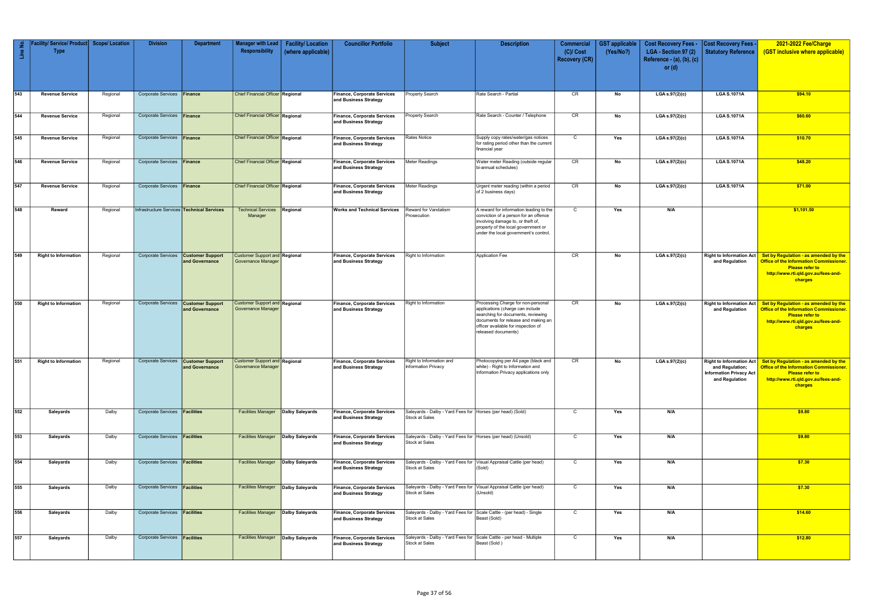| Line No. | lity/ Service/ Product<br><b>Type</b> | <b>Scope/Location</b> | <b>Division</b>                                   | <b>Department</b>                         | <b>Manager with Lead</b><br>Responsibility                        | <b>Facility/Location</b><br>(where applicable) | <b>Councillor Portfolio</b>                                 | <b>Subject</b>                                                                 | <b>Description</b>                                                                                                                                                                                                | <b>Commercial</b><br>$(C)/$ Cost | <b>GST</b> applicable<br>(Yes/No?) | <b>Cost Recovery Fees -</b><br>LGA - Section 97 (2) | <b>Cost Recovery Fees</b><br><b>Statutory Reference</b>             | 2021-2022 Fee/Charge<br>(GST inclusive where applicable)                                                                                                                                             |
|----------|---------------------------------------|-----------------------|---------------------------------------------------|-------------------------------------------|-------------------------------------------------------------------|------------------------------------------------|-------------------------------------------------------------|--------------------------------------------------------------------------------|-------------------------------------------------------------------------------------------------------------------------------------------------------------------------------------------------------------------|----------------------------------|------------------------------------|-----------------------------------------------------|---------------------------------------------------------------------|------------------------------------------------------------------------------------------------------------------------------------------------------------------------------------------------------|
|          |                                       |                       |                                                   |                                           |                                                                   |                                                |                                                             |                                                                                |                                                                                                                                                                                                                   | <b>Recovery (CR)</b>             |                                    | Reference - (a), (b), (c)<br>or $(d)$               |                                                                     |                                                                                                                                                                                                      |
| 543      | <b>Revenue Service</b>                | Regional              | Corporate Services Finance                        |                                           | <b>Chief Financial Officer Regional</b>                           |                                                | <b>Finance, Corporate Services</b><br>and Business Strategy | Property Search                                                                | Rate Search - Partial                                                                                                                                                                                             | CR                               | No                                 | LGA s.97(2)(c)                                      | <b>LGA S.1071A</b>                                                  | \$94.10                                                                                                                                                                                              |
| 544      | <b>Revenue Service</b>                | Regional              | Corporate Services Finance                        |                                           | <b>Chief Financial Officer Regional</b>                           |                                                | Finance, Corporate Services<br>and Business Strategy        | <b>Property Search</b>                                                         | Rate Search - Counter / Telephone                                                                                                                                                                                 | CR                               | No                                 | LGA s.97(2)(c)                                      | <b>LGA S.1071A</b>                                                  | \$60.60                                                                                                                                                                                              |
| 545      | <b>Revenue Service</b>                | Regional              | Corporate Services Finance                        |                                           | <b>Chief Financial Officer Regional</b>                           |                                                | <b>Finance, Corporate Services</b><br>and Business Strategy | Rates Notice                                                                   | Supply copy rates/water/gas notices<br>for rating period other than the current<br>financial year                                                                                                                 | $\mathsf{C}$                     | Yes                                | LGA s.97(2)(c)                                      | <b>LGA S.1071A</b>                                                  | \$10.70                                                                                                                                                                                              |
| 546      | <b>Revenue Service</b>                | Regional              | Corporate Services Finance                        |                                           | <b>Chief Financial Officer Regional</b>                           |                                                | Finance, Corporate Services<br>and Business Strategy        | Meter Readings                                                                 | Water meter Reading (outside regular<br>bi-annual schedules)                                                                                                                                                      | CR                               | No                                 | LGA s.97(2)(c)                                      | <b>LGA S.1071A</b>                                                  | \$48.20                                                                                                                                                                                              |
| 547      | <b>Revenue Service</b>                | Regional              | Corporate Services Finance                        |                                           | <b>Chief Financial Officer Regional</b>                           |                                                | Finance, Corporate Services<br>and Business Strategy        | Meter Readings                                                                 | Urgent meter reading (within a period<br>of 2 business days)                                                                                                                                                      | CR                               | No                                 | LGA s.97(2)(c)                                      | <b>LGA S.1071A</b>                                                  | \$71.00                                                                                                                                                                                              |
| 548      | Reward                                | Regional              | Infrastructure Services <b>Technical Services</b> |                                           | Technical Services Regional<br>Manager                            |                                                | <b>Works and Technical Services</b>                         | <b>Reward for Vandalism</b><br>Prosecution                                     | A reward for information leading to the<br>conviction of a person for an offence<br>involving damage to, or theft of,<br>property of the local government or<br>under the local government's control.             | $\mathsf{C}$                     | Yes                                | N/A                                                 |                                                                     | \$1,101.50                                                                                                                                                                                           |
| 549      | <b>Right to Information</b>           | Regional              | <b>Corporate Services</b>                         | <b>Customer Support</b><br>and Governance | <b>Customer Support and Regional</b><br><b>Governance Manager</b> |                                                | Finance, Corporate Services<br>and Business Strategy        | Right to Information                                                           | <b>Application Fee</b>                                                                                                                                                                                            | CR                               | No                                 | LGA s.97(2)(c)                                      | <b>Right to Information Act</b><br>and Regulation                   | Set by Regulation - as amended by the<br><b>Office of the Information Commissioner.</b><br><b>Please refer to</b><br>http://www.rti.qld.gov.au/fees-and-<br>charges                                  |
| 550      | <b>Right to Information</b>           | Regional              | <b>Corporate Services</b>                         | <b>Customer Support</b><br>and Governance | <b>Customer Support and Regional</b><br><b>Governance Manager</b> |                                                | <b>Finance, Corporate Services</b><br>and Business Strategy | Right to Information                                                           | Processing Charge for non-personal<br>applications (charge can include<br>searching for documents, reviewing<br>documents for release and making an<br>officer available for inspection of<br>released documents) | CR                               | No                                 | $LGA$ s.97(2)(c)                                    | <b>Right to Information Act</b><br>and Regulation                   | Set by Regulation - as amended by the<br><b>Office of the Information Commissioner.</b><br><b>Please refer to</b><br>http://www.rti.qld.gov.au/fees-and-<br>charges                                  |
| 551      | <b>Right to Information</b>           | Regional              | Corporate Services <b>Customer Support</b>        | and Governance                            | <b>Customer Support and Regional</b><br>Governance Manager        |                                                | <b>Finance, Corporate Services</b><br>and Business Strategy | Right to Information and<br><b>Information Privacy</b>                         | Photocopying per A4 page (black and<br>white) - Right to Information and<br>Information Privacy applications only                                                                                                 | CR                               | No                                 | $LGA$ s.97 $(2)(c)$                                 | and Regulation;<br><b>Information Privacy Act</b><br>and Regulation | Right to Information Act $\vert$ Set by Regulation - as amended by the<br><b>Office of the Information Commissioner.</b><br><b>Please refer to</b><br>http://www.rti.qld.gov.au/fees-and-<br>charges |
| 552      | Saleyards                             | Dalby                 | Corporate Services <b>Facilities</b>              |                                           | <b>Facilities Manager Dalby Saleyards</b>                         |                                                | Finance, Corporate Services<br>and Business Strategy        | Saleyards - Dalby - Yard Fees for   Horses (per head) (Sold)<br>Stock at Sales |                                                                                                                                                                                                                   | $\mathsf{C}$                     | Yes                                | N/A                                                 |                                                                     | \$9.80                                                                                                                                                                                               |
| 553      | Saleyards                             | Dalby                 | Corporate Services <b>Facilities</b>              |                                           | <b>Facilities Manager Dalby Saleyards</b>                         |                                                | <b>Finance, Corporate Services</b><br>and Business Strategy | Saleyards - Dalby - Yard Fees for Horses (per head) (Unsold)<br>Stock at Sales |                                                                                                                                                                                                                   | $\mathsf{C}$                     | Yes                                | N/A                                                 |                                                                     | \$9.80                                                                                                                                                                                               |
| 554      | Saleyards                             | Dalby                 | Corporate Services <b>Facilities</b>              |                                           | <b>Facilities Manager</b> Dalby Saleyards                         |                                                | Finance, Corporate Services<br>and Business Strategy        | Stock at Sales                                                                 | Saleyards - Dalby - Yard Fees for Visual Appraisal Cattle (per head)<br>(Sold)                                                                                                                                    | $\mathbf C$                      | Yes                                | N/A                                                 |                                                                     | \$7.30                                                                                                                                                                                               |
| 555      | Saleyards                             | Dalby                 | Corporate Services <b>Facilities</b>              |                                           | <b>Facilities Manager</b> Dalby Saleyards                         |                                                | Finance, Corporate Services<br>and Business Strategy        | Stock at Sales                                                                 | Saleyards - Dalby - Yard Fees for Visual Appraisal Cattle (per head)<br>(Unsold)                                                                                                                                  | $\mathsf{C}$                     | Yes                                | N/A                                                 |                                                                     | \$7.30                                                                                                                                                                                               |
| 556      | Saleyards                             | Dalby                 | Corporate Services <b>Facilities</b>              |                                           | <b>Facilities Manager Dalby Saleyards</b>                         |                                                | Finance, Corporate Services<br>and Business Strategy        | Stock at Sales                                                                 | Saleyards - Dalby - Yard Fees for Scale Cattle - (per head) - Single<br>Beast (Sold)                                                                                                                              | $\mathsf{C}$                     | Yes                                | N/A                                                 |                                                                     | \$14.60                                                                                                                                                                                              |
| 557      | Saleyards                             | Dalby                 | Corporate Services <b>Facilities</b>              |                                           | <b>Facilities Manager Dalby Saleyards</b>                         |                                                | <b>Finance, Corporate Services</b><br>and Business Strategy | Stock at Sales                                                                 | Saleyards - Dalby - Yard Fees for Scale Cattle - per head - Multiple<br>Beast (Sold)                                                                                                                              | $\mathsf{C}$                     | Yes                                | N/A                                                 |                                                                     | \$12.80                                                                                                                                                                                              |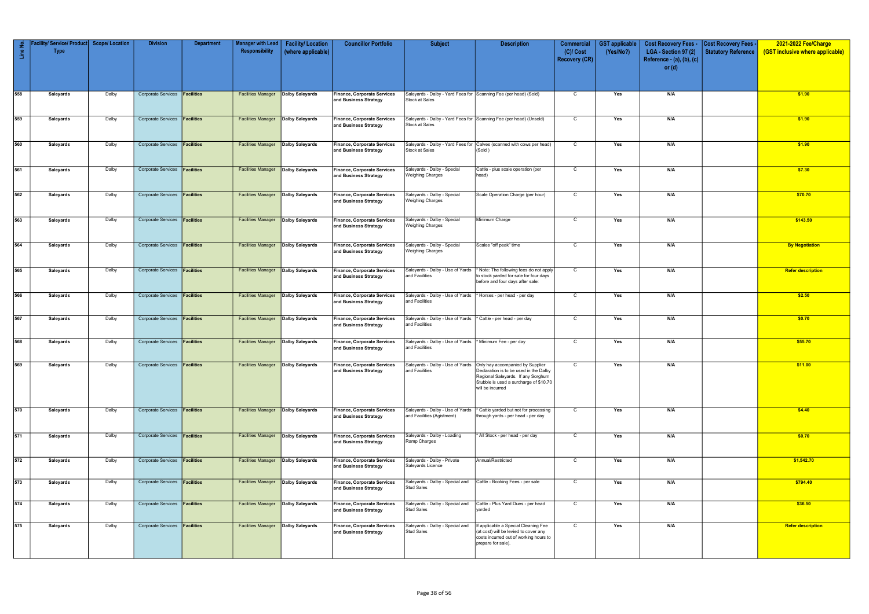| Line No.   | // Service/ Product<br><b>Type</b> | <b>Scope/ Location</b> | <b>Division</b>                                                              | <b>Department</b> | <b>Manager with Lead</b><br>Responsibility                                             | <b>Facility/Location</b><br>(where applicable) | <b>Councillor Portfolio</b>                                                                       | <b>Subject</b>                                                                                                        | <b>Description</b>                                                                                                                         | <b>Commercial</b><br>$(C)/$ Cost<br><b>Recovery (CR)</b> | <b>GST</b> applicable<br>(Yes/No?) | <b>Cost Recovery Fees -</b><br>LGA - Section 97 (2)<br>Reference $-$ (a), (b), (c)<br>or $(d)$ | <b>Cost Recovery Fees -</b><br><b>Statutory Reference</b> | 2021-2022 Fee/Charge<br>(GST inclusive where applicable) |
|------------|------------------------------------|------------------------|------------------------------------------------------------------------------|-------------------|----------------------------------------------------------------------------------------|------------------------------------------------|---------------------------------------------------------------------------------------------------|-----------------------------------------------------------------------------------------------------------------------|--------------------------------------------------------------------------------------------------------------------------------------------|----------------------------------------------------------|------------------------------------|------------------------------------------------------------------------------------------------|-----------------------------------------------------------|----------------------------------------------------------|
| 558        | Saleyards                          | Dalby                  | Corporate Services <b>Facilities</b>                                         |                   | <b>Facilities Manager</b>                                                              | Dalby Saleyards                                | <b>Finance, Corporate Services</b><br>and Business Strategy                                       | Saleyards - Dalby - Yard Fees for Scanning Fee (per head) (Sold)<br>Stock at Sales                                    |                                                                                                                                            | $\mathsf{C}$                                             | Yes                                | N/A                                                                                            |                                                           | \$1.90                                                   |
| 559        | Saleyards                          | Dalby                  | Corporate Services <b>Facilities</b>                                         |                   | <b>Facilities Manager</b>                                                              | Dalby Saleyards                                | <b>Finance, Corporate Services</b><br>and Business Strategy                                       | Stock at Sales                                                                                                        | Saleyards - Dalby - Yard Fees for Scanning Fee (per head) (Unsold)                                                                         | $\mathsf{C}$                                             | Yes                                | N/A                                                                                            |                                                           | \$1.90                                                   |
| 560        | Saleyards                          | Dalby                  | <b>Corporate Services</b>                                                    | Facilities        | <b>Facilities Manager</b>                                                              | Dalby Saleyards                                | <b>Finance, Corporate Services</b><br>and Business Strategy                                       | Stock at Sales                                                                                                        | Saleyards - Dalby - Yard Fees for Calves (scanned with cows per head)<br>(Sold)                                                            | $\overline{C}$                                           | Yes                                | N/A                                                                                            |                                                           | \$1.90                                                   |
| 561        | Saleyards                          | Dalby                  | <b>Corporate Services</b>                                                    | Facilities        | <b>Facilities Manager</b>                                                              | Dalby Saleyards                                | <b>Finance, Corporate Services</b><br>and Business Strategy                                       | Saleyards - Dalby - Special<br><b>Weighing Charges</b>                                                                | Cattle - plus scale operation (per<br>head)                                                                                                | C                                                        | Yes                                | N/A                                                                                            |                                                           | \$7.30                                                   |
| 562        | Saleyards                          | Dalby                  | Corporate Services <b>Facilities</b>                                         |                   | <b>Facilities Manager</b>                                                              | Dalby Saleyards                                | <b>Finance, Corporate Services</b><br>and Business Strategy                                       | Saleyards - Dalby - Special<br><b>Weighing Charges</b>                                                                | Scale Operation Charge (per hour)                                                                                                          | $\mathsf{C}$                                             | Yes                                | N/A                                                                                            |                                                           | \$70.70                                                  |
| 563        | Saleyards                          | Dalby                  | Corporate Services <b>Facilities</b>                                         |                   | <b>Facilities Manager</b>                                                              | Dalby Saleyards                                | <b>Finance, Corporate Services</b><br>and Business Strategy                                       | Saleyards - Dalby - Special<br><b>Weighing Charges</b>                                                                | Minimum Charge                                                                                                                             | $\mathsf{C}$                                             | Yes                                | N/A                                                                                            |                                                           | \$143.50                                                 |
| 564        | Saleyards                          | Dalby                  | Corporate Services <b>Facilities</b>                                         |                   | <b>Facilities Manager</b>                                                              | Dalby Saleyards                                | <b>Finance, Corporate Services</b><br>and Business Strategy                                       | Saleyards - Dalby - Special<br><b>Weighing Charges</b>                                                                | Scales "off peak" time                                                                                                                     | $\mathsf{C}$                                             | Yes                                | N/A                                                                                            |                                                           | <b>By Negotiation</b>                                    |
| 565        | Saleyards                          | Dalby                  | <b>Corporate Services</b>                                                    | Facilities        | <b>Facilities Manager</b>                                                              | Dalby Saleyards                                | <b>Finance, Corporate Services</b><br>and Business Strategy                                       | Saleyards - Dalby - Use of Yards<br>and Facilities                                                                    | * Note: The following fees do not apply<br>to stock yarded for sale for four days<br>before and four days after sale:                      | $\mathsf{C}$                                             | Yes                                | N/A                                                                                            |                                                           | <b>Refer description</b>                                 |
| 566<br>567 | Saleyards<br>Saleyards             | Dalby<br>Dalby         | Corporate Services <b>Facilities</b><br><b>Corporate Services</b>            | <b>Facilities</b> | <b>Facilities Manager</b><br><b>Facilities Manager</b>                                 | Dalby Saleyards<br>Dalby Saleyards             | <b>Finance, Corporate Services</b><br>and Business Strategy<br><b>Finance, Corporate Services</b> | Saleyards - Dalby - Use of Yards  * Horses - per head - per day<br>and Facilities<br>Saleyards - Dalby - Use of Yards | Cattle - per head - per day                                                                                                                | $\mathsf{C}$<br>C                                        | Yes<br>Yes                         | N/A<br>N/A                                                                                     |                                                           | \$2.50<br>\$0.70                                         |
| 568        | Saleyards                          | Dalby                  | Corporate Services <b>Facilities</b>                                         |                   | <b>Facilities Manager</b>                                                              | Dalby Saleyards                                | and Business Strategy<br><b>Finance, Corporate Services</b>                                       | and Facilities<br>Saleyards - Dalby - Use of Yards                                                                    | * Minimum Fee - per day                                                                                                                    | $\mathsf{C}$                                             | Yes                                | N/A                                                                                            |                                                           | \$55.70                                                  |
| 569        | Saleyards                          | Dalby                  | Corporate Services <b>Facilities</b>                                         |                   | <b>Facilities Manager</b> Dalby Saleyards                                              |                                                | and Business Strategy<br>Finance, Corporate Services                                              | and Facilities                                                                                                        | Saleyards - Dalby - Use of Yards Only hay accompanied by Supplier                                                                          |                                                          | Yes                                |                                                                                                |                                                           | \$11.00                                                  |
|            |                                    |                        |                                                                              |                   |                                                                                        |                                                | and Business Strategy                                                                             | and Facilities                                                                                                        | Declaration is to be used in the Dalby<br>Regional Saleyards. If any Sorghum<br>Stubble is used a surcharge of \$10.70<br>will be incurred |                                                          |                                    |                                                                                                |                                                           |                                                          |
| 570        | Saleyards                          | Dalby                  | Corporate Services <b>Facilities</b>                                         |                   | <b>Facilities Manager Dalby Saleyards</b>                                              |                                                | <b>Finance, Corporate Services</b><br>and Business Strategy                                       | Saleyards - Dalby - Use of Yards<br>and Facilities (Agistment)                                                        | ' Cattle yarded but not for processing<br>through yards - per head - per day                                                               | $\mathsf{C}$                                             | Yes                                | N/A                                                                                            |                                                           | \$4.40                                                   |
| 571        | Saleyards                          | Dalby                  | Corporate Services <b>Facilities</b>                                         |                   | <b>Facilities Manager Dalby Saleyards</b>                                              |                                                | <b>Finance, Corporate Services</b><br>and Business Strategy                                       | Saleyards - Dalby - Loading<br>Ramp Charges                                                                           | All Stock - per head - per day                                                                                                             | $\mathsf{C}$                                             | Yes                                | N/A                                                                                            |                                                           | \$0.70                                                   |
| 572        | Saleyards                          | Dalby                  | Corporate Services <b>Facilities</b>                                         |                   | <b>Facilities Manager Dalby Saleyards</b>                                              |                                                | <b>Finance, Corporate Services</b><br>and Business Strategy                                       | Saleyards - Dalby - Private<br>Saleyards Licence                                                                      | Annual/Restricted                                                                                                                          | $\mathsf{C}$                                             | Yes                                | N/A                                                                                            |                                                           | \$1,542.70                                               |
| 573<br>574 | Saleyards<br>Saleyards             | Dalby<br>Dalby         | Corporate Services <b>Facilities</b><br>Corporate Services <b>Facilities</b> |                   | <b>Facilities Manager Dalby Saleyards</b><br><b>Facilities Manager Dalby Saleyards</b> |                                                | Finance, Corporate Services<br>and Business Strategy<br><b>Finance, Corporate Services</b>        | Saleyards - Dalby - Special and<br><b>Stud Sales</b><br>Saleyards - Dalby - Special and                               | Cattle - Booking Fees - per sale<br>Cattle - Plus Yard Dues - per head                                                                     | $\mathsf{C}$<br>$\mathsf{C}$                             | Yes<br>Yes                         | N/A<br>N/A                                                                                     |                                                           | \$794.40<br>\$36.50                                      |
| 575        | Saleyards                          | Dalby                  | Corporate Services <b>Facilities</b>                                         |                   | <b>Facilities Manager Dalby Saleyards</b>                                              |                                                | and Business Strategy<br><b>Finance, Corporate Services</b>                                       | <b>Stud Sales</b><br>Saleyards - Dalby - Special and                                                                  | yarded<br>If applicable a Special Cleaning Fee                                                                                             | $\mathsf{C}$                                             | Yes                                | N/A                                                                                            |                                                           | <b>Refer description</b>                                 |
|            |                                    |                        |                                                                              |                   |                                                                                        |                                                | and Business Strategy                                                                             | <b>Stud Sales</b>                                                                                                     | (at cost) will be levied to cover any<br>costs incurred out of working hours to<br>prepare for sale).                                      |                                                          |                                    |                                                                                                |                                                           |                                                          |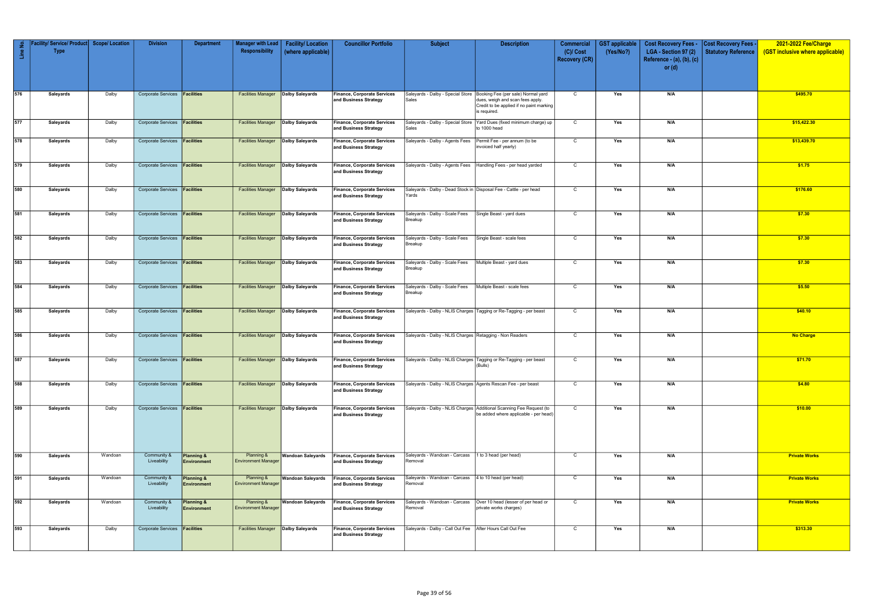|          | Facility/ Service/ Product   Scope/ Location |         | <b>Division</b>                      | <b>Department</b>                           | <b>Manager with Lead</b>                    | <b>Facility/Location</b> | <b>Councillor Portfolio</b>                                 | <b>Subject</b>                                                              | <b>Description</b>                                                                                            | <b>Commercial</b>    | <b>GST</b> applicable | <b>Cost Recovery Fees -</b> | <b>Cost Recovery Fees -</b> | 2021-2022 Fee/Charge             |
|----------|----------------------------------------------|---------|--------------------------------------|---------------------------------------------|---------------------------------------------|--------------------------|-------------------------------------------------------------|-----------------------------------------------------------------------------|---------------------------------------------------------------------------------------------------------------|----------------------|-----------------------|-----------------------------|-----------------------------|----------------------------------|
| Line No. | <b>Type</b>                                  |         |                                      |                                             | Responsibility                              | (where applicable)       |                                                             |                                                                             |                                                                                                               | $(C)/$ Cost          | (Yes/No?)             | LGA - Section 97 (2)        | <b>Statutory Reference</b>  | (GST inclusive where applicable) |
|          |                                              |         |                                      |                                             |                                             |                          |                                                             |                                                                             |                                                                                                               | <b>Recovery (CR)</b> |                       | Reference - (a), (b), (c)   |                             |                                  |
|          |                                              |         |                                      |                                             |                                             |                          |                                                             |                                                                             |                                                                                                               |                      |                       | or $(d)$                    |                             |                                  |
|          |                                              |         |                                      |                                             |                                             |                          |                                                             |                                                                             |                                                                                                               |                      |                       |                             |                             |                                  |
| 576      | Saleyards                                    | Dalby   | Corporate Services <b>Facilities</b> |                                             | <b>Facilities Manager</b>                   | Dalby Saleyards          | <b>Finance, Corporate Services</b>                          |                                                                             | Saleyards - Dalby - Special Store   Booking Fee (per sale) Normal yard                                        | $\mathsf{C}$         | Yes                   | N/A                         |                             | \$495.70                         |
|          |                                              |         |                                      |                                             |                                             |                          | and Business Strategy                                       | Sales                                                                       | dues, weigh and scan fees apply.                                                                              |                      |                       |                             |                             |                                  |
|          |                                              |         |                                      |                                             |                                             |                          |                                                             |                                                                             | Credit to be applied if no paint marking<br>is required.                                                      |                      |                       |                             |                             |                                  |
| 577      | Saleyards                                    | Dalby   | <b>Corporate Services</b>            | <b>Facilities</b>                           | <b>Facilities Manager   Dalby Saleyards</b> |                          | <b>Finance, Corporate Services</b>                          | Saleyards - Dalby - Special Store                                           | Yard Dues (fixed minimum charge) up                                                                           | $\mathsf{C}$         | Yes                   | N/A                         |                             | \$15,422.30                      |
|          |                                              |         |                                      |                                             |                                             |                          | and Business Strategy                                       | Sales                                                                       | to 1000 head                                                                                                  |                      |                       |                             |                             |                                  |
| 578      | Saleyards                                    | Dalby   | Corporate Services <b>Facilities</b> |                                             | <b>Facilities Manager Dalby Saleyards</b>   |                          | <b>Finance, Corporate Services</b>                          | Saleyards - Dalby - Agents Fees                                             | Permit Fee - per annum (to be                                                                                 | $\mathsf{C}$         | Yes                   | N/A                         |                             | \$13,439.70                      |
|          |                                              |         |                                      |                                             |                                             |                          | and Business Strategy                                       |                                                                             | invoiced half yearly)                                                                                         |                      |                       |                             |                             |                                  |
|          |                                              |         |                                      |                                             |                                             |                          |                                                             |                                                                             |                                                                                                               |                      |                       |                             |                             |                                  |
| 579      | Saleyards                                    | Dalby   | Corporate Services <b>Facilities</b> |                                             | <b>Facilities Manager Dalby Saleyards</b>   |                          | <b>Finance, Corporate Services</b>                          |                                                                             | Saleyards - Dalby - Agents Fees   Handling Fees - per head yarded                                             | $\mathsf{C}$         | Yes                   | N/A                         |                             | \$1.75                           |
|          |                                              |         |                                      |                                             |                                             |                          | and Business Strategy                                       |                                                                             |                                                                                                               |                      |                       |                             |                             |                                  |
|          |                                              |         |                                      |                                             |                                             |                          |                                                             |                                                                             |                                                                                                               |                      |                       |                             |                             |                                  |
| 580      | Saleyards                                    | Dalby   | Corporate Services <b>Facilities</b> |                                             | <b>Facilities Manager   Dalby Saleyards</b> |                          | <b>Finance, Corporate Services</b><br>and Business Strategy | Saleyards - Dalby - Dead Stock in Disposal Fee - Cattle - per head<br>Yards |                                                                                                               | $\mathbf C$          | Yes                   | N/A                         |                             | \$176.60                         |
|          |                                              |         |                                      |                                             |                                             |                          |                                                             |                                                                             |                                                                                                               |                      |                       |                             |                             |                                  |
| 581      | Saleyards                                    | Dalby   | Corporate Services <b>Facilities</b> |                                             | <b>Facilities Manager Dalby Saleyards</b>   |                          | <b>Finance, Corporate Services</b>                          | Saleyards - Dalby - Scale Fees                                              | Single Beast - yard dues                                                                                      | $\mathbf C$          | Yes                   | N/A                         |                             | \$7.30                           |
|          |                                              |         |                                      |                                             |                                             |                          | and Business Strategy                                       | Breakup                                                                     |                                                                                                               |                      |                       |                             |                             |                                  |
|          |                                              |         |                                      |                                             |                                             |                          |                                                             |                                                                             |                                                                                                               |                      |                       |                             |                             |                                  |
| 582      | Saleyards                                    | Dalby   | Corporate Services <b>Facilities</b> |                                             | <b>Facilities Manager Dalby Saleyards</b>   |                          | <b>Finance, Corporate Services</b><br>and Business Strategy | Saleyards - Dalby - Scale Fees<br><b>Breakup</b>                            | Single Beast - scale fees                                                                                     | $\mathsf{C}$         | Yes                   | N/A                         |                             | \$7.30                           |
|          |                                              |         |                                      |                                             |                                             |                          |                                                             |                                                                             |                                                                                                               |                      |                       |                             |                             |                                  |
| 583      | Saleyards                                    | Dalby   | <b>Corporate Services</b>            | Facilities                                  | <b>Facilities Manager   Dalby Saleyards</b> |                          | <b>Finance, Corporate Services</b>                          | Saleyards - Dalby - Scale Fees                                              | Multiple Beast - yard dues                                                                                    | $\mathsf{C}$         | Yes                   | N/A                         |                             | \$7.30                           |
|          |                                              |         |                                      |                                             |                                             |                          | and Business Strategy                                       | <b>Breakup</b>                                                              |                                                                                                               |                      |                       |                             |                             |                                  |
|          |                                              |         |                                      |                                             |                                             |                          |                                                             |                                                                             |                                                                                                               |                      |                       |                             |                             |                                  |
| 584      | Saleyards                                    | Dalby   | Corporate Services <b>Facilities</b> |                                             | <b>Facilities Manager Dalby Saleyards</b>   |                          | Finance, Corporate Services                                 | Saleyards - Dalby - Scale Fees                                              | Multiple Beast - scale fees                                                                                   | $\mathsf{C}$         | Yes                   | N/A                         |                             | \$5.50                           |
|          |                                              |         |                                      |                                             |                                             |                          | and Business Strategy                                       | Breakup                                                                     |                                                                                                               |                      |                       |                             |                             |                                  |
|          |                                              |         |                                      |                                             |                                             |                          |                                                             |                                                                             |                                                                                                               |                      |                       |                             |                             |                                  |
| 585      | Saleyards                                    | Dalby   | Corporate Services <b>Facilities</b> |                                             | <b>Facilities Manager Dalby Saleyards</b>   |                          | Finance, Corporate Services<br>and Business Strategy        |                                                                             | Saleyards - Dalby - NLIS Charges   Tagging or Re-Tagging - per beast                                          | $\mathbf C$          | Yes                   | N/A                         |                             | \$40.10                          |
|          |                                              |         |                                      |                                             |                                             |                          |                                                             |                                                                             |                                                                                                               |                      |                       |                             |                             |                                  |
| 586      | Saleyards                                    | Dalby   | Corporate Services <b>Facilities</b> |                                             | <b>Facilities Manager Dalby Saleyards</b>   |                          | <b>Finance, Corporate Services</b>                          | Saleyards - Dalby - NLIS Charges Retagging - Non Readers                    |                                                                                                               | $\mathbf C$          | Yes                   | N/A                         |                             | <b>No Charge</b>                 |
|          |                                              |         |                                      |                                             |                                             |                          | and Business Strategy                                       |                                                                             |                                                                                                               |                      |                       |                             |                             |                                  |
|          |                                              |         |                                      |                                             |                                             |                          |                                                             |                                                                             |                                                                                                               |                      |                       |                             |                             |                                  |
| 587      | Saleyards                                    | Dalby   | Corporate Services <b>Facilities</b> |                                             | <b>Facilities Manager Dalby Saleyards</b>   |                          | <b>Finance, Corporate Services</b><br>and Business Strategy |                                                                             | Saleyards - Dalby - NLIS Charges   Tagging or Re-Tagging - per beast<br>(Bulls)                               | C                    | Yes                   | N/A                         |                             | \$71.70                          |
|          |                                              |         |                                      |                                             |                                             |                          |                                                             |                                                                             |                                                                                                               |                      |                       |                             |                             |                                  |
| 588      | Saleyards                                    | Dalby   | Corporate Services <b>Facilities</b> |                                             | <b>Facilities Manager</b> Dalby Saleyards   |                          | <b>Finance, Corporate Services</b>                          | Saleyards - Dalby - NLIS Charges Agents Rescan Fee - per beast              |                                                                                                               | $\mathsf{C}$         | Yes                   | N/A                         |                             | \$4.80                           |
|          |                                              |         |                                      |                                             |                                             |                          | and Business Strategy                                       |                                                                             |                                                                                                               |                      |                       |                             |                             |                                  |
|          |                                              |         |                                      |                                             |                                             |                          |                                                             |                                                                             |                                                                                                               |                      |                       |                             |                             |                                  |
| 589      | Saleyards                                    | Dalby   | Corporate Services <b>Facilities</b> |                                             | <b>Facilities Manager Dalby Saleyards</b>   |                          | Finance, Corporate Services<br>and Business Strategy        |                                                                             | Saleyards - Dalby - NLIS Charges Additional Scanning Fee Request (to<br>be added where applicable - per head) | $\mathsf{C}$         | Yes                   | N/A                         |                             | \$10.00                          |
|          |                                              |         |                                      |                                             |                                             |                          |                                                             |                                                                             |                                                                                                               |                      |                       |                             |                             |                                  |
|          |                                              |         |                                      |                                             |                                             |                          |                                                             |                                                                             |                                                                                                               |                      |                       |                             |                             |                                  |
|          |                                              |         |                                      |                                             |                                             |                          |                                                             |                                                                             |                                                                                                               |                      |                       |                             |                             |                                  |
|          |                                              |         |                                      |                                             |                                             |                          |                                                             |                                                                             |                                                                                                               |                      |                       |                             |                             |                                  |
| 590      | Saleyards                                    | Wandoan | Community &<br>Liveability           | <b>Planning &amp;</b><br><b>Environment</b> | Planning &<br><b>Environment Manager</b>    | <b>Wandoan Saleyards</b> | Finance, Corporate Services<br>and Business Strategy        | Saleyards - Wandoan - Carcass<br>Removal                                    | 1 to 3 head (per head)                                                                                        | $\mathsf{C}$         | Yes                   | N/A                         |                             | <b>Private Works</b>             |
|          |                                              |         |                                      |                                             |                                             |                          |                                                             |                                                                             |                                                                                                               |                      |                       |                             |                             |                                  |
| 591      | Saleyards                                    | Wandoan | Community &                          | Planning &                                  | Planning &                                  | <b>Wandoan Saleyards</b> | <b>Finance, Corporate Services</b>                          | Saleyards - Wandoan - Carcass   4 to 10 head (per head)                     |                                                                                                               | $\mathsf{C}$         | Yes                   | N/A                         |                             | <b>Private Works</b>             |
|          |                                              |         | Liveability                          | <b>Environment</b>                          | <b>Environment Manager</b>                  |                          | and Business Strategy                                       | Removal                                                                     |                                                                                                               |                      |                       |                             |                             |                                  |
|          |                                              |         |                                      |                                             |                                             |                          |                                                             |                                                                             |                                                                                                               |                      |                       |                             |                             |                                  |
| 592      | Saleyards                                    | Wandoan | Community &<br>Liveability           | <b>Planning &amp;</b><br>Environment        | Planning &<br><b>Environment Manager</b>    | Wandoan Saleyards        | Finance, Corporate Services<br>and Business Strategy        | Removal                                                                     | Saleyards - Wandoan - Carcass   Over 10 head (lesser of per head or<br>private works charges)                 | $\overline{C}$       | Yes                   | N/A                         |                             | <b>Private Works</b>             |
|          |                                              |         |                                      |                                             |                                             |                          |                                                             |                                                                             |                                                                                                               |                      |                       |                             |                             |                                  |
| 593      | Saleyards                                    | Dalby   | Corporate Services <b>Facilities</b> |                                             | <b>Facilities Manager Dalby Saleyards</b>   |                          | <b>Finance, Corporate Services</b>                          | Saleyards - Dalby - Call Out Fee   After Hours Call Out Fee                 |                                                                                                               | $\mathsf{C}$         | Yes                   | N/A                         |                             | \$313.30                         |
|          |                                              |         |                                      |                                             |                                             |                          | and Business Strategy                                       |                                                                             |                                                                                                               |                      |                       |                             |                             |                                  |
|          |                                              |         |                                      |                                             |                                             |                          |                                                             |                                                                             |                                                                                                               |                      |                       |                             |                             |                                  |
|          |                                              |         |                                      |                                             |                                             |                          |                                                             |                                                                             |                                                                                                               |                      |                       |                             |                             |                                  |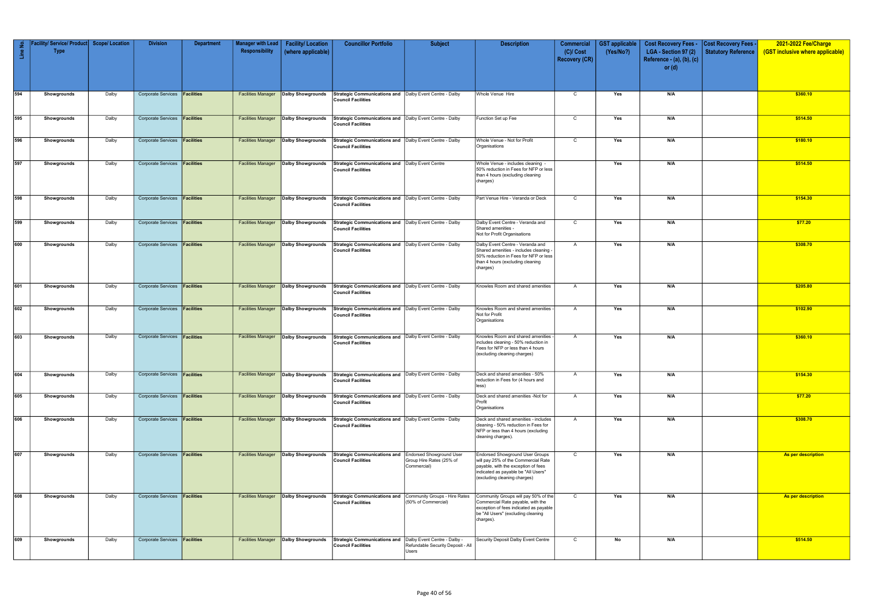| Line No. | Facility/ Service/ Product   Scope/ Location<br><b>Type</b> |       | <b>Division</b>                      | <b>Department</b> | <b>Manager with Lead</b><br>Responsibility | <b>Facility/Location</b><br>(where applicable) | <b>Councillor Portfolio</b>                                                             | <b>Subject</b>                                                             | <b>Description</b>                                                                                                                                                                          | <b>Commercial</b><br>$(C)/$ Cost | <b>GST</b> applicable<br>(Yes/No?) | <b>Cost Recovery Fees -</b><br>LGA - Section 97 (2) | <b>Cost Recovery Fees -</b><br><b>Statutory Reference</b> | 2021-2022 Fee/Charge<br>(GST inclusive where applicable) |
|----------|-------------------------------------------------------------|-------|--------------------------------------|-------------------|--------------------------------------------|------------------------------------------------|-----------------------------------------------------------------------------------------|----------------------------------------------------------------------------|---------------------------------------------------------------------------------------------------------------------------------------------------------------------------------------------|----------------------------------|------------------------------------|-----------------------------------------------------|-----------------------------------------------------------|----------------------------------------------------------|
|          |                                                             |       |                                      |                   |                                            |                                                |                                                                                         |                                                                            |                                                                                                                                                                                             | <b>Recovery (CR)</b>             |                                    | Reference - (a), (b), (c)<br>or $(d)$               |                                                           |                                                          |
|          |                                                             |       |                                      |                   |                                            |                                                |                                                                                         |                                                                            |                                                                                                                                                                                             |                                  |                                    |                                                     |                                                           |                                                          |
| 594      | Showgrounds                                                 | Dalby | Corporate Services <b>Facilities</b> |                   | <b>Facilities Manager</b>                  | Dalby Showgrounds                              | Strategic Communications and   Dalby Event Centre - Dalby<br><b>Council Facilities</b>  |                                                                            | Whole Venue Hire                                                                                                                                                                            | $\mathsf{C}$                     | Yes                                | N/A                                                 |                                                           | \$360.10                                                 |
| 595      | Showgrounds                                                 | Dalby | Corporate Services <b>Facilities</b> |                   | <b>Facilities Manager</b>                  | Dalby Showgrounds                              | Strategic Communications and   Dalby Event Centre - Dalby<br><b>Council Facilities</b>  |                                                                            | Function Set up Fee                                                                                                                                                                         | $\mathsf{C}$                     | Yes                                | N/A                                                 |                                                           | \$514.50                                                 |
| 596      | Showgrounds                                                 | Dalby | Corporate Services <b>Facilities</b> |                   | <b>Facilities Manager</b>                  | Dalby Showgrounds                              | Strategic Communications and Dalby Event Centre - Dalby<br><b>Council Facilities</b>    |                                                                            | Whole Venue - Not for Profit<br>Organisations                                                                                                                                               | $\mathsf{C}$                     | Yes                                | N/A                                                 |                                                           | \$180.10                                                 |
| 597      | Showgrounds                                                 | Dalby | Corporate Services <b>Facilities</b> |                   | <b>Facilities Manager</b>                  | Dalby Showgrounds                              | Strategic Communications and   Dalby Event Centre<br><b>Council Facilities</b>          |                                                                            | Whole Venue - includes cleaning -<br>50% reduction in Fees for NFP or less<br>than 4 hours (excluding cleaning<br>charges)                                                                  |                                  | Yes                                | N/A                                                 |                                                           | \$514.50                                                 |
| 598      | Showgrounds                                                 | Dalby | Corporate Services <b>Facilities</b> |                   | <b>Facilities Manager</b>                  | Dalby Showgrounds                              | Strategic Communications and   Dalby Event Centre - Dalby<br><b>Council Facilities</b>  |                                                                            | Part Venue Hire - Veranda or Deck                                                                                                                                                           | $\mathsf{C}$                     | Yes                                | N/A                                                 |                                                           | \$154.30                                                 |
| 599      | Showgrounds                                                 | Dalby | <b>Corporate Services</b>            | Facilities        | <b>Facilities Manager</b>                  | Dalby Showgrounds                              | Strategic Communications and   Dalby Event Centre - Dalby<br><b>Council Facilities</b>  |                                                                            | Dalby Event Centre - Veranda and<br>Shared amenities -<br>Not for Profit Organisations                                                                                                      | C                                | Yes                                | N/A                                                 |                                                           | \$77.20                                                  |
| 600      | Showgrounds                                                 | Dalby | <b>Corporate Services</b>            | <b>Facilities</b> | <b>Facilities Manager</b>                  | Dalby Showgrounds                              | Strategic Communications and   Dalby Event Centre - Dalby<br><b>Council Facilities</b>  |                                                                            | Dalby Event Centre - Veranda and<br>Shared amenities - includes cleaning -<br>50% reduction in Fees for NFP or less<br>than 4 hours (excluding cleaning<br>charges)                         | $\mathsf{A}$                     | Yes                                | N/A                                                 |                                                           | \$308.70                                                 |
| 601      | Showgrounds                                                 | Dalby | Corporate Services <b>Facilities</b> |                   | <b>Facilities Manager</b>                  | Dalby Showgrounds                              | Strategic Communications and Dalby Event Centre - Dalby<br><b>Council Facilities</b>    |                                                                            | Knowles Room and shared amenities                                                                                                                                                           | $\mathsf{A}$                     | Yes                                | N/A                                                 |                                                           | \$205.80                                                 |
| 602      | Showgrounds                                                 | Dalby | Corporate Services <b>Facilities</b> |                   | <b>Facilities Manager</b>                  | Dalby Showgrounds                              | Strategic Communications and   Dalby Event Centre - Dalby<br><b>Council Facilities</b>  |                                                                            | Knowles Room and shared amenities<br>Not for Profit<br>Organisations                                                                                                                        | $\overline{A}$                   | Yes                                | N/A                                                 |                                                           | \$102.90                                                 |
| 603      | Showgrounds                                                 | Dalby | Corporate Services <b>Facilities</b> |                   | <b>Facilities Manager</b>                  | <b>Dalby Showgrounds</b>                       | Strategic Communications and   Dalby Event Centre - Dalby<br><b>Council Facilities</b>  |                                                                            | Knowles Room and shared amenities<br>includes cleaning - 50% reduction in<br>Fees for NFP or less than 4 hours<br>(excluding cleaning charges)                                              | A                                | Yes                                | N/A                                                 |                                                           | \$360.10                                                 |
| 604      | Showgrounds                                                 | Dalby | Corporate Services <b>Facilities</b> |                   | <b>Facilities Manager</b>                  | Dalby Showgrounds                              | Strategic Communications and   Dalby Event Centre - Dalby<br><b>Council Facilities</b>  |                                                                            | Deck and shared amenities - 50%<br>reduction in Fees for (4 hours and<br>less)                                                                                                              | $\overline{A}$                   | Yes                                | N/A                                                 |                                                           | \$154.30                                                 |
| 605      | Showgrounds                                                 | Dalby | Corporate Services <b>Facilities</b> |                   | <b>Facilities Manager</b>                  | Dalby Showgrounds                              | Strategic Communications and   Dalby Event Centre - Dalby<br><b>Council Facilities</b>  |                                                                            | Deck and shared amenities -Not for<br>Profit<br>Organisations                                                                                                                               | A                                | Yes                                | N/A                                                 |                                                           | \$77.20                                                  |
| 606      | Showgrounds                                                 | Dalby | Corporate Services <b>Facilities</b> |                   | <b>Facilities Manager</b>                  | <b>Dalby Showgrounds</b>                       | Strategic Communications and   Dalby Event Centre - Dalby<br><b>Council Facilities</b>  |                                                                            | Deck and shared amenities - includes<br>cleaning - 50% reduction in Fees for<br>NFP or less than 4 hours (excluding<br>cleaning charges).                                                   | A                                | Yes                                | N/A                                                 |                                                           | \$308.70                                                 |
| 607      | Showgrounds                                                 | Dalby | <b>Corporate Services</b>            | <b>Facilities</b> | <b>Facilities Manager</b>                  | <b>Dalby Showgrounds</b>                       | Strategic Communications and Endorsed Showground User<br><b>Council Facilities</b>      | Group Hire Rates (25% of<br>Commercial)                                    | <b>Endorsed Showground User Groups</b><br>will pay 25% of the Commercial Rate<br>payable, with the exception of fees<br>indicated as payable be "All Users"<br>(excluding cleaning charges) | $\mathsf{C}$                     | Yes                                | N/A                                                 |                                                           | As per description                                       |
| 608      | Showgrounds                                                 | Dalby | Corporate Services <b>Facilities</b> |                   | <b>Facilities Manager</b>                  | Dalby Showgrounds                              | Strategic Communications and Community Groups - Hire Rates<br><b>Council Facilities</b> | (50% of Commercial)                                                        | Community Groups will pay 50% of the<br>Commercial Rate payable, with the<br>exception of fees indicated as payable<br>be "All Users" (excluding cleaning<br>charges).                      | $\mathsf{C}$                     | Yes                                | N/A                                                 |                                                           | As per description                                       |
| 609      | Showgrounds                                                 | Dalby | Corporate Services <b>Facilities</b> |                   | <b>Facilities Manager</b>                  | Dalby Showgrounds                              | <b>Strategic Communications and</b><br><b>Council Facilities</b>                        | Dalby Event Centre - Dalby -<br>Refundable Security Deposit - All<br>Users | Security Deposit Dalby Event Centre                                                                                                                                                         | $\mathsf{C}$                     | No                                 | N/A                                                 |                                                           | \$514.50                                                 |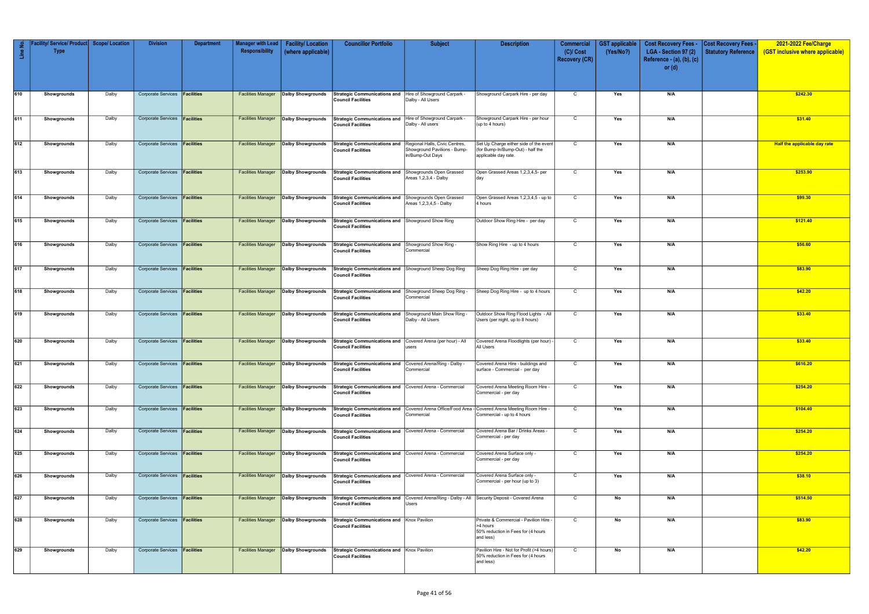| Line No. | <b>Service/Product</b><br><b>Type</b> | <b>Scope/Location</b> | <b>Division</b>                      | <b>Department</b> | <b>Manager with Lead</b><br>Responsibility | <b>Facility/Location</b><br>(where applicable) | <b>Councillor Portfolio</b>                                                                                                       | <b>Subject</b>                                                               | <b>Description</b>                                                                                                            | <b>Commercial</b><br>$(C)/$ Cost | <b>GST</b> applicable<br>(Yes/No?) | <b>Cost Recovery Fees -</b><br>LGA - Section 97 (2) | <b>Cost Recovery Fees</b><br><b>Statutory Reference</b> | 2021-2022 Fee/Charge<br>(GST inclusive where applicable) |
|----------|---------------------------------------|-----------------------|--------------------------------------|-------------------|--------------------------------------------|------------------------------------------------|-----------------------------------------------------------------------------------------------------------------------------------|------------------------------------------------------------------------------|-------------------------------------------------------------------------------------------------------------------------------|----------------------------------|------------------------------------|-----------------------------------------------------|---------------------------------------------------------|----------------------------------------------------------|
|          |                                       |                       |                                      |                   |                                            |                                                |                                                                                                                                   |                                                                              |                                                                                                                               | <b>Recovery (CR)</b>             |                                    | Reference - (a), (b), (c)                           |                                                         |                                                          |
|          |                                       |                       |                                      |                   |                                            |                                                |                                                                                                                                   |                                                                              |                                                                                                                               |                                  |                                    | or $(d)$                                            |                                                         |                                                          |
| 610      | Showgrounds                           | Dalby                 | Corporate Services <b>Facilities</b> |                   | <b>Facilities Manager</b>                  | Dalby Showgrounds                              | Strategic Communications and Hire of Showground Carpark -                                                                         |                                                                              | Showground Carpark Hire - per day                                                                                             | $\mathsf{C}$                     | Yes                                | N/A                                                 |                                                         | \$242.30                                                 |
|          |                                       |                       |                                      |                   |                                            |                                                | <b>Council Facilities</b>                                                                                                         | Dalby - All Users                                                            |                                                                                                                               |                                  |                                    |                                                     |                                                         |                                                          |
| 611      | Showgrounds                           | Dalby                 | Corporate Services <b>Facilities</b> |                   | <b>Facilities Manager</b>                  | <b>Dalby Showgrounds</b>                       | <b>Strategic Communications and</b><br><b>Council Facilities</b>                                                                  | Hire of Showground Carpark -<br>Dalby - All users                            | Showground Carpark Hire - per hour<br>(up to 4 hours)                                                                         | C                                | Yes                                | N/A                                                 |                                                         | \$31.40                                                  |
|          |                                       |                       |                                      |                   |                                            |                                                |                                                                                                                                   |                                                                              |                                                                                                                               |                                  |                                    |                                                     |                                                         |                                                          |
| 612      | Showgrounds                           | Dalby                 | <b>Corporate Services</b>            | <b>Facilities</b> | <b>Facilities Manager</b>                  | <b>Dalby Showgrounds</b>                       | <b>Strategic Communications and</b><br><b>Council Facilities</b>                                                                  | Regional Halls, Civic Centres,<br>Showground Pavilions - Bump-               | Set Up Charge either side of the event<br>(for Bump-In/Bump-Out) - half the                                                   | $\mathsf{C}$                     | Yes                                | N/A                                                 |                                                         | Half the applicable day rate                             |
|          |                                       |                       |                                      |                   |                                            |                                                |                                                                                                                                   | In/Bump-Out Days                                                             | applicable day rate.                                                                                                          |                                  |                                    |                                                     |                                                         |                                                          |
| 613      | Showgrounds                           | Dalby                 | Corporate Services <b>Facilities</b> |                   | <b>Facilities Manager</b>                  | <b>Dalby Showgrounds</b>                       | <b>Strategic Communications and</b><br><b>Council Facilities</b>                                                                  | Showgrounds Open Grassed<br>Areas 1,2,3,4 - Dalby                            | Open Grassed Areas 1,2,3,4,5- per<br>day                                                                                      | $\mathsf{C}$                     | Yes                                | N/A                                                 |                                                         | \$253.90                                                 |
|          |                                       |                       |                                      |                   |                                            |                                                |                                                                                                                                   |                                                                              |                                                                                                                               |                                  |                                    |                                                     |                                                         |                                                          |
| 614      | Showgrounds                           | Dalby                 | <b>Corporate Services</b>            | Facilities        | <b>Facilities Manager</b>                  | <b>Dalby Showgrounds</b>                       | <b>Strategic Communications and</b><br><b>Council Facilities</b>                                                                  | Showgrounds Open Grassed<br>Areas 1,2,3,4,5 - Dalby                          | Open Grassed Areas 1,2,3,4,5 - up to<br>4 hours                                                                               | $\mathsf{C}$                     | Yes                                | N/A                                                 |                                                         | \$99.30                                                  |
| 615      | Showgrounds                           | Dalby                 | Corporate Services <b>Facilities</b> |                   | <b>Facilities Manager</b>                  | Dalby Showgrounds                              | Strategic Communications and Showground Show Ring                                                                                 |                                                                              | Outdoor Show Ring Hire - per day                                                                                              | C                                | Yes                                | N/A                                                 |                                                         | \$121.40                                                 |
|          |                                       |                       |                                      |                   |                                            |                                                | <b>Council Facilities</b>                                                                                                         |                                                                              |                                                                                                                               |                                  |                                    |                                                     |                                                         |                                                          |
| 616      | Showgrounds                           | Dalby                 | <b>Corporate Services</b>            | Facilities        | <b>Facilities Manager</b>                  | Dalby Showgrounds                              | <b>Strategic Communications and</b><br><b>Council Facilities</b>                                                                  | Showground Show Ring -<br>Commercial                                         | Show Ring Hire - up to 4 hours                                                                                                | $\mathsf{C}$                     | Yes                                | N/A                                                 |                                                         | \$56.60                                                  |
|          |                                       |                       |                                      |                   |                                            |                                                |                                                                                                                                   |                                                                              |                                                                                                                               |                                  |                                    |                                                     |                                                         |                                                          |
| 617      | Showgrounds                           | Dalby                 | Corporate Services <b>Facilities</b> |                   | <b>Facilities Manager</b>                  | Dalby Showgrounds                              | Strategic Communications and Showground Sheep Dog Ring<br><b>Council Facilities</b>                                               |                                                                              | Sheep Dog Ring Hire - per day                                                                                                 | $\mathsf{C}$                     | Yes                                | N/A                                                 |                                                         | \$83.90                                                  |
| 618      | Showgrounds                           | Dalby                 | <b>Corporate Services</b>            | <b>Facilities</b> | <b>Facilities Manager</b>                  | <b>Dalby Showgrounds</b>                       | <b>Strategic Communications and</b><br><b>Council Facilities</b>                                                                  | Showground Sheep Dog Ring -<br>Commercial                                    | Sheep Dog Ring Hire - up to 4 hours                                                                                           | C                                | Yes                                | N/A                                                 |                                                         | \$42.20                                                  |
|          |                                       |                       |                                      |                   |                                            |                                                |                                                                                                                                   |                                                                              |                                                                                                                               |                                  |                                    |                                                     |                                                         |                                                          |
| 619      | Showgrounds                           | Dalby                 | <b>Corporate Services</b>            | Facilities        | <b>Facilities Manager</b>                  | <b>Dalby Showgrounds</b>                       | <b>Strategic Communications and</b><br><b>Council Facilities</b>                                                                  | Showground Main Show Ring -<br>Dalby - All Users                             | Outdoor Show Ring Flood Lights - All<br>Users (per night, up to 8 hours)                                                      | C                                | Yes                                | N/A                                                 |                                                         | \$33.40                                                  |
| 620      | Showgrounds                           | Dalby                 | Corporate Services <b>Facilities</b> |                   | <b>Facilities Manager</b>                  | Dalby Showgrounds                              | <b>Strategic Communications and</b>                                                                                               | Covered Arena (per hour) - All                                               | Covered Arena Floodlights (per hour) -                                                                                        | $\mathsf{C}$                     | Yes                                | N/A                                                 |                                                         | \$33.40                                                  |
|          |                                       |                       |                                      |                   |                                            |                                                | <b>Council Facilities</b>                                                                                                         | users                                                                        | All Users                                                                                                                     |                                  |                                    |                                                     |                                                         |                                                          |
| 621      | Showgrounds                           | Dalby                 | Corporate Services <b>Facilities</b> |                   |                                            |                                                | Facilities Manager   Dalby Showgrounds   Strategic Communications and   Covered Arena/Ring - Dalby -<br><b>Council Facilities</b> | Commercial                                                                   | Covered Arena Hire - buildings and<br>surface - Commercial - per day                                                          | $\mathsf{C}$                     | Yes                                | N/A                                                 |                                                         | \$616.20                                                 |
| 622      |                                       |                       | Corporate Services <b>Facilities</b> |                   |                                            | <b>Dalby Showgrounds</b>                       | Strategic Communications and Covered Arena - Commercial                                                                           |                                                                              |                                                                                                                               | $\overline{C}$                   |                                    |                                                     |                                                         |                                                          |
|          | Showgrounds                           | Dalby                 |                                      |                   | <b>Facilities Manager</b>                  |                                                | <b>Council Facilities</b>                                                                                                         |                                                                              | Covered Arena Meeting Room Hire -<br>Commercial - per day                                                                     |                                  | Yes                                | N/A                                                 |                                                         | \$254.20                                                 |
| 623      | Showgrounds                           | Dalby                 | Corporate Services <b>Facilities</b> |                   | <b>Facilities Manager</b>                  | Dalby Showgrounds                              | <b>Council Facilities</b>                                                                                                         | Commercial                                                                   | Strategic Communications and Covered Arena Office/Food Area - Covered Arena Meeting Room Hire -<br>Commercial - up to 4 hours | $\overline{C}$                   | Yes                                | N/A                                                 |                                                         | \$104.40                                                 |
|          |                                       |                       |                                      |                   |                                            |                                                |                                                                                                                                   |                                                                              |                                                                                                                               |                                  |                                    |                                                     |                                                         |                                                          |
| 624      | Showgrounds                           | Dalby                 | Corporate Services <b>Facilities</b> |                   | <b>Facilities Manager</b>                  | Dalby Showgrounds                              | Strategic Communications and Covered Arena - Commercial<br><b>Council Facilities</b>                                              |                                                                              | Covered Arena Bar / Drinks Areas -<br>Commercial - per day                                                                    | $\mathsf{C}$                     | Yes                                | N/A                                                 |                                                         | \$254.20                                                 |
| 625      | Showgrounds                           | Dalby                 | Corporate Services <b>Facilities</b> |                   | <b>Facilities Manager</b>                  | <b>Dalby Showgrounds</b>                       | Strategic Communications and Covered Arena - Commercial<br><b>Council Facilities</b>                                              |                                                                              | Covered Arena Surface only -<br>Commercial - per day                                                                          | C                                | Yes                                | N/A                                                 |                                                         | \$254.20                                                 |
|          |                                       |                       |                                      |                   |                                            |                                                |                                                                                                                                   |                                                                              |                                                                                                                               |                                  |                                    |                                                     |                                                         |                                                          |
| 626      | Showgrounds                           | Dalby                 | Corporate Services <b>Facilities</b> |                   | <b>Facilities Manager</b>                  | Dalby Showgrounds                              | Strategic Communications and Covered Arena - Commercial<br><b>Council Facilities</b>                                              |                                                                              | Covered Arena Surface only -<br>Commercial - per hour (up to 3)                                                               | $\mathsf{C}$                     | Yes                                | N/A                                                 |                                                         | \$38.10                                                  |
| 627      | Showgrounds                           | Dalby                 | <b>Corporate Services</b>            | <b>Facilities</b> | <b>Facilities Manager</b>                  | Dalby Showgrounds                              | <b>Strategic Communications and</b><br><b>Council Facilities</b>                                                                  | Covered Arena/Ring - Dalby - All   Security Deposit - Covered Arena<br>Users |                                                                                                                               | $\mathsf{C}$                     | No                                 | N/A                                                 |                                                         | \$514.50                                                 |
|          |                                       |                       |                                      |                   |                                            |                                                |                                                                                                                                   |                                                                              |                                                                                                                               |                                  |                                    |                                                     |                                                         |                                                          |
| 628      | Showgrounds                           | Dalby                 | Corporate Services <b>Facilities</b> |                   | <b>Facilities Manager</b>                  | Dalby Showgrounds                              | Strategic Communications and Knox Pavilion<br><b>Council Facilities</b>                                                           |                                                                              | Private & Commercial - Pavilion Hire -<br>>4 hours<br>50% reduction in Fees for (4 hours                                      | $\overline{C}$                   | No                                 | N/A                                                 |                                                         | \$83.90                                                  |
|          |                                       |                       |                                      |                   |                                            |                                                |                                                                                                                                   |                                                                              | and less)                                                                                                                     |                                  |                                    |                                                     |                                                         |                                                          |
| 629      | Showgrounds                           | Dalby                 | Corporate Services <b>Facilities</b> |                   | <b>Facilities Manager</b>                  | <b>Dalby Showgrounds</b>                       | Strategic Communications and Knox Pavilion<br><b>Council Facilities</b>                                                           |                                                                              | Pavilion Hire - Not for Profit (>4 hours)<br>50% reduction in Fees for (4 hours                                               | $\mathsf{C}$                     | No                                 | N/A                                                 |                                                         | \$42.20                                                  |
|          |                                       |                       |                                      |                   |                                            |                                                |                                                                                                                                   |                                                                              | and less)                                                                                                                     |                                  |                                    |                                                     |                                                         |                                                          |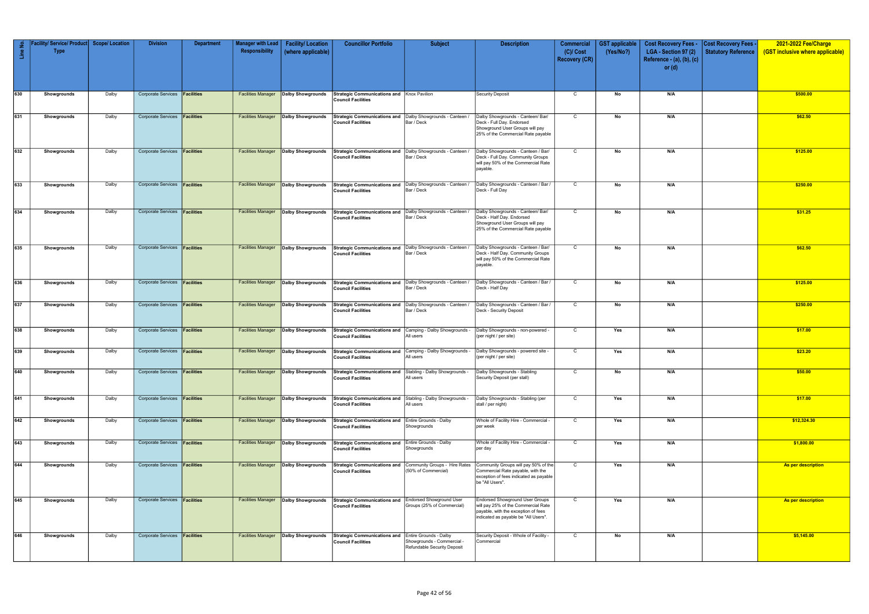| Line No. | / Service/ Product<br><b>Type</b> | <b>Scope/ Location</b> | <b>Division</b>                      | <b>Department</b> | <b>Manager with Lead</b><br>Responsibility | <b>Facility/Location</b><br>(where applicable) | <b>Councillor Portfolio</b>                                                               | <b>Subject</b>                                                | <b>Description</b>                                                                                                                                    | <b>Commercial</b><br>$(C)/$ Cost<br><b>Recovery (CR)</b> | <b>GST</b> applicable<br>(Yes/No?) | <b>Cost Recovery Fees -</b><br>LGA - Section 97 (2)<br>Reference - (a), (b), (c) | <b>Cost Recovery Fees</b><br><b>Statutory Reference</b> | 2021-2022 Fee/Charge<br>(GST inclusive where applicable) |
|----------|-----------------------------------|------------------------|--------------------------------------|-------------------|--------------------------------------------|------------------------------------------------|-------------------------------------------------------------------------------------------|---------------------------------------------------------------|-------------------------------------------------------------------------------------------------------------------------------------------------------|----------------------------------------------------------|------------------------------------|----------------------------------------------------------------------------------|---------------------------------------------------------|----------------------------------------------------------|
|          |                                   |                        |                                      |                   |                                            |                                                |                                                                                           |                                                               |                                                                                                                                                       |                                                          |                                    | or $(d)$                                                                         |                                                         |                                                          |
| 630      | Showgrounds                       | Dalby                  | Corporate Services <b>Facilities</b> |                   | <b>Facilities Manager</b>                  | Dalby Showgrounds                              | Strategic Communications and Knox Pavilion<br><b>Council Facilities</b>                   |                                                               | <b>Security Deposit</b>                                                                                                                               | $\mathsf C$                                              | No                                 | N/A                                                                              |                                                         | \$500.00                                                 |
| 631      | Showgrounds                       | Dalby                  | Corporate Services <b>Facilities</b> |                   | <b>Facilities Manager</b>                  | <b>Dalby Showgrounds</b>                       | Strategic Communications and   Dalby Showgrounds - Canteen /<br><b>Council Facilities</b> | Bar / Deck                                                    | Dalby Showgrounds - Canteen/ Bar/<br>Deck - Full Day. Endorsed<br>Showground User Groups will pay<br>25% of the Commercial Rate payable               | C                                                        | No                                 | N/A                                                                              |                                                         | \$62.50                                                  |
| 632      | Showgrounds                       | Dalby                  | Corporate Services <b>Facilities</b> |                   | <b>Facilities Manager</b>                  | Dalby Showgrounds                              | Strategic Communications and   Dalby Showgrounds - Canteen /<br><b>Council Facilities</b> | Bar / Deck                                                    | Dalby Showgrounds - Canteen / Bar/<br>Deck - Full Day. Community Groups<br>will pay 50% of the Commercial Rate<br>payable.                            | $\mathsf{C}$                                             | No                                 | N/A                                                                              |                                                         | \$125.00                                                 |
| 633      | Showgrounds                       | Dalby                  | Corporate Services <b>Facilities</b> |                   | <b>Facilities Manager</b>                  | Dalby Showgrounds                              | <b>Strategic Communications and</b><br><b>Council Facilities</b>                          | Dalby Showgrounds - Canteen /<br>Bar / Deck                   | Dalby Showgrounds - Canteen / Bar /<br>Deck - Full Day                                                                                                | $\mathsf{C}$                                             | No                                 | N/A                                                                              |                                                         | \$250.00                                                 |
| 634      | Showgrounds                       | Dalby                  | Corporate Services <b>Facilities</b> |                   | <b>Facilities Manager</b>                  | Dalby Showgrounds                              | Strategic Communications and   Dalby Showgrounds - Canteen /<br><b>Council Facilities</b> | Bar / Deck                                                    | Dalby Showgrounds - Canteen/ Bar/<br>Deck - Half Day. Endorsed<br>Showground User Groups will pay<br>25% of the Commercial Rate payable               | $\mathsf{C}$                                             | No                                 | N/A                                                                              |                                                         | \$31.25                                                  |
| 635      | Showgrounds                       | Dalby                  | Corporate Services <b>Facilities</b> |                   | <b>Facilities Manager</b>                  | <b>Dalby Showgrounds</b>                       | Strategic Communications and Dalby Showgrounds - Canteen /<br><b>Council Facilities</b>   | Bar / Deck                                                    | Dalby Showgrounds - Canteen / Bar/<br>Deck - Half Day. Community Groups<br>will pay 50% of the Commercial Rate<br>payable.                            | C                                                        | No                                 | N/A                                                                              |                                                         | \$62.50                                                  |
| 636      | Showgrounds                       | Dalby                  | Corporate Services <b>Facilities</b> |                   | <b>Facilities Manager</b>                  | Dalby Showgrounds                              | Strategic Communications and   Dalby Showgrounds - Canteen /<br><b>Council Facilities</b> | Bar / Deck                                                    | Dalby Showgrounds - Canteen / Bar /<br>Deck - Half Day                                                                                                | $\mathsf{C}$                                             | No                                 | N/A                                                                              |                                                         | \$125.00                                                 |
| 637      | Showgrounds                       | Dalby                  | Corporate Services <b>Facilities</b> |                   | <b>Facilities Manager</b>                  | Dalby Showgrounds                              | Strategic Communications and   Dalby Showgrounds - Canteen /<br><b>Council Facilities</b> | Bar / Deck                                                    | Dalby Showgrounds - Canteen / Bar /<br>Deck - Security Deposit                                                                                        | $\mathsf{C}$                                             | No                                 | N/A                                                                              |                                                         | \$250.00                                                 |
| 638      | Showgrounds                       | Dalby                  | Corporate Services <b>Facilities</b> |                   | <b>Facilities Manager</b>                  | Dalby Showgrounds                              | Strategic Communications and Camping - Dalby Showgrounds -<br><b>Council Facilities</b>   | All users                                                     | Dalby Showgrounds - non-powered -<br>(per night / per site)                                                                                           | $\mathsf{C}$                                             | Yes                                | N/A                                                                              |                                                         | \$17.00                                                  |
| 639      | Showgrounds                       | Dalby                  | <b>Corporate Services</b>            | Facilities        | <b>Facilities Manager</b>                  | <b>Dalby Showgrounds</b>                       | <b>Strategic Communications and</b><br><b>Council Facilities</b>                          | Camping - Dalby Showgrounds -<br>All users                    | Dalby Showgrounds - powered site<br>(per night / per site)                                                                                            | $\mathsf{C}$                                             | Yes                                | N/A                                                                              |                                                         | \$23.20                                                  |
| 640      | Showgrounds                       | Dalby                  | Corporate Services <b>Facilities</b> |                   | <b>Facilities Manager</b>                  | <b>Dalby Showgrounds</b>                       | <b>Strategic Communications and</b><br><b>Council Facilities</b>                          | Stabling - Dalby Showgrounds -<br>All users                   | Dalby Showgrounds - Stabling<br>Security Deposit (per stall)                                                                                          | C                                                        | No                                 | N/A                                                                              |                                                         | \$50.00                                                  |
| 641      | Showgrounds                       | Dalby                  | Corporate Services <b>Facilities</b> |                   | <b>Facilities Manager</b>                  | Dalby Showgrounds                              | <b>Strategic Communications and</b><br><b>Council Facilities</b>                          | Stabling - Dalby Showgrounds -<br>All users                   | Dalby Showgrounds - Stabling (per<br>stall / per night)                                                                                               | $\mathsf{C}$                                             | Yes                                | N/A                                                                              |                                                         | \$17.00                                                  |
| 642      | Showgrounds                       | Dalby                  | Corporate Services <b>Facilities</b> |                   | <b>Facilities Manager</b>                  | <b>Dalby Showgrounds</b>                       | <b>Strategic Communications and</b><br><b>Council Facilities</b>                          | Entire Grounds - Dalby<br>Showgrounds                         | Whole of Facility Hire - Commercial -<br>per week                                                                                                     | $\mathsf{C}$                                             | Yes                                | N/A                                                                              |                                                         | \$12,324.30                                              |
| 643      | Showgrounds                       | Dalby                  | Corporate Services <b>Facilities</b> |                   | <b>Facilities Manager</b>                  | Dalby Showgrounds                              | <b>Strategic Communications and</b><br><b>Council Facilities</b>                          | Entire Grounds - Dalby<br>Showgrounds                         | Whole of Facility Hire - Commercial -<br>per day                                                                                                      | $\mathsf{C}$                                             | Yes                                | N/A                                                                              |                                                         | \$1,800.00                                               |
| 644      | Showgrounds                       | Dalby                  | Corporate Services <b>Facilities</b> |                   | <b>Facilities Manager</b>                  | Dalby Showgrounds                              | <b>Strategic Communications and</b><br><b>Council Facilities</b>                          | Community Groups - Hire Rates<br>(50% of Commercial)          | Community Groups will pay 50% of the<br>Commercial Rate payable, with the<br>exception of fees indicated as payable<br>be "All Users".                | $\mathsf{C}$                                             | Yes                                | N/A                                                                              |                                                         | As per description                                       |
| 645      | Showgrounds                       | Dalby                  | Corporate Services <b>Facilities</b> |                   | <b>Facilities Manager</b>                  | Dalby Showgrounds                              | <b>Strategic Communications and</b><br><b>Council Facilities</b>                          | <b>Endorsed Showground User</b><br>Groups (25% of Commercial) | Endorsed Showground User Groups<br>will pay 25% of the Commercial Rate<br>payable, with the exception of fees<br>indicated as payable be "All Users". | $\mathsf{C}$                                             | Yes                                | N/A                                                                              |                                                         | As per description                                       |
| 646      | Showgrounds                       | Dalby                  | Corporate Services <b>Facilities</b> |                   | <b>Facilities Manager</b>                  | Dalby Showgrounds                              | Strategic Communications and Entire Grounds - Dalby<br><b>Council Facilities</b>          | Showgrounds - Commercial -<br>Refundable Security Deposit     | Security Deposit - Whole of Facility -<br>Commercial                                                                                                  | $\mathsf{C}$                                             | No                                 | N/A                                                                              |                                                         | \$5,145.00                                               |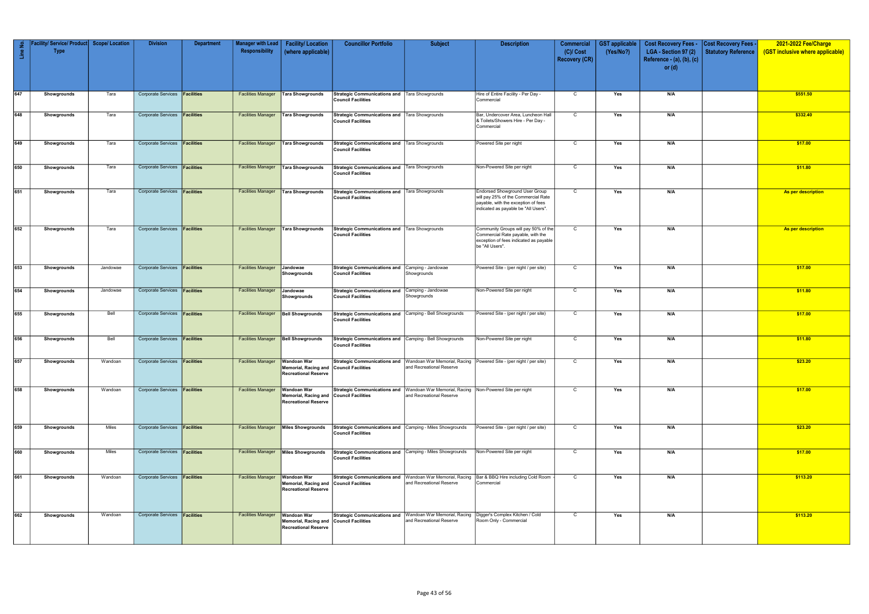| 2<br>$\frac{e}{\Box}$ | <b>Facility/ Service/ Product</b><br><b>Type</b> | <b>Scope/Location</b> | <b>Division</b>                      | <b>Department</b> | <b>Manager with Lead</b><br>Responsibility | <b>Facility/Location</b><br>(where applicable)                                   | <b>Councillor Portfolio</b>                                                           | <b>Subject</b>                                                                                                       | <b>Description</b>                                                                                                                                         | <b>Commercial</b><br>$(C)/$ Cost | <b>GST</b> applicable<br>(Yes/No?) | <b>Cost Recovery Fees -</b><br>LGA - Section 97 (2) | <b>Cost Recovery Fees -</b><br>Statutory Reference | 2021-2022 Fee/Charge<br>(GST inclusive where applicable) |
|-----------------------|--------------------------------------------------|-----------------------|--------------------------------------|-------------------|--------------------------------------------|----------------------------------------------------------------------------------|---------------------------------------------------------------------------------------|----------------------------------------------------------------------------------------------------------------------|------------------------------------------------------------------------------------------------------------------------------------------------------------|----------------------------------|------------------------------------|-----------------------------------------------------|----------------------------------------------------|----------------------------------------------------------|
|                       |                                                  |                       |                                      |                   |                                            |                                                                                  |                                                                                       |                                                                                                                      |                                                                                                                                                            | <b>Recovery (CR)</b>             |                                    | Reference - (a), (b), (c)<br>or $(d)$               |                                                    |                                                          |
| 647                   | Showgrounds                                      | Tara                  | Corporate Services <b>Facilities</b> |                   | <b>Facilities Manager</b>                  | Tara Showgrounds                                                                 | Strategic Communications and   Tara Showgrounds<br><b>Council Facilities</b>          |                                                                                                                      | Hire of Entire Facility - Per Day -<br>Commercial                                                                                                          | $\mathsf{C}$                     | Yes                                | N/A                                                 |                                                    | \$551.50                                                 |
| 648                   | Showgrounds                                      | Tara                  | Corporate Services <b>Facilities</b> |                   | <b>Facilities Manager</b>                  | Tara Showgrounds                                                                 | Strategic Communications and   Tara Showgrounds<br><b>Council Facilities</b>          |                                                                                                                      | Bar, Undercover Area, Luncheon Hall<br>& Toilets/Showers Hire - Per Day -<br>Commercial                                                                    | C                                | Yes                                | N/A                                                 |                                                    | \$332.40                                                 |
| 649                   | Showgrounds                                      | Tara                  | Corporate Services <b>Facilities</b> |                   | <b>Facilities Manager</b>                  | Tara Showgrounds                                                                 | Strategic Communications and   Tara Showgrounds<br><b>Council Facilities</b>          |                                                                                                                      | Powered Site per night                                                                                                                                     | $\mathsf{C}$                     | Yes                                | N/A                                                 |                                                    | \$17.00                                                  |
| 650                   | Showgrounds                                      | Tara                  | Corporate Services <b>Facilities</b> |                   | <b>Facilities Manager</b>                  | <b>Tara Showgrounds</b>                                                          | Strategic Communications and   Tara Showgrounds<br><b>Council Facilities</b>          |                                                                                                                      | Non-Powered Site per night                                                                                                                                 | C                                | Yes                                | N/A                                                 |                                                    | \$11.80                                                  |
| 651                   | Showgrounds                                      | Tara                  | Corporate Services <b>Facilities</b> |                   | <b>Facilities Manager</b>                  | <b>Tara Showgrounds</b>                                                          | Strategic Communications and   Tara Showgrounds<br><b>Council Facilities</b>          |                                                                                                                      | <b>Endorsed Showground User Group</b><br>will pay 25% of the Commercial Rate<br>payable, with the exception of fees<br>indicated as payable be "All Users" | C                                | Yes                                | N/A                                                 |                                                    | As per description                                       |
| 652                   | Showgrounds                                      | Tara                  | Corporate Services <b>Facilities</b> |                   | <b>Facilities Manager</b>                  | Tara Showgrounds                                                                 | Strategic Communications and   Tara Showgrounds<br><b>Council Facilities</b>          |                                                                                                                      | Community Groups will pay 50% of the<br>Commercial Rate payable, with the<br>exception of fees indicated as payable<br>be "All Users".                     | C                                | Yes                                | N/A                                                 |                                                    | As per description                                       |
| 653                   | Showgrounds                                      | Jandowae              | Corporate Services <b>Facilities</b> |                   | <b>Facilities Manager</b>                  | Jandowae<br>Showgrounds                                                          | Strategic Communications and Camping - Jandowae<br><b>Council Facilities</b>          | Showgrounds                                                                                                          | Powered Site - (per night / per site)                                                                                                                      | $\mathbf C$                      | Yes                                | N/A                                                 |                                                    | \$17.00                                                  |
| 654                   | Showgrounds                                      | Jandowae              | Corporate Services <b>Facilities</b> |                   | <b>Facilities Manager</b>                  | Jandowae<br>Showgrounds                                                          | Strategic Communications and<br><b>Council Facilities</b>                             | Camping - Jandowae<br>Showgrounds                                                                                    | Non-Powered Site per night                                                                                                                                 | $\mathsf{C}$                     | Yes                                | N/A                                                 |                                                    | \$11.80                                                  |
| 655                   | Showgrounds                                      | Bell                  | Corporate Services <b>Facilities</b> |                   | <b>Facilities Manager</b>                  | <b>Bell Showgrounds</b>                                                          | Strategic Communications and Camping - Bell Showgrounds<br><b>Council Facilities</b>  |                                                                                                                      | Powered Site - (per night / per site)                                                                                                                      | C                                | Yes                                | N/A                                                 |                                                    | \$17.00                                                  |
| 656                   | Showgrounds                                      | Bell                  | Corporate Services <b>Facilities</b> |                   | <b>Facilities Manager</b>                  | <b>Bell Showgrounds</b>                                                          | Strategic Communications and Camping - Bell Showgrounds<br><b>Council Facilities</b>  |                                                                                                                      | Non-Powered Site per night                                                                                                                                 | $\mathsf{C}$                     | Yes                                | N/A                                                 |                                                    | \$11.80                                                  |
| 657                   | Showgrounds                                      | Wandoan               | Corporate Services <b>Facilities</b> |                   | Facilities Manager   Wandoan War           | Memorial, Racing and Council Facilities<br><b>Recreational Reserve</b>           |                                                                                       | and Recreational Reserve                                                                                             | <b>Strategic Communications and</b> Wandoan War Memorial, Racing Powered Site - (per night / per site)                                                     | $\mathsf{C}$                     | Yes                                | N/A                                                 |                                                    | \$23.20                                                  |
| 658                   | Showgrounds                                      | Wandoan               | Corporate Services <b>Facilities</b> |                   | <b>Facilities Manager</b>                  | Wandoan War<br>Memorial, Racing and<br><b>Recreational Reserve</b>               | <b>Council Facilities</b>                                                             | Strategic Communications and   Wandoan War Memorial, Racing   Non-Powered Site per night<br>and Recreational Reserve |                                                                                                                                                            | $\overline{C}$                   | Yes                                | N/A                                                 |                                                    | \$17.00                                                  |
| 659                   | Showgrounds                                      | Miles                 | Corporate Services <b>Facilities</b> |                   | <b>Facilities Manager</b>                  | Miles Showgrounds                                                                | Strategic Communications and Camping - Miles Showgrounds<br><b>Council Facilities</b> |                                                                                                                      | Powered Site - (per night / per site)                                                                                                                      | $\mathsf{C}$                     | Yes                                | N/A                                                 |                                                    | \$23.20                                                  |
| 660                   | Showgrounds                                      | Miles                 | Corporate Services <b>Facilities</b> |                   | <b>Facilities Manager</b>                  | Miles Showgrounds                                                                | Strategic Communications and Camping - Miles Showgrounds<br><b>Council Facilities</b> |                                                                                                                      | Non-Powered Site per night                                                                                                                                 | $\mathsf{C}$                     | Yes                                | N/A                                                 |                                                    | \$17.00                                                  |
| 661                   | Showgrounds                                      | Wandoan               | Corporate Services <b>Facilities</b> |                   | <b>Facilities Manager</b>                  | <b>Wandoan War</b><br>Memorial, Racing and<br><b>Recreational Reserve</b>        | <b>Council Facilities</b>                                                             | Strategic Communications and   Wandoan War Memorial, Racing<br>and Recreational Reserve                              | Bar & BBQ Hire including Cold Room<br>Commercial                                                                                                           | $\mathsf{C}$                     | Yes                                | N/A                                                 |                                                    | \$113.20                                                 |
| 662                   | Showgrounds                                      | Wandoan               | Corporate Services <b>Facilities</b> |                   | <b>Facilities Manager</b>                  | <b>Wandoan War</b><br><b>Memorial, Racing and</b><br><b>Recreational Reserve</b> | <b>Council Facilities</b>                                                             | Strategic Communications and   Wandoan War Memorial, Racing<br>and Recreational Reserve                              | Digger's Complex Kitchen / Cold<br>Room Only - Commercial                                                                                                  | $\mathsf{C}$                     | Yes                                | N/A                                                 |                                                    | \$113.20                                                 |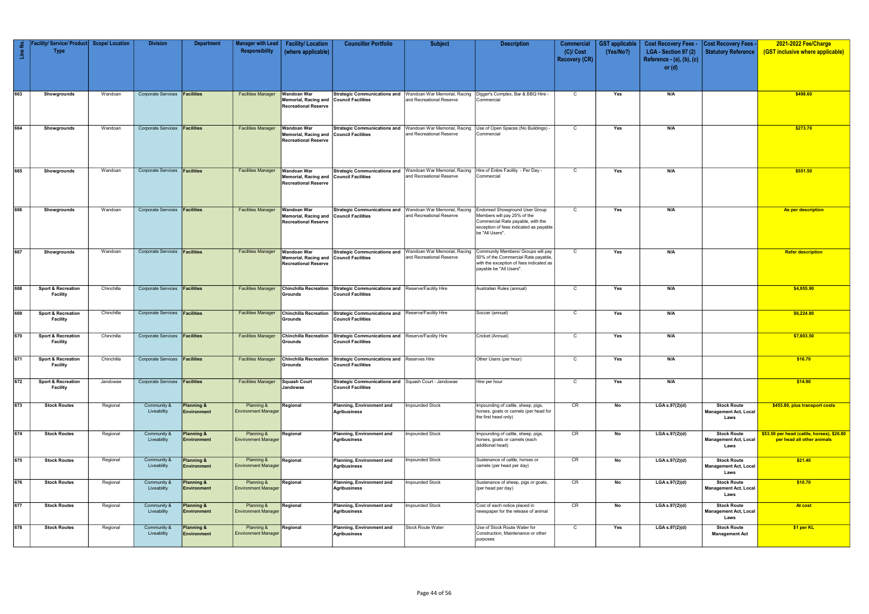| $\frac{e}{\Box}$ | Facility/ Service/ Product Scope/ Location<br><b>Type</b> |            | <b>Division</b>                      | <b>Department</b>                           | Manager with Lead<br>Responsibility                    | <b>Facility/Location</b><br>(where applicable)                            | <b>Councillor Portfolio</b>                                                                   | <b>Subject</b>                                                                                 | <b>Description</b>                                                                                                                                                     | Commercial<br>$(C)/$ Cost<br><b>Recovery (CR)</b> | <b>GST</b> applicable<br>(Yes/No?) | <b>Cost Recovery Fees -</b><br>LGA - Section 97 (2)<br>Reference - (a), (b), (c) | Cost Recovery Fees .<br><b>Statutory Reference</b>         | 2021-2022 Fee/Charge<br>(GST inclusive where applicable)                 |
|------------------|-----------------------------------------------------------|------------|--------------------------------------|---------------------------------------------|--------------------------------------------------------|---------------------------------------------------------------------------|-----------------------------------------------------------------------------------------------|------------------------------------------------------------------------------------------------|------------------------------------------------------------------------------------------------------------------------------------------------------------------------|---------------------------------------------------|------------------------------------|----------------------------------------------------------------------------------|------------------------------------------------------------|--------------------------------------------------------------------------|
|                  |                                                           |            |                                      |                                             |                                                        |                                                                           |                                                                                               |                                                                                                |                                                                                                                                                                        |                                                   |                                    | or $(d)$                                                                         |                                                            |                                                                          |
| 663              | Showgrounds                                               | Wandoan    | Corporate Services <b>Facilities</b> |                                             | <b>Facilities Manager</b>                              | Wandoan War<br><b>Memorial, Racing and</b><br><b>Recreational Reserve</b> | Council Facilities                                                                            | Strategic Communications and   Wandoan War Memorial, Racing<br>and Recreational Reserve        | Digger's Complex, Bar & BBQ Hire -<br>Commercial                                                                                                                       | $\mathsf{C}$                                      | Yes                                | N/A                                                                              |                                                            | \$498.60                                                                 |
| 664              | Showgrounds                                               | Wandoan    | Corporate Services <b>Facilities</b> |                                             | <b>Facilities Manager</b>                              | <b>Wandoan War</b><br>Memorial, Racing and<br><b>Recreational Reserve</b> | Council Facilities                                                                            | Strategic Communications and   Wandoan War Memorial, Racing<br>and Recreational Reserve        | Use of Open Spaces (No Buildings) -<br>Commercial                                                                                                                      | $\mathsf{C}$                                      | Yes                                | N/A                                                                              |                                                            | \$273.70                                                                 |
| 665              | Showgrounds                                               | Wandoan    | Corporate Services <b>Facilities</b> |                                             | <b>Facilities Manager</b>                              | Wandoan War<br>Memorial, Racing and<br><b>Recreational Reserve</b>        | <b>Strategic Communications and</b><br><b>Council Facilities</b>                              | Wandoan War Memorial, Racing<br>and Recreational Reserve                                       | Hire of Entire Facility - Per Day -<br>Commercial                                                                                                                      | C                                                 | Yes                                | N/A                                                                              |                                                            | \$551.50                                                                 |
| 866              | Showgrounds                                               | Wandoan    | Corporate Services <b>Facilities</b> |                                             | <b>Facilities Manager</b>                              | <b>Wandoan War</b><br>Memorial, Racing and<br><b>Recreational Reserve</b> | Council Facilities                                                                            | <b>Strategic Communications and   Wandoan War Memorial, Racing</b><br>and Recreational Reserve | <b>Endorsed Showground User Group</b><br>Members will pay 25% of the<br>Commercial Rate payable, with the<br>exception of fees indicated as payable<br>be "All Users". | $\mathsf{C}$                                      | Yes                                | N/A                                                                              |                                                            | As per description                                                       |
| 667              | Showgrounds                                               | Wandoan    | Corporate Services <b>Facilities</b> |                                             | <b>Facilities Manager</b>                              | <b>Wandoan War</b><br>Memorial, Racing and<br><b>Recreational Reserve</b> | <b>Council Facilities</b>                                                                     | Strategic Communications and   Wandoan War Memorial, Racing<br>and Recreational Reserve        | Community Members/ Groups will pay<br>50% of the Commercial Rate payable,<br>with the exception of fees indicated as<br>payable be "All Users".                        | $\mathsf{C}$                                      | Yes                                | N/A                                                                              |                                                            | <b>Refer description</b>                                                 |
| 668              | <b>Sport &amp; Recreation</b><br><b>Facility</b>          | Chinchilla | Corporate Services <b>Facilities</b> |                                             | <b>Facilities Manager</b>                              | <b>Chinchilla Recreation</b><br>Grounds                                   | Strategic Communications and Reserve/Facility Hire<br><b>Council Facilities</b>               |                                                                                                | Australian Rules (annual)                                                                                                                                              | $\mathsf{C}$                                      | Yes                                | N/A                                                                              |                                                            | \$4,955.90                                                               |
| 669              | <b>Sport &amp; Recreation</b><br><b>Facility</b>          | Chinchilla | Corporate Services   Facilities      |                                             | <b>Facilities Manager</b>                              | <b>Chinchilla Recreation</b><br>Grounds                                   | Strategic Communications and Reserve/Facility Hire<br><b>Council Facilities</b>               |                                                                                                | Soccer (annual)                                                                                                                                                        | $\mathsf{C}$                                      | Yes                                | N/A                                                                              |                                                            | \$6,224.80                                                               |
| 670              | <b>Sport &amp; Recreation</b><br><b>Facility</b>          | Chinchilla | Corporate Services <b>Facilities</b> |                                             | <b>Facilities Manager</b>                              | <b>Chinchilla Recreation</b><br>Grounds                                   | Strategic Communications and Reserve/Facility Hire<br><b>Council Facilities</b>               |                                                                                                | Cricket (Annual)                                                                                                                                                       | C                                                 | Yes                                | N/A                                                                              |                                                            | \$7,603.50                                                               |
| 671              | <b>Sport &amp; Recreation</b><br><b>Facility</b>          | Chinchilla | Corporate Services <b>Facilities</b> |                                             | <b>Facilities Manager</b><br><b>Facilities Manager</b> | Grounds                                                                   | Chinchilla Recreation Strategic Communications and Reserves Hire<br><b>Council Facilities</b> |                                                                                                | Other Users (per hour)                                                                                                                                                 | $\mathsf{C}$<br>$\mathsf{C}$                      | Yes                                | N/A                                                                              |                                                            | \$16.70                                                                  |
| 672              | <b>Sport &amp; Recreation</b><br><b>Facility</b>          | Jandowae   | Corporate Services <b>Facilities</b> |                                             |                                                        | Squash Court<br>Jandowae                                                  | Strategic Communications and Squash Court - Jandowae<br><b>Council Facilities</b>             |                                                                                                | Hire per hour                                                                                                                                                          |                                                   | Yes                                | N/A                                                                              |                                                            | \$14.90                                                                  |
| 673              | <b>Stock Routes</b>                                       | Regional   | Community &<br>Liveability           | <b>Planning &amp;</b><br><b>Environment</b> | Planning &<br><b>Environment Manager</b>               | Regional                                                                  | Planning, Environment and<br>Agribusiness                                                     | mpounded Stock                                                                                 | Impounding of cattle, sheep, pigs,<br>horses, goats or camels (per head for<br>the first head only)                                                                    | CR                                                | No                                 | LGA s.97(2)(d)                                                                   | <b>Stock Route</b><br><b>Management Act, Local</b><br>Laws | \$453.80, plus transport costs                                           |
| 674              | <b>Stock Routes</b>                                       | Regional   | Community &<br>Liveability           | <b>Planning &amp;</b><br><b>Environment</b> | Planning &<br><b>Environment Manager</b>               | Regional                                                                  | Planning, Environment and<br>Agribusiness                                                     | <b>Impounded Stock</b>                                                                         | Impounding of cattle, sheep, pigs,<br>horses, goats or camels (each<br>additional head)                                                                                | CR                                                | No                                 | LGA s.97(2)(d)                                                                   | <b>Stock Route</b><br><b>Management Act, Local</b><br>Laws | \$53.50 per head (cattle, horses), \$26.80<br>per head all other animals |
| 675              | <b>Stock Routes</b>                                       | Regional   | Community &<br>Liveability           | Planning &<br><b>Environment</b>            | Planning &<br><b>Environment Manager</b>               | Regional                                                                  | Planning, Environment and<br>Agribusiness                                                     | Impounded Stock                                                                                | Sustenance of cattle, horses or<br>camels (per head per day)                                                                                                           | CR                                                | No                                 | LGA s.97(2)(d)                                                                   | <b>Stock Route</b><br><b>Management Act, Local</b><br>Laws | \$21.40                                                                  |
| 676              | <b>Stock Routes</b>                                       | Regional   | Community &<br>Liveability           | Planning &<br><b>Environment</b>            | Planning &<br><b>Environment Manager</b>               | Regional                                                                  | Planning, Environment and<br>Agribusiness                                                     | Impounded Stock                                                                                | Sustenance of sheep, pigs or goats,<br>(per head per day)                                                                                                              | CR                                                | No                                 | LGA s.97(2)(d)                                                                   | <b>Stock Route</b><br>Management Act, Local<br>Laws        | \$10.70                                                                  |
| 677              | <b>Stock Routes</b>                                       | Regional   | Community &<br>Liveability           | <b>Planning &amp;</b><br><b>Environment</b> | Planning &<br><b>Environment Manager</b>               | Regional                                                                  | Planning, Environment and<br><b>Agribusiness</b>                                              | Impounded Stock                                                                                | Cost of each notice placed in<br>newspaper for the release of animal                                                                                                   | CR                                                | No                                 | LGA s.97(2)(d)                                                                   | <b>Stock Route</b><br><b>Management Act, Local</b><br>Laws | At cost                                                                  |
| 678              | <b>Stock Routes</b>                                       | Regional   | Community &<br>Liveability           | Planning &<br><b>Environment</b>            | Planning &<br><b>Environment Manager</b>               | Regional                                                                  | Planning, Environment and<br>Agribusiness                                                     | Stock Route Water                                                                              | Use of Stock Route Water for<br>Construction, Maintenance or other<br>purposes                                                                                         | $\mathsf{C}$                                      | Yes                                | LGA s.97(2)(d)                                                                   | <b>Stock Route</b><br><b>Management Act</b>                | \$1 per KL                                                               |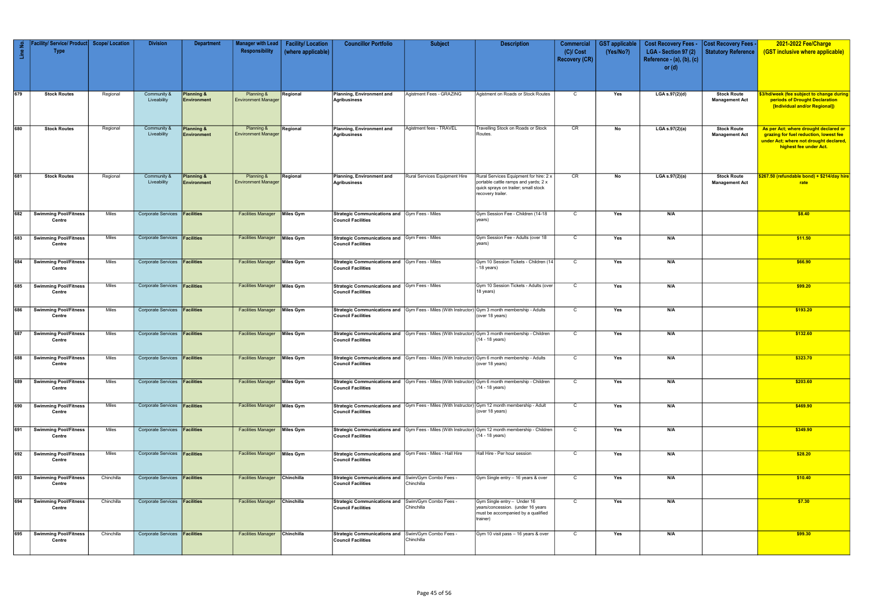| Line No. | Facility/ Service/ Product   Scope/ Location<br><b>Type</b> |              | <b>Division</b>                      | <b>Department</b>                    | <b>Manager with Lead</b><br>Responsibility | <b>Facility/Location</b><br>(where applicable) | <b>Councillor Portfolio</b>                                                            | <b>Subject</b>                      | <b>Description</b>                                                                                                                          | <b>Commercial</b><br>$(C)/$ Cost<br><b>Recovery (CR)</b> | <b>GST</b> applicable<br>(Yes/No?) | <b>Cost Recovery Fees -</b><br>LGA - Section 97 (2)<br>Reference - $(a)$ , $(b)$ , $(c)$<br>or $(d)$ | <b>Cost Recovery Fees -</b><br><b>Statutory Reference</b> | 2021-2022 Fee/Charge<br>(GST inclusive where applicable)                                                                                            |
|----------|-------------------------------------------------------------|--------------|--------------------------------------|--------------------------------------|--------------------------------------------|------------------------------------------------|----------------------------------------------------------------------------------------|-------------------------------------|---------------------------------------------------------------------------------------------------------------------------------------------|----------------------------------------------------------|------------------------------------|------------------------------------------------------------------------------------------------------|-----------------------------------------------------------|-----------------------------------------------------------------------------------------------------------------------------------------------------|
| 679      | <b>Stock Routes</b>                                         | Regional     | Community &<br>Liveability           | <b>Planning &amp;</b><br>Environment | Planning &<br><b>Environment Manager</b>   | Regional                                       | Planning, Environment and<br><b>Agribusiness</b>                                       | Agistment Fees - GRAZING            | Agistment on Roads or Stock Routes                                                                                                          | $\mathbf C$                                              | Yes                                | LGA s.97(2)(d)                                                                                       | <b>Stock Route</b><br><b>Management Act</b>               | \$3/hd/week (fee subject to change during<br>periods of Drought Declaration<br>[Individual and/or Regional])                                        |
| 680      | <b>Stock Routes</b>                                         | Regional     | Community &<br>Liveability           | <b>Planning &amp;</b><br>Environment | Planning &<br><b>Environment Manager</b>   | Regional                                       | Planning, Environment and<br><b>Agribusiness</b>                                       | Agistment fees - TRAVEL             | <b>Travelling Stock on Roads or Stock</b><br>Routes.                                                                                        | CR                                                       | No                                 | LGA s.97(2)(a)                                                                                       | <b>Stock Route</b><br><b>Management Act</b>               | As per Act; where drought declared or<br>grazing for fuel reduction, lowest fee<br>under Act; where not drought declared,<br>highest fee under Act. |
| 681      | <b>Stock Routes</b>                                         | Regional     | Community &<br>Liveability           | <b>Planning &amp;</b><br>Environment | Planning &<br><b>Environment Manager</b>   | Regional                                       | Planning, Environment and<br>Agribusiness                                              | Rural Services Equipment Hire       | Rural Services Equipment for hire: 2 x<br>portable cattle ramps and yards; 2 x<br>quick sprays on trailer; small stock<br>recovery trailer. | CR                                                       | No                                 | LGA s.97(2)(a)                                                                                       | <b>Stock Route</b><br><b>Management Act</b>               | \$267.50 (refundable bond) + \$214/day hire<br>rate                                                                                                 |
|          | 682 Swimming Pool/Fitness<br>Centre                         | Miles        | <b>Corporate Services</b>            | Facilities                           | <b>Facilities Manager</b>                  | Miles Gym                                      | Strategic Communications and Gym Fees - Miles<br><b>Council Facilities</b>             |                                     | Gym Session Fee - Children (14-18<br>years)                                                                                                 | $\mathbf C$                                              | Yes                                | N/A                                                                                                  |                                                           | \$8.40                                                                                                                                              |
| 683      | <b>Swimming Pool/Fitness</b><br>Centre                      | Miles        | Corporate Services <b>Facilities</b> |                                      | <b>Facilities Manager</b>                  | Miles Gym                                      | Strategic Communications and Gym Fees - Miles<br><b>Council Facilities</b>             |                                     | Gym Session Fee - Adults (over 18<br>years)                                                                                                 | $\mathbf C$                                              | Yes                                | N/A                                                                                                  |                                                           | \$11.50                                                                                                                                             |
| 684      | Swimming Pool/Fitness<br>Centre                             | Miles        | Corporate Services <b>Facilities</b> |                                      | <b>Facilities Manager</b>                  | Miles Gym                                      | Strategic Communications and Gym Fees - Miles<br><b>Council Facilities</b>             |                                     | Gym 10 Session Tickets - Children (14<br>18 years)                                                                                          | $\mathbf C$                                              | Yes                                | N/A                                                                                                  |                                                           | \$66.90                                                                                                                                             |
| 685      | <b>Swimming Pool/Fitness</b><br>Centre                      | Miles        | Corporate Services <b>Facilities</b> |                                      | <b>Facilities Manager</b>                  | Miles Gym                                      | Strategic Communications and Gym Fees - Miles<br><b>Council Facilities</b>             |                                     | Gym 10 Session Tickets - Adults (over<br>18 years)                                                                                          | $\mathsf{C}$                                             | Yes                                | N/A                                                                                                  |                                                           | \$99.20                                                                                                                                             |
| 686      | <b>Swimming Pool/Fitness</b><br>Centre                      | Miles        | <b>Corporate Services</b>            | Facilities                           | <b>Facilities Manager</b>                  | Miles Gym                                      | <b>Council Facilities</b>                                                              |                                     | Strategic Communications and Gym Fees - Miles (With Instructor) Gym 3 month membership - Adults<br>(over 18 years)                          | C                                                        | Yes                                | N/A                                                                                                  |                                                           | \$193.20                                                                                                                                            |
| 687      | Swimming Pool/Fitness<br>Centre                             | Miles        | Corporate Services <b>Facilities</b> |                                      | <b>Facilities Manager</b>                  | Miles Gym                                      | <b>Council Facilities</b>                                                              |                                     | Strategic Communications and Gym Fees - Miles (With Instructor) Gym 3 month membership - Children<br>(14 - 18 years)                        | $\mathsf{C}$                                             | Yes                                | N/A                                                                                                  |                                                           | \$132.60                                                                                                                                            |
| 688      | <b>Swimming Pool/Fitness</b><br>Centre                      | Miles        | <b>Corporate Services</b>            | Facilities                           | <b>Facilities Manager</b>                  | <b>Miles Gym</b>                               | <b>Council Facilities</b>                                                              |                                     | Strategic Communications and Gym Fees - Miles (With Instructor) Gym 6 month membership - Adults<br>(over 18 years)                          | $\mathsf{C}$                                             | Yes                                | N/A                                                                                                  |                                                           | \$323.70                                                                                                                                            |
|          | 689 Swimming Pool/Fitness<br>Centre                         | Miles        | Corporate Services <b>Facilities</b> |                                      | <b>Facilities Manager Miles Gym</b>        |                                                | <b>Council Facilities</b>                                                              |                                     | Strategic Communications and Gym Fees - Miles (With Instructor) Gym 6 month membership - Children<br>(14 - 18 years)                        | $\mathsf{C}$                                             | Yes                                | N/A                                                                                                  |                                                           | \$203.60                                                                                                                                            |
| 690      | <b>Swimming Pool/Fitness</b><br>Centre                      | Miles        | Corporate Services <b>Facilities</b> |                                      | <b>Facilities Manager</b>                  | Miles Gym                                      | <b>Council Facilities</b>                                                              |                                     | Strategic Communications and Gym Fees - Miles (With Instructor) Gym 12 month membership - Adult<br>(over 18 years)                          | $\mathsf{C}$                                             | Yes                                | N/A                                                                                                  |                                                           | \$469.90                                                                                                                                            |
| 691      | Swimming Pool/Fitness<br>Centre                             | <b>Miles</b> | Corporate Services <b>Facilities</b> |                                      | <b>Facilities Manager</b>                  | Miles Gym                                      | <b>Council Facilities</b>                                                              |                                     | Strategic Communications and Gym Fees - Miles (With Instructor) Gym 12 month membership - Children<br>(14 - 18 years)                       | $\overline{c}$                                           | Yes                                | N/A                                                                                                  |                                                           | \$349.90                                                                                                                                            |
| 692      | <b>Swimming Pool/Fitness</b><br>Centre                      | Miles        | Corporate Services <b>Facilities</b> |                                      | <b>Facilities Manager</b>                  | Miles Gym                                      | Strategic Communications and Gym Fees - Miles - Hall Hire<br><b>Council Facilities</b> |                                     | Hall Hire - Per hour session                                                                                                                | $\overline{C}$                                           | Yes                                | N/A                                                                                                  |                                                           | \$28.20                                                                                                                                             |
|          | 693 Swimming Pool/Fitness<br>Centre                         | Chinchilla   | Corporate Services <b>Facilities</b> |                                      | <b>Facilities Manager</b>                  | Chinchilla                                     | <b>Strategic Communications and</b><br><b>Council Facilities</b>                       | Swim/Gym Combo Fees -<br>Chinchilla | Gym Single entry - 16 years & over                                                                                                          | $\mathsf{C}$                                             | Yes                                | N/A                                                                                                  |                                                           | \$10.40                                                                                                                                             |
| 694      | <b>Swimming Pool/Fitness</b><br>Centre                      | Chinchilla   | Corporate Services <b>Facilities</b> |                                      | <b>Facilities Manager</b>                  | Chinchilla                                     | <b>Strategic Communications and</b><br><b>Council Facilities</b>                       | Swim/Gym Combo Fees -<br>Chinchilla | Gym Single entry - Under 16<br>years/concession. (under 16 years<br>must be accompanied by a qualified<br>trainer)                          | $\mathsf{C}$                                             | Yes                                | N/A                                                                                                  |                                                           | \$7.30                                                                                                                                              |
| 695      | <b>Swimming Pool/Fitness</b><br>Centre                      | Chinchilla   | Corporate Services <b>Facilities</b> |                                      | <b>Facilities Manager Chinchilla</b>       |                                                | <b>Strategic Communications and</b><br><b>Council Facilities</b>                       | Swim/Gym Combo Fees -<br>Chinchilla | Gym 10 visit pass - 16 years & over                                                                                                         | $\overline{c}$                                           | Yes                                | N/A                                                                                                  |                                                           | \$99.30                                                                                                                                             |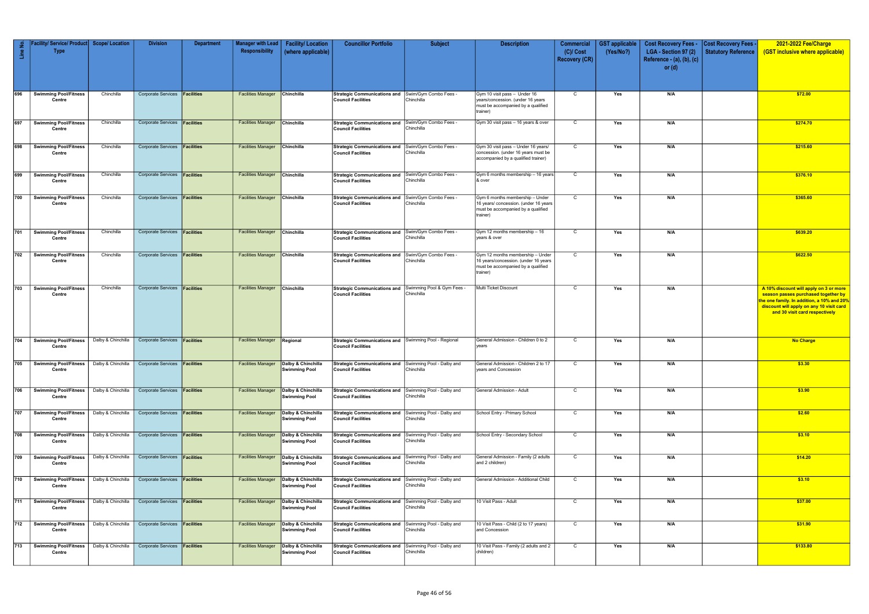| Line No.     | / Service/ Product <br><b>Type</b>                                                         | <b>Scope/Location</b> | <b>Division</b>                                                                                 | <b>Department</b> | <b>Manager with Lead</b>  <br>Responsibility | <b>Facility/Location</b><br>(where applicable)                                             | <b>Councillor Portfolio</b>                                                                                                | <b>Subject</b>                          | <b>Description</b>                                                                                                         | <b>Commercial</b><br>$(C)/$ Cost<br><b>Recovery (CR)</b> | <b>GST applicable</b><br>(Yes/No?) | <b>Cost Recovery Fees -</b><br>LGA - Section 97 (2)<br>Reference $-$ (a), (b), (c)<br>or $(d)$ | <b>Cost Recovery Fees -</b><br>Statutory Reference | 2021-2022 Fee/Charge<br>(GST inclusive where applicable)                                                                                                                                                  |
|--------------|--------------------------------------------------------------------------------------------|-----------------------|-------------------------------------------------------------------------------------------------|-------------------|----------------------------------------------|--------------------------------------------------------------------------------------------|----------------------------------------------------------------------------------------------------------------------------|-----------------------------------------|----------------------------------------------------------------------------------------------------------------------------|----------------------------------------------------------|------------------------------------|------------------------------------------------------------------------------------------------|----------------------------------------------------|-----------------------------------------------------------------------------------------------------------------------------------------------------------------------------------------------------------|
| 696          | <b>Swimming Pool/Fitness</b><br>Centre                                                     | Chinchilla            | Corporate Services <b>Facilities</b>                                                            |                   | <b>Facilities Manager Chinchilla</b>         |                                                                                            | Strategic Communications and Swim/Gym Combo Fees -<br><b>Council Facilities</b>                                            | Chinchilla                              | Gym 10 visit pass - Under 16<br>years/concession. (under 16 years<br>must be accompanied by a qualified<br>trainer)        | $\mathsf{C}$                                             | Yes                                | N/A                                                                                            |                                                    | \$72.00                                                                                                                                                                                                   |
| 697          | <b>Swimming Pool/Fitness</b><br>Centre                                                     | Chinchilla            | Corporate Services <b>Facilities</b>                                                            |                   | <b>Facilities Manager Chinchilla</b>         |                                                                                            | Strategic Communications and Swim/Gym Combo Fees -<br><b>Council Facilities</b>                                            | Chinchilla                              | Gym 30 visit pass - 16 years & over                                                                                        | $\mathsf{C}$                                             | Yes                                | N/A                                                                                            |                                                    | \$274.70                                                                                                                                                                                                  |
| 698          | <b>Swimming Pool/Fitness</b><br>Centre                                                     | Chinchilla            | Corporate Services <b>Facilities</b>                                                            |                   | <b>Facilities Manager</b>                    | Chinchilla                                                                                 | <b>Strategic Communications and</b><br><b>Council Facilities</b>                                                           | Swim/Gym Combo Fees -<br>Chinchilla     | Gym 30 visit pass - Under 16 years/<br>concession. (under 16 years must be<br>accompanied by a qualified trainer)          | $\mathsf{C}$                                             | Yes                                | N/A                                                                                            |                                                    | \$215.60                                                                                                                                                                                                  |
| 699          | <b>Swimming Pool/Fitness</b><br>Centre                                                     | Chinchilla            | Corporate Services <b>Facilities</b>                                                            |                   | <b>Facilities Manager Chinchilla</b>         |                                                                                            | Strategic Communications and Swim/Gym Combo Fees -<br><b>Council Facilities</b>                                            | Chinchilla                              | Gym 6 months membership - 16 years<br>& over                                                                               | $\mathsf{C}$                                             | Yes                                | N/A                                                                                            |                                                    | \$376.10                                                                                                                                                                                                  |
| 700          | <b>Swimming Pool/Fitness</b><br>Centre                                                     | Chinchilla            | Corporate Services <b>Facilities</b>                                                            |                   | <b>Facilities Manager</b>                    | Chinchilla                                                                                 | Strategic Communications and Swim/Gym Combo Fees -<br><b>Council Facilities</b>                                            | Chinchilla                              | Gym 6 months membership - Under<br>16 years/ concession. (under 16 years<br>must be accompanied by a qualified<br>trainer) | $\mathsf{C}$                                             | Yes                                | N/A                                                                                            |                                                    | \$365.60                                                                                                                                                                                                  |
| 701          | <b>Swimming Pool/Fitness</b><br>Centre                                                     | Chinchilla            | Corporate Services <b>Facilities</b>                                                            |                   | <b>Facilities Manager Chinchilla</b>         |                                                                                            | Strategic Communications and<br>Council Facilities                                                                         | Swim/Gym Combo Fees -<br>Chinchilla     | Gym 12 months membership - 16<br>years & over                                                                              | $\mathsf{C}$                                             | Yes                                | N/A                                                                                            |                                                    | \$639.20                                                                                                                                                                                                  |
| 702          | <b>Swimming Pool/Fitness</b><br>Centre                                                     | Chinchilla            | Corporate Services <b>Facilities</b>                                                            |                   | <b>Facilities Manager</b>                    | Chinchilla                                                                                 | <b>Strategic Communications and</b><br><b>Council Facilities</b>                                                           | Swim/Gym Combo Fees -<br>Chinchilla     | Gym 12 months membership - Under<br>16 years/concession. (under 16 years<br>must be accompanied by a qualified<br>trainer) | $\mathsf{C}$                                             | Yes                                | N/A                                                                                            |                                                    | \$622.50                                                                                                                                                                                                  |
| $\sqrt{703}$ | <b>Swimming Pool/Fitness</b><br>Centre                                                     | Chinchilla            | Corporate Services <b>Facilities</b>                                                            |                   | <b>Facilities Manager Chinchilla</b>         |                                                                                            | Strategic Communications and Swimming Pool & Gym Fees -<br><b>Council Facilities</b>                                       | Chinchilla                              | Multi Ticket Discount                                                                                                      | $\mathsf{C}$                                             | Yes                                | N/A                                                                                            |                                                    | A 10% discount will apply on 3 or more<br>season passes purchased together by<br>the one family. In addition, a 10% and 20%<br>discount will apply on any 10 visit card<br>and 30 visit card respectively |
| $\sqrt{704}$ | <b>Swimming Pool/Fitness</b><br>Centre                                                     | Dalby & Chinchilla    | Corporate Services <b>Facilities</b>                                                            |                   | <b>Facilities Manager Regional</b>           |                                                                                            | Strategic Communications and Swimming Pool - Regional<br><b>Council Facilities</b>                                         |                                         | General Admission - Children 0 to 2<br>years                                                                               | $\mathsf{C}$                                             | Yes                                | N/A                                                                                            |                                                    | No Charge                                                                                                                                                                                                 |
|              | 705 Swimming Pool/Fitness   Dalby & Chinchilla   Corporate Services   Facilities<br>Centre |                       |                                                                                                 |                   | Facilities Manager Dalby & Chinchilla        | <b>Swimming Pool</b>                                                                       | Strategic Communications and Swimming Pool - Dalby and<br><b>Council Facilities</b>                                        | Chinchilla                              | General Admission - Children 2 to 17<br>vears and Concession                                                               | $\mathsf{C}$                                             | Yes                                | N/A                                                                                            |                                                    | \$3.30                                                                                                                                                                                                    |
| 706          | <b>Swimming Pool/Fitness</b><br>Centre                                                     |                       | Dalby & Chinchilla   Corporate Services   Facilities                                            |                   | <b>Facilities Manager</b>                    | Dalby & Chinchilla<br><b>Swimming Pool</b>                                                 | Strategic Communications and Swimming Pool - Dalby and<br><b>Council Facilities</b>                                        | Chinchilla                              | General Admission - Adult                                                                                                  | $\mathsf{C}$                                             | Yes                                | N/A                                                                                            |                                                    | \$3.90                                                                                                                                                                                                    |
| 707          | <b>Swimming Pool/Fitness</b><br>Centre                                                     |                       | Dalby & Chinchilla   Corporate Services   <b>Facilities</b>                                     |                   | <b>Facilities Manager</b>                    | Dalby & Chinchilla<br><b>Swimming Pool</b>                                                 | Strategic Communications and Swimming Pool - Dalby and<br><b>Council Facilities</b>                                        | Chinchilla                              | School Entry - Primary School                                                                                              | $\mathsf{C}$                                             | Yes                                | N/A                                                                                            |                                                    | \$2.60                                                                                                                                                                                                    |
| 708<br>709   | <b>Swimming Pool/Fitness</b><br>Centre<br><b>Swimming Pool/Fitness</b>                     | Dalby & Chinchilla    | Dalby & Chinchilla Corporate Services <b>Facilities</b><br>Corporate Services <b>Facilities</b> |                   | <b>Facilities Manager</b>                    | <b>Facilities Manager</b> Dalby & Chinchilla<br><b>Swimming Pool</b><br>Dalby & Chinchilla | Strategic Communications and Swimming Pool - Dalby and<br><b>Council Facilities</b><br><b>Strategic Communications and</b> | Chinchilla<br>Swimming Pool - Dalby and | School Entry - Secondary School<br>General Admission - Family (2 adults                                                    | $\mathsf{C}$<br>$\mathsf{C}$                             | Yes<br>Yes                         | N/A<br>N/A                                                                                     |                                                    | \$3.10<br>\$14.20                                                                                                                                                                                         |
| 710          | Centre<br><b>Swimming Pool/Fitness</b>                                                     |                       | Dalby & Chinchilla   Corporate Services   Facilities                                            |                   | <b>Facilities Manager</b>                    | <b>Swimming Pool</b><br>Dalby & Chinchilla                                                 | <b>Council Facilities</b><br>Strategic Communications and Swimming Pool - Dalby and                                        | Chinchilla                              | and 2 children)<br>General Admission - Additional Child                                                                    | $\mathsf{C}$                                             | Yes                                | N/A                                                                                            |                                                    | \$3.10                                                                                                                                                                                                    |
| 711          | Centre<br><b>Swimming Pool/Fitness</b>                                                     | Dalby & Chinchilla    | Corporate Services <b>Facilities</b>                                                            |                   | <b>Facilities Manager</b>                    | <b>Swimming Pool</b><br>Dalby & Chinchilla                                                 | <b>Council Facilities</b><br><b>Strategic Communications and</b>                                                           | Chinchilla<br>Swimming Pool - Dalby and | 10 Visit Pass - Adult                                                                                                      | $\mathsf{C}$                                             | Yes                                | N/A                                                                                            |                                                    | \$37.00                                                                                                                                                                                                   |
| 712          | Centre<br><b>Swimming Pool/Fitness</b>                                                     | Dalby & Chinchilla    | Corporate Services <b>Facilities</b>                                                            |                   | <b>Facilities Manager</b>                    | <b>Swimming Pool</b><br>Dalby & Chinchilla                                                 | <b>Council Facilities</b><br><b>Strategic Communications and</b>                                                           | Chinchilla<br>Swimming Pool - Dalby and | 10 Visit Pass - Child (2 to 17 years)                                                                                      | $\mathsf{C}$                                             | Yes                                | N/A                                                                                            |                                                    | \$31.90                                                                                                                                                                                                   |
| 713          | Centre<br><b>Swimming Pool/Fitness</b>                                                     | Dalby & Chinchilla    | Corporate Services <b>Facilities</b>                                                            |                   | <b>Facilities Manager</b>                    | <b>Swimming Pool</b><br>Dalby & Chinchilla                                                 | <b>Council Facilities</b><br><b>Strategic Communications and</b>                                                           | Chinchilla<br>Swimming Pool - Dalby and | and Concession<br>10 Visit Pass - Family (2 adults and 2                                                                   | $\overline{C}$                                           | Yes                                | N/A                                                                                            |                                                    | \$133.80                                                                                                                                                                                                  |
|              | Centre                                                                                     |                       |                                                                                                 |                   |                                              | <b>Swimming Pool</b>                                                                       | <b>Council Facilities</b>                                                                                                  | Chinchilla                              | children)                                                                                                                  |                                                          |                                    |                                                                                                |                                                    |                                                                                                                                                                                                           |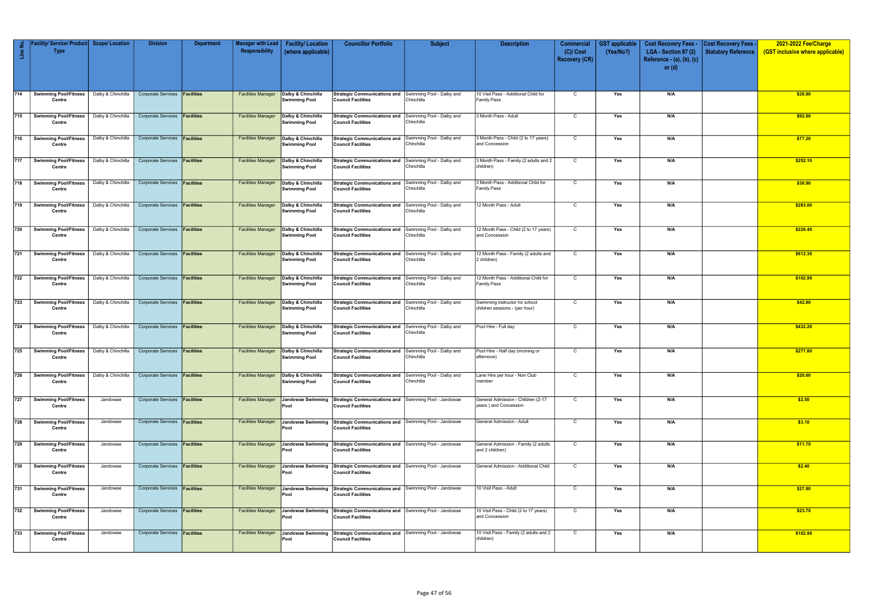| Line No.         | Service/ Product<br><b>Type</b>        | <b>Scope/Location</b> | <b>Division</b>                                      | <b>Department</b> | <b>Manager with Lead</b><br>Responsibility | <b>Facility/Location</b><br>(where applicable) | <b>Councillor Portfolio</b>                                                         | <b>Subject</b>                          | <b>Description</b>                                               | <b>Commercial</b><br>$(C)/$ Cost<br><b>Recovery (CR)</b> | <b>GST</b> applicable<br>(Yes/No?) | <b>Cost Recovery Fees -</b><br>LGA - Section 97 (2)<br>Reference - $(a)$ , $(b)$ , $(c)$<br>or $(d)$ | <b>Cost Recovery Fees</b><br><b>Statutory Reference</b> | 2021-2022 Fee/Charge<br>(GST inclusive where applicable) |
|------------------|----------------------------------------|-----------------------|------------------------------------------------------|-------------------|--------------------------------------------|------------------------------------------------|-------------------------------------------------------------------------------------|-----------------------------------------|------------------------------------------------------------------|----------------------------------------------------------|------------------------------------|------------------------------------------------------------------------------------------------------|---------------------------------------------------------|----------------------------------------------------------|
| 714              | <b>Swimming Pool/Fitness</b>           |                       | Dalby & Chinchilla   Corporate Services   Facilities |                   | <b>Facilities Manager</b>                  | Dalby & Chinchilla                             | Strategic Communications and Swimming Pool - Dalby and                              |                                         | 10 Visit Pass - Additional Child for                             | $\mathsf{C}$                                             | Yes                                | N/A                                                                                                  |                                                         | \$28.80                                                  |
|                  | Centre                                 |                       |                                                      |                   |                                            | <b>Swimming Pool</b>                           | <b>Council Facilities</b>                                                           | Chinchilla                              | <b>Family Pass</b>                                               |                                                          |                                    |                                                                                                      |                                                         |                                                          |
| 715              | <b>Swimming Pool/Fitness</b><br>Centre |                       | Dalby & Chinchilla   Corporate Services   Facilities |                   | <b>Facilities Manager</b>                  | Dalby & Chinchilla<br><b>Swimming Pool</b>     | Strategic Communications and Swimming Pool - Dalby and<br><b>Council Facilities</b> | Chinchilla                              | 3 Month Pass - Adult                                             | $\mathsf{C}$                                             | Yes                                | N/A                                                                                                  |                                                         | \$92.60                                                  |
| 716              | <b>Swimming Pool/Fitness</b><br>Centre | Dalby & Chinchilla    | Corporate Services <b>Facilities</b>                 |                   | <b>Facilities Manager</b>                  | Dalby & Chinchilla<br><b>Swimming Pool</b>     | <b>Strategic Communications and</b><br><b>Council Facilities</b>                    | Swimming Pool - Dalby and<br>Chinchilla | 3 Month Pass - Child (2 to 17 years)<br>and Concession           | $\mathsf{C}$                                             | Yes                                | N/A                                                                                                  |                                                         | \$77.20                                                  |
| 717              | <b>Swimming Pool/Fitness</b><br>Centre | Dalby & Chinchilla    | Corporate Services <b>Facilities</b>                 |                   | <b>Facilities Manager</b>                  | Dalby & Chinchilla<br><b>Swimming Pool</b>     | Strategic Communications and Swimming Pool - Dalby and<br>Council Facilities        | Chinchilla                              | 3 Month Pass - Family (2 adults and 2<br>children)               | $\mathsf{C}$                                             | Yes                                | N/A                                                                                                  |                                                         | \$252.10                                                 |
| 718              | <b>Swimming Pool/Fitness</b><br>Centre | Dalby & Chinchilla    | Corporate Services <b>Facilities</b>                 |                   | <b>Facilities Manager</b>                  | Dalby & Chinchilla<br><b>Swimming Pool</b>     | <b>Strategic Communications and</b><br>Council Facilities                           | Swimming Pool - Dalby and<br>Chinchilla | 3 Month Pass - Additional Child for<br><b>Family Pass</b>        | $\mathsf{C}$                                             | Yes                                | N/A                                                                                                  |                                                         | \$30.90                                                  |
| 719              | <b>Swimming Pool/Fitness</b><br>Centre | Dalby & Chinchilla    | Corporate Services <b>Facilities</b>                 |                   | <b>Facilities Manager</b>                  | Dalby & Chinchilla<br><b>Swimming Pool</b>     | <b>Strategic Communications and</b><br><b>Council Facilities</b>                    | Swimming Pool - Dalby and<br>Chinchilla | 12 Month Pass - Adult                                            | $\mathsf{C}$                                             | Yes                                | N/A                                                                                                  |                                                         | \$283.00                                                 |
| 720              | <b>Swimming Pool/Fitness</b><br>Centre | Dalby & Chinchilla    | Corporate Services <b>Facilities</b>                 |                   | <b>Facilities Manager</b>                  | Dalby & Chinchilla<br><b>Swimming Pool</b>     | Strategic Communications and Swimming Pool - Dalby and<br>Council Facilities        | Chinchilla                              | 12 Month Pass - Child (2 to 17 years)<br>and Concession          | C                                                        | Yes                                | N/A                                                                                                  |                                                         | \$226.40                                                 |
| $\overline{721}$ | <b>Swimming Pool/Fitness</b><br>Centre | Dalby & Chinchilla    | Corporate Services <b>Facilities</b>                 |                   | <b>Facilities Manager</b>                  | Dalby & Chinchilla<br><b>Swimming Pool</b>     | Strategic Communications and Swimming Pool - Dalby and<br>l Council Facilities      | Chinchilla                              | 12 Month Pass - Family (2 adults and<br>2 children)              | $\mathsf{C}$                                             | Yes                                | N/A                                                                                                  |                                                         | \$612.30                                                 |
| 722              | <b>Swimming Pool/Fitness</b><br>Centre |                       | Dalby & Chinchilla   Corporate Services   Facilities |                   | <b>Facilities Manager</b>                  | Dalby & Chinchilla<br><b>Swimming Pool</b>     | Strategic Communications and Swimming Pool - Dalby and<br><b>Council Facilities</b> | Chinchilla                              | 12 Month Pass - Additional Child for<br><b>Family Pass</b>       | $\mathsf{C}$                                             | Yes                                | N/A                                                                                                  |                                                         | \$102.90                                                 |
| 723              | <b>Swimming Pool/Fitness</b><br>Centre | Dalby & Chinchilla    | Corporate Services <b>Facilities</b>                 |                   | <b>Facilities Manager</b>                  | Dalby & Chinchilla<br><b>Swimming Pool</b>     | <b>Strategic Communications and</b><br><b>Council Facilities</b>                    | Swimming Pool - Dalby and<br>Chinchilla | Swimming instructor for school<br>children sessions - (per hour) | $\mathsf{C}$                                             | Yes                                | N/A                                                                                                  |                                                         | \$42.80                                                  |
| 724              | <b>Swimming Pool/Fitness</b><br>Centre | Dalby & Chinchilla    | Corporate Services <b>Facilities</b>                 |                   | <b>Facilities Manager</b>                  | Dalby & Chinchilla<br><b>Swimming Pool</b>     | <b>Strategic Communications and</b><br><b>Council Facilities</b>                    | Swimming Pool - Dalby and<br>Chinchilla | Pool Hire - Full day                                             | C                                                        | Yes                                | N/A                                                                                                  |                                                         | \$432.20                                                 |
| 725              | <b>Swimming Pool/Fitness</b><br>Centre | Dalby & Chinchilla    | Corporate Services <b>Facilities</b>                 |                   | <b>Facilities Manager</b>                  | Dalby & Chinchilla<br><b>Swimming Pool</b>     | <b>Strategic Communications and</b><br><b>Council Facilities</b>                    | Swimming Pool - Dalby and<br>Chinchilla | Pool Hire - Half day (morning or<br>afternoon)                   | $\mathsf{C}$                                             | Yes                                | N/A                                                                                                  |                                                         | \$277.80                                                 |
| 726              | <b>Swimming Pool/Fitness</b><br>Centre | Dalby & Chinchilla    | Corporate Services <b>Facilities</b>                 |                   | <b>Facilities Manager</b>                  | Dalby & Chinchilla<br><b>Swimming Pool</b>     | <b>Strategic Communications and</b><br>Council Facilities                           | Swimming Pool - Dalby and<br>Chinchilla | Lane Hire per hour - Non Club<br>member                          | $\mathsf{C}$                                             | Yes                                | N/A                                                                                                  |                                                         | \$20.60                                                  |
| 727              | <b>Swimming Pool/Fitness</b><br>Centre | Jandowae              | Corporate Services <b>Facilities</b>                 |                   | <b>Facilities Manager</b>                  | Jandowae Swimming<br>Pool                      | Strategic Communications and Swimming Pool - Jandowae<br><b>Council Facilities</b>  |                                         | General Admission - Children (2-17<br>years) and Concession      | $\mathsf{C}$                                             | Yes                                | N/A                                                                                                  |                                                         | \$2.50                                                   |
| 728              | <b>Swimming Pool/Fitness</b><br>Centre | Jandowae              | Corporate Services <b>Facilities</b>                 |                   | <b>Facilities Manager</b>                  | Jandowae Swimming<br>Pool                      | Strategic Communications and Swimming Pool - Jandowae<br><b>Council Facilities</b>  |                                         | General Admission - Adult                                        | $\mathsf{C}$                                             | Yes                                | N/A                                                                                                  |                                                         | \$3.10                                                   |
| 729              | <b>Swimming Pool/Fitness</b><br>Centre | Jandowae              | Corporate Services <b>Facilities</b>                 |                   | <b>Facilities Manager</b>                  | Jandowae Swimming<br>Pool                      | Strategic Communications and Swimming Pool - Jandowae<br>Council Facilities         |                                         | General Admission - Family (2 adults<br>and 2 children)          | $\mathsf{C}$                                             | Yes                                | N/A                                                                                                  |                                                         | \$11.70                                                  |
| 730              | <b>Swimming Pool/Fitness</b><br>Centre | Jandowae              | Corporate Services <b>Facilities</b>                 |                   | <b>Facilities Manager</b>                  | Jandowae Swimming<br>Pool                      | Strategic Communications and Swimming Pool - Jandowae<br><b>Council Facilities</b>  |                                         | General Admission - Additional Child                             | $\mathsf{C}$                                             | Yes                                | N/A                                                                                                  |                                                         | \$2.40                                                   |
| 731              | <b>Swimming Pool/Fitness</b><br>Centre | Jandowae              | Corporate Services <b>Facilities</b>                 |                   | <b>Facilities Manager</b>                  | Jandowae Swimming<br>Pool                      | Strategic Communications and Swimming Pool - Jandowae<br>Council Facilities         |                                         | 10 Visit Pass - Adult                                            | $\mathsf{C}$                                             | Yes                                | N/A                                                                                                  |                                                         | \$27.80                                                  |
| 732              | <b>Swimming Pool/Fitness</b><br>Centre | Jandowae              | Corporate Services <b>Facilities</b>                 |                   | <b>Facilities Manager</b>                  | Jandowae Swimming<br>Pool                      | Strategic Communications and Swimming Pool - Jandowae<br><b>Council Facilities</b>  |                                         | 10 Visit Pass - Child (2 to 17 years)<br>and Concession          | $\mathsf{C}$                                             | Yes                                | N/A                                                                                                  |                                                         | \$23.70                                                  |
| 733              | <b>Swimming Pool/Fitness</b><br>Centre | Jandowae              | Corporate Services <b>Facilities</b>                 |                   | <b>Facilities Manager</b>                  | Jandowae Swimming<br>Pool                      | Strategic Communications and Swimming Pool - Jandowae<br><b>Council Facilities</b>  |                                         | 10 Visit Pass - Family (2 adults and 2<br>children)              | $\mathsf{C}$                                             | Yes                                | N/A                                                                                                  |                                                         | \$102.90                                                 |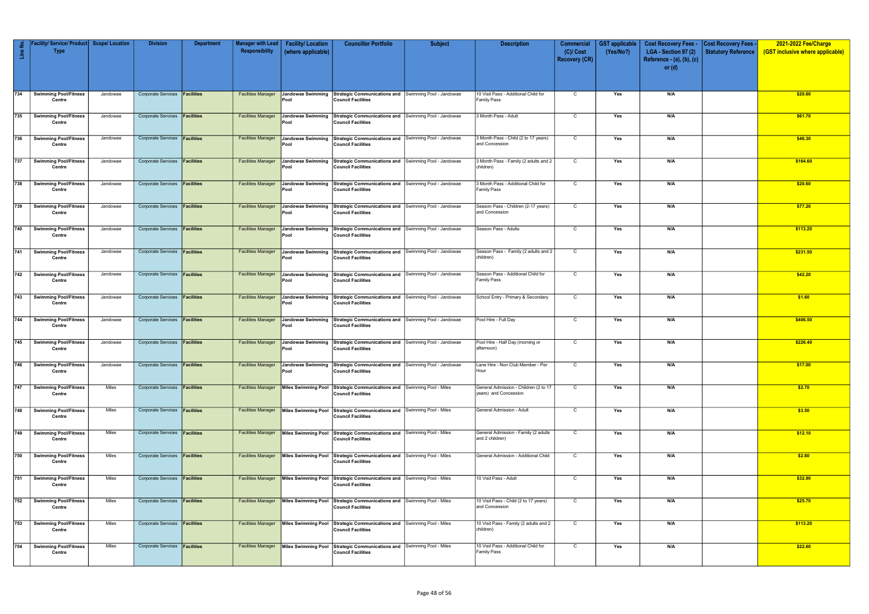| Line No. | Facility/ Service/ Product   Scope/ Location<br><b>Type</b> |              | <b>Division</b>                      | <b>Department</b> | <b>Manager with Lead</b><br>Responsibility | <b>Facility/Location</b><br>(where applicable) | <b>Councillor Portfolio</b>                                                                                             | <b>Subject</b> | <b>Description</b>                                             | <b>Commercial</b><br>$(C)/$ Cost<br><b>Recovery (CR)</b> | <b>GST</b> applicable<br>(Yes/No?) | <b>Cost Recovery Fees -</b><br>LGA - Section 97 (2)<br>Reference - $(a)$ , $(b)$ , $(c)$ | Cost Recovery Fees<br><b>Statutory Reference</b> | 2021-2022 Fee/Charge<br>(GST inclusive where applicable) |
|----------|-------------------------------------------------------------|--------------|--------------------------------------|-------------------|--------------------------------------------|------------------------------------------------|-------------------------------------------------------------------------------------------------------------------------|----------------|----------------------------------------------------------------|----------------------------------------------------------|------------------------------------|------------------------------------------------------------------------------------------|--------------------------------------------------|----------------------------------------------------------|
|          |                                                             |              |                                      |                   |                                            |                                                |                                                                                                                         |                |                                                                |                                                          |                                    | or $(d)$                                                                                 |                                                  |                                                          |
| 734      | <b>Swimming Pool/Fitness</b><br>Centre                      | Jandowae     | Corporate Services <b>Facilities</b> |                   | <b>Facilities Manager</b>                  | Jandowae Swimming<br>Pool                      | Strategic Communications and Swimming Pool - Jandowae<br><b>Council Facilities</b>                                      |                | 10 Visit Pass - Additional Child for<br><b>Family Pass</b>     | $\mathsf{C}$                                             | Yes                                | N/A                                                                                      |                                                  | \$20.60                                                  |
| 735      | <b>Swimming Pool/Fitness</b><br>Centre                      | Jandowae     | Corporate Services <b>Facilities</b> |                   | <b>Facilities Manager</b>                  | <b>Jandowae Swimming</b><br>Pool               | Strategic Communications and Swimming Pool - Jandowae<br><b>Council Facilities</b>                                      |                | 3 Month Pass - Adult                                           | C                                                        | Yes                                | N/A                                                                                      |                                                  | \$61.70                                                  |
| 736      | <b>Swimming Pool/Fitness</b><br>Centre                      | Jandowae     | Corporate Services <b>Facilities</b> |                   | <b>Facilities Manager</b>                  | <b>Jandowae Swimming</b><br>Pool               | Strategic Communications and Swimming Pool - Jandowae<br><b>Council Facilities</b>                                      |                | 3 Month Pass - Child (2 to 17 years)<br>and Concession         | $\mathsf{C}$                                             | Yes                                | N/A                                                                                      |                                                  | \$46.30                                                  |
| 737      | <b>Swimming Pool/Fitness</b><br>Centre                      | Jandowae     | Corporate Services <b>Facilities</b> |                   | <b>Facilities Manager</b>                  | <b>Jandowae Swimming</b><br>Pool               | Strategic Communications and Swimming Pool - Jandowae<br><b>Council Facilities</b>                                      |                | 3 Month Pass - Family (2 adults and 2<br>children)             | C                                                        | Yes                                | N/A                                                                                      |                                                  | \$164.60                                                 |
| 738      | <b>Swimming Pool/Fitness</b><br>Centre                      | Jandowae     | <b>Corporate Services</b>            | Facilities        | <b>Facilities Manager</b>                  | <b>Jandowae Swimming</b><br>Pool               | Strategic Communications and Swimming Pool - Jandowae<br><b>Council Facilities</b>                                      |                | 3 Month Pass - Additional Child for<br><b>Family Pass</b>      | $\mathsf{C}$                                             | Yes                                | N/A                                                                                      |                                                  | \$20.60                                                  |
| 739      | <b>Swimming Pool/Fitness</b><br>Centre                      | Jandowae     | Corporate Services <b>Facilities</b> |                   | <b>Facilities Manager</b>                  | Jandowae Swimming<br>Pool                      | Strategic Communications and Swimming Pool - Jandowae<br><b>Council Facilities</b>                                      |                | Season Pass - Children (2-17 years)<br>and Concession          | C                                                        | Yes                                | N/A                                                                                      |                                                  | \$77.20                                                  |
| 740      | <b>Swimming Pool/Fitness</b><br>Centre                      | Jandowae     | Corporate Services <b>Facilities</b> |                   | <b>Facilities Manager</b>                  | Jandowae Swimming<br>Pool                      | Strategic Communications and Swimming Pool - Jandowae<br><b>Council Facilities</b>                                      |                | Season Pass - Adults                                           | C                                                        | Yes                                | N/A                                                                                      |                                                  | \$113.20                                                 |
| 741      | <b>Swimming Pool/Fitness</b><br>Centre                      | Jandowae     | Corporate Services <b>Facilities</b> |                   | <b>Facilities Manager</b>                  | <b>Jandowae Swimming</b><br>Pool               | Strategic Communications and Swimming Pool - Jandowae<br><b>Council Facilities</b>                                      |                | Season Pass - Family (2 adults and 2<br>children)              | C                                                        | Yes                                | N/A                                                                                      |                                                  | \$231.50                                                 |
| 742      | <b>Swimming Pool/Fitness</b><br>Centre                      | Jandowae     | Corporate Services   Facilities      |                   | <b>Facilities Manager</b>                  | Jandowae Swimming<br>Pool                      | Strategic Communications and Swimming Pool - Jandowae<br><b>Council Facilities</b>                                      |                | Season Pass - Additional Child for<br><b>Family Pass</b>       | $\mathsf{C}$                                             | Yes                                | N/A                                                                                      |                                                  | \$42.20                                                  |
| 743      | <b>Swimming Pool/Fitness</b><br>Centre                      | Jandowae     | <b>Corporate Services</b>            | Facilities        | <b>Facilities Manager</b>                  | Jandowae Swimming<br>Pool                      | Strategic Communications and Swimming Pool - Jandowae<br><b>Council Facilities</b>                                      |                | School Entry - Primary & Secondary                             | $\mathsf{C}$                                             | Yes                                | N/A                                                                                      |                                                  | \$1.60                                                   |
| $744$    | <b>Swimming Pool/Fitness</b><br>Centre                      | Jandowae     | Corporate Services <b>Facilities</b> |                   | <b>Facilities Manager</b>                  | <b>Jandowae Swimming</b><br>Pool               | Strategic Communications and Swimming Pool - Jandowae<br><b>Council Facilities</b>                                      |                | Pool Hire - Full Day                                           | $\mathsf{C}$                                             | Yes                                | N/A                                                                                      |                                                  | \$406.50                                                 |
| 745      | <b>Swimming Pool/Fitness</b><br>Centre                      | Jandowae     | Corporate Services <b>Facilities</b> |                   | <b>Facilities Manager</b>                  | Jandowae Swimming<br>Pool                      | Strategic Communications and Swimming Pool - Jandowae<br><b>Council Facilities</b>                                      |                | Pool Hire - Half Day (morning or<br>afternoon)                 | C                                                        | Yes                                | N/A                                                                                      |                                                  | \$226.40                                                 |
|          | 746 Swimming Pool/Fitness Jandowae<br>Centre                |              | Corporate Services <b>Facilities</b> |                   |                                            | Pool                                           | Facilities Manager Jandowae Swimming Strategic Communications and Swimming Pool - Jandowae<br><b>Council Facilities</b> |                | Lane Hire - Non Club Member - Per<br>Hour                      | $\mathsf{C}$                                             | Yes                                | N/A                                                                                      |                                                  | \$17.00                                                  |
| 747      | <b>Swimming Pool/Fitness</b><br>Centre                      | <b>Miles</b> | Corporate Services <b>Facilities</b> |                   | <b>Facilities Manager</b>                  | Miles Swimming Pool                            | Strategic Communications and Swimming Pool - Miles<br><b>Council Facilities</b>                                         |                | General Admission - Children (2 to 17<br>years) and Concession | $\overline{c}$                                           | Yes                                | N/A                                                                                      |                                                  | \$2.70                                                   |
| 748      | <b>Swimming Pool/Fitness</b><br>Centre                      | Miles        | <b>Corporate Services Facilities</b> |                   | <b>Facilities Manager</b>                  |                                                | Miles Swimming Pool Strategic Communications and Swimming Pool - Miles<br><b>Council Facilities</b>                     |                | General Admission - Adult                                      | $\mathsf{C}$                                             | Yes                                | N/A                                                                                      |                                                  | \$3.50                                                   |
| 749      | <b>Swimming Pool/Fitness</b><br>Centre                      | <b>Miles</b> | Corporate Services <b>Facilities</b> |                   | <b>Facilities Manager</b>                  | Miles Swimming Pool                            | Strategic Communications and Swimming Pool - Miles<br><b>Council Facilities</b>                                         |                | General Admission - Family (2 adults<br>and 2 children)        | $\overline{C}$                                           | Yes                                | N/A                                                                                      |                                                  | \$12.10                                                  |
| 750      | <b>Swimming Pool/Fitness</b><br>Centre                      | Miles        | Corporate Services <b>Facilities</b> |                   | <b>Facilities Manager</b>                  |                                                | Miles Swimming Pool Strategic Communications and Swimming Pool - Miles<br><b>Council Facilities</b>                     |                | General Admission - Additional Child                           | $\mathsf{C}$                                             | Yes                                | N/A                                                                                      |                                                  | \$2.60                                                   |
| 751      | <b>Swimming Pool/Fitness</b><br>Centre                      | Miles        | Corporate Services <b>Facilities</b> |                   | <b>Facilities Manager</b>                  | Miles Swimming Pool                            | Strategic Communications and Swimming Pool - Miles<br><b>Council Facilities</b>                                         |                | 10 Visit Pass - Adult                                          | $\mathsf{C}$                                             | Yes                                | N/A                                                                                      |                                                  | \$32.90                                                  |
| 752      | <b>Swimming Pool/Fitness</b><br>Centre                      | Miles        | Corporate Services <b>Facilities</b> |                   | <b>Facilities Manager</b>                  | Miles Swimming Pool                            | Strategic Communications and Swimming Pool - Miles<br><b>Council Facilities</b>                                         |                | 10 Visit Pass - Child (2 to 17 years)<br>and Concession        | $\mathsf{C}$                                             | Yes                                | N/A                                                                                      |                                                  | \$25.70                                                  |
| 753      | <b>Swimming Pool/Fitness</b><br>Centre                      | Miles        | Corporate Services <b>Facilities</b> |                   | <b>Facilities Manager</b>                  | <b>Miles Swimming Pool</b>                     | Strategic Communications and Swimming Pool - Miles<br><b>Council Facilities</b>                                         |                | 10 Visit Pass - Family (2 adults and 2<br>children)            | $\mathsf{C}$                                             | Yes                                | N/A                                                                                      |                                                  | \$113.20                                                 |
| 754      | <b>Swimming Pool/Fitness</b><br>Centre                      | Miles        | Corporate Services <b>Facilities</b> |                   | <b>Facilities Manager</b>                  |                                                | Miles Swimming Pool Strategic Communications and Swimming Pool - Miles<br><b>Council Facilities</b>                     |                | 10 Visit Pass - Additional Child for<br><b>Family Pass</b>     | $\mathsf{C}$                                             | Yes                                | N/A                                                                                      |                                                  | \$22.60                                                  |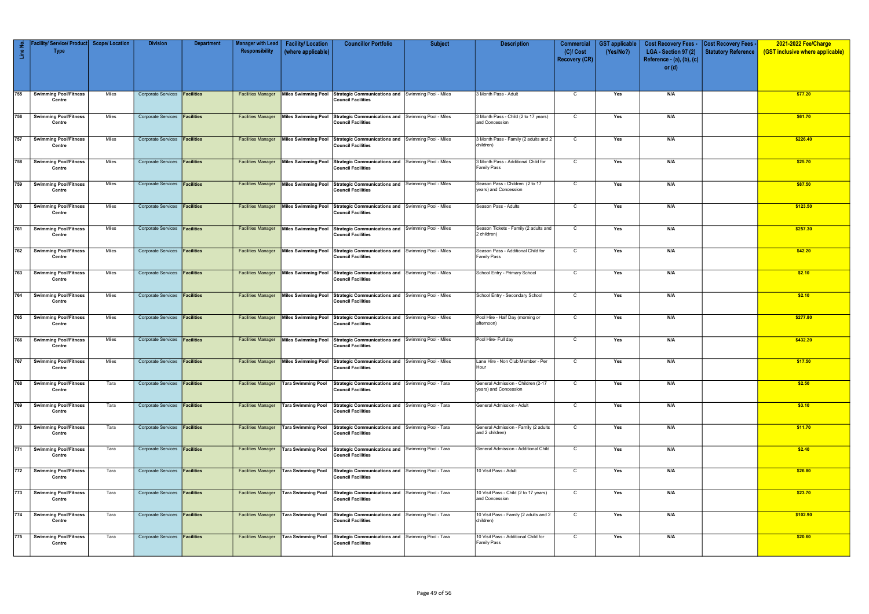| $\mathop{\mathrm{Lie}}$ | Facility/ Service/ Product Scope/ Location<br><b>Type</b> |       | <b>Division</b>                      | <b>Department</b> | Manager with Lead<br>Responsibility | <b>Facility/Location</b><br>(where applicable) | <b>Councillor Portfolio</b>                                                                                     | <b>Subject</b> | <b>Description</b>                                          | <b>Commercial</b><br>$(C)/$ Cost | <b>GST</b> applicable<br>(Yes/No?) | <b>Cost Recovery Fees -</b><br>LGA - Section 97 (2) | <b>Cost Recovery Fees -</b><br><b>Statutory Reference</b> | 2021-2022 Fee/Charge<br>(GST inclusive where applicable) |
|-------------------------|-----------------------------------------------------------|-------|--------------------------------------|-------------------|-------------------------------------|------------------------------------------------|-----------------------------------------------------------------------------------------------------------------|----------------|-------------------------------------------------------------|----------------------------------|------------------------------------|-----------------------------------------------------|-----------------------------------------------------------|----------------------------------------------------------|
|                         |                                                           |       |                                      |                   |                                     |                                                |                                                                                                                 |                |                                                             | <b>Recovery (CR)</b>             |                                    | Reference - (a), (b), (c)<br>or $(d)$               |                                                           |                                                          |
|                         |                                                           |       |                                      |                   |                                     |                                                |                                                                                                                 |                |                                                             |                                  |                                    |                                                     |                                                           |                                                          |
| 755                     | <b>Swimming Pool/Fitness</b><br>Centre                    | Miles | Corporate Services <b>Facilities</b> |                   | <b>Facilities Manager</b>           |                                                | Miles Swimming Pool Strategic Communications and Swimming Pool - Miles<br><b>Council Facilities</b>             |                | 3 Month Pass - Adult                                        | $\mathsf{C}$                     | Yes                                | N/A                                                 |                                                           | \$77.20                                                  |
| 756                     | Swimming Pool/Fitness<br>Centre                           | Miles | Corporate Services <b>Facilities</b> |                   | <b>Facilities Manager</b>           | Miles Swimming Pool                            | Strategic Communications and Swimming Pool - Miles<br><b>Council Facilities</b>                                 |                | 3 Month Pass - Child (2 to 17 years)<br>and Concession      | C                                | Yes                                | N/A                                                 |                                                           | \$61.70                                                  |
| 757                     | <b>Swimming Pool/Fitness</b><br>Centre                    | Miles | Corporate Services <b>Facilities</b> |                   | <b>Facilities Manager</b>           | Miles Swimming Pool                            | Strategic Communications and Swimming Pool - Miles<br><b>Council Facilities</b>                                 |                | 3 Month Pass - Family (2 adults and 2<br>children)          | $\mathsf{C}$                     | Yes                                | N/A                                                 |                                                           | \$226.40                                                 |
| 758                     | <b>Swimming Pool/Fitness</b><br>Centre                    | Miles | Corporate Services <b>Facilities</b> |                   | <b>Facilities Manager</b>           | <b>Miles Swimming Pool</b>                     | Strategic Communications and Swimming Pool - Miles<br><b>Council Facilities</b>                                 |                | 3 Month Pass - Additional Child for<br><b>Family Pass</b>   | C                                | Yes                                | N/A                                                 |                                                           | \$25.70                                                  |
| 759                     | Swimming Pool/Fitness<br>Centre                           | Miles | Corporate Services <b>Facilities</b> |                   | <b>Facilities Manager</b>           | Miles Swimming Pool                            | Strategic Communications and Swimming Pool - Miles<br><b>Council Facilities</b>                                 |                | Season Pass - Children (2 to 17<br>years) and Concession    | C                                | Yes                                | N/A                                                 |                                                           | \$87.50                                                  |
| 760                     | <b>Swimming Pool/Fitness</b><br>Centre                    | Miles | Corporate Services <b>Facilities</b> |                   | <b>Facilities Manager</b>           | Miles Swimming Pool                            | Strategic Communications and Swimming Pool - Miles<br>Council Facilities                                        |                | Season Pass - Adults                                        | C                                | Yes                                | N/A                                                 |                                                           | \$123.50                                                 |
| 761                     | <b>Swimming Pool/Fitness</b><br>Centre                    | Miles | Corporate Services <b>Facilities</b> |                   | <b>Facilities Manager</b>           | Miles Swimming Pool                            | Strategic Communications and Swimming Pool - Miles<br><b>Council Facilities</b>                                 |                | Season Tickets - Family (2 adults and<br>2 children)        | $\mathsf{C}$                     | Yes                                | N/A                                                 |                                                           | \$257.30                                                 |
| 762                     | <b>Swimming Pool/Fitness</b><br>Centre                    | Miles | Corporate Services <b>Facilities</b> |                   | <b>Facilities Manager</b>           | Miles Swimming Pool                            | Strategic Communications and Swimming Pool - Miles<br><b>Council Facilities</b>                                 |                | Season Pass - Additional Child for<br><b>Family Pass</b>    | $\mathsf{C}$                     | Yes                                | N/A                                                 |                                                           | \$42.20                                                  |
| 763                     | Swimming Pool/Fitness<br>Centre                           | Miles | Corporate Services <b>Facilities</b> |                   | <b>Facilities Manager</b>           | Miles Swimming Pool                            | Strategic Communications and Swimming Pool - Miles<br><b>Council Facilities</b>                                 |                | School Entry - Primary School                               | $\mathsf{C}$                     | Yes                                | N/A                                                 |                                                           | \$2.10                                                   |
| 764                     | <b>Swimming Pool/Fitness</b><br>Centre                    | Miles | Corporate Services <b>Facilities</b> |                   | <b>Facilities Manager</b>           | Miles Swimming Pool                            | Strategic Communications and Swimming Pool - Miles<br><b>Council Facilities</b>                                 |                | School Entry - Secondary School                             | $\mathsf{C}$                     | Yes                                | N/A                                                 |                                                           | \$2.10                                                   |
| 765                     | <b>Swimming Pool/Fitness</b><br>Centre                    | Miles | Corporate Services <b>Facilities</b> |                   | <b>Facilities Manager</b>           | Miles Swimming Pool                            | Strategic Communications and Swimming Pool - Miles<br><b>Council Facilities</b>                                 |                | Pool Hire - Half Day (morning or<br>afternoon)              | C                                | Yes                                | N/A                                                 |                                                           | \$277.80                                                 |
| 766                     | <b>Swimming Pool/Fitness</b><br>Centre                    | Miles | Corporate Services <b>Facilities</b> |                   | <b>Facilities Manager</b>           |                                                | Miles Swimming Pool Strategic Communications and Swimming Pool - Miles<br><b>Council Facilities</b>             |                | Pool Hire- Full day                                         | $\mathsf{C}$                     | Yes                                | N/A                                                 |                                                           | \$432.20                                                 |
| 767                     | Swimming Pool/Fitness<br>Centre                           | Miles | Corporate Services <b>Facilities</b> |                   |                                     |                                                | Facilities Manager Miles Swimming Pool Strategic Communications and Swimming Pool - Miles<br>Council Facilities |                | Lane Hire - Non Club Member - Per<br>Hour                   | $\mathsf{C}$                     | Yes                                | N/A                                                 |                                                           | \$17.50                                                  |
| 768                     | Swimming Pool/Fitness<br>Centre                           | Tara  | Corporate Services <b>Facilities</b> |                   | <b>Facilities Manager</b>           | Tara Swimming Pool                             | Strategic Communications and Swimming Pool - Tara<br>Council Facilities                                         |                | General Admission - Children (2-17<br>years) and Concession | $\mathsf{C}$                     | Yes                                | N/A                                                 |                                                           | \$2.50                                                   |
| 769                     | <b>Swimming Pool/Fitness</b><br>Centre                    | Tara  | Corporate Services <b>Facilities</b> |                   | <b>Facilities Manager</b>           | Tara Swimming Pool                             | Strategic Communications and Swimming Pool - Tara<br>Council Facilities                                         |                | General Admission - Adult                                   | $\mathsf{C}$                     | Yes                                | N/A                                                 |                                                           | \$3.10                                                   |
| 770                     | Swimming Pool/Fitness<br>Centre                           | Tara  | Corporate Services <b>Facilities</b> |                   | <b>Facilities Manager</b>           | Tara Swimming Pool                             | Strategic Communications and Swimming Pool - Tara<br><b>Council Facilities</b>                                  |                | General Admission - Family (2 adults<br>and 2 children)     | $\mathsf{C}$                     | Yes                                | N/A                                                 |                                                           | \$11.70                                                  |
| 771                     | <b>Swimming Pool/Fitness</b><br>Centre                    | Tara  | Corporate Services <b>Facilities</b> |                   | <b>Facilities Manager</b>           | Tara Swimming Pool                             | Strategic Communications and Swimming Pool - Tara<br>Council Facilities                                         |                | General Admission - Additional Child                        | $\mathsf{C}$                     | Yes                                | N/A                                                 |                                                           | \$2.40                                                   |
| 772                     | <b>Swimming Pool/Fitness</b><br>Centre                    | Tara  | Corporate Services <b>Facilities</b> |                   | <b>Facilities Manager</b>           | Tara Swimming Pool                             | Strategic Communications and Swimming Pool - Tara<br>Council Facilities                                         |                | 10 Visit Pass - Adult                                       | $\mathsf{C}$                     | Yes                                | N/A                                                 |                                                           | \$26.80                                                  |
| 773                     | <b>Swimming Pool/Fitness</b><br>Centre                    | Tara  | Corporate Services <b>Facilities</b> |                   | <b>Facilities Manager</b>           | Tara Swimming Pool                             | Strategic Communications and Swimming Pool - Tara<br><b>Council Facilities</b>                                  |                | 10 Visit Pass - Child (2 to 17 years)<br>and Concession     | $\mathsf{C}$                     | Yes                                | N/A                                                 |                                                           | \$23.70                                                  |
| 774                     | <b>Swimming Pool/Fitness</b><br>Centre                    | Tara  | Corporate Services <b>Facilities</b> |                   | <b>Facilities Manager</b>           | Tara Swimming Pool                             | Strategic Communications and Swimming Pool - Tara<br>Council Facilities                                         |                | 10 Visit Pass - Family (2 adults and 2<br>children)         | $\mathsf{C}$                     | Yes                                | N/A                                                 |                                                           | \$102.90                                                 |
| 775                     | <b>Swimming Pool/Fitness</b><br>Centre                    | Tara  | Corporate Services <b>Facilities</b> |                   | <b>Facilities Manager</b>           | Tara Swimming Pool                             | Strategic Communications and Swimming Pool - Tara<br>Council Facilities                                         |                | 10 Visit Pass - Additional Child for<br><b>Family Pass</b>  | $\mathsf{C}$                     | Yes                                | N/A                                                 |                                                           | \$20.60                                                  |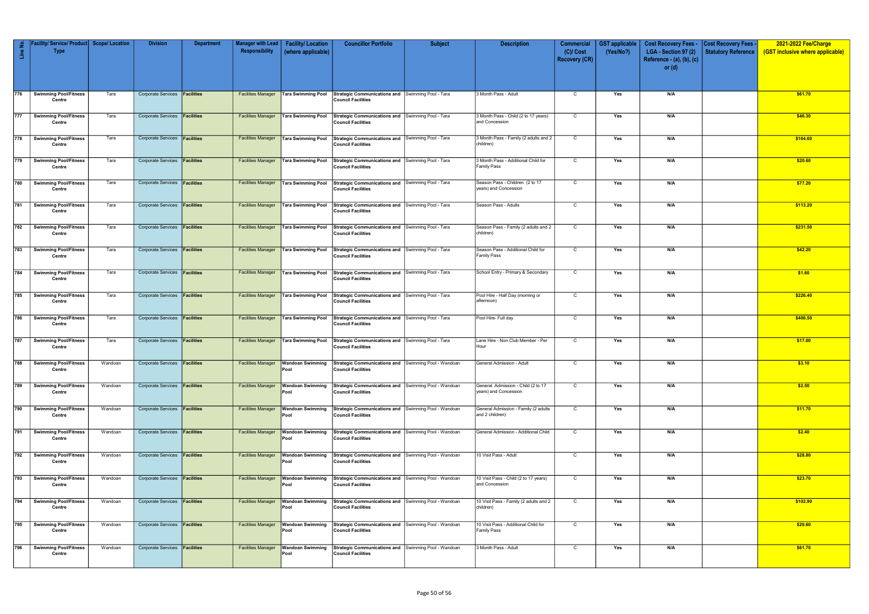| Line No. | Facility/ Service/ Product   Scope/ Location<br><b>Type</b> |         | <b>Division</b>                      | <b>Department</b> | <b>Manager with Lead</b><br>Responsibility | <b>Facility/Location</b><br>(where applicable) | <b>Councillor Portfolio</b>                                                                                          | <b>Subject</b> | <b>Description</b>                                          | <b>Commercial</b><br>$(C)/$ Cost | <b>GST</b> applicable<br>(Yes/No?) | <b>Cost Recovery Fees -</b><br>LGA - Section 97 (2) | <b>Cost Recovery Fees -</b><br><b>Statutory Reference</b> | 2021-2022 Fee/Charge<br>(GST inclusive where applicable) |
|----------|-------------------------------------------------------------|---------|--------------------------------------|-------------------|--------------------------------------------|------------------------------------------------|----------------------------------------------------------------------------------------------------------------------|----------------|-------------------------------------------------------------|----------------------------------|------------------------------------|-----------------------------------------------------|-----------------------------------------------------------|----------------------------------------------------------|
|          |                                                             |         |                                      |                   |                                            |                                                |                                                                                                                      |                |                                                             | <b>Recovery (CR)</b>             |                                    | Reference - $(a)$ , $(b)$ , $(c)$<br>or $(d)$       |                                                           |                                                          |
|          |                                                             |         |                                      |                   |                                            |                                                |                                                                                                                      |                |                                                             |                                  |                                    |                                                     |                                                           |                                                          |
| 776      | <b>Swimming Pool/Fitness</b><br>Centre                      | Tara    | Corporate Services <b>Facilities</b> |                   | <b>Facilities Manager</b>                  | Tara Swimming Pool                             | Strategic Communications and Swimming Pool - Tara<br><b>Council Facilities</b>                                       |                | 3 Month Pass - Adult                                        | $\mathsf{C}$                     | Yes                                | N/A                                                 |                                                           | \$61.70                                                  |
| 777      | Swimming Pool/Fitness<br>Centre                             | Tara    | Corporate Services <b>Facilities</b> |                   | <b>Facilities Manager</b>                  | <b>Tara Swimming Pool</b>                      | Strategic Communications and Swimming Pool - Tara<br><b>Council Facilities</b>                                       |                | 3 Month Pass - Child (2 to 17 years)<br>and Concession      | $\mathsf{C}$                     | Yes                                | N/A                                                 |                                                           | \$46.30                                                  |
| 778      | <b>Swimming Pool/Fitness</b><br>Centre                      | Tara    | Corporate Services <b>Facilities</b> |                   | <b>Facilities Manager</b>                  | <b>Tara Swimming Pool</b>                      | Strategic Communications and Swimming Pool - Tara<br><b>Council Facilities</b>                                       |                | 3 Month Pass - Family (2 adults and 2<br>children)          | C                                | Yes                                | N/A                                                 |                                                           | \$164.60                                                 |
| 779      | <b>Swimming Pool/Fitness</b><br>Centre                      | Tara    | <b>Corporate Services</b>            | <b>Facilities</b> | <b>Facilities Manager</b>                  | Tara Swimming Pool                             | Strategic Communications and Swimming Pool - Tara<br><b>Council Facilities</b>                                       |                | 3 Month Pass - Additional Child for<br><b>Family Pass</b>   | C                                | Yes                                | N/A                                                 |                                                           | \$20.60                                                  |
| 780      | <b>Swimming Pool/Fitness</b><br>Centre                      | Tara    | Corporate Services <b>Facilities</b> |                   | <b>Facilities Manager</b>                  | Tara Swimming Pool                             | Strategic Communications and Swimming Pool - Tara<br><b>Council Facilities</b>                                       |                | Season Pass - Children (2 to 17<br>years) and Concession    | C                                | Yes                                | N/A                                                 |                                                           | \$77.20                                                  |
| 781      | <b>Swimming Pool/Fitness</b><br>Centre                      | Tara    | <b>Corporate Services</b>            | <b>Facilities</b> | <b>Facilities Manager</b>                  | Tara Swimming Pool                             | Strategic Communications and Swimming Pool - Tara<br><b>Council Facilities</b>                                       |                | Season Pass - Adults                                        | C                                | Yes                                | N/A                                                 |                                                           | \$113.20                                                 |
| 782      | Swimming Pool/Fitness<br>Centre                             | Tara    | Corporate Services <b>Facilities</b> |                   | <b>Facilities Manager</b>                  | <b>Tara Swimming Pool</b>                      | Strategic Communications and Swimming Pool - Tara<br><b>Council Facilities</b>                                       |                | Season Pass - Family (2 adults and 2<br>children)           | $\mathsf{C}$                     | Yes                                | N/A                                                 |                                                           | \$231.50                                                 |
| 783      | <b>Swimming Pool/Fitness</b><br>Centre                      | Tara    | Corporate Services <b>Facilities</b> |                   | <b>Facilities Manager</b>                  | Tara Swimming Pool                             | Strategic Communications and Swimming Pool - Tara<br><b>Council Facilities</b>                                       |                | Season Pass - Additional Child for<br><b>Family Pass</b>    | C                                | Yes                                | N/A                                                 |                                                           | \$42.20                                                  |
| 784      | <b>Swimming Pool/Fitness</b><br>Centre                      | Tara    | Corporate Services <b>Facilities</b> |                   | <b>Facilities Manager</b>                  | <b>Tara Swimming Pool</b>                      | Strategic Communications and Swimming Pool - Tara<br><b>Council Facilities</b>                                       |                | School Entry - Primary & Secondary                          | $\mathsf{C}$                     | Yes                                | N/A                                                 |                                                           | \$1.60                                                   |
| 785      | <b>Swimming Pool/Fitness</b><br>Centre                      | Tara    | Corporate Services <b>Facilities</b> |                   | <b>Facilities Manager</b>                  | <b>Tara Swimming Pool</b>                      | Strategic Communications and Swimming Pool - Tara<br><b>Council Facilities</b>                                       |                | Pool Hire - Half Day (morning or<br>afternoon)              | C                                | Yes                                | N/A                                                 |                                                           | \$226.40                                                 |
| 786      | <b>Swimming Pool/Fitness</b><br>Centre                      | Tara    | Corporate Services <b>Facilities</b> |                   | <b>Facilities Manager</b>                  | <b>Tara Swimming Pool</b>                      | Strategic Communications and Swimming Pool - Tara<br><b>Council Facilities</b>                                       |                | Pool Hire- Full day                                         | C                                | Yes                                | N/A                                                 |                                                           | \$406.50                                                 |
| 787      | <b>Swimming Pool/Fitness</b><br>Centre                      | Tara    | Corporate Services <b>Facilities</b> |                   | <b>Facilities Manager</b>                  | <b>Tara Swimming Pool</b>                      | Strategic Communications and Swimming Pool - Tara<br><b>Council Facilities</b>                                       |                | Lane Hire - Non Club Member - Per<br>Hour                   | C                                | Yes                                | N/A                                                 |                                                           | \$17.00                                                  |
|          | 788 Swimming Pool/Fitness<br>Centre                         | Wandoan | Corporate Services <b>Facilities</b> |                   |                                            | Pool                                           | Facilities Manager   Wandoan Swimming   Strategic Communications and   Swimming Pool - Wandoan<br>Council Facilities |                | General Admission - Adult                                   | C                                | Yes                                | N/A                                                 |                                                           | \$3.10                                                   |
| 789      | <b>Swimming Pool/Fitness</b><br>Centre                      | Wandoan | Corporate Services <b>Facilities</b> |                   | <b>Facilities Manager</b>                  | <b>Wandoan Swimming</b><br>Pool                | Strategic Communications and Swimming Pool - Wandoan<br><b>Council Facilities</b>                                    |                | General Admission - Child (2 to 17<br>years) and Concession | $\mathsf{C}$                     | Yes                                | N/A                                                 |                                                           | \$2.50                                                   |
| 790      | <b>Swimming Pool/Fitness</b><br>Centre                      | Wandoan | Corporate Services <b>Facilities</b> |                   | <b>Facilities Manager</b>                  | <b>Wandoan Swimming</b><br>Pool                | Strategic Communications and Swimming Pool - Wandoan<br><b>Council Facilities</b>                                    |                | General Admission - Family (2 adults<br>and 2 children)     | $\overline{c}$                   | Yes                                | N/A                                                 |                                                           | \$11.70                                                  |
| 791      | <b>Swimming Pool/Fitness</b><br>Centre                      | Wandoan | Corporate Services <b>Facilities</b> |                   | <b>Facilities Manager</b>                  | Wandoan Swimming<br>Pool                       | Strategic Communications and Swimming Pool - Wandoan<br><b>Council Facilities</b>                                    |                | General Admission - Additional Child                        | $\mathsf{C}$                     | Yes                                | N/A                                                 |                                                           | \$2.40                                                   |
| 792      | <b>Swimming Pool/Fitness</b><br>Centre                      | Wandoan | Corporate Services <b>Facilities</b> |                   | <b>Facilities Manager</b>                  | Wandoan Swimming<br>Pool                       | Strategic Communications and Swimming Pool - Wandoan<br><b>Council Facilities</b>                                    |                | 10 Visit Pass - Adult                                       | C                                | Yes                                | N/A                                                 |                                                           | \$28.80                                                  |
| 793      | Swimming Pool/Fitness<br>Centre                             | Wandoan | Corporate Services <b>Facilities</b> |                   | <b>Facilities Manager</b>                  | <b>Wandoan Swimming</b><br>Pool                | Strategic Communications and Swimming Pool - Wandoan<br><b>Council Facilities</b>                                    |                | 10 Visit Pass - Child (2 to 17 years)<br>and Concession     | $\mathsf{C}$                     | Yes                                | N/A                                                 |                                                           | \$23.70                                                  |
| 794      | <b>Swimming Pool/Fitness</b>                                | Wandoan | Corporate Services <b>Facilities</b> |                   | <b>Facilities Manager</b>                  | <b>Wandoan Swimming</b>                        | Strategic Communications and Swimming Pool - Wandoan                                                                 |                | 10 Visit Pass - Family (2 adults and 2                      | $\mathsf{C}$                     | Yes                                | N/A                                                 |                                                           | \$102.90                                                 |
| 795      | Centre<br><b>Swimming Pool/Fitness</b>                      | Wandoan | Corporate Services <b>Facilities</b> |                   | <b>Facilities Manager</b>                  | Pool<br><b>Wandoan Swimming</b>                | <b>Council Facilities</b><br>Strategic Communications and Swimming Pool - Wandoan                                    |                | children)<br>10 Visit Pass - Additional Child for           | $\mathsf{C}$                     | Yes                                | N/A                                                 |                                                           | \$20.60                                                  |
|          | Centre                                                      |         |                                      |                   |                                            | Pool                                           | <b>Council Facilities</b>                                                                                            |                | <b>Family Pass</b>                                          |                                  |                                    |                                                     |                                                           |                                                          |
| 796      | <b>Swimming Pool/Fitness</b><br>Centre                      | Wandoan | Corporate Services <b>Facilities</b> |                   | <b>Facilities Manager</b>                  | <b>Wandoan Swimming</b><br>Pool                | Strategic Communications and Swimming Pool - Wandoan<br><b>Council Facilities</b>                                    |                | 3 Month Pass - Adult                                        | $\mathsf{C}$                     | Yes                                | N/A                                                 |                                                           | \$61.70                                                  |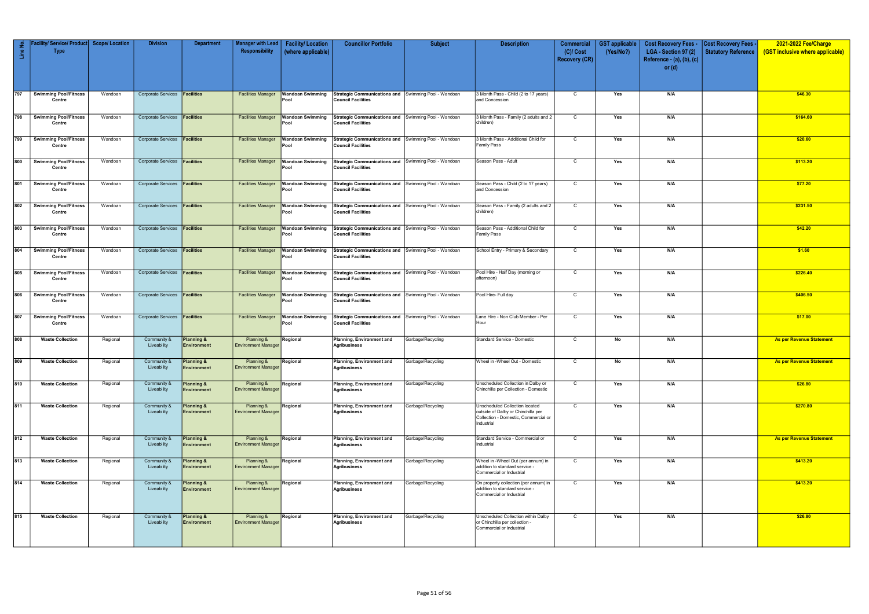| Line No. | Facility/ Service/ Product   Scope/ Location<br><b>Type</b> |          | <b>Division</b>                      | <b>Department</b>                    | Manager with Lead<br>Responsibility      | <b>Facility/Location</b><br>(where applicable) | <b>Councillor Portfolio</b>                                                       | <b>Subject</b>    | <b>Description</b>                                                                                                         | <b>Commercial</b><br>$(C)/$ Cost<br><b>Recovery (CR)</b> | <b>GST</b> applicable<br>(Yes/No?) | <b>Cost Recovery Fees -</b><br>LGA - Section 97 (2)<br>Reference - $(a)$ , $(b)$ , $(c)$<br>or $(d)$ | <b>Cost Recovery Fees -</b><br><b>Statutory Reference</b> | 2021-2022 Fee/Charge<br>(GST inclusive where applicable) |
|----------|-------------------------------------------------------------|----------|--------------------------------------|--------------------------------------|------------------------------------------|------------------------------------------------|-----------------------------------------------------------------------------------|-------------------|----------------------------------------------------------------------------------------------------------------------------|----------------------------------------------------------|------------------------------------|------------------------------------------------------------------------------------------------------|-----------------------------------------------------------|----------------------------------------------------------|
| 797      | <b>Swimming Pool/Fitness</b>                                | Wandoan  | Corporate Services <b>Facilities</b> |                                      | <b>Facilities Manager</b>                | <b>Wandoan Swimming</b>                        | Strategic Communications and Swimming Pool - Wandoan                              |                   | 3 Month Pass - Child (2 to 17 years)                                                                                       | $\mathsf{C}$                                             | Yes                                | N/A                                                                                                  |                                                           | \$46.30                                                  |
|          | Centre                                                      |          |                                      |                                      |                                          | Pool                                           | <b>Council Facilities</b>                                                         |                   | and Concession                                                                                                             |                                                          |                                    |                                                                                                      |                                                           |                                                          |
| 798      | <b>Swimming Pool/Fitness</b><br>Centre                      | Wandoan  | Corporate Services <b>Facilities</b> |                                      | <b>Facilities Manager</b>                | <b>Wandoan Swimming</b><br>Pool                | Strategic Communications and Swimming Pool - Wandoan<br><b>Council Facilities</b> |                   | 3 Month Pass - Family (2 adults and 2<br>children)                                                                         | $\mathsf{C}$                                             | Yes                                | N/A                                                                                                  |                                                           | \$164.60                                                 |
| 799      | <b>Swimming Pool/Fitness</b><br>Centre                      | Wandoan  | Corporate Services <b>Facilities</b> |                                      | <b>Facilities Manager</b>                | Wandoan Swimming<br>Pool                       | Strategic Communications and Swimming Pool - Wandoan<br><b>Council Facilities</b> |                   | 3 Month Pass - Additional Child for<br><b>Family Pass</b>                                                                  | $\mathsf{C}$                                             | Yes                                | N/A                                                                                                  |                                                           | \$20.60                                                  |
| 800      | <b>Swimming Pool/Fitness</b><br>Centre                      | Wandoan  | <b>Corporate Services</b>            | Facilities                           | <b>Facilities Manager</b>                | <b>Wandoan Swimming</b><br>Pool                | Strategic Communications and Swimming Pool - Wandoan<br><b>Council Facilities</b> |                   | Season Pass - Adult                                                                                                        | $\mathsf{C}$                                             | Yes                                | N/A                                                                                                  |                                                           | \$113.20                                                 |
| 801      | <b>Swimming Pool/Fitness</b><br>Centre                      | Wandoan  | Corporate Services <b>Facilities</b> |                                      | <b>Facilities Manager</b>                | <b>Wandoan Swimming</b><br>Pool                | Strategic Communications and Swimming Pool - Wandoan<br><b>Council Facilities</b> |                   | Season Pass - Child (2 to 17 years)<br>and Concession                                                                      | $\mathsf{C}$                                             | Yes                                | N/A                                                                                                  |                                                           | \$77.20                                                  |
| 802      | <b>Swimming Pool/Fitness</b><br>Centre                      | Wandoan  | Corporate Services <b>Facilities</b> |                                      | <b>Facilities Manager</b>                | Wandoan Swimming<br>Pool                       | Strategic Communications and Swimming Pool - Wandoan<br><b>Council Facilities</b> |                   | Season Pass - Family (2 adults and 2<br>children)                                                                          | C                                                        | Yes                                | N/A                                                                                                  |                                                           | \$231.50                                                 |
| 803      | <b>Swimming Pool/Fitness</b><br>Centre                      | Wandoan  | Corporate Services <b>Facilities</b> |                                      | <b>Facilities Manager</b>                | <b>Wandoan Swimming</b><br>Pool                | Strategic Communications and Swimming Pool - Wandoan<br><b>Council Facilities</b> |                   | Season Pass - Additional Child for<br><b>Family Pass</b>                                                                   | $\mathsf C$                                              | Yes                                | N/A                                                                                                  |                                                           | \$42.20                                                  |
| 804      | <b>Swimming Pool/Fitness</b><br>Centre                      | Wandoan  | Corporate Services <b>Facilities</b> |                                      | <b>Facilities Manager</b>                | Nandoan Swimming<br>Pool                       | Strategic Communications and Swimming Pool - Wandoan<br><b>Council Facilities</b> |                   | School Entry - Primary & Secondary                                                                                         | $\mathsf{C}$                                             | Yes                                | N/A                                                                                                  |                                                           | \$1.60                                                   |
| 805      | <b>Swimming Pool/Fitness</b><br>Centre                      | Wandoan  | Corporate Services <b>Facilities</b> |                                      | <b>Facilities Manager</b>                | Wandoan Swimming<br>Pool                       | Strategic Communications and Swimming Pool - Wandoan<br><b>Council Facilities</b> |                   | Pool Hire - Half Day (morning or<br>afternoon)                                                                             | $\mathsf{C}$                                             | Yes                                | N/A                                                                                                  |                                                           | \$226.40                                                 |
| 806      | <b>Swimming Pool/Fitness</b><br>Centre                      | Wandoan  | Corporate Services <b>Facilities</b> |                                      | <b>Facilities Manager</b>                | Wandoan Swimming<br>Pool                       | Strategic Communications and Swimming Pool - Wandoan<br><b>Council Facilities</b> |                   | Pool Hire- Full day                                                                                                        | $\mathsf{C}$                                             | Yes                                | N/A                                                                                                  |                                                           | \$406.50                                                 |
| 807      | <b>Swimming Pool/Fitness</b><br>Centre                      | Wandoan  | Corporate Services <b>Facilities</b> |                                      | <b>Facilities Manager</b>                | <b>Wandoan Swimming</b><br>Pool                | Strategic Communications and Swimming Pool - Wandoan<br><b>Council Facilities</b> |                   | Lane Hire - Non Club Member - Per<br>Hour                                                                                  | C                                                        | Yes                                | N/A                                                                                                  |                                                           | \$17.00                                                  |
| 808      | <b>Waste Collection</b>                                     | Regional | Community &<br>Liveability           | <b>Planning &amp;</b><br>Environment | Planning &<br><b>Environment Manager</b> | Regional                                       | <b>Planning, Environment and</b><br><b>Agribusiness</b>                           | Garbage/Recycling | Standard Service - Domestic                                                                                                | C                                                        | No                                 | N/A                                                                                                  |                                                           | <b>As per Revenue Statement</b>                          |
| 809      | <b>Waste Collection</b>                                     | Regional | Community &<br>Liveability           | Planning &<br>Environment            | Planning &<br><b>Environment Manager</b> | Regional                                       | Planning, Environment and<br><b>Agribusiness</b>                                  | Garbage/Recycling | Wheel in -Wheel Out - Domestic                                                                                             | $\mathsf{C}$                                             | No                                 | N/A                                                                                                  |                                                           | <b>As per Revenue Statement</b>                          |
| 810      | <b>Waste Collection</b>                                     | Regional | Community &<br>Liveability           | <b>Planning &amp;</b><br>Environment | Planning &<br><b>Environment Manager</b> | Regional                                       | Planning, Environment and<br><b>Agribusiness</b>                                  | Garbage/Recycling | Unscheduled Collection in Dalby or<br>Chinchilla per Collection - Domestic                                                 | $\mathsf{C}$                                             | Yes                                | N/A                                                                                                  |                                                           | \$26.80                                                  |
| 811      | <b>Waste Collection</b>                                     | Regional | Community &<br>Liveability           | <b>Planning &amp;</b><br>Environment | Planning &<br><b>Environment Manager</b> | Regional                                       | Planning, Environment and<br><b>Agribusiness</b>                                  | Garbage/Recycling | Unscheduled Collection located<br>outside of Dalby or Chinchilla per<br>Collection - Domestic, Commercial or<br>Industrial | $\mathsf{C}$                                             | Yes                                | N/A                                                                                                  |                                                           | \$270.80                                                 |
| 812      | <b>Waste Collection</b>                                     | Regional | Community &<br>Liveability           | Planning &<br>Environment            | Planning &<br><b>Environment Manager</b> | Regional                                       | Planning, Environment and<br><b>Agribusiness</b>                                  | Garbage/Recycling | Standard Service - Commercial or<br>Industrial                                                                             | $\mathsf{C}$                                             | Yes                                | N/A                                                                                                  |                                                           | <b>As per Revenue Statement</b>                          |
| 813      | <b>Waste Collection</b>                                     | Regional | Community &<br>Liveability           | <b>Planning &amp;</b><br>Environment | Planning &<br><b>Environment Manager</b> | Regional                                       | Planning, Environment and<br>Agribusiness                                         | Garbage/Recycling | Wheel in -Wheel Out (per annum) in<br>addition to standard service -<br>Commercial or Industrial                           | $\mathsf{C}$                                             | Yes                                | N/A                                                                                                  |                                                           | \$413.20                                                 |
| 814      | <b>Waste Collection</b>                                     | Regional | Community &<br>Liveability           | <b>Planning &amp;</b><br>Environment | Planning &<br><b>Environment Manager</b> | Regional                                       | Planning, Environment and<br><b>Agribusiness</b>                                  | Garbage/Recycling | On property collection (per annum) in<br>addition to standard service -<br>Commercial or Industrial                        | $\mathsf{C}$                                             | $\overline{\mathsf{Yes}}$          | N/A                                                                                                  |                                                           | \$413.20                                                 |
| 815      | <b>Waste Collection</b>                                     | Regional | Community &<br>Liveability           | <b>Planning &amp;</b><br>Environment | Planning &<br><b>Environment Manager</b> | Regional                                       | Planning, Environment and<br><b>Agribusiness</b>                                  | Garbage/Recycling | Jnscheduled Collection within Dalby<br>or Chinchilla per collection -<br>Commercial or Industrial                          | C                                                        | Yes                                | N/A                                                                                                  |                                                           | \$26.80                                                  |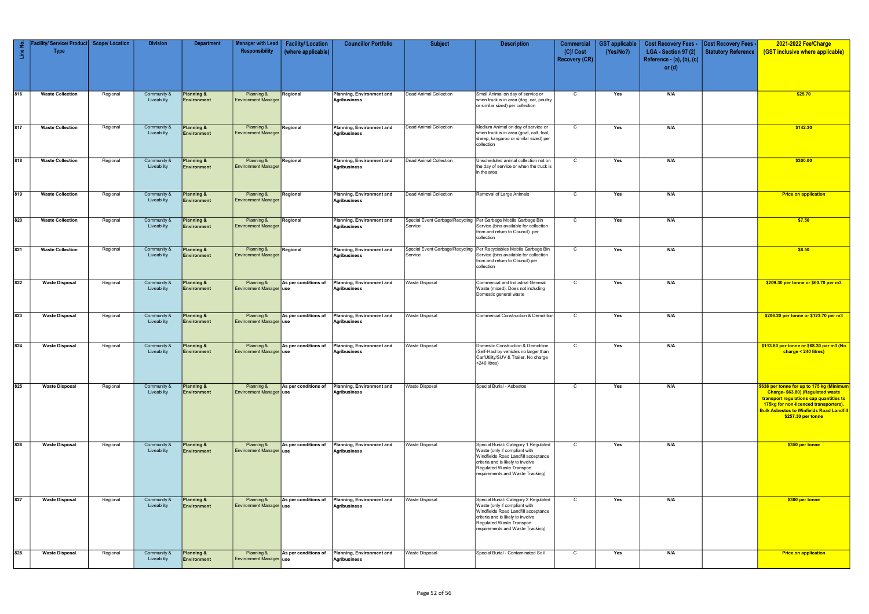| $\mathbf{H}$ | Service/Product<br><b>Type</b> | <b>Scope/Location</b> | <b>Division</b>            | <b>Department</b>                           | Manager with Lead<br>Responsibility              | <b>Facility/Location</b><br>(where applicable) | <b>Councillor Portfolio</b>               | <b>Subject</b>                             | <b>Description</b>                                                                                                                                                                                                 | <b>Commercial</b><br>$(C)/$ Cost | <b>GST</b> applicable<br>(Yes/No?) | <b>Cost Recovery Fees -</b><br>LGA - Section 97 (2) | <b>Cost Recovery Fees</b><br><b>Statutory Reference</b> | 2021-2022 Fee/Charge<br>(GST inclusive where applicable)                                                                                                                                                                                    |
|--------------|--------------------------------|-----------------------|----------------------------|---------------------------------------------|--------------------------------------------------|------------------------------------------------|-------------------------------------------|--------------------------------------------|--------------------------------------------------------------------------------------------------------------------------------------------------------------------------------------------------------------------|----------------------------------|------------------------------------|-----------------------------------------------------|---------------------------------------------------------|---------------------------------------------------------------------------------------------------------------------------------------------------------------------------------------------------------------------------------------------|
|              |                                |                       |                            |                                             |                                                  |                                                |                                           |                                            |                                                                                                                                                                                                                    | <b>Recovery (CR)</b>             |                                    | Reference - (a), (b), (c)<br>or $(d)$               |                                                         |                                                                                                                                                                                                                                             |
| 816          | <b>Waste Collection</b>        | Regional              | Community &<br>Liveability | Planning &<br>Environment                   | Planning &<br><b>Environment Manager</b>         | Regional                                       | Planning, Environment and<br>Agribusiness | Dead Animal Collection                     | Small Animal on day of service or<br>when truck is in area (dog, cat, poultry<br>or similar sized) per collection                                                                                                  | $\mathsf{C}$                     | Yes                                | N/A                                                 |                                                         | \$25.70                                                                                                                                                                                                                                     |
| 817          | <b>Waste Collection</b>        | Regional              | Community &<br>Liveability | Planning &<br>Environment                   | Planning &<br><b>Environment Manager</b>         | Regional                                       | Planning, Environment and<br>Agribusiness | Dead Animal Collection                     | Medium Animal on day of service or<br>when truck is in area (goat, calf, foal,<br>sheep, kangaroo or similar sized) per<br>collection                                                                              | $\mathsf{C}$                     | Yes                                | N/A                                                 |                                                         | \$142.30                                                                                                                                                                                                                                    |
| 818          | <b>Waste Collection</b>        | Regional              | Community &<br>Liveability | Planning &<br>Environment                   | Planning &<br><b>Environment Manager</b>         | Regional                                       | Planning, Environment and<br>Agribusiness | Dead Animal Collection                     | Unscheduled animal collection not on<br>the day of service or when the truck is<br>in the area.                                                                                                                    | $\mathsf{C}$                     | Yes                                | N/A                                                 |                                                         | \$300.00                                                                                                                                                                                                                                    |
| 819          | <b>Waste Collection</b>        | Regional              | Community &<br>Liveability | <b>Planning &amp;</b><br>Environment        | Planning &<br><b>Environment Manager</b>         | Regional                                       | Planning, Environment and<br>Agribusiness | Dead Animal Collection                     | Removal of Large Animals                                                                                                                                                                                           | C                                | Yes                                | N/A                                                 |                                                         | <b>Price on application</b>                                                                                                                                                                                                                 |
| 820          | <b>Waste Collection</b>        | Regional              | Community &<br>Liveability | Planning &<br>Environment                   | Planning &<br><b>Environment Manager</b>         | Regional                                       | Planning, Environment and<br>Agribusiness | Service                                    | Special Event Garbage/Recycling Per Garbage Mobile Garbage Bin<br>Service (bins available for collection<br>from and return to Council) per<br>collection                                                          | $\mathsf{C}$                     | Yes                                | N/A                                                 |                                                         | \$7.50                                                                                                                                                                                                                                      |
| 821          | <b>Waste Collection</b>        | Regional              | Community &<br>Liveability | Planning &<br><b>Environment</b>            | Planning &<br><b>Environment Manager</b>         | Regional                                       | Planning, Environment and<br>Agribusiness | Special Event Garbage/Recycling<br>Service | Per Recyclables Mobile Garbage Bin<br>Service (bins available for collection<br>from and return to Council) per<br>collection                                                                                      | $\mathsf{C}$                     | Yes                                | N/A                                                 |                                                         | \$8.50                                                                                                                                                                                                                                      |
| 822          | <b>Waste Disposal</b>          | Regional              | Community &<br>Liveability | Planning &<br>Environment                   | Planning &<br><b>Environment Manager use</b>     | As per conditions of                           | Planning, Environment and<br>Agribusiness | Waste Disposal                             | Commercial and Industrial General<br>Waste (mixed). Does not including<br>Domestic general waste                                                                                                                   | C                                | Yes                                | N/A                                                 |                                                         | \$209.30 per tonne or \$60.70 per m3                                                                                                                                                                                                        |
| 823          | <b>Waste Disposal</b>          | Regional              | Community &<br>Liveability | <b>Planning &amp;</b><br>Environment        | Planning &<br>Environment Manager use            | As per conditions of                           | Planning, Environment and<br>Agribusiness | <b>Waste Disposal</b>                      | Commercial Construction & Demolition                                                                                                                                                                               | $\mathsf{C}$                     | Yes                                | N/A                                                 |                                                         | \$206.20 per tonne or \$123.70 per m3                                                                                                                                                                                                       |
| 824          | <b>Waste Disposal</b>          | Regional              | Community &<br>Liveability | <b>Planning &amp;</b><br>Environment        | Planning &<br><b>Environment Manager use</b>     | As per conditions of                           | Planning, Environment and<br>Agribusiness | Waste Disposal                             | Domestic Construction & Demolition<br>(Self-Haul by vehicles no larger than<br>Car/Utility/SUV & Trailer. No charge<br>$<$ 240 litres)                                                                             | $\mathsf{C}$                     | Yes                                | N/A                                                 |                                                         | \$113.80 per tonne or \$68.30 per m3 (No<br>charge < 240 litres)                                                                                                                                                                            |
| 825          | <b>Waste Disposal</b>          | Regional              | Community &<br>Liveability | Planning &<br><b>Environment</b>            | <b>Planning &amp;</b><br>Environment Manager use | As per conditions of                           | Planning, Environment and<br>Agribusiness | <b>Waste Disposal</b>                      | Special Burial - Asbestos                                                                                                                                                                                          | $\mathsf{C}$                     | Yes                                | N/A                                                 |                                                         | \$638 per tonne for up to 175 kg (Minimum<br>Charge- \$63.80) (Regulated waste<br>transport regulations cap quantities to<br>175kg for non-licenced transporters).<br><b>Bulk Asbestos to Winfields Road Landfill</b><br>\$257.30 per tonne |
| 826          | <b>Waste Disposal</b>          | Regional              | Community &<br>Liveability | Planning &<br><b>Environment</b>            | Planning &<br><b>Environment Manager use</b>     | As per conditions of                           | Planning, Environment and<br>Agribusiness | Waste Disposal                             | Special Burial- Category 1 Regulated<br>Waste (only if compliant with<br>Windfields Road Landfill acceptance<br>criteria and is likely to involve<br>Regulated Waste Transport<br>requirements and Waste Tracking) | $\mathsf{C}$                     | Yes                                | N/A                                                 |                                                         | \$350 per tonne                                                                                                                                                                                                                             |
| 827          | <b>Waste Disposal</b>          | Regional              | Community &<br>Liveability | <b>Planning &amp;</b><br><b>Environment</b> | Planning &<br>Environment Manager use            | As per conditions of                           | Planning, Environment and<br>Agribusiness | <b>Waste Disposal</b>                      | Special Burial- Category 2 Regulated<br>Waste (only if compliant with<br>Windfields Road Landfill acceptance<br>criteria and is likely to involve<br>Regulated Waste Transport<br>requirements and Waste Tracking) | $\mathsf{C}$                     | Yes                                | N/A                                                 |                                                         | \$300 per tonne                                                                                                                                                                                                                             |
| 828          | <b>Waste Disposal</b>          | Regional              | Community &<br>Liveability | <b>Planning &amp;</b><br><b>Environment</b> | Planning &<br>Environment Manager use            | As per conditions of                           | Planning, Environment and<br>Agribusiness | <b>Waste Disposal</b>                      | Special Burial - Contaminated Soil                                                                                                                                                                                 | $\mathsf{C}$                     | Yes                                | N/A                                                 |                                                         | <b>Price on application</b>                                                                                                                                                                                                                 |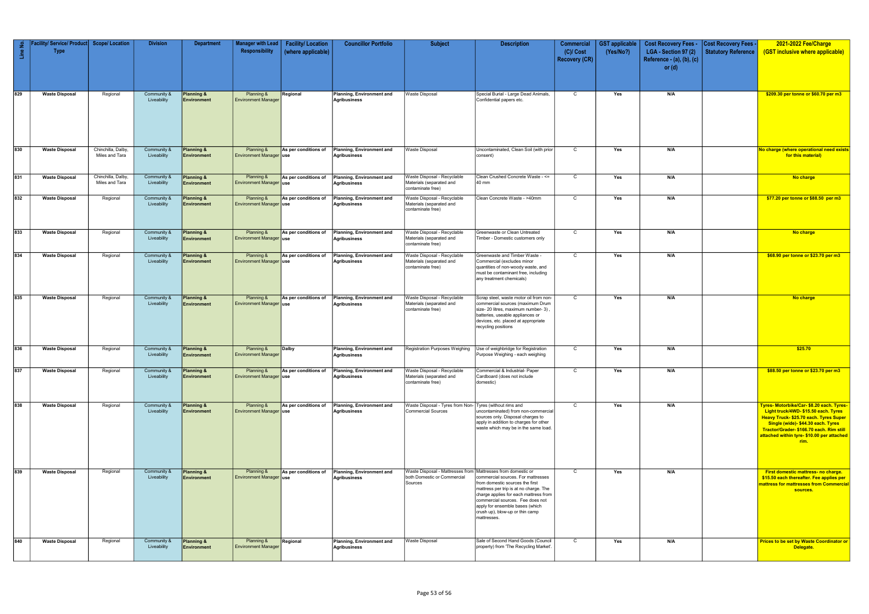| $\frac{e}{2}$ | / Service/ Product<br><b>Type</b> | <b>Scope/ Location</b>               | <b>Division</b>            | <b>Department</b>                           | <b>Manager with Lead</b><br>Responsibility   | <b>Facility/Location</b><br>(where applicable) | <b>Councillor Portfolio</b>                      | <b>Subject</b>                                                                                         | <b>Description</b>                                                                                                                                                                                                                                                                | <b>Commercial</b><br>$(C)/$ Cost<br><b>Recovery (CR)</b> | <b>GST</b> applicable<br>(Yes/No?) | <b>Cost Recovery Fees -</b><br>LGA - Section 97 (2)<br>Reference - (a), (b), (c)<br>or $(d)$ | <b>Cost Recovery Fees -</b><br>Statutory Reference | 2021-2022 Fee/Charge<br>(GST inclusive where applicable)                                                                                                                                                                                                           |
|---------------|-----------------------------------|--------------------------------------|----------------------------|---------------------------------------------|----------------------------------------------|------------------------------------------------|--------------------------------------------------|--------------------------------------------------------------------------------------------------------|-----------------------------------------------------------------------------------------------------------------------------------------------------------------------------------------------------------------------------------------------------------------------------------|----------------------------------------------------------|------------------------------------|----------------------------------------------------------------------------------------------|----------------------------------------------------|--------------------------------------------------------------------------------------------------------------------------------------------------------------------------------------------------------------------------------------------------------------------|
| 829           | <b>Waste Disposal</b>             | Regional                             | Community &<br>Liveability | <b>Planning &amp;</b><br>Environment        | Planning &<br><b>Environment Manager</b>     | Regional                                       | Planning, Environment and<br>Agribusiness        | <b>Waste Disposal</b>                                                                                  | Special Burial - Large Dead Animals,<br>Confidential papers etc.                                                                                                                                                                                                                  | $\mathsf{C}$                                             | Yes                                | N/A                                                                                          |                                                    | \$209.30 per tonne or \$60.70 per m3                                                                                                                                                                                                                               |
| 830           | <b>Waste Disposal</b>             | Chinchilla, Dalby,<br>Miles and Tara | Community &<br>Liveability | Planning &<br>Environment                   | Planning &<br>Environment Manager use        | As per conditions of                           | Planning, Environment and<br><b>Agribusiness</b> | <b>Waste Disposal</b>                                                                                  | Uncontaminated, Clean Soil (with prior<br>consent)                                                                                                                                                                                                                                | $\mathsf{C}$                                             | Yes                                | N/A                                                                                          |                                                    | No charge (where operational need exists<br>for this material)                                                                                                                                                                                                     |
| 831           | <b>Waste Disposal</b>             | Chinchilla, Dalby,<br>Miles and Tara | Community &<br>Liveability | <b>Planning &amp;</b><br>Environment        | Planning &<br><b>Environment Manager use</b> | As per conditions of                           | Planning, Environment and<br><b>Agribusiness</b> | Waste Disposal - Recyclable<br>Materials (separated and<br>contaminate free)                           | Clean Crushed Concrete Waste - <=<br>40 mm                                                                                                                                                                                                                                        | $\mathsf{C}$                                             | Yes                                | N/A                                                                                          |                                                    | No charge                                                                                                                                                                                                                                                          |
| 832           | <b>Waste Disposal</b>             | Regional                             | Community &<br>Liveability | Planning &<br><b>Environment</b>            | Planning &<br>Environment Manager use        | As per conditions of                           | Planning, Environment and<br><b>Agribusiness</b> | Waste Disposal - Recyclable<br>Materials (separated and<br>contaminate free)                           | Clean Concrete Waste - >40mm                                                                                                                                                                                                                                                      | $\mathbf C$                                              | Yes                                | N/A                                                                                          |                                                    | \$77.20 per tonne or \$88.50 per m3                                                                                                                                                                                                                                |
| 833           | <b>Waste Disposal</b>             | Regional                             | Community &<br>Liveability | <b>Planning &amp;</b><br><b>Environment</b> | Planning &<br><b>Environment Manager use</b> | As per conditions of                           | Planning, Environment and<br><b>Agribusiness</b> | Waste Disposal - Recyclable<br>Materials (separated and<br>contaminate free)                           | Greenwaste or Clean Untreated<br>Timber - Domestic customers only                                                                                                                                                                                                                 | C                                                        | Yes                                | N/A                                                                                          |                                                    | No charge                                                                                                                                                                                                                                                          |
| 834           | <b>Waste Disposal</b>             | Regional                             | Community &<br>Liveability | <b>Planning &amp;</b><br>Environment        | Planning &<br>Environment Manager use        | As per conditions of                           | Planning, Environment and<br><b>Agribusiness</b> | Waste Disposal - Recyclable<br>Materials (separated and<br>contaminate free)                           | Greenwaste and Timber Waste -<br>Commercial (excludes minor<br>quantities of non-woody waste, and<br>must be contaminant free, including<br>any treatment chemicals)                                                                                                              | $\mathsf{C}$                                             | Yes                                | N/A                                                                                          |                                                    | \$68.90 per tonne or \$23.70 per m3                                                                                                                                                                                                                                |
| 835           | <b>Waste Disposal</b>             | Regional                             | Community &<br>Liveability | <b>Planning &amp;</b><br><b>Environment</b> | Planning &<br>Environment Manager use        | As per conditions of                           | Planning, Environment and<br><b>Agribusiness</b> | Waste Disposal - Recyclable<br>Materials (separated and<br>contaminate free)                           | Scrap steel, waste motor oil from non-<br>commercial sources (maximum Drum<br>size- 20 litres, maximum number- 3)<br>batteries, useable appliances or<br>devices, etc. placed at appropriate<br>recycling positions                                                               | C                                                        | Yes                                | N/A                                                                                          |                                                    | No charge                                                                                                                                                                                                                                                          |
| 836           | <b>Waste Disposal</b>             | Regional                             | Community &<br>Liveability | Planning &<br><b>Environment</b>            | Planning &<br><b>Environment Manager</b>     | Dalby                                          | Planning, Environment and<br><b>Agribusiness</b> | Registration Purposes Weighing                                                                         | Use of weighbridge for Registration<br>Purpose Weighing - each weighing                                                                                                                                                                                                           | C                                                        | Yes                                | N/A                                                                                          |                                                    | \$25.70                                                                                                                                                                                                                                                            |
| 837           | <b>Waste Disposal</b>             | Regional                             | Community &<br>Liveability | Planning &<br><b>Environment</b>            | Planning &<br><b>Environment Manager use</b> | As per conditions of                           | Planning, Environment and<br><b>Agribusiness</b> | Waste Disposal - Recyclable<br>Materials (separated and<br>contaminate free)                           | Commercial & Industrial- Paper<br>Cardboard (does not include<br>domestic)                                                                                                                                                                                                        | C                                                        | Yes                                | N/A                                                                                          |                                                    | \$88.50 per tonne or \$23.70 per m3                                                                                                                                                                                                                                |
| 838           | <b>Waste Disposal</b>             | Regional                             | Community &<br>Liveability | Planning &<br>Environment                   | Planning &<br><b>Environment Manager use</b> | As per conditions of                           | Planning, Environment and<br><b>Agribusiness</b> | Waste Disposal - Tyres from Non- Tyres (without rims and<br><b>Commercial Sources</b>                  | uncontaminated) from non-commercial<br>sources only. Disposal charges to<br>apply in addition to charges for other<br>waste which may be in the same load.                                                                                                                        | $\mathsf{C}$                                             | Yes                                | N/A                                                                                          |                                                    | Tyres- Motorbike/Car- \$8.20 each. Tyres-<br>Light truck/4WD-\$15.50 each. Tyres<br>Heavy Truck- \$25.70 each. Tyres Super<br>Single (wide)- \$44.30 each. Tyres<br>Tractor/Grader- \$166.70 each. Rim still<br>attached within tyre- \$10.00 per attached<br>rim. |
| 839           | <b>Waste Disposal</b>             | Regional                             | Community &<br>Liveability | <b>Planning &amp;</b><br>Environment        | Planning &<br>Environment Manager use        | As per conditions of                           | Planning, Environment and<br><b>Agribusiness</b> | Waste Disposal - Mattresses from Mattresses from domestic or<br>both Domestic or Commercial<br>Sources | commercial sources. For mattresses<br>from domestic sources the first<br>mattress per trip is at no charge. The<br>charge applies for each mattress from<br>commercial sources. Fee does not<br>apply for ensemble bases (which<br>crush up), blow-up or thin camp<br>mattresses. | C                                                        | Yes                                | N/A                                                                                          |                                                    | First domestic mattress- no charge.<br>\$15.50 each thereafter. Fee applies per<br>mattress for mattresses from Commercial<br>sources.                                                                                                                             |
| 840           | <b>Waste Disposal</b>             | Regional                             | Community &<br>Liveability | Planning &<br><b>Environment</b>            | Planning &<br><b>Environment Manager</b>     | Regional                                       | Planning, Environment and<br><b>Agribusiness</b> | Waste Disposal                                                                                         | Sale of Second Hand Goods (Council<br>property) from 'The Recycling Market'.                                                                                                                                                                                                      | $\mathsf{C}$                                             | Yes                                | N/A                                                                                          |                                                    | <b>Prices to be set by Waste Coordinator or</b><br>Delegate.                                                                                                                                                                                                       |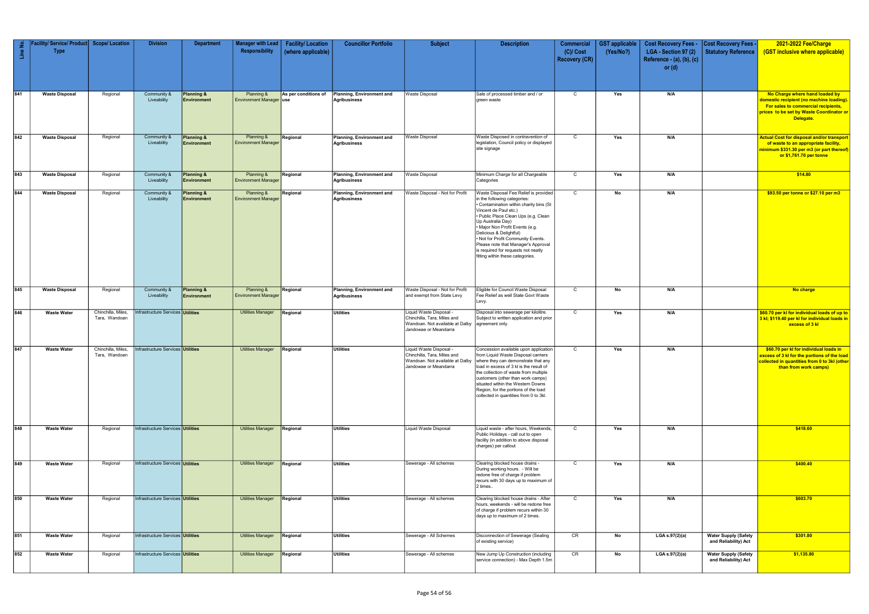| $\frac{1}{2}$<br>$\frac{6}{2}$ | Facility/ Service/ Product   Scope/ Location<br><b>Type</b> |                                     | <b>Division</b>                          | <b>Department</b>                    | <b>Manager with Lead</b><br>Responsibility   | <b>Facility/Location</b><br>(where applicable) | <b>Councillor Portfolio</b>                      | <b>Subject</b>                                                                                                     | <b>Description</b>                                                                                                                                                                                                                                                                                                                                                                                                           | <b>Commercial</b><br>$(C)/$ Cost<br><b>Recovery (CR)</b> | <b>GST</b> applicable<br>(Yes/No?) | <b>Cost Recovery Fees -</b><br>LGA - Section 97 (2)<br>Reference - (a), (b), (c)<br>or $(d)$ | <b>Cost Recovery Fees -</b><br>Statutory Reference  | 2021-2022 Fee/Charge<br>(GST inclusive where applicable)                                                                                                                          |
|--------------------------------|-------------------------------------------------------------|-------------------------------------|------------------------------------------|--------------------------------------|----------------------------------------------|------------------------------------------------|--------------------------------------------------|--------------------------------------------------------------------------------------------------------------------|------------------------------------------------------------------------------------------------------------------------------------------------------------------------------------------------------------------------------------------------------------------------------------------------------------------------------------------------------------------------------------------------------------------------------|----------------------------------------------------------|------------------------------------|----------------------------------------------------------------------------------------------|-----------------------------------------------------|-----------------------------------------------------------------------------------------------------------------------------------------------------------------------------------|
| 841                            | <b>Waste Disposal</b>                                       | Regional                            | Community &<br>Liveability               | Planning &<br>Environment            | Planning &<br><b>Environment Manager use</b> | As per conditions of                           | Planning, Environment and<br><b>Agribusiness</b> | <b>Waste Disposal</b>                                                                                              | Sale of processed timber and / or<br>green waste                                                                                                                                                                                                                                                                                                                                                                             | $\mathsf{C}$                                             | Yes                                | N/A                                                                                          |                                                     | No Charge where hand loaded by<br>domestic recipient (no machine loading).<br><b>For sales to commercial recipients,</b><br>prices to be set by Waste Coordinator or<br>Delegate. |
| 842                            | <b>Waste Disposal</b>                                       | Regional                            | Community &<br>Liveability               | <b>Planning &amp;</b><br>Environment | Planning &<br><b>Environment Manager</b>     | Regional                                       | Planning, Environment and<br><b>Agribusiness</b> | <b>Waste Disposal</b>                                                                                              | Waste Disposed in contravention of<br>legislation, Council policy or displayed<br>site signage                                                                                                                                                                                                                                                                                                                               | $\mathsf{C}$                                             | Yes                                | N/A                                                                                          |                                                     | Actual Cost for disposal and/or transport  <br>of waste to an appropriate facility,<br>minimum \$331.30 per m3 (or part thereof)  <br>or \$1,761.70 per tonne                     |
| 843                            | <b>Waste Disposal</b>                                       | Regional                            | Community &<br>Liveability               | <b>Planning &amp;</b><br>Environment | Planning &<br><b>Environment Manager</b>     | Regional                                       | Planning, Environment and<br><b>Agribusiness</b> | <b>Waste Disposal</b>                                                                                              | Minimum Charge for all Chargeable<br>Categories                                                                                                                                                                                                                                                                                                                                                                              | $\mathsf{C}$                                             | Yes                                | N/A                                                                                          |                                                     | \$14.80                                                                                                                                                                           |
| 844                            | <b>Waste Disposal</b>                                       | Regional                            | Community &<br>Liveability               | <b>Planning &amp;</b><br>Environment | Planning &<br><b>Environment Manager</b>     | Regional                                       | Planning, Environment and<br><b>Agribusiness</b> | Waste Disposal - Not for Profit                                                                                    | Waste Disposal Fee Relief is provided<br>in the following categories:<br>• Contamination within charity bins (St<br>Vincent de Paul etc.)<br>. Public Place Clean Ups (e.g. Clean<br>Up Australia Day)<br>. Major Non Profit Events (e.g.<br>Delicious & Delightful)<br>. Not for Profit Community Events.<br>Please note that Manager's Approval<br>is required for requests not neatly<br>fitting within these categories. | $\mathsf{C}$                                             | No                                 | N/A                                                                                          |                                                     | \$93.50 per tonne or \$27.10 per m3                                                                                                                                               |
| 845                            | <b>Waste Disposal</b>                                       | Regional                            | Community &<br>Liveability               | <b>Planning &amp;</b><br>Environment | Planning &<br><b>Environment Manager</b>     | Regional                                       | Planning, Environment and<br><b>Agribusiness</b> | Waste Disposal - Not for Profit<br>and exempt from State Levy                                                      | Eligible for Council Waste Disposal<br>Fee Relief as well State Govt Waste<br>Levy.                                                                                                                                                                                                                                                                                                                                          | $\mathsf{C}$                                             | No                                 | N/A                                                                                          |                                                     | No charge                                                                                                                                                                         |
| 846                            | <b>Waste Water</b>                                          | Chinchilla, Miles,<br>Tara, Wandoan | Infrastructure Services <b>Utilities</b> |                                      | <b>Utilities Manager</b>                     | Regional                                       | <b>Utilities</b>                                 | Liquid Waste Disposal -<br>Chinchilla, Tara, Miles and<br>Wandoan. Not available at Dalby<br>Jandowae or Meandarra | Disposal into sewerage per kilolitre.<br>Subject to written application and prior<br>agreement only.                                                                                                                                                                                                                                                                                                                         | $\overline{c}$                                           | Yes                                | N/A                                                                                          |                                                     | \$60.70 per kl for individual loads of up to<br>3 kl; \$119.40 per kl for individual loads in<br>excess of 3 kl                                                                   |
| 847                            | <b>Waste Water</b>                                          | Chinchilla, Miles<br>Tara, Wandoan  | Infrastructure Services Utilities        |                                      | <b>Utilities Manager</b>                     | Regional                                       | <b>Utilities</b>                                 | Liquid Waste Disposal -<br>Chinchilla, Tara, Miles and<br>Jandowae or Meandarra                                    | Concession available upon application<br>from Liquid Waste Disposal carriers<br>Wandoan. Not available at Dalby where they can demonstrate that any<br>load in excess of 3 kl is the result of<br>the collection of waste from multiple<br>customers (other than work camps)<br>situated within the Western Downs<br>Region, for the portions of the load<br>collected in quantities from 0 to 3kl.                          | $\mathbf{C}$                                             | Yes                                | N/A                                                                                          |                                                     | \$60.70 per kl for individual loads in<br>excess of 3 kl for the portions of the load<br>collected in quantities from 0 to 3kl (other<br>than from work camps)                    |
| 848                            | <b>Waste Water</b>                                          | Regional                            | Infrastructure Services <b>Utilities</b> |                                      | <b>Utilities Manager</b>                     | Regional                                       | <b>Utilities</b>                                 | Liquid Waste Disposal                                                                                              | Liquid waste - after hours, Weekends,<br>Public Holidays - call out to open<br>facility (in addition to above disposal<br>charges) per callout                                                                                                                                                                                                                                                                               | $\mathsf{C}$                                             | Yes                                | N/A                                                                                          |                                                     | \$418.60                                                                                                                                                                          |
| 849                            | <b>Waste Water</b>                                          | Regional                            | Infrastructure Services <b>Utilities</b> |                                      | <b>Utilities Manager</b>                     | Regional                                       | <b>Utilities</b>                                 | Sewerage - All schemes                                                                                             | Clearing blocked house drains -<br>During working hours. - Will be<br>redone free of charge if problem<br>recurs with 30 days up to maximum of<br>2 times                                                                                                                                                                                                                                                                    | $\mathsf{C}$                                             | Yes                                | N/A                                                                                          |                                                     | \$400.40                                                                                                                                                                          |
| 850                            | <b>Waste Water</b>                                          | Regional                            | Infrastructure Services <b>Utilities</b> |                                      | <b>Utilities Manager</b>                     | Regional                                       | <b>Utilities</b>                                 | Sewerage - All schemes                                                                                             | Clearing blocked house drains - After<br>hours, weekends - will be redone free<br>of charge if problem recurs within 30<br>days up to maximum of 2 times.                                                                                                                                                                                                                                                                    | $\mathsf{C}$                                             | Yes                                | N/A                                                                                          |                                                     | \$603.70                                                                                                                                                                          |
| 851                            | <b>Waste Water</b>                                          | Regional                            | Infrastructure Services <b>Utilities</b> |                                      | <b>Utilities Manager</b>                     | Regional                                       | <b>Utilities</b>                                 | Sewerage - All Schemes                                                                                             | Disconnection of Sewerage (Sealing<br>of existing service)                                                                                                                                                                                                                                                                                                                                                                   | CR                                                       | No                                 | LGA s.97(2)(a)                                                                               | <b>Water Supply (Safety</b><br>and Reliability) Act | \$301.80                                                                                                                                                                          |
| 852                            | <b>Waste Water</b>                                          | Regional                            | Infrastructure Services Utilities        |                                      | <b>Utilities Manager</b>                     | Regional                                       | Utilities                                        | Sewerage - All schemes                                                                                             | New Jump Up Construction (including<br>service connection) - Max Depth 1.5m                                                                                                                                                                                                                                                                                                                                                  | CR                                                       | No                                 | LGA s.97(2)(a)                                                                               | <b>Water Supply (Safety</b><br>and Reliability) Act | \$1,135.80                                                                                                                                                                        |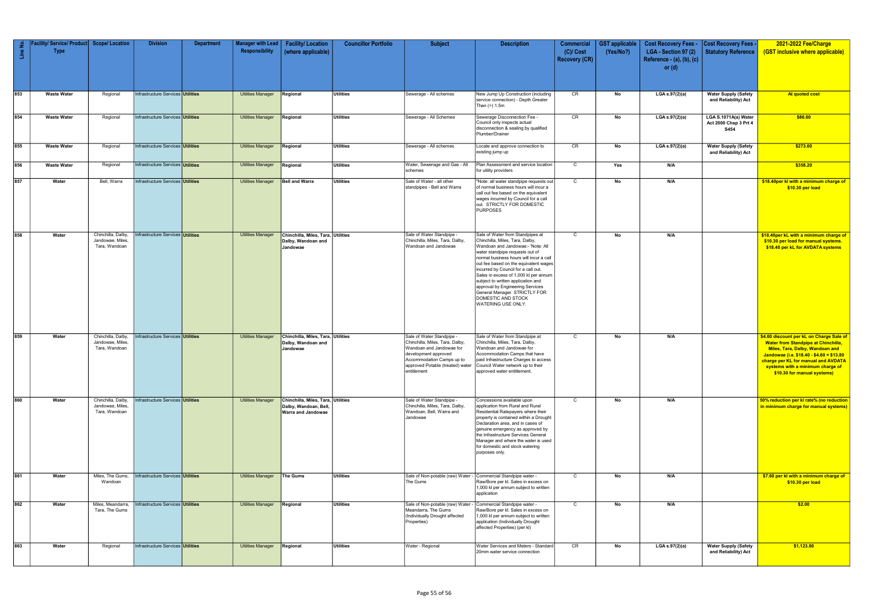| Line No. | Facility/ Service/ Product Scope/ Location<br><b>Type</b> |                                                         | <b>Division</b>                          | <b>Department</b> | Manager with Lead<br>Responsibility | <b>Facility/Location</b><br>(where applicable)                                           | <b>Councillor Portfolio</b> | <b>Subject</b>                                                                                                                                               | <b>Description</b>                                                                                                                                                                                                                                                                                                                                                                                                                                                     | Commercial<br>$(C)/$ Cost<br><b>Recovery (CR)</b> | <b>GST applicable</b><br>(Yes/No?) | <b>Cost Recovery Fees -</b><br>LGA - Section 97 (2)<br>Reference - (a), (b), (c)<br>or $(d)$ | <b>Cost Recovery Fees -</b><br>Statutory Reference    | 2021-2022 Fee/Charge<br>(GST inclusive where applicable)                                                                                                                                                                                                                        |
|----------|-----------------------------------------------------------|---------------------------------------------------------|------------------------------------------|-------------------|-------------------------------------|------------------------------------------------------------------------------------------|-----------------------------|--------------------------------------------------------------------------------------------------------------------------------------------------------------|------------------------------------------------------------------------------------------------------------------------------------------------------------------------------------------------------------------------------------------------------------------------------------------------------------------------------------------------------------------------------------------------------------------------------------------------------------------------|---------------------------------------------------|------------------------------------|----------------------------------------------------------------------------------------------|-------------------------------------------------------|---------------------------------------------------------------------------------------------------------------------------------------------------------------------------------------------------------------------------------------------------------------------------------|
| 853      | <b>Waste Water</b>                                        | Regional                                                | Infrastructure Services Utilities        |                   | <b>Utilities Manager</b>            | Regional                                                                                 | <b>Utilities</b>            | Sewerage - All schemes                                                                                                                                       | New Jump Up Construction (including<br>service connection) - Depth Greater<br>Than (>) 1.5m                                                                                                                                                                                                                                                                                                                                                                            | CR                                                | No                                 | LGA s.97(2)(a)                                                                               | <b>Water Supply (Safety</b><br>and Reliability) Act   | At quoted cost                                                                                                                                                                                                                                                                  |
| 854      | <b>Waste Water</b>                                        | Regional                                                | Infrastructure Services Utilities        |                   | <b>Utilities Manager</b>            | Regional                                                                                 | <b>Utilities</b>            | Sewerage - All Schemes                                                                                                                                       | Sewerage Disconnection Fee -<br>Council only inspects actual<br>disconnection & sealing by qualified<br>Plumber/Drainer                                                                                                                                                                                                                                                                                                                                                | CR                                                | No                                 | LGA s.97(2)(a)                                                                               | LGA S.1071A(a) Water<br>Act 2000 Chap 3 Prt 4<br>S454 | \$86.60                                                                                                                                                                                                                                                                         |
| 855      | <b>Waste Water</b>                                        | Regional                                                | Infrastructure Services <b>Utilities</b> |                   | <b>Utilities Manager</b>            | Regional                                                                                 | <b>Utilities</b>            | Sewerage - All schemes                                                                                                                                       | Locate and approve connection to<br>existing jump up                                                                                                                                                                                                                                                                                                                                                                                                                   | CR                                                | No                                 | LGA s.97(2)(a)                                                                               | <b>Water Supply (Safety</b><br>and Reliability) Act   | \$273.60                                                                                                                                                                                                                                                                        |
| 856      | <b>Waste Water</b>                                        | Regional                                                | Infrastructure Services Utilities        |                   | <b>Utilities Manager</b>            | Regional                                                                                 | <b>Utilities</b>            | Water, Sewerage and Gas - All<br>schemes                                                                                                                     | Plan Assessment and service location<br>for utility providers                                                                                                                                                                                                                                                                                                                                                                                                          | $\overline{c}$                                    | Yes                                | N/A                                                                                          |                                                       | \$358.20                                                                                                                                                                                                                                                                        |
| 857      | Water                                                     | Bell, Warra                                             | Infrastructure Services Utilities        |                   | <b>Utilities Manager</b>            | <b>Bell and Warra</b>                                                                    | <b>Utilities</b>            | Sale of Water - all other<br>standpipes - Bell and Warra                                                                                                     | "Note: all water standpipe requests out<br>of normal business hours will incur a<br>call out fee based on the equivalent<br>wages incurred by Council for a call<br>out. STRICTLY FOR DOMESTIC<br><b>PURPOSES</b>                                                                                                                                                                                                                                                      | $\mathsf{C}$                                      | No                                 | N/A                                                                                          |                                                       | \$18.40per kl with a minimum charge of<br>\$10.30 per load                                                                                                                                                                                                                      |
| 858      | Water                                                     | Chinchilla, Dalby<br>Jandowae, Miles<br>Tara, Wandoan   | Infrastructure Services Utilities        |                   | <b>Utilities Manager</b>            | Chinchilla, Miles, Tara, Utilities<br>Dalby, Wandoan and<br>Jandowae                     |                             | Sale of Water Standpipe -<br>Chinchilla, Miles, Tara, Dalby,<br>Wandoan and Jandowae                                                                         | Sale of Water from Standpipes at<br>Chinchilla, Miles, Tara, Dalby,<br>Wandoan and Jandowae:- 'Note: All<br>water standpipe requests out of<br>normal business hours will incur a call<br>out fee based on the equivalent wages<br>incurred by Council for a call out.<br>Sales in excess of 1,000 kl per annum<br>subject to written application and<br>approval by Engineering Services<br>General Manager. STRICTLY FOR<br>DOMESTIC AND STOCK<br>WATERING USE ONLY. | $\mathsf{C}$                                      | No                                 | N/A                                                                                          |                                                       | \$18.40per kL with a minimum charge of<br>\$10.30 per load for manual systems.<br>\$18.40 per kL for AVDATA systems                                                                                                                                                             |
| 859      | Water                                                     | Chinchilla, Dalby<br>Jandowae, Miles,<br>Tara, Wandoan  | Infrastructure Services Utilities        |                   | <b>Utilities Manager</b>            | Chinchilla, Miles, Tara, Utilities<br>Dalby, Wandoan and<br>Jandowae                     |                             | Sale of Water Standpipe -<br>Chinchilla, Miles, Tara, Dalby,<br>Wandoan and Jandowae for<br>development approved<br>Accommodation Camps up to<br>entitlement | Sale of Water from Standpipe at<br>Chinchilla, Miles, Tara, Dalby,<br>Wandoan and Jandowae for<br>Accommodation Camps that have<br>paid Infrastructure Charges to access<br>approved Potable (treated) water Council Water network up to their<br>approved water entitlement.                                                                                                                                                                                          | $\mathsf{C}$                                      | No                                 | N/A                                                                                          |                                                       | \$4.60 discount per kL on Charge Sale of<br><b>Water from Standpipe at Chinchilla,</b><br>Miles, Tara, Dalby, Wandoan and<br>Jandowae (i.e. $$18.40 - $4.60 = $13.80$<br>charge per KL for manual and AVDATA<br>systems with a minimum charge of<br>\$10.30 for manual systems) |
| 860      | Water                                                     | Chinchilla, Dalby,<br>Jandowae, Miles,<br>Tara, Wandoan | Infrastructure Services <b>Utilities</b> |                   | <b>Utilities Manager</b>            | Chinchilla, Miles, Tara, Utilities<br>Dalby, Wandoan, Bell,<br><b>Warra and Jandowae</b> |                             | Sale of Water Standpipe -<br>Chinchilla, Miles, Tara, Dalby,<br>Wandoan, Bell, Warra and<br>Jandowae                                                         | Concessions available upon<br>application from Rural and Rural<br>Residential Ratepayers where their<br>property is contained within a Drought<br>Declaration area, and in cases of<br>genuine emergency as approved by<br>the Infrastructure Services General<br>Manager and where the water is used<br>for domestic and stock watering<br>purposes only.                                                                                                             | $\mathsf{C}$                                      | No                                 | N/A                                                                                          |                                                       | 50% reduction per kl rate% (no reduction<br>in minimum charge for manual systems)                                                                                                                                                                                               |
| 861      | Water                                                     | Miles, The Gums,<br>Wandoan                             | Infrastructure Services Utilities        |                   | <b>Utilities Manager</b>            | <b>The Gums</b>                                                                          | <b>Utilities</b>            | Sale of Non-potable (raw) Water - Commercial Standpipe water -<br>The Gums                                                                                   | Raw/Bore per kl. Sales in excess on<br>1,000 kl per annum subject to written<br>application                                                                                                                                                                                                                                                                                                                                                                            | $\mathsf{C}$                                      | No                                 | N/A                                                                                          |                                                       | \$7.60 per kl with a minimum charge of<br>\$10.30 per load                                                                                                                                                                                                                      |
| 862      | Water                                                     | Miles, Meandarra,<br>Tara, The Gums                     | Infrastructure Services <b>Utilities</b> |                   | Utilities Manager                   | Regional                                                                                 | <b>Utilities</b>            | Sale of Non-potable (raw) Water -<br>Meandarra, The Gums<br>(Individually Drought affected<br>Properties)                                                    | Commercial Standpipe water -<br>Raw/Bore per kl. Sales in excess on<br>1,000 kl per annum subject to written<br>application (Individually Drought<br>affected Properties) (per kl)                                                                                                                                                                                                                                                                                     | $\mathsf{C}$                                      | No                                 | N/A                                                                                          |                                                       | \$2.00                                                                                                                                                                                                                                                                          |
| 863      | Water                                                     | Regional                                                | Infrastructure Services <b>Utilities</b> |                   | <b>Utilities Manager</b>            | Regional                                                                                 | <b>Utilities</b>            | Water - Regional                                                                                                                                             | Water Services and Meters - Standard<br>20mm water service connection                                                                                                                                                                                                                                                                                                                                                                                                  | CR                                                | No                                 | LGA s.97(2)(a)                                                                               | <b>Water Supply (Safety</b><br>and Reliability) Act   | \$1,123.80                                                                                                                                                                                                                                                                      |